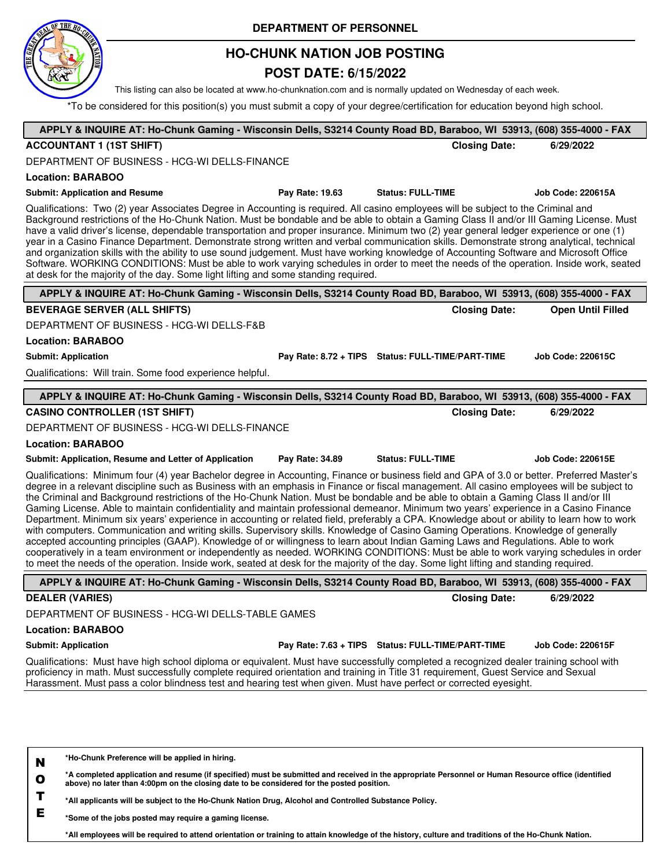

## **HO-CHUNK NATION JOB POSTING**

### **POST DATE: 6/15/2022**

This listing can also be located at www.ho-chunknation.com and is normally updated on Wednesday of each week.

\*To be considered for this position(s) you must submit a copy of your degree/certification for education beyond high school.

| APPLY & INQUIRE AT: Ho-Chunk Gaming - Wisconsin Dells, S3214 County Road BD, Baraboo, WI 53913, (608) 355-4000 - FAX                                                                                                                                                                                                                                                                                                                                                                                                                                                                                                                                                                                                                                                                                                                                                                                                                                                                                                                                                                                                                                                                                                                                                                     |                 |                                                   |                          |
|------------------------------------------------------------------------------------------------------------------------------------------------------------------------------------------------------------------------------------------------------------------------------------------------------------------------------------------------------------------------------------------------------------------------------------------------------------------------------------------------------------------------------------------------------------------------------------------------------------------------------------------------------------------------------------------------------------------------------------------------------------------------------------------------------------------------------------------------------------------------------------------------------------------------------------------------------------------------------------------------------------------------------------------------------------------------------------------------------------------------------------------------------------------------------------------------------------------------------------------------------------------------------------------|-----------------|---------------------------------------------------|--------------------------|
| <b>ACCOUNTANT 1 (1ST SHIFT)</b>                                                                                                                                                                                                                                                                                                                                                                                                                                                                                                                                                                                                                                                                                                                                                                                                                                                                                                                                                                                                                                                                                                                                                                                                                                                          |                 | <b>Closing Date:</b>                              | 6/29/2022                |
| DEPARTMENT OF BUSINESS - HCG-WI DELLS-FINANCE                                                                                                                                                                                                                                                                                                                                                                                                                                                                                                                                                                                                                                                                                                                                                                                                                                                                                                                                                                                                                                                                                                                                                                                                                                            |                 |                                                   |                          |
|                                                                                                                                                                                                                                                                                                                                                                                                                                                                                                                                                                                                                                                                                                                                                                                                                                                                                                                                                                                                                                                                                                                                                                                                                                                                                          |                 |                                                   |                          |
| <b>Location: BARABOO</b>                                                                                                                                                                                                                                                                                                                                                                                                                                                                                                                                                                                                                                                                                                                                                                                                                                                                                                                                                                                                                                                                                                                                                                                                                                                                 |                 |                                                   |                          |
| <b>Submit: Application and Resume</b>                                                                                                                                                                                                                                                                                                                                                                                                                                                                                                                                                                                                                                                                                                                                                                                                                                                                                                                                                                                                                                                                                                                                                                                                                                                    | Pay Rate: 19.63 | <b>Status: FULL-TIME</b>                          | <b>Job Code: 220615A</b> |
| Qualifications: Two (2) year Associates Degree in Accounting is required. All casino employees will be subject to the Criminal and<br>Background restrictions of the Ho-Chunk Nation. Must be bondable and be able to obtain a Gaming Class II and/or III Gaming License. Must<br>have a valid driver's license, dependable transportation and proper insurance. Minimum two (2) year general ledger experience or one (1)<br>year in a Casino Finance Department. Demonstrate strong written and verbal communication skills. Demonstrate strong analytical, technical<br>and organization skills with the ability to use sound judgement. Must have working knowledge of Accounting Software and Microsoft Office<br>Software. WORKING CONDITIONS: Must be able to work varying schedules in order to meet the needs of the operation. Inside work, seated<br>at desk for the majority of the day. Some light lifting and some standing required.                                                                                                                                                                                                                                                                                                                                      |                 |                                                   |                          |
| APPLY & INQUIRE AT: Ho-Chunk Gaming - Wisconsin Dells, S3214 County Road BD, Baraboo, WI 53913, (608) 355-4000 - FAX                                                                                                                                                                                                                                                                                                                                                                                                                                                                                                                                                                                                                                                                                                                                                                                                                                                                                                                                                                                                                                                                                                                                                                     |                 |                                                   |                          |
| <b>BEVERAGE SERVER (ALL SHIFTS)</b>                                                                                                                                                                                                                                                                                                                                                                                                                                                                                                                                                                                                                                                                                                                                                                                                                                                                                                                                                                                                                                                                                                                                                                                                                                                      |                 | <b>Closing Date:</b>                              | <b>Open Until Filled</b> |
| DEPARTMENT OF BUSINESS - HCG-WI DELLS-F&B                                                                                                                                                                                                                                                                                                                                                                                                                                                                                                                                                                                                                                                                                                                                                                                                                                                                                                                                                                                                                                                                                                                                                                                                                                                |                 |                                                   |                          |
| <b>Location: BARABOO</b>                                                                                                                                                                                                                                                                                                                                                                                                                                                                                                                                                                                                                                                                                                                                                                                                                                                                                                                                                                                                                                                                                                                                                                                                                                                                 |                 |                                                   |                          |
| <b>Submit: Application</b>                                                                                                                                                                                                                                                                                                                                                                                                                                                                                                                                                                                                                                                                                                                                                                                                                                                                                                                                                                                                                                                                                                                                                                                                                                                               |                 | Pay Rate: 8.72 + TIPS Status: FULL-TIME/PART-TIME | <b>Job Code: 220615C</b> |
| Qualifications: Will train. Some food experience helpful.                                                                                                                                                                                                                                                                                                                                                                                                                                                                                                                                                                                                                                                                                                                                                                                                                                                                                                                                                                                                                                                                                                                                                                                                                                |                 |                                                   |                          |
| APPLY & INQUIRE AT: Ho-Chunk Gaming - Wisconsin Dells, S3214 County Road BD, Baraboo, WI 53913, (608) 355-4000 - FAX                                                                                                                                                                                                                                                                                                                                                                                                                                                                                                                                                                                                                                                                                                                                                                                                                                                                                                                                                                                                                                                                                                                                                                     |                 |                                                   |                          |
| <b>CASINO CONTROLLER (1ST SHIFT)</b>                                                                                                                                                                                                                                                                                                                                                                                                                                                                                                                                                                                                                                                                                                                                                                                                                                                                                                                                                                                                                                                                                                                                                                                                                                                     |                 | <b>Closing Date:</b>                              | 6/29/2022                |
| DEPARTMENT OF BUSINESS - HCG-WI DELLS-FINANCE                                                                                                                                                                                                                                                                                                                                                                                                                                                                                                                                                                                                                                                                                                                                                                                                                                                                                                                                                                                                                                                                                                                                                                                                                                            |                 |                                                   |                          |
| <b>Location: BARABOO</b>                                                                                                                                                                                                                                                                                                                                                                                                                                                                                                                                                                                                                                                                                                                                                                                                                                                                                                                                                                                                                                                                                                                                                                                                                                                                 |                 |                                                   |                          |
| Submit: Application, Resume and Letter of Application                                                                                                                                                                                                                                                                                                                                                                                                                                                                                                                                                                                                                                                                                                                                                                                                                                                                                                                                                                                                                                                                                                                                                                                                                                    | Pay Rate: 34.89 | <b>Status: FULL-TIME</b>                          | <b>Job Code: 220615E</b> |
| Qualifications: Minimum four (4) year Bachelor degree in Accounting, Finance or business field and GPA of 3.0 or better. Preferred Master's<br>degree in a relevant discipline such as Business with an emphasis in Finance or fiscal management. All casino employees will be subject to<br>the Criminal and Background restrictions of the Ho-Chunk Nation. Must be bondable and be able to obtain a Gaming Class II and/or III<br>Gaming License. Able to maintain confidentiality and maintain professional demeanor. Minimum two years' experience in a Casino Finance<br>Department. Minimum six years' experience in accounting or related field, preferably a CPA. Knowledge about or ability to learn how to work<br>with computers. Communication and writing skills. Supervisory skills. Knowledge of Casino Gaming Operations. Knowledge of generally<br>accepted accounting principles (GAAP). Knowledge of or willingness to learn about Indian Gaming Laws and Regulations. Able to work<br>cooperatively in a team environment or independently as needed. WORKING CONDITIONS: Must be able to work varying schedules in order<br>to meet the needs of the operation. Inside work, seated at desk for the majority of the day. Some light lifting and standing required. |                 |                                                   |                          |
| APPLY & INQUIRE AT: Ho-Chunk Gaming - Wisconsin Dells, S3214 County Road BD, Baraboo, WI 53913, (608) 355-4000 - FAX                                                                                                                                                                                                                                                                                                                                                                                                                                                                                                                                                                                                                                                                                                                                                                                                                                                                                                                                                                                                                                                                                                                                                                     |                 |                                                   |                          |
| <b>DEALER (VARIES)</b>                                                                                                                                                                                                                                                                                                                                                                                                                                                                                                                                                                                                                                                                                                                                                                                                                                                                                                                                                                                                                                                                                                                                                                                                                                                                   |                 | <b>Closing Date:</b>                              | 6/29/2022                |
| DEPARTMENT OF BUSINESS - HCG-WI DELLS-TABLE GAMES                                                                                                                                                                                                                                                                                                                                                                                                                                                                                                                                                                                                                                                                                                                                                                                                                                                                                                                                                                                                                                                                                                                                                                                                                                        |                 |                                                   |                          |
| <b>Location: BARABOO</b>                                                                                                                                                                                                                                                                                                                                                                                                                                                                                                                                                                                                                                                                                                                                                                                                                                                                                                                                                                                                                                                                                                                                                                                                                                                                 |                 |                                                   |                          |
| <b>Submit: Application</b>                                                                                                                                                                                                                                                                                                                                                                                                                                                                                                                                                                                                                                                                                                                                                                                                                                                                                                                                                                                                                                                                                                                                                                                                                                                               |                 | Pay Rate: 7.63 + TIPS Status: FULL-TIME/PART-TIME | <b>Job Code: 220615F</b> |
| Qualifications: Must have high school diploma or equivalent. Must have successfully completed a recognized dealer training school with<br>proficiency in math. Must successfully complete required orientation and training in Title 31 requirement, Guest Service and Sexual<br>Harassment. Must pass a color blindness test and hearing test when given. Must have perfect or corrected eyesight.                                                                                                                                                                                                                                                                                                                                                                                                                                                                                                                                                                                                                                                                                                                                                                                                                                                                                      |                 |                                                   |                          |
| *Ho-Chunk Preference will be applied in hiring.<br>N                                                                                                                                                                                                                                                                                                                                                                                                                                                                                                                                                                                                                                                                                                                                                                                                                                                                                                                                                                                                                                                                                                                                                                                                                                     |                 |                                                   |                          |

**O \*A completed application and resume (if specified) must be submitted and received in the appropriate Personnel or Human Resource office (identified above) no later than 4:00pm on the closing date to be considered for the posted position.**

**T \*All applicants will be subject to the Ho-Chunk Nation Drug, Alcohol and Controlled Substance Policy.**

**E \*Some of the jobs posted may require a gaming license.**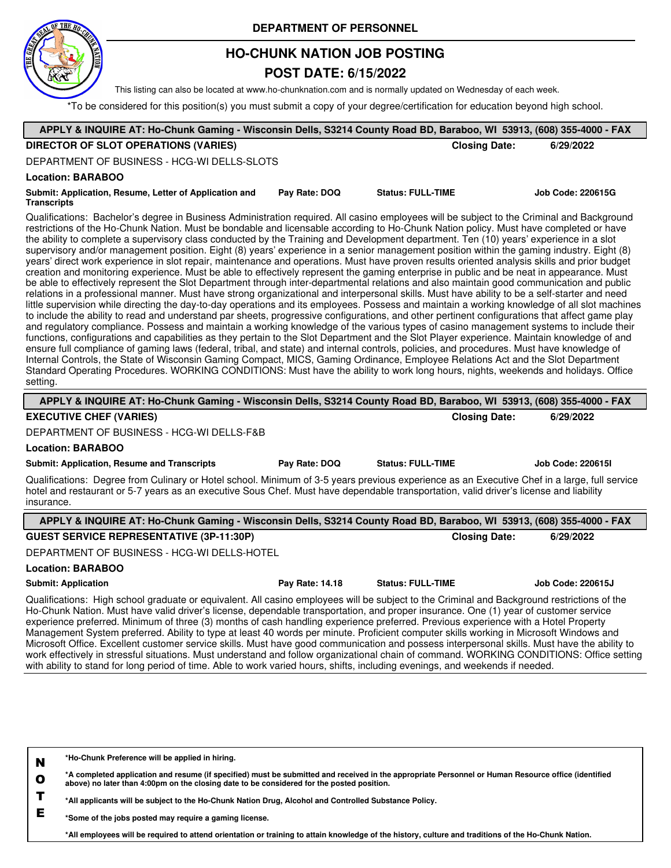

## **HO-CHUNK NATION JOB POSTING**

### **POST DATE: 6/15/2022**

This listing can also be located at www.ho-chunknation.com and is normally updated on Wednesday of each week.

\*To be considered for this position(s) you must submit a copy of your degree/certification for education beyond high school.

| APPLY & INQUIRE AT: Ho-Chunk Gaming - Wisconsin Dells, S3214 County Road BD, Baraboo, WI 53913, (608) 355-4000 - FAX                                                                                                                                                                                                                                                                                                                                                                                                                                                                                                                                                                                                                                                                                                                                                                                                                                                                                                                                                                                                                                                                                                                                                                                                                                                                                                                                                                                                                                                                                                                                                                                                                                                                                                                                                                                                                                                                                                                                                                                                                                                                                  |                      |                          |
|-------------------------------------------------------------------------------------------------------------------------------------------------------------------------------------------------------------------------------------------------------------------------------------------------------------------------------------------------------------------------------------------------------------------------------------------------------------------------------------------------------------------------------------------------------------------------------------------------------------------------------------------------------------------------------------------------------------------------------------------------------------------------------------------------------------------------------------------------------------------------------------------------------------------------------------------------------------------------------------------------------------------------------------------------------------------------------------------------------------------------------------------------------------------------------------------------------------------------------------------------------------------------------------------------------------------------------------------------------------------------------------------------------------------------------------------------------------------------------------------------------------------------------------------------------------------------------------------------------------------------------------------------------------------------------------------------------------------------------------------------------------------------------------------------------------------------------------------------------------------------------------------------------------------------------------------------------------------------------------------------------------------------------------------------------------------------------------------------------------------------------------------------------------------------------------------------------|----------------------|--------------------------|
| <b>DIRECTOR OF SLOT OPERATIONS (VARIES)</b>                                                                                                                                                                                                                                                                                                                                                                                                                                                                                                                                                                                                                                                                                                                                                                                                                                                                                                                                                                                                                                                                                                                                                                                                                                                                                                                                                                                                                                                                                                                                                                                                                                                                                                                                                                                                                                                                                                                                                                                                                                                                                                                                                           | <b>Closing Date:</b> | 6/29/2022                |
| DEPARTMENT OF BUSINESS - HCG-WI DELLS-SLOTS                                                                                                                                                                                                                                                                                                                                                                                                                                                                                                                                                                                                                                                                                                                                                                                                                                                                                                                                                                                                                                                                                                                                                                                                                                                                                                                                                                                                                                                                                                                                                                                                                                                                                                                                                                                                                                                                                                                                                                                                                                                                                                                                                           |                      |                          |
| <b>Location: BARABOO</b>                                                                                                                                                                                                                                                                                                                                                                                                                                                                                                                                                                                                                                                                                                                                                                                                                                                                                                                                                                                                                                                                                                                                                                                                                                                                                                                                                                                                                                                                                                                                                                                                                                                                                                                                                                                                                                                                                                                                                                                                                                                                                                                                                                              |                      |                          |
| <b>Status: FULL-TIME</b><br>Submit: Application, Resume, Letter of Application and<br>Pay Rate: DOQ<br><b>Transcripts</b>                                                                                                                                                                                                                                                                                                                                                                                                                                                                                                                                                                                                                                                                                                                                                                                                                                                                                                                                                                                                                                                                                                                                                                                                                                                                                                                                                                                                                                                                                                                                                                                                                                                                                                                                                                                                                                                                                                                                                                                                                                                                             |                      | <b>Job Code: 220615G</b> |
| Qualifications: Bachelor's degree in Business Administration required. All casino employees will be subject to the Criminal and Background<br>restrictions of the Ho-Chunk Nation. Must be bondable and licensable according to Ho-Chunk Nation policy. Must have completed or have<br>the ability to complete a supervisory class conducted by the Training and Development department. Ten (10) years' experience in a slot<br>supervisory and/or management position. Eight (8) years' experience in a senior management position within the gaming industry. Eight (8)<br>years' direct work experience in slot repair, maintenance and operations. Must have proven results oriented analysis skills and prior budget<br>creation and monitoring experience. Must be able to effectively represent the gaming enterprise in public and be neat in appearance. Must<br>be able to effectively represent the Slot Department through inter-departmental relations and also maintain good communication and public<br>relations in a professional manner. Must have strong organizational and interpersonal skills. Must have ability to be a self-starter and need<br>little supervision while directing the day-to-day operations and its employees. Possess and maintain a working knowledge of all slot machines<br>to include the ability to read and understand par sheets, progressive configurations, and other pertinent configurations that affect game play<br>and regulatory compliance. Possess and maintain a working knowledge of the various types of casino management systems to include their<br>functions, configurations and capabilities as they pertain to the Slot Department and the Slot Player experience. Maintain knowledge of and<br>ensure full compliance of gaming laws (federal, tribal, and state) and internal controls, policies, and procedures. Must have knowledge of<br>Internal Controls, the State of Wisconsin Gaming Compact, MICS, Gaming Ordinance, Employee Relations Act and the Slot Department<br>Standard Operating Procedures. WORKING CONDITIONS: Must have the ability to work long hours, nights, weekends and holidays. Office<br>setting. |                      |                          |
| APPLY & INQUIRE AT: Ho-Chunk Gaming - Wisconsin Dells, S3214 County Road BD, Baraboo, WI 53913, (608) 355-4000 - FAX                                                                                                                                                                                                                                                                                                                                                                                                                                                                                                                                                                                                                                                                                                                                                                                                                                                                                                                                                                                                                                                                                                                                                                                                                                                                                                                                                                                                                                                                                                                                                                                                                                                                                                                                                                                                                                                                                                                                                                                                                                                                                  |                      |                          |
| <b>EXECUTIVE CHEF (VARIES)</b>                                                                                                                                                                                                                                                                                                                                                                                                                                                                                                                                                                                                                                                                                                                                                                                                                                                                                                                                                                                                                                                                                                                                                                                                                                                                                                                                                                                                                                                                                                                                                                                                                                                                                                                                                                                                                                                                                                                                                                                                                                                                                                                                                                        | <b>Closing Date:</b> | 6/29/2022                |
| DEPARTMENT OF BUSINESS - HCG-WI DELLS-F&B                                                                                                                                                                                                                                                                                                                                                                                                                                                                                                                                                                                                                                                                                                                                                                                                                                                                                                                                                                                                                                                                                                                                                                                                                                                                                                                                                                                                                                                                                                                                                                                                                                                                                                                                                                                                                                                                                                                                                                                                                                                                                                                                                             |                      |                          |
| <b>Location: BARABOO</b>                                                                                                                                                                                                                                                                                                                                                                                                                                                                                                                                                                                                                                                                                                                                                                                                                                                                                                                                                                                                                                                                                                                                                                                                                                                                                                                                                                                                                                                                                                                                                                                                                                                                                                                                                                                                                                                                                                                                                                                                                                                                                                                                                                              |                      |                          |
| <b>Status: FULL-TIME</b><br><b>Submit: Application, Resume and Transcripts</b><br>Pay Rate: DOQ                                                                                                                                                                                                                                                                                                                                                                                                                                                                                                                                                                                                                                                                                                                                                                                                                                                                                                                                                                                                                                                                                                                                                                                                                                                                                                                                                                                                                                                                                                                                                                                                                                                                                                                                                                                                                                                                                                                                                                                                                                                                                                       |                      | <b>Job Code: 2206151</b> |
| Qualifications: Degree from Culinary or Hotel school. Minimum of 3-5 years previous experience as an Executive Chef in a large, full service<br>hotel and restaurant or 5-7 years as an executive Sous Chef. Must have dependable transportation, valid driver's license and liability<br>insurance.                                                                                                                                                                                                                                                                                                                                                                                                                                                                                                                                                                                                                                                                                                                                                                                                                                                                                                                                                                                                                                                                                                                                                                                                                                                                                                                                                                                                                                                                                                                                                                                                                                                                                                                                                                                                                                                                                                  |                      |                          |
| APPLY & INQUIRE AT: Ho-Chunk Gaming - Wisconsin Dells, S3214 County Road BD, Baraboo, WI 53913, (608) 355-4000 - FAX                                                                                                                                                                                                                                                                                                                                                                                                                                                                                                                                                                                                                                                                                                                                                                                                                                                                                                                                                                                                                                                                                                                                                                                                                                                                                                                                                                                                                                                                                                                                                                                                                                                                                                                                                                                                                                                                                                                                                                                                                                                                                  |                      |                          |
| <b>GUEST SERVICE REPRESENTATIVE (3P-11:30P)</b>                                                                                                                                                                                                                                                                                                                                                                                                                                                                                                                                                                                                                                                                                                                                                                                                                                                                                                                                                                                                                                                                                                                                                                                                                                                                                                                                                                                                                                                                                                                                                                                                                                                                                                                                                                                                                                                                                                                                                                                                                                                                                                                                                       | <b>Closing Date:</b> | 6/29/2022                |
| DEPARTMENT OF BUSINESS - HCG-WI DELLS-HOTEL                                                                                                                                                                                                                                                                                                                                                                                                                                                                                                                                                                                                                                                                                                                                                                                                                                                                                                                                                                                                                                                                                                                                                                                                                                                                                                                                                                                                                                                                                                                                                                                                                                                                                                                                                                                                                                                                                                                                                                                                                                                                                                                                                           |                      |                          |
| <b>Location: BARABOO</b>                                                                                                                                                                                                                                                                                                                                                                                                                                                                                                                                                                                                                                                                                                                                                                                                                                                                                                                                                                                                                                                                                                                                                                                                                                                                                                                                                                                                                                                                                                                                                                                                                                                                                                                                                                                                                                                                                                                                                                                                                                                                                                                                                                              |                      |                          |
| Pay Rate: 14.18<br><b>Status: FULL-TIME</b><br><b>Submit: Application</b>                                                                                                                                                                                                                                                                                                                                                                                                                                                                                                                                                                                                                                                                                                                                                                                                                                                                                                                                                                                                                                                                                                                                                                                                                                                                                                                                                                                                                                                                                                                                                                                                                                                                                                                                                                                                                                                                                                                                                                                                                                                                                                                             |                      | Job Code: 220615J        |
| Qualifications: High school graduate or equivalent. All casino employees will be subject to the Criminal and Background restrictions of the<br>Ho-Chunk Nation. Must have valid driver's license, dependable transportation, and proper insurance. One (1) year of customer service<br>experience preferred. Minimum of three (3) months of cash handling experience preferred. Previous experience with a Hotel Property<br>Management System preferred. Ability to type at least 40 words per minute. Proficient computer skills working in Microsoft Windows and<br>Microsoft Office. Excellent customer service skills. Must have good communication and possess interpersonal skills. Must have the ability to<br>work effectively in stressful situations. Must understand and follow organizational chain of command. WORKING CONDITIONS: Office setting<br>with ability to stand for long period of time. Able to work varied hours, shifts, including evenings, and weekends if needed.                                                                                                                                                                                                                                                                                                                                                                                                                                                                                                                                                                                                                                                                                                                                                                                                                                                                                                                                                                                                                                                                                                                                                                                                      |                      |                          |
|                                                                                                                                                                                                                                                                                                                                                                                                                                                                                                                                                                                                                                                                                                                                                                                                                                                                                                                                                                                                                                                                                                                                                                                                                                                                                                                                                                                                                                                                                                                                                                                                                                                                                                                                                                                                                                                                                                                                                                                                                                                                                                                                                                                                       |                      |                          |
|                                                                                                                                                                                                                                                                                                                                                                                                                                                                                                                                                                                                                                                                                                                                                                                                                                                                                                                                                                                                                                                                                                                                                                                                                                                                                                                                                                                                                                                                                                                                                                                                                                                                                                                                                                                                                                                                                                                                                                                                                                                                                                                                                                                                       |                      |                          |

**N \*Ho-Chunk Preference will be applied in hiring.**

**O \*A completed application and resume (if specified) must be submitted and received in the appropriate Personnel or Human Resource office (identified above) no later than 4:00pm on the closing date to be considered for the posted position.**

**T \*All applicants will be subject to the Ho-Chunk Nation Drug, Alcohol and Controlled Substance Policy.**

**E \*Some of the jobs posted may require a gaming license.**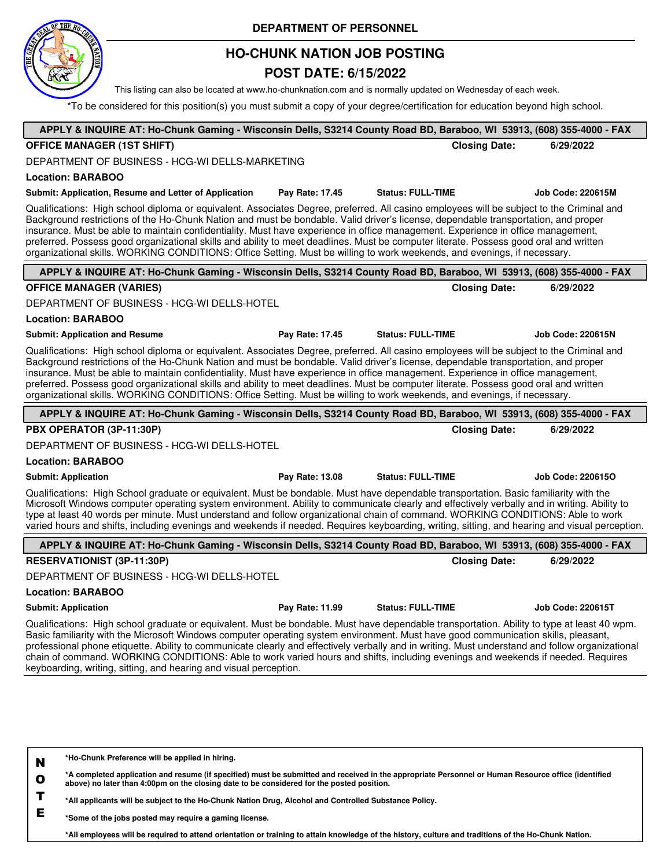

## **HO-CHUNK NATION JOB POSTING**

### **POST DATE: 6/15/2022**

This listing can also be located at www.ho-chunknation.com and is normally updated on Wednesday of each week.

\*To be considered for this position(s) you must submit a copy of your degree/certification for education beyond high school.

| APPLY & INQUIRE AT: Ho-Chunk Gaming - Wisconsin Dells, S3214 County Road BD, Baraboo, WI 53913, (608) 355-4000 - FAX                                                                                                                                                                                                                                                                                                                                                                                                                                                                                                                                                                     |                 |                          |                      |                          |
|------------------------------------------------------------------------------------------------------------------------------------------------------------------------------------------------------------------------------------------------------------------------------------------------------------------------------------------------------------------------------------------------------------------------------------------------------------------------------------------------------------------------------------------------------------------------------------------------------------------------------------------------------------------------------------------|-----------------|--------------------------|----------------------|--------------------------|
| <b>OFFICE MANAGER (1ST SHIFT)</b>                                                                                                                                                                                                                                                                                                                                                                                                                                                                                                                                                                                                                                                        |                 |                          | <b>Closing Date:</b> | 6/29/2022                |
| DEPARTMENT OF BUSINESS - HCG-WI DELLS-MARKETING                                                                                                                                                                                                                                                                                                                                                                                                                                                                                                                                                                                                                                          |                 |                          |                      |                          |
| <b>Location: BARABOO</b>                                                                                                                                                                                                                                                                                                                                                                                                                                                                                                                                                                                                                                                                 |                 |                          |                      |                          |
| Submit: Application, Resume and Letter of Application                                                                                                                                                                                                                                                                                                                                                                                                                                                                                                                                                                                                                                    | Pay Rate: 17.45 | <b>Status: FULL-TIME</b> |                      | <b>Job Code: 220615M</b> |
| Qualifications: High school diploma or equivalent. Associates Degree, preferred. All casino employees will be subject to the Criminal and<br>Background restrictions of the Ho-Chunk Nation and must be bondable. Valid driver's license, dependable transportation, and proper<br>insurance. Must be able to maintain confidentiality. Must have experience in office management. Experience in office management,<br>preferred. Possess good organizational skills and ability to meet deadlines. Must be computer literate. Possess good oral and written<br>organizational skills. WORKING CONDITIONS: Office Setting. Must be willing to work weekends, and evenings, if necessary. |                 |                          |                      |                          |
| APPLY & INQUIRE AT: Ho-Chunk Gaming - Wisconsin Dells, S3214 County Road BD, Baraboo, WI 53913, (608) 355-4000 - FAX                                                                                                                                                                                                                                                                                                                                                                                                                                                                                                                                                                     |                 |                          |                      |                          |
| <b>OFFICE MANAGER (VARIES)</b>                                                                                                                                                                                                                                                                                                                                                                                                                                                                                                                                                                                                                                                           |                 |                          | <b>Closing Date:</b> | 6/29/2022                |
| DEPARTMENT OF BUSINESS - HCG-WI DELLS-HOTEL                                                                                                                                                                                                                                                                                                                                                                                                                                                                                                                                                                                                                                              |                 |                          |                      |                          |
| <b>Location: BARABOO</b>                                                                                                                                                                                                                                                                                                                                                                                                                                                                                                                                                                                                                                                                 |                 |                          |                      |                          |
| <b>Submit: Application and Resume</b>                                                                                                                                                                                                                                                                                                                                                                                                                                                                                                                                                                                                                                                    | Pay Rate: 17.45 | <b>Status: FULL-TIME</b> |                      | <b>Job Code: 220615N</b> |
| Qualifications: High school diploma or equivalent. Associates Degree, preferred. All casino employees will be subject to the Criminal and<br>Background restrictions of the Ho-Chunk Nation and must be bondable. Valid driver's license, dependable transportation, and proper<br>insurance. Must be able to maintain confidentiality. Must have experience in office management. Experience in office management,<br>preferred. Possess good organizational skills and ability to meet deadlines. Must be computer literate. Possess good oral and written<br>organizational skills. WORKING CONDITIONS: Office Setting. Must be willing to work weekends, and evenings, if necessary. |                 |                          |                      |                          |
| APPLY & INQUIRE AT: Ho-Chunk Gaming - Wisconsin Dells, S3214 County Road BD, Baraboo, WI 53913, (608) 355-4000 - FAX                                                                                                                                                                                                                                                                                                                                                                                                                                                                                                                                                                     |                 |                          |                      |                          |
| PBX OPERATOR (3P-11:30P)                                                                                                                                                                                                                                                                                                                                                                                                                                                                                                                                                                                                                                                                 |                 |                          | <b>Closing Date:</b> | 6/29/2022                |
| DEPARTMENT OF BUSINESS - HCG-WI DELLS-HOTEL                                                                                                                                                                                                                                                                                                                                                                                                                                                                                                                                                                                                                                              |                 |                          |                      |                          |
| <b>Location: BARABOO</b>                                                                                                                                                                                                                                                                                                                                                                                                                                                                                                                                                                                                                                                                 |                 |                          |                      |                          |
| <b>Submit: Application</b>                                                                                                                                                                                                                                                                                                                                                                                                                                                                                                                                                                                                                                                               | Pay Rate: 13.08 | <b>Status: FULL-TIME</b> |                      | <b>Job Code: 2206150</b> |
| Qualifications: High School graduate or equivalent. Must be bondable. Must have dependable transportation. Basic familiarity with the<br>Microsoft Windows computer operating system environment. Ability to communicate clearly and effectively verbally and in writing. Ability to<br>type at least 40 words per minute. Must understand and follow organizational chain of command. WORKING CONDITIONS: Able to work<br>varied hours and shifts, including evenings and weekends if needed. Requires keyboarding, writing, sitting, and hearing and visual perception.                                                                                                                |                 |                          |                      |                          |
| APPLY & INQUIRE AT: Ho-Chunk Gaming - Wisconsin Dells, S3214 County Road BD, Baraboo, WI 53913, (608) 355-4000 - FAX                                                                                                                                                                                                                                                                                                                                                                                                                                                                                                                                                                     |                 |                          |                      |                          |
| <b>RESERVATIONIST (3P-11:30P)</b>                                                                                                                                                                                                                                                                                                                                                                                                                                                                                                                                                                                                                                                        |                 |                          | <b>Closing Date:</b> | 6/29/2022                |
| DEPARTMENT OF BUSINESS - HCG-WI DELLS-HOTEL                                                                                                                                                                                                                                                                                                                                                                                                                                                                                                                                                                                                                                              |                 |                          |                      |                          |
| <b>Location: BARABOO</b>                                                                                                                                                                                                                                                                                                                                                                                                                                                                                                                                                                                                                                                                 |                 |                          |                      |                          |
| <b>Submit: Application</b>                                                                                                                                                                                                                                                                                                                                                                                                                                                                                                                                                                                                                                                               | Pay Rate: 11.99 | <b>Status: FULL-TIME</b> |                      | <b>Job Code: 220615T</b> |
| Qualifications: High school graduate or equivalent. Must be bondable. Must have dependable transportation. Ability to type at least 40 wpm.<br>Basic familiarity with the Microsoft Windows computer operating system environment. Must have good communication skills, pleasant,<br>professional phone etiquette. Ability to communicate clearly and effectively verbally and in writing. Must understand and follow organizational<br>chain of command. WORKING CONDITIONS: Able to work varied hours and shifts, including evenings and weekends if needed. Requires<br>keyboarding, writing, sitting, and hearing and visual perception.                                             |                 |                          |                      |                          |
| *Ho-Chunk Preference will be applied in hiring.                                                                                                                                                                                                                                                                                                                                                                                                                                                                                                                                                                                                                                          |                 |                          |                      |                          |

**O \*A completed application and resume (if specified) must be submitted and received in the appropriate Personnel or Human Resource office (identified above) no later than 4:00pm on the closing date to be considered for the posted position.**

**T \*All applicants will be subject to the Ho-Chunk Nation Drug, Alcohol and Controlled Substance Policy.**

**E \*Some of the jobs posted may require a gaming license.**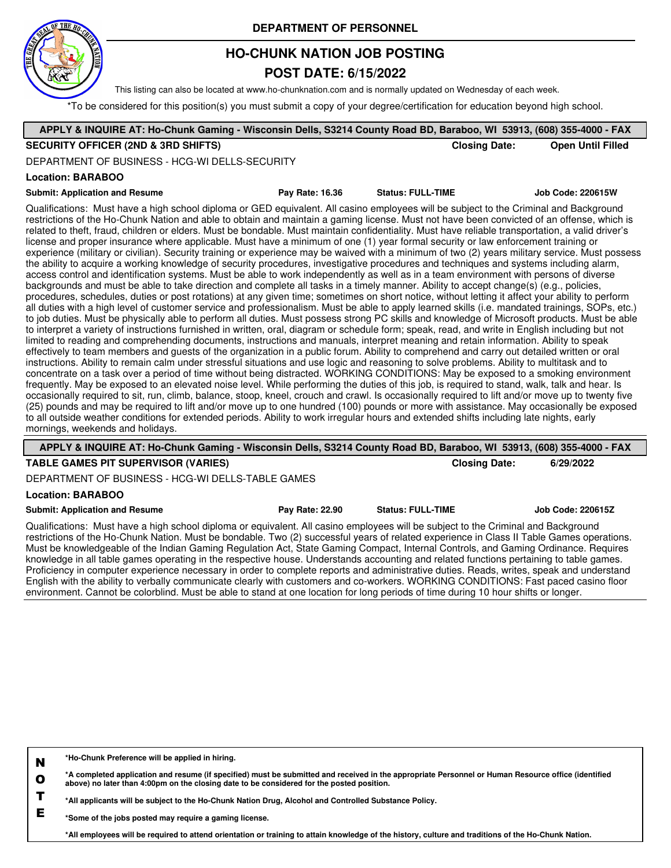

## **HO-CHUNK NATION JOB POSTING**

### **POST DATE: 6/15/2022**

This listing can also be located at www.ho-chunknation.com and is normally updated on Wednesday of each week.

\*To be considered for this position(s) you must submit a copy of your degree/certification for education beyond high school.

| APPLY & INQUIRE AT: Ho-Chunk Gaming - Wisconsin Dells, S3214 County Road BD, Baraboo, WI 53913, (608) 355-4000 - FAX                                                                                                                                                                                                                                                                                                                                                                                                                                                                                                                                                                                                                                                                                                                                                         |                        |                          |                          |
|------------------------------------------------------------------------------------------------------------------------------------------------------------------------------------------------------------------------------------------------------------------------------------------------------------------------------------------------------------------------------------------------------------------------------------------------------------------------------------------------------------------------------------------------------------------------------------------------------------------------------------------------------------------------------------------------------------------------------------------------------------------------------------------------------------------------------------------------------------------------------|------------------------|--------------------------|--------------------------|
| <b>SECURITY OFFICER (2ND &amp; 3RD SHIFTS)</b>                                                                                                                                                                                                                                                                                                                                                                                                                                                                                                                                                                                                                                                                                                                                                                                                                               |                        | <b>Closing Date:</b>     | <b>Open Until Filled</b> |
| DEPARTMENT OF BUSINESS - HCG-WI DELLS-SECURITY                                                                                                                                                                                                                                                                                                                                                                                                                                                                                                                                                                                                                                                                                                                                                                                                                               |                        |                          |                          |
| Location: BARABOO                                                                                                                                                                                                                                                                                                                                                                                                                                                                                                                                                                                                                                                                                                                                                                                                                                                            |                        |                          |                          |
| <b>Submit: Application and Resume</b>                                                                                                                                                                                                                                                                                                                                                                                                                                                                                                                                                                                                                                                                                                                                                                                                                                        | <b>Pay Rate: 16.36</b> | <b>Status: FULL-TIME</b> | Job Code: 220615W        |
| Qualifications: Must have a high school diploma or GED equivalent. All casino employees will be subject to the Criminal and Background<br>restrictions of the Ho-Chunk Nation and able to obtain and maintain a gaming license. Must not have been convicted of an offense, which is<br>related to theft, fraud, children or elders. Must be bondable. Must maintain confidentiality. Must have reliable transportation, a valid driver's<br>license and proper insurance where applicable. Must have a minimum of one (1) year formal security or law enforcement training or<br>experience (military or civilian). Security training or experience may be waived with a minimum of two (2) years military service. Must possess<br>the ability to acquire a working knowledge of security procedures, investigative procedures and techniques and systems including alarm, |                        |                          |                          |

access control and identification systems. Must be able to work independently as well as in a team environment with persons of diverse backgrounds and must be able to take direction and complete all tasks in a timely manner. Ability to accept change(s) (e.g., policies, procedures, schedules, duties or post rotations) at any given time; sometimes on short notice, without letting it affect your ability to perform all duties with a high level of customer service and professionalism. Must be able to apply learned skills (i.e. mandated trainings, SOPs, etc.) to job duties. Must be physically able to perform all duties. Must possess strong PC skills and knowledge of Microsoft products. Must be able to interpret a variety of instructions furnished in written, oral, diagram or schedule form; speak, read, and write in English including but not limited to reading and comprehending documents, instructions and manuals, interpret meaning and retain information. Ability to speak effectively to team members and guests of the organization in a public forum. Ability to comprehend and carry out detailed written or oral instructions. Ability to remain calm under stressful situations and use logic and reasoning to solve problems. Ability to multitask and to concentrate on a task over a period of time without being distracted. WORKING CONDITIONS: May be exposed to a smoking environment frequently. May be exposed to an elevated noise level. While performing the duties of this job, is required to stand, walk, talk and hear. Is occasionally required to sit, run, climb, balance, stoop, kneel, crouch and crawl. Is occasionally required to lift and/or move up to twenty five (25) pounds and may be required to lift and/or move up to one hundred (100) pounds or more with assistance. May occasionally be exposed to all outside weather conditions for extended periods. Ability to work irregular hours and extended shifts including late nights, early mornings, weekends and holidays.

| APPLY & INQUIRE AT: Ho-Chunk Gaming - Wisconsin Dells, S3214 County Road BD, Baraboo, WI 53913, (608) 355-4000 - FAX                                                                                                                                                                                                                                                                                                                                                                                                                                                                                                                                                                                                                                                                                                                                                                                                                                                                      |                 |                          |                   |
|-------------------------------------------------------------------------------------------------------------------------------------------------------------------------------------------------------------------------------------------------------------------------------------------------------------------------------------------------------------------------------------------------------------------------------------------------------------------------------------------------------------------------------------------------------------------------------------------------------------------------------------------------------------------------------------------------------------------------------------------------------------------------------------------------------------------------------------------------------------------------------------------------------------------------------------------------------------------------------------------|-----------------|--------------------------|-------------------|
| <b>TABLE GAMES PIT SUPERVISOR (VARIES)</b>                                                                                                                                                                                                                                                                                                                                                                                                                                                                                                                                                                                                                                                                                                                                                                                                                                                                                                                                                |                 | <b>Closing Date:</b>     | 6/29/2022         |
| DEPARTMENT OF BUSINESS - HCG-WI DELLS-TABLE GAMES                                                                                                                                                                                                                                                                                                                                                                                                                                                                                                                                                                                                                                                                                                                                                                                                                                                                                                                                         |                 |                          |                   |
| <b>Location: BARABOO</b>                                                                                                                                                                                                                                                                                                                                                                                                                                                                                                                                                                                                                                                                                                                                                                                                                                                                                                                                                                  |                 |                          |                   |
| <b>Submit: Application and Resume</b>                                                                                                                                                                                                                                                                                                                                                                                                                                                                                                                                                                                                                                                                                                                                                                                                                                                                                                                                                     | Pay Rate: 22.90 | <b>Status: FULL-TIME</b> | Job Code: 220615Z |
| Qualifications: Must have a high school diploma or equivalent. All casino employees will be subject to the Criminal and Background<br>restrictions of the Ho-Chunk Nation. Must be bondable. Two (2) successful years of related experience in Class II Table Games operations.<br>Must be knowledgeable of the Indian Gaming Regulation Act, State Gaming Compact, Internal Controls, and Gaming Ordinance. Requires<br>knowledge in all table games operating in the respective house. Understands accounting and related functions pertaining to table games.<br>Proficiency in computer experience necessary in order to complete reports and administrative duties. Reads, writes, speak and understand<br>English with the ability to verbally communicate clearly with customers and co-workers. WORKING CONDITIONS: Fast paced casino floor<br>environment. Cannot be colorblind. Must be able to stand at one location for long periods of time during 10 hour shifts or longer. |                 |                          |                   |

| N | *Ho-Chunk Preference will be applied in hiring. |
|---|-------------------------------------------------|
|---|-------------------------------------------------|

**O \*A completed application and resume (if specified) must be submitted and received in the appropriate Personnel or Human Resource office (identified above) no later than 4:00pm on the closing date to be considered for the posted position.**

**T \*All applicants will be subject to the Ho-Chunk Nation Drug, Alcohol and Controlled Substance Policy.**

**E \*Some of the jobs posted may require a gaming license.**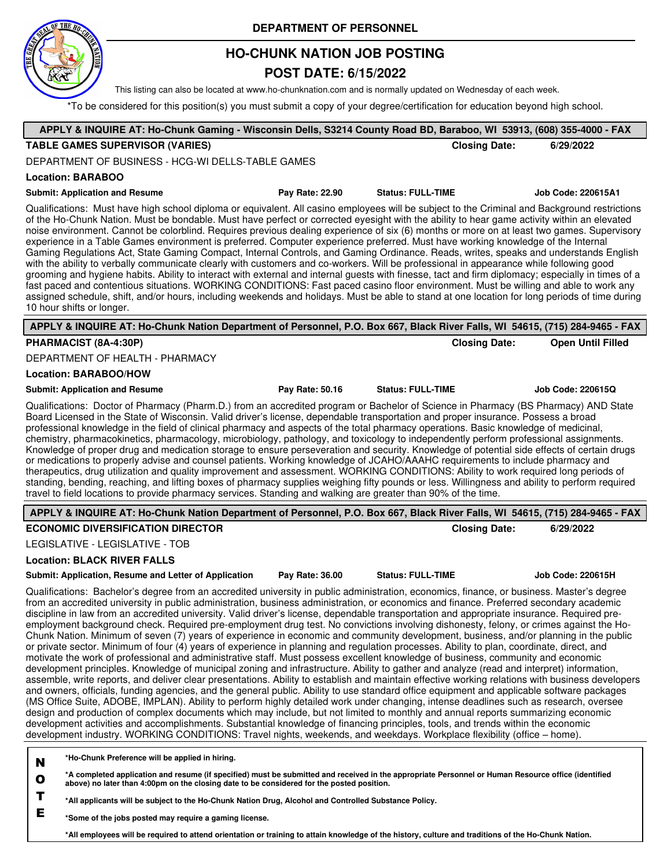

## **HO-CHUNK NATION JOB POSTING**

### **POST DATE: 6/15/2022**

This listing can also be located at www.ho-chunknation.com and is normally updated on Wednesday of each week.

\*To be considered for this position(s) you must submit a copy of your degree/certification for education beyond high school.

| APPLY & INQUIRE AT: Ho-Chunk Gaming - Wisconsin Dells, S3214 County Road BD, Baraboo, WI 53913, (608) 355-4000 - FAX                                                                                                                                                                                                                                                                                                                                                                                                                                                                                                                                                                                                                                                                                                                                                                                                                                                                                                                                                                                                                                                                                                                                                                                                                                                                                                                                                                                                                                                                                                                                                                                                                                                                                                                                                                                                                                                                                |                 |                          |                          |
|-----------------------------------------------------------------------------------------------------------------------------------------------------------------------------------------------------------------------------------------------------------------------------------------------------------------------------------------------------------------------------------------------------------------------------------------------------------------------------------------------------------------------------------------------------------------------------------------------------------------------------------------------------------------------------------------------------------------------------------------------------------------------------------------------------------------------------------------------------------------------------------------------------------------------------------------------------------------------------------------------------------------------------------------------------------------------------------------------------------------------------------------------------------------------------------------------------------------------------------------------------------------------------------------------------------------------------------------------------------------------------------------------------------------------------------------------------------------------------------------------------------------------------------------------------------------------------------------------------------------------------------------------------------------------------------------------------------------------------------------------------------------------------------------------------------------------------------------------------------------------------------------------------------------------------------------------------------------------------------------------------|-----------------|--------------------------|--------------------------|
| <b>TABLE GAMES SUPERVISOR (VARIES)</b>                                                                                                                                                                                                                                                                                                                                                                                                                                                                                                                                                                                                                                                                                                                                                                                                                                                                                                                                                                                                                                                                                                                                                                                                                                                                                                                                                                                                                                                                                                                                                                                                                                                                                                                                                                                                                                                                                                                                                              |                 | <b>Closing Date:</b>     | 6/29/2022                |
| DEPARTMENT OF BUSINESS - HCG-WI DELLS-TABLE GAMES                                                                                                                                                                                                                                                                                                                                                                                                                                                                                                                                                                                                                                                                                                                                                                                                                                                                                                                                                                                                                                                                                                                                                                                                                                                                                                                                                                                                                                                                                                                                                                                                                                                                                                                                                                                                                                                                                                                                                   |                 |                          |                          |
| <b>Location: BARABOO</b>                                                                                                                                                                                                                                                                                                                                                                                                                                                                                                                                                                                                                                                                                                                                                                                                                                                                                                                                                                                                                                                                                                                                                                                                                                                                                                                                                                                                                                                                                                                                                                                                                                                                                                                                                                                                                                                                                                                                                                            |                 |                          |                          |
| <b>Submit: Application and Resume</b>                                                                                                                                                                                                                                                                                                                                                                                                                                                                                                                                                                                                                                                                                                                                                                                                                                                                                                                                                                                                                                                                                                                                                                                                                                                                                                                                                                                                                                                                                                                                                                                                                                                                                                                                                                                                                                                                                                                                                               | Pay Rate: 22.90 | <b>Status: FULL-TIME</b> | Job Code: 220615A1       |
| Qualifications: Must have high school diploma or equivalent. All casino employees will be subject to the Criminal and Background restrictions<br>of the Ho-Chunk Nation. Must be bondable. Must have perfect or corrected eyesight with the ability to hear game activity within an elevated<br>noise environment. Cannot be colorblind. Requires previous dealing experience of six (6) months or more on at least two games. Supervisory<br>experience in a Table Games environment is preferred. Computer experience preferred. Must have working knowledge of the Internal<br>Gaming Regulations Act, State Gaming Compact, Internal Controls, and Gaming Ordinance. Reads, writes, speaks and understands English<br>with the ability to verbally communicate clearly with customers and co-workers. Will be professional in appearance while following good<br>grooming and hygiene habits. Ability to interact with external and internal guests with finesse, tact and firm diplomacy; especially in times of a<br>fast paced and contentious situations. WORKING CONDITIONS: Fast paced casino floor environment. Must be willing and able to work any<br>assigned schedule, shift, and/or hours, including weekends and holidays. Must be able to stand at one location for long periods of time during<br>10 hour shifts or longer.                                                                                                                                                                                                                                                                                                                                                                                                                                                                                                                                                                                                                                                      |                 |                          |                          |
| APPLY & INQUIRE AT: Ho-Chunk Nation Department of Personnel, P.O. Box 667, Black River Falls, WI 54615, (715) 284-9465 - FAX                                                                                                                                                                                                                                                                                                                                                                                                                                                                                                                                                                                                                                                                                                                                                                                                                                                                                                                                                                                                                                                                                                                                                                                                                                                                                                                                                                                                                                                                                                                                                                                                                                                                                                                                                                                                                                                                        |                 |                          |                          |
| PHARMACIST (8A-4:30P)                                                                                                                                                                                                                                                                                                                                                                                                                                                                                                                                                                                                                                                                                                                                                                                                                                                                                                                                                                                                                                                                                                                                                                                                                                                                                                                                                                                                                                                                                                                                                                                                                                                                                                                                                                                                                                                                                                                                                                               |                 | <b>Closing Date:</b>     | <b>Open Until Filled</b> |
| DEPARTMENT OF HEALTH - PHARMACY                                                                                                                                                                                                                                                                                                                                                                                                                                                                                                                                                                                                                                                                                                                                                                                                                                                                                                                                                                                                                                                                                                                                                                                                                                                                                                                                                                                                                                                                                                                                                                                                                                                                                                                                                                                                                                                                                                                                                                     |                 |                          |                          |
| <b>Location: BARABOO/HOW</b>                                                                                                                                                                                                                                                                                                                                                                                                                                                                                                                                                                                                                                                                                                                                                                                                                                                                                                                                                                                                                                                                                                                                                                                                                                                                                                                                                                                                                                                                                                                                                                                                                                                                                                                                                                                                                                                                                                                                                                        |                 |                          |                          |
| <b>Submit: Application and Resume</b>                                                                                                                                                                                                                                                                                                                                                                                                                                                                                                                                                                                                                                                                                                                                                                                                                                                                                                                                                                                                                                                                                                                                                                                                                                                                                                                                                                                                                                                                                                                                                                                                                                                                                                                                                                                                                                                                                                                                                               | Pay Rate: 50.16 | <b>Status: FULL-TIME</b> | Job Code: 220615Q        |
| Qualifications: Doctor of Pharmacy (Pharm.D.) from an accredited program or Bachelor of Science in Pharmacy (BS Pharmacy) AND State<br>Board Licensed in the State of Wisconsin. Valid driver's license, dependable transportation and proper insurance. Possess a broad<br>professional knowledge in the field of clinical pharmacy and aspects of the total pharmacy operations. Basic knowledge of medicinal,<br>chemistry, pharmacokinetics, pharmacology, microbiology, pathology, and toxicology to independently perform professional assignments.<br>Knowledge of proper drug and medication storage to ensure perseveration and security. Knowledge of potential side effects of certain drugs<br>or medications to properly advise and counsel patients. Working knowledge of JCAHO/AAAHC requirements to include pharmacy and<br>therapeutics, drug utilization and quality improvement and assessment. WORKING CONDITIONS: Ability to work required long periods of<br>standing, bending, reaching, and lifting boxes of pharmacy supplies weighing fifty pounds or less. Willingness and ability to perform required<br>travel to field locations to provide pharmacy services. Standing and walking are greater than 90% of the time.                                                                                                                                                                                                                                                                                                                                                                                                                                                                                                                                                                                                                                                                                                                                                 |                 |                          |                          |
| APPLY & INQUIRE AT: Ho-Chunk Nation Department of Personnel, P.O. Box 667, Black River Falls, WI 54615, (715) 284-9465 - FAX                                                                                                                                                                                                                                                                                                                                                                                                                                                                                                                                                                                                                                                                                                                                                                                                                                                                                                                                                                                                                                                                                                                                                                                                                                                                                                                                                                                                                                                                                                                                                                                                                                                                                                                                                                                                                                                                        |                 |                          |                          |
| <b>ECONOMIC DIVERSIFICATION DIRECTOR</b>                                                                                                                                                                                                                                                                                                                                                                                                                                                                                                                                                                                                                                                                                                                                                                                                                                                                                                                                                                                                                                                                                                                                                                                                                                                                                                                                                                                                                                                                                                                                                                                                                                                                                                                                                                                                                                                                                                                                                            |                 | <b>Closing Date:</b>     | 6/29/2022                |
| LEGISLATIVE - LEGISLATIVE - TOB                                                                                                                                                                                                                                                                                                                                                                                                                                                                                                                                                                                                                                                                                                                                                                                                                                                                                                                                                                                                                                                                                                                                                                                                                                                                                                                                                                                                                                                                                                                                                                                                                                                                                                                                                                                                                                                                                                                                                                     |                 |                          |                          |
| <b>Location: BLACK RIVER FALLS</b>                                                                                                                                                                                                                                                                                                                                                                                                                                                                                                                                                                                                                                                                                                                                                                                                                                                                                                                                                                                                                                                                                                                                                                                                                                                                                                                                                                                                                                                                                                                                                                                                                                                                                                                                                                                                                                                                                                                                                                  |                 |                          |                          |
| Submit: Application, Resume and Letter of Application                                                                                                                                                                                                                                                                                                                                                                                                                                                                                                                                                                                                                                                                                                                                                                                                                                                                                                                                                                                                                                                                                                                                                                                                                                                                                                                                                                                                                                                                                                                                                                                                                                                                                                                                                                                                                                                                                                                                               | Pay Rate: 36.00 | <b>Status: FULL-TIME</b> | <b>Job Code: 220615H</b> |
| Qualifications: Bachelor's degree from an accredited university in public administration, economics, finance, or business. Master's degree<br>from an accredited university in public administration, business administration, or economics and finance. Preferred secondary academic<br>discipline in law from an accredited university. Valid driver's license, dependable transportation and appropriate insurance. Required pre-<br>employment background check. Required pre-employment drug test. No convictions involving dishonesty, felony, or crimes against the Ho-<br>Chunk Nation. Minimum of seven (7) years of experience in economic and community development, business, and/or planning in the public<br>or private sector. Minimum of four (4) years of experience in planning and regulation processes. Ability to plan, coordinate, direct, and<br>motivate the work of professional and administrative staff. Must possess excellent knowledge of business, community and economic<br>development principles. Knowledge of municipal zoning and infrastructure. Ability to gather and analyze (read and interpret) information,<br>assemble, write reports, and deliver clear presentations. Ability to establish and maintain effective working relations with business developers<br>and owners, officials, funding agencies, and the general public. Ability to use standard office equipment and applicable software packages<br>(MS Office Suite, ADOBE, IMPLAN). Ability to perform highly detailed work under changing, intense deadlines such as research, oversee<br>design and production of complex documents which may include, but not limited to monthly and annual reports summarizing economic<br>development activities and accomplishments. Substantial knowledge of financing principles, tools, and trends within the economic<br>development industry. WORKING CONDITIONS: Travel nights, weekends, and weekdays. Workplace flexibility (office – home). |                 |                          |                          |
| *Ho-Chunk Preference will be applied in hiring.<br>N<br>*A completed application and resume (if specified) must be submitted and received in the appropriate Personnel or Human Resource office (identified<br>$\mathbf o$<br>above) no later than 4:00pm on the closing date to be considered for the posted position.<br>Т<br>All annicants will be subject to the Ho-Chunk Nation Drug Alcohol and Controlled Substance Policy                                                                                                                                                                                                                                                                                                                                                                                                                                                                                                                                                                                                                                                                                                                                                                                                                                                                                                                                                                                                                                                                                                                                                                                                                                                                                                                                                                                                                                                                                                                                                                   |                 |                          |                          |

**\*All applicants will be subject to the Ho-Chunk Nation Drug, Alcohol and Controlled Substance Policy.**

**E \*Some of the jobs posted may require a gaming license.**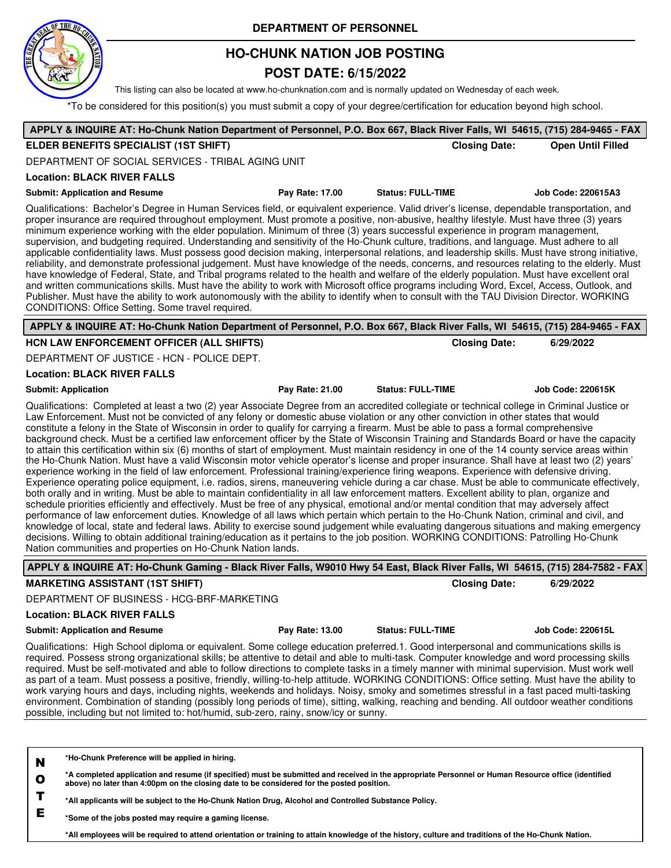

## **HO-CHUNK NATION JOB POSTING**

### **POST DATE: 6/15/2022**

This listing can also be located at www.ho-chunknation.com and is normally updated on Wednesday of each week.

\*To be considered for this position(s) you must submit a copy of your degree/certification for education beyond high school.

| APPLY & INQUIRE AT: Ho-Chunk Nation Department of Personnel, P.O. Box 667, Black River Falls, WI 54615, (715) 284-9465 - FAX                                                                                                                                                                                                                                                                                                                                                                                                                                                                                                                                                                                                                                                                                                                                                                                                                                                                                                                                                                                                                                                                                                                                                                                                                                                                                                                                                                                                                                                                                                                                                                                                                                                                                                                                                                                                                                           |                          |                          |
|------------------------------------------------------------------------------------------------------------------------------------------------------------------------------------------------------------------------------------------------------------------------------------------------------------------------------------------------------------------------------------------------------------------------------------------------------------------------------------------------------------------------------------------------------------------------------------------------------------------------------------------------------------------------------------------------------------------------------------------------------------------------------------------------------------------------------------------------------------------------------------------------------------------------------------------------------------------------------------------------------------------------------------------------------------------------------------------------------------------------------------------------------------------------------------------------------------------------------------------------------------------------------------------------------------------------------------------------------------------------------------------------------------------------------------------------------------------------------------------------------------------------------------------------------------------------------------------------------------------------------------------------------------------------------------------------------------------------------------------------------------------------------------------------------------------------------------------------------------------------------------------------------------------------------------------------------------------------|--------------------------|--------------------------|
| ELDER BENEFITS SPECIALIST (1ST SHIFT)                                                                                                                                                                                                                                                                                                                                                                                                                                                                                                                                                                                                                                                                                                                                                                                                                                                                                                                                                                                                                                                                                                                                                                                                                                                                                                                                                                                                                                                                                                                                                                                                                                                                                                                                                                                                                                                                                                                                  | <b>Closing Date:</b>     | <b>Open Until Filled</b> |
| DEPARTMENT OF SOCIAL SERVICES - TRIBAL AGING UNIT                                                                                                                                                                                                                                                                                                                                                                                                                                                                                                                                                                                                                                                                                                                                                                                                                                                                                                                                                                                                                                                                                                                                                                                                                                                                                                                                                                                                                                                                                                                                                                                                                                                                                                                                                                                                                                                                                                                      |                          |                          |
| <b>Location: BLACK RIVER FALLS</b>                                                                                                                                                                                                                                                                                                                                                                                                                                                                                                                                                                                                                                                                                                                                                                                                                                                                                                                                                                                                                                                                                                                                                                                                                                                                                                                                                                                                                                                                                                                                                                                                                                                                                                                                                                                                                                                                                                                                     |                          |                          |
| <b>Submit: Application and Resume</b><br>Pay Rate: 17.00                                                                                                                                                                                                                                                                                                                                                                                                                                                                                                                                                                                                                                                                                                                                                                                                                                                                                                                                                                                                                                                                                                                                                                                                                                                                                                                                                                                                                                                                                                                                                                                                                                                                                                                                                                                                                                                                                                               | <b>Status: FULL-TIME</b> | Job Code: 220615A3       |
| Qualifications: Bachelor's Degree in Human Services field, or equivalent experience. Valid driver's license, dependable transportation, and<br>proper insurance are required throughout employment. Must promote a positive, non-abusive, healthy lifestyle. Must have three (3) years<br>minimum experience working with the elder population. Minimum of three (3) years successful experience in program management,<br>supervision, and budgeting required. Understanding and sensitivity of the Ho-Chunk culture, traditions, and language. Must adhere to all<br>applicable confidentiality laws. Must possess good decision making, interpersonal relations, and leadership skills. Must have strong initiative,<br>reliability, and demonstrate professional judgement. Must have knowledge of the needs, concerns, and resources relating to the elderly. Must<br>have knowledge of Federal, State, and Tribal programs related to the health and welfare of the elderly population. Must have excellent oral<br>and written communications skills. Must have the ability to work with Microsoft office programs including Word, Excel, Access, Outlook, and<br>Publisher. Must have the ability to work autonomously with the ability to identify when to consult with the TAU Division Director. WORKING<br>CONDITIONS: Office Setting. Some travel required.                                                                                                                                                                                                                                                                                                                                                                                                                                                                                                                                                                                               |                          |                          |
| APPLY & INQUIRE AT: Ho-Chunk Nation Department of Personnel, P.O. Box 667, Black River Falls, WI 54615, (715) 284-9465 - FAX                                                                                                                                                                                                                                                                                                                                                                                                                                                                                                                                                                                                                                                                                                                                                                                                                                                                                                                                                                                                                                                                                                                                                                                                                                                                                                                                                                                                                                                                                                                                                                                                                                                                                                                                                                                                                                           |                          |                          |
| HCN LAW ENFORCEMENT OFFICER (ALL SHIFTS)                                                                                                                                                                                                                                                                                                                                                                                                                                                                                                                                                                                                                                                                                                                                                                                                                                                                                                                                                                                                                                                                                                                                                                                                                                                                                                                                                                                                                                                                                                                                                                                                                                                                                                                                                                                                                                                                                                                               | <b>Closing Date:</b>     | 6/29/2022                |
| DEPARTMENT OF JUSTICE - HCN - POLICE DEPT.                                                                                                                                                                                                                                                                                                                                                                                                                                                                                                                                                                                                                                                                                                                                                                                                                                                                                                                                                                                                                                                                                                                                                                                                                                                                                                                                                                                                                                                                                                                                                                                                                                                                                                                                                                                                                                                                                                                             |                          |                          |
| <b>Location: BLACK RIVER FALLS</b>                                                                                                                                                                                                                                                                                                                                                                                                                                                                                                                                                                                                                                                                                                                                                                                                                                                                                                                                                                                                                                                                                                                                                                                                                                                                                                                                                                                                                                                                                                                                                                                                                                                                                                                                                                                                                                                                                                                                     |                          |                          |
| <b>Submit: Application</b><br>Pay Rate: 21.00                                                                                                                                                                                                                                                                                                                                                                                                                                                                                                                                                                                                                                                                                                                                                                                                                                                                                                                                                                                                                                                                                                                                                                                                                                                                                                                                                                                                                                                                                                                                                                                                                                                                                                                                                                                                                                                                                                                          | <b>Status: FULL-TIME</b> | <b>Job Code: 220615K</b> |
| Qualifications: Completed at least a two (2) year Associate Degree from an accredited collegiate or technical college in Criminal Justice or<br>Law Enforcement. Must not be convicted of any felony or domestic abuse violation or any other conviction in other states that would<br>constitute a felony in the State of Wisconsin in order to qualify for carrying a firearm. Must be able to pass a formal comprehensive<br>background check. Must be a certified law enforcement officer by the State of Wisconsin Training and Standards Board or have the capacity<br>to attain this certification within six (6) months of start of employment. Must maintain residency in one of the 14 county service areas within<br>the Ho-Chunk Nation. Must have a valid Wisconsin motor vehicle operator's license and proper insurance. Shall have at least two (2) years'<br>experience working in the field of law enforcement. Professional training/experience firing weapons. Experience with defensive driving.<br>Experience operating police equipment, i.e. radios, sirens, maneuvering vehicle during a car chase. Must be able to communicate effectively,<br>both orally and in writing. Must be able to maintain confidentiality in all law enforcement matters. Excellent ability to plan, organize and<br>schedule priorities efficiently and effectively. Must be free of any physical, emotional and/or mental condition that may adversely affect<br>performance of law enforcement duties. Knowledge of all laws which pertain which pertain to the Ho-Chunk Nation, criminal and civil, and<br>knowledge of local, state and federal laws. Ability to exercise sound judgement while evaluating dangerous situations and making emergency<br>decisions. Willing to obtain additional training/education as it pertains to the job position. WORKING CONDITIONS: Patrolling Ho-Chunk<br>Nation communities and properties on Ho-Chunk Nation lands. |                          |                          |
| APPLY & INQUIRE AT: Ho-Chunk Gaming - Black River Falls, W9010 Hwy 54 East, Black River Falls, WI 54615, (715) 284-7582 - FAX                                                                                                                                                                                                                                                                                                                                                                                                                                                                                                                                                                                                                                                                                                                                                                                                                                                                                                                                                                                                                                                                                                                                                                                                                                                                                                                                                                                                                                                                                                                                                                                                                                                                                                                                                                                                                                          |                          |                          |
| <b>MARKETING ASSISTANT (1ST SHIFT)</b>                                                                                                                                                                                                                                                                                                                                                                                                                                                                                                                                                                                                                                                                                                                                                                                                                                                                                                                                                                                                                                                                                                                                                                                                                                                                                                                                                                                                                                                                                                                                                                                                                                                                                                                                                                                                                                                                                                                                 | <b>Closing Date:</b>     | 6/29/2022                |
| DEPARTMENT OF BUSINESS - HCG-BRF-MARKETING                                                                                                                                                                                                                                                                                                                                                                                                                                                                                                                                                                                                                                                                                                                                                                                                                                                                                                                                                                                                                                                                                                                                                                                                                                                                                                                                                                                                                                                                                                                                                                                                                                                                                                                                                                                                                                                                                                                             |                          |                          |
| <b>Location: BLACK RIVER FALLS</b>                                                                                                                                                                                                                                                                                                                                                                                                                                                                                                                                                                                                                                                                                                                                                                                                                                                                                                                                                                                                                                                                                                                                                                                                                                                                                                                                                                                                                                                                                                                                                                                                                                                                                                                                                                                                                                                                                                                                     |                          |                          |
| <b>Submit: Application and Resume</b><br>Pay Rate: 13.00                                                                                                                                                                                                                                                                                                                                                                                                                                                                                                                                                                                                                                                                                                                                                                                                                                                                                                                                                                                                                                                                                                                                                                                                                                                                                                                                                                                                                                                                                                                                                                                                                                                                                                                                                                                                                                                                                                               | <b>Status: FULL-TIME</b> | <b>Job Code: 220615L</b> |
| Qualifications: High School diploma or equivalent. Some college education preferred.1. Good interpersonal and communications skills is<br>required. Possess strong organizational skills; be attentive to detail and able to multi-task. Computer knowledge and word processing skills<br>required. Must be self-motivated and able to follow directions to complete tasks in a timely manner with minimal supervision. Must work well<br>as part of a team. Must possess a positive, friendly, willing-to-help attitude. WORKING CONDITIONS: Office setting. Must have the ability to<br>work varying hours and days, including nights, weekends and holidays. Noisy, smoky and sometimes stressful in a fast paced multi-tasking<br>environment. Combination of standing (possibly long periods of time), sitting, walking, reaching and bending. All outdoor weather conditions<br>possible, including but not limited to: hot/humid, sub-zero, rainy, snow/icy or sunny.                                                                                                                                                                                                                                                                                                                                                                                                                                                                                                                                                                                                                                                                                                                                                                                                                                                                                                                                                                                           |                          |                          |
|                                                                                                                                                                                                                                                                                                                                                                                                                                                                                                                                                                                                                                                                                                                                                                                                                                                                                                                                                                                                                                                                                                                                                                                                                                                                                                                                                                                                                                                                                                                                                                                                                                                                                                                                                                                                                                                                                                                                                                        |                          |                          |
| *Ho-Chunk Preference will be applied in hiring.<br>N                                                                                                                                                                                                                                                                                                                                                                                                                                                                                                                                                                                                                                                                                                                                                                                                                                                                                                                                                                                                                                                                                                                                                                                                                                                                                                                                                                                                                                                                                                                                                                                                                                                                                                                                                                                                                                                                                                                   |                          |                          |

**O \*A completed application and resume (if specified) must be submitted and received in the appropriate Personnel or Human Resource office (identified above) no later than 4:00pm on the closing date to be considered for the posted position.**

**T \*All applicants will be subject to the Ho-Chunk Nation Drug, Alcohol and Controlled Substance Policy.**

**E \*Some of the jobs posted may require a gaming license.**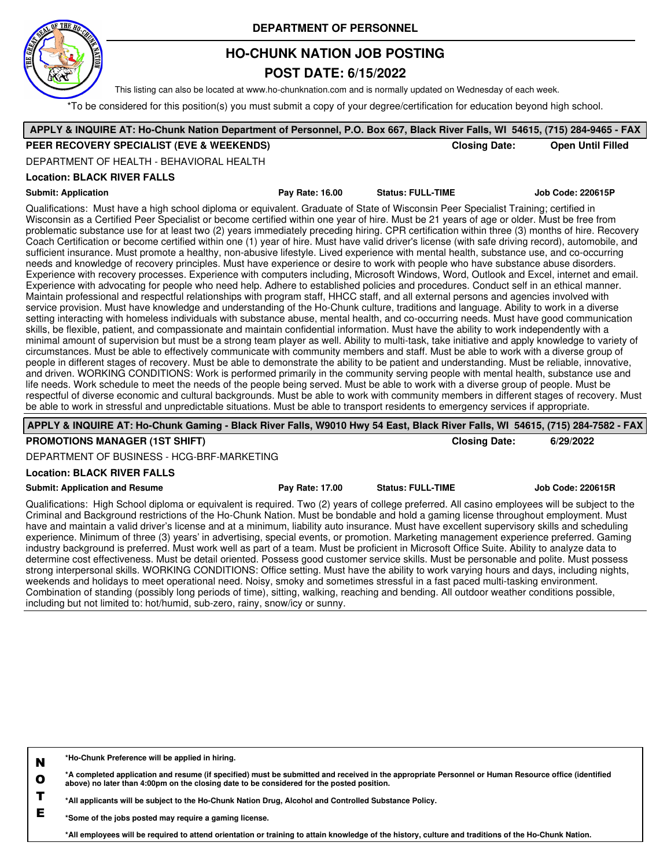

# **HO-CHUNK NATION JOB POSTING**

### **POST DATE: 6/15/2022**

This listing can also be located at www.ho-chunknation.com and is normally updated on Wednesday of each week.

\*To be considered for this position(s) you must submit a copy of your degree/certification for education beyond high school.

| APPLY & INQUIRE AT: Ho-Chunk Nation Department of Personnel, P.O. Box 667, Black River Falls, WI 54615, (715) 284-9465 - FAX                                                                                                                                                                                                                                                                                                                                                                                                                                                                                                                                                                                                                                                                                                                                                                                                                                                                                                                                                                                                                                                                                                                                                                                                                                                                                                                                                                                                                                                                                                                                                                                                                                                                                                                                                                                                                                                                                                                                                                                                                                                                                                                                                                                                                                                                                                                                                                                                                                                                                                                                                                                                                                     |                 |                          |                                                  |  |
|------------------------------------------------------------------------------------------------------------------------------------------------------------------------------------------------------------------------------------------------------------------------------------------------------------------------------------------------------------------------------------------------------------------------------------------------------------------------------------------------------------------------------------------------------------------------------------------------------------------------------------------------------------------------------------------------------------------------------------------------------------------------------------------------------------------------------------------------------------------------------------------------------------------------------------------------------------------------------------------------------------------------------------------------------------------------------------------------------------------------------------------------------------------------------------------------------------------------------------------------------------------------------------------------------------------------------------------------------------------------------------------------------------------------------------------------------------------------------------------------------------------------------------------------------------------------------------------------------------------------------------------------------------------------------------------------------------------------------------------------------------------------------------------------------------------------------------------------------------------------------------------------------------------------------------------------------------------------------------------------------------------------------------------------------------------------------------------------------------------------------------------------------------------------------------------------------------------------------------------------------------------------------------------------------------------------------------------------------------------------------------------------------------------------------------------------------------------------------------------------------------------------------------------------------------------------------------------------------------------------------------------------------------------------------------------------------------------------------------------------------------------|-----------------|--------------------------|--------------------------------------------------|--|
| PEER RECOVERY SPECIALIST (EVE & WEEKENDS)                                                                                                                                                                                                                                                                                                                                                                                                                                                                                                                                                                                                                                                                                                                                                                                                                                                                                                                                                                                                                                                                                                                                                                                                                                                                                                                                                                                                                                                                                                                                                                                                                                                                                                                                                                                                                                                                                                                                                                                                                                                                                                                                                                                                                                                                                                                                                                                                                                                                                                                                                                                                                                                                                                                        |                 |                          | <b>Closing Date:</b><br><b>Open Until Filled</b> |  |
| DEPARTMENT OF HEALTH - BEHAVIORAL HEALTH                                                                                                                                                                                                                                                                                                                                                                                                                                                                                                                                                                                                                                                                                                                                                                                                                                                                                                                                                                                                                                                                                                                                                                                                                                                                                                                                                                                                                                                                                                                                                                                                                                                                                                                                                                                                                                                                                                                                                                                                                                                                                                                                                                                                                                                                                                                                                                                                                                                                                                                                                                                                                                                                                                                         |                 |                          |                                                  |  |
| <b>Location: BLACK RIVER FALLS</b>                                                                                                                                                                                                                                                                                                                                                                                                                                                                                                                                                                                                                                                                                                                                                                                                                                                                                                                                                                                                                                                                                                                                                                                                                                                                                                                                                                                                                                                                                                                                                                                                                                                                                                                                                                                                                                                                                                                                                                                                                                                                                                                                                                                                                                                                                                                                                                                                                                                                                                                                                                                                                                                                                                                               |                 |                          |                                                  |  |
| <b>Submit: Application</b>                                                                                                                                                                                                                                                                                                                                                                                                                                                                                                                                                                                                                                                                                                                                                                                                                                                                                                                                                                                                                                                                                                                                                                                                                                                                                                                                                                                                                                                                                                                                                                                                                                                                                                                                                                                                                                                                                                                                                                                                                                                                                                                                                                                                                                                                                                                                                                                                                                                                                                                                                                                                                                                                                                                                       | Pay Rate: 16.00 | <b>Status: FULL-TIME</b> | Job Code: 220615P                                |  |
| Qualifications: Must have a high school diploma or equivalent. Graduate of State of Wisconsin Peer Specialist Training; certified in<br>Wisconsin as a Certified Peer Specialist or become certified within one year of hire. Must be 21 years of age or older. Must be free from<br>problematic substance use for at least two (2) years immediately preceding hiring. CPR certification within three (3) months of hire. Recovery<br>Coach Certification or become certified within one (1) year of hire. Must have valid driver's license (with safe driving record), automobile, and<br>sufficient insurance. Must promote a healthy, non-abusive lifestyle. Lived experience with mental health, substance use, and co-occurring<br>needs and knowledge of recovery principles. Must have experience or desire to work with people who have substance abuse disorders.<br>Experience with recovery processes. Experience with computers including, Microsoft Windows, Word, Outlook and Excel, internet and email.<br>Experience with advocating for people who need help. Adhere to established policies and procedures. Conduct self in an ethical manner.<br>Maintain professional and respectful relationships with program staff, HHCC staff, and all external persons and agencies involved with<br>service provision. Must have knowledge and understanding of the Ho-Chunk culture, traditions and language. Ability to work in a diverse<br>setting interacting with homeless individuals with substance abuse, mental health, and co-occurring needs. Must have good communication<br>skills, be flexible, patient, and compassionate and maintain confidential information. Must have the ability to work independently with a<br>minimal amount of supervision but must be a strong team player as well. Ability to multi-task, take initiative and apply knowledge to variety of<br>circumstances. Must be able to effectively communicate with community members and staff. Must be able to work with a diverse group of<br>people in different stages of recovery. Must be able to demonstrate the ability to be patient and understanding. Must be reliable, innovative,<br>and driven. WORKING CONDITIONS: Work is performed primarily in the community serving people with mental health, substance use and<br>life needs. Work schedule to meet the needs of the people being served. Must be able to work with a diverse group of people. Must be<br>respectful of diverse economic and cultural backgrounds. Must be able to work with community members in different stages of recovery. Must<br>be able to work in stressful and unpredictable situations. Must be able to transport residents to emergency services if appropriate. |                 |                          |                                                  |  |

**APPLY & INQUIRE AT: Ho-Chunk Gaming - Black River Falls, W9010 Hwy 54 East, Black River Falls, WI 54615, (715) 284-7582 - FAX**

#### **PROMOTIONS MANAGER (1ST SHIFT) Closing Date: 6/29/2022**

DEPARTMENT OF BUSINESS - HCG-BRF-MARKETING

#### **Location: BLACK RIVER FALLS**

#### **Submit: Application and Resume Pay Rate: 17.00 Status: FULL-TIME Job Code: 220615R**

Qualifications: High School diploma or equivalent is required. Two (2) years of college preferred. All casino employees will be subject to the Criminal and Background restrictions of the Ho-Chunk Nation. Must be bondable and hold a gaming license throughout employment. Must have and maintain a valid driver's license and at a minimum, liability auto insurance. Must have excellent supervisory skills and scheduling experience. Minimum of three (3) years' in advertising, special events, or promotion. Marketing management experience preferred. Gaming industry background is preferred. Must work well as part of a team. Must be proficient in Microsoft Office Suite. Ability to analyze data to determine cost effectiveness. Must be detail oriented. Possess good customer service skills. Must be personable and polite. Must possess strong interpersonal skills. WORKING CONDITIONS: Office setting. Must have the ability to work varying hours and days, including nights, weekends and holidays to meet operational need. Noisy, smoky and sometimes stressful in a fast paced multi-tasking environment. Combination of standing (possibly long periods of time), sitting, walking, reaching and bending. All outdoor weather conditions possible, including but not limited to: hot/humid, sub-zero, rainy, snow/icy or sunny.

| N | *Ho-Chunk Preference will be applied in hiring.                                               |
|---|-----------------------------------------------------------------------------------------------|
|   | A completed application and resume (if specified) must be submitted and received in the appro |

**O Re appropriate Personnel or Human Resource office (identified in the appropriate Personnel or Human Resource o above) no later than 4:00pm on the closing date to be considered for the posted position.**

**T \*All applicants will be subject to the Ho-Chunk Nation Drug, Alcohol and Controlled Substance Policy.**

**E \*Some of the jobs posted may require a gaming license.**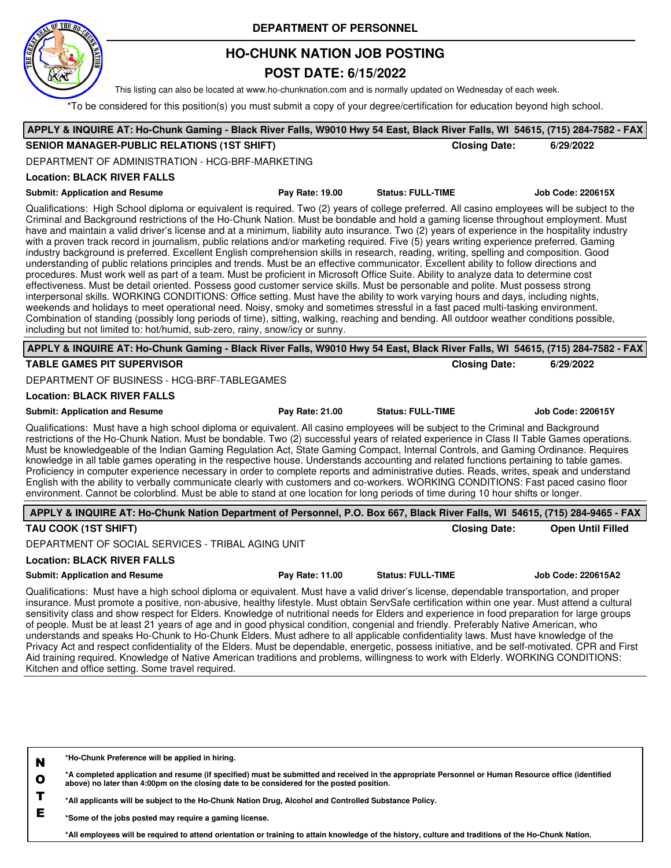

## **HO-CHUNK NATION JOB POSTING**

### **POST DATE: 6/15/2022**

This listing can also be located at www.ho-chunknation.com and is normally updated on Wednesday of each week.

\*To be considered for this position(s) you must submit a copy of your degree/certification for education beyond high school.

| APPLY & INQUIRE AT: Ho-Chunk Gaming - Black River Falls, W9010 Hwy 54 East, Black River Falls, WI 54615, (715) 284-7582 - FAX                                                                                                                                                                                                                                                                                                                                                                                                                                                                                                                                                                                                                                                                                                                                                                                                                                                                                                                                                                                                                                                                                                                                                                                                                                                                                                                                                                                                                                                                                                                              |                 |                          |                           |
|------------------------------------------------------------------------------------------------------------------------------------------------------------------------------------------------------------------------------------------------------------------------------------------------------------------------------------------------------------------------------------------------------------------------------------------------------------------------------------------------------------------------------------------------------------------------------------------------------------------------------------------------------------------------------------------------------------------------------------------------------------------------------------------------------------------------------------------------------------------------------------------------------------------------------------------------------------------------------------------------------------------------------------------------------------------------------------------------------------------------------------------------------------------------------------------------------------------------------------------------------------------------------------------------------------------------------------------------------------------------------------------------------------------------------------------------------------------------------------------------------------------------------------------------------------------------------------------------------------------------------------------------------------|-----------------|--------------------------|---------------------------|
| <b>SENIOR MANAGER-PUBLIC RELATIONS (1ST SHIFT)</b>                                                                                                                                                                                                                                                                                                                                                                                                                                                                                                                                                                                                                                                                                                                                                                                                                                                                                                                                                                                                                                                                                                                                                                                                                                                                                                                                                                                                                                                                                                                                                                                                         |                 | <b>Closing Date:</b>     | 6/29/2022                 |
| DEPARTMENT OF ADMINISTRATION - HCG-BRF-MARKETING                                                                                                                                                                                                                                                                                                                                                                                                                                                                                                                                                                                                                                                                                                                                                                                                                                                                                                                                                                                                                                                                                                                                                                                                                                                                                                                                                                                                                                                                                                                                                                                                           |                 |                          |                           |
| <b>Location: BLACK RIVER FALLS</b>                                                                                                                                                                                                                                                                                                                                                                                                                                                                                                                                                                                                                                                                                                                                                                                                                                                                                                                                                                                                                                                                                                                                                                                                                                                                                                                                                                                                                                                                                                                                                                                                                         |                 |                          |                           |
| <b>Submit: Application and Resume</b>                                                                                                                                                                                                                                                                                                                                                                                                                                                                                                                                                                                                                                                                                                                                                                                                                                                                                                                                                                                                                                                                                                                                                                                                                                                                                                                                                                                                                                                                                                                                                                                                                      | Pay Rate: 19.00 | <b>Status: FULL-TIME</b> | <b>Job Code: 220615X</b>  |
| Qualifications: High School diploma or equivalent is required. Two (2) years of college preferred. All casino employees will be subject to the<br>Criminal and Background restrictions of the Ho-Chunk Nation. Must be bondable and hold a gaming license throughout employment. Must<br>have and maintain a valid driver's license and at a minimum, liability auto insurance. Two (2) years of experience in the hospitality industry<br>with a proven track record in journalism, public relations and/or marketing required. Five (5) years writing experience preferred. Gaming<br>industry background is preferred. Excellent English comprehension skills in research, reading, writing, spelling and composition. Good<br>understanding of public relations principles and trends. Must be an effective communicator. Excellent ability to follow directions and<br>procedures. Must work well as part of a team. Must be proficient in Microsoft Office Suite. Ability to analyze data to determine cost<br>effectiveness. Must be detail oriented. Possess good customer service skills. Must be personable and polite. Must possess strong<br>interpersonal skills. WORKING CONDITIONS: Office setting. Must have the ability to work varying hours and days, including nights,<br>weekends and holidays to meet operational need. Noisy, smoky and sometimes stressful in a fast paced multi-tasking environment.<br>Combination of standing (possibly long periods of time), sitting, walking, reaching and bending. All outdoor weather conditions possible,<br>including but not limited to: hot/humid, sub-zero, rainy, snow/icy or sunny. |                 |                          |                           |
| APPLY & INQUIRE AT: Ho-Chunk Gaming - Black River Falls, W9010 Hwy 54 East, Black River Falls, WI 54615, (715) 284-7582 - FAX                                                                                                                                                                                                                                                                                                                                                                                                                                                                                                                                                                                                                                                                                                                                                                                                                                                                                                                                                                                                                                                                                                                                                                                                                                                                                                                                                                                                                                                                                                                              |                 |                          |                           |
| <b>TABLE GAMES PIT SUPERVISOR</b>                                                                                                                                                                                                                                                                                                                                                                                                                                                                                                                                                                                                                                                                                                                                                                                                                                                                                                                                                                                                                                                                                                                                                                                                                                                                                                                                                                                                                                                                                                                                                                                                                          |                 | <b>Closing Date:</b>     | 6/29/2022                 |
| DEPARTMENT OF BUSINESS - HCG-BRF-TABLEGAMES                                                                                                                                                                                                                                                                                                                                                                                                                                                                                                                                                                                                                                                                                                                                                                                                                                                                                                                                                                                                                                                                                                                                                                                                                                                                                                                                                                                                                                                                                                                                                                                                                |                 |                          |                           |
| <b>Location: BLACK RIVER FALLS</b>                                                                                                                                                                                                                                                                                                                                                                                                                                                                                                                                                                                                                                                                                                                                                                                                                                                                                                                                                                                                                                                                                                                                                                                                                                                                                                                                                                                                                                                                                                                                                                                                                         |                 |                          |                           |
| <b>Submit: Application and Resume</b>                                                                                                                                                                                                                                                                                                                                                                                                                                                                                                                                                                                                                                                                                                                                                                                                                                                                                                                                                                                                                                                                                                                                                                                                                                                                                                                                                                                                                                                                                                                                                                                                                      | Pay Rate: 21.00 | <b>Status: FULL-TIME</b> | <b>Job Code: 220615Y</b>  |
| Qualifications: Must have a high school diploma or equivalent. All casino employees will be subject to the Criminal and Background<br>restrictions of the Ho-Chunk Nation. Must be bondable. Two (2) successful years of related experience in Class II Table Games operations.<br>Must be knowledgeable of the Indian Gaming Regulation Act, State Gaming Compact, Internal Controls, and Gaming Ordinance. Requires<br>knowledge in all table games operating in the respective house. Understands accounting and related functions pertaining to table games.<br>Proficiency in computer experience necessary in order to complete reports and administrative duties. Reads, writes, speak and understand<br>English with the ability to verbally communicate clearly with customers and co-workers. WORKING CONDITIONS: Fast paced casino floor<br>environment. Cannot be colorblind. Must be able to stand at one location for long periods of time during 10 hour shifts or longer.                                                                                                                                                                                                                                                                                                                                                                                                                                                                                                                                                                                                                                                                  |                 |                          |                           |
| APPLY & INQUIRE AT: Ho-Chunk Nation Department of Personnel, P.O. Box 667, Black River Falls, WI 54615, (715) 284-9465 - FAX                                                                                                                                                                                                                                                                                                                                                                                                                                                                                                                                                                                                                                                                                                                                                                                                                                                                                                                                                                                                                                                                                                                                                                                                                                                                                                                                                                                                                                                                                                                               |                 |                          |                           |
| TAU COOK (1ST SHIFT)                                                                                                                                                                                                                                                                                                                                                                                                                                                                                                                                                                                                                                                                                                                                                                                                                                                                                                                                                                                                                                                                                                                                                                                                                                                                                                                                                                                                                                                                                                                                                                                                                                       |                 | <b>Closing Date:</b>     | <b>Open Until Filled</b>  |
| DEPARTMENT OF SOCIAL SERVICES - TRIBAL AGING UNIT                                                                                                                                                                                                                                                                                                                                                                                                                                                                                                                                                                                                                                                                                                                                                                                                                                                                                                                                                                                                                                                                                                                                                                                                                                                                                                                                                                                                                                                                                                                                                                                                          |                 |                          |                           |
| <b>Location: BLACK RIVER FALLS</b>                                                                                                                                                                                                                                                                                                                                                                                                                                                                                                                                                                                                                                                                                                                                                                                                                                                                                                                                                                                                                                                                                                                                                                                                                                                                                                                                                                                                                                                                                                                                                                                                                         |                 |                          |                           |
| <b>Submit: Application and Resume</b>                                                                                                                                                                                                                                                                                                                                                                                                                                                                                                                                                                                                                                                                                                                                                                                                                                                                                                                                                                                                                                                                                                                                                                                                                                                                                                                                                                                                                                                                                                                                                                                                                      | Pay Rate: 11.00 | <b>Status: FULL-TIME</b> | <b>Job Code: 220615A2</b> |
| Qualifications: Must have a high school diploma or equivalent. Must have a valid driver's license, dependable transportation, and proper<br>insurance. Must promote a positive, non-abusive, healthy lifestyle. Must obtain ServSafe certification within one year. Must attend a cultural<br>sensitivity class and show respect for Elders. Knowledge of nutritional needs for Elders and experience in food preparation for large groups<br>of people. Must be at least 21 years of age and in good physical condition, congenial and friendly. Preferably Native American, who<br>understands and speaks Ho-Chunk to Ho-Chunk Elders. Must adhere to all applicable confidentiality laws. Must have knowledge of the<br>Privacy Act and respect confidentiality of the Elders. Must be dependable, energetic, possess initiative, and be self-motivated. CPR and First<br>Aid training required. Knowledge of Native American traditions and problems, willingness to work with Elderly. WORKING CONDITIONS:<br>Kitchen and office setting. Some travel required.                                                                                                                                                                                                                                                                                                                                                                                                                                                                                                                                                                                       |                 |                          |                           |
|                                                                                                                                                                                                                                                                                                                                                                                                                                                                                                                                                                                                                                                                                                                                                                                                                                                                                                                                                                                                                                                                                                                                                                                                                                                                                                                                                                                                                                                                                                                                                                                                                                                            |                 |                          |                           |

**N \*Ho-Chunk Preference will be applied in hiring.**

**O \*A completed application and resume (if specified) must be submitted and received in the appropriate Personnel or Human Resource office (identified above) no later than 4:00pm on the closing date to be considered for the posted position.**

**T \*All applicants will be subject to the Ho-Chunk Nation Drug, Alcohol and Controlled Substance Policy.**

**E \*Some of the jobs posted may require a gaming license.**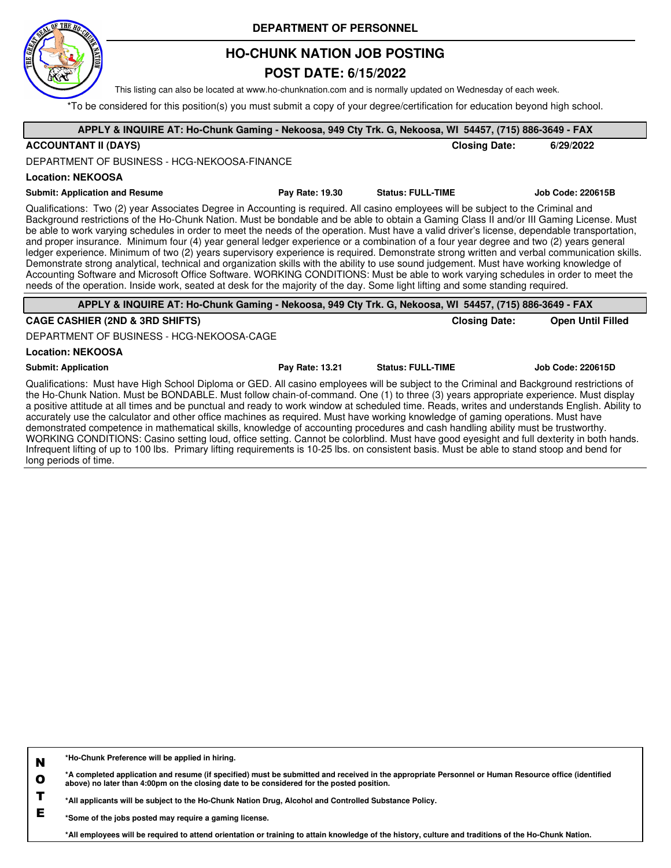

## **HO-CHUNK NATION JOB POSTING**

### **POST DATE: 6/15/2022**

This listing can also be located at www.ho-chunknation.com and is normally updated on Wednesday of each week.

\*To be considered for this position(s) you must submit a copy of your degree/certification for education beyond high school.

| APPLY & INQUIRE AT: Ho-Chunk Gaming - Nekoosa, 949 Cty Trk. G, Nekoosa, WI 54457, (715) 886-3649 - FAX                                                                                                                                                                                                                                                                                                                                                                                                                                                                                                                                                                                                                                                                                                                                                                                                                                                                                                                                                                                                                                        |                 |                          |                      |                          |
|-----------------------------------------------------------------------------------------------------------------------------------------------------------------------------------------------------------------------------------------------------------------------------------------------------------------------------------------------------------------------------------------------------------------------------------------------------------------------------------------------------------------------------------------------------------------------------------------------------------------------------------------------------------------------------------------------------------------------------------------------------------------------------------------------------------------------------------------------------------------------------------------------------------------------------------------------------------------------------------------------------------------------------------------------------------------------------------------------------------------------------------------------|-----------------|--------------------------|----------------------|--------------------------|
| <b>ACCOUNTANT II (DAYS)</b>                                                                                                                                                                                                                                                                                                                                                                                                                                                                                                                                                                                                                                                                                                                                                                                                                                                                                                                                                                                                                                                                                                                   |                 |                          | <b>Closing Date:</b> | 6/29/2022                |
| DEPARTMENT OF BUSINESS - HCG-NEKOOSA-FINANCE                                                                                                                                                                                                                                                                                                                                                                                                                                                                                                                                                                                                                                                                                                                                                                                                                                                                                                                                                                                                                                                                                                  |                 |                          |                      |                          |
| <b>Location: NEKOOSA</b>                                                                                                                                                                                                                                                                                                                                                                                                                                                                                                                                                                                                                                                                                                                                                                                                                                                                                                                                                                                                                                                                                                                      |                 |                          |                      |                          |
| <b>Submit: Application and Resume</b>                                                                                                                                                                                                                                                                                                                                                                                                                                                                                                                                                                                                                                                                                                                                                                                                                                                                                                                                                                                                                                                                                                         | Pay Rate: 19.30 | <b>Status: FULL-TIME</b> |                      | <b>Job Code: 220615B</b> |
| Qualifications: Two (2) year Associates Degree in Accounting is required. All casino employees will be subject to the Criminal and<br>Background restrictions of the Ho-Chunk Nation. Must be bondable and be able to obtain a Gaming Class II and/or III Gaming License. Must<br>be able to work varying schedules in order to meet the needs of the operation. Must have a valid driver's license, dependable transportation,<br>and proper insurance. Minimum four (4) year general ledger experience or a combination of a four year degree and two (2) years general<br>ledger experience. Minimum of two (2) years supervisory experience is required. Demonstrate strong written and verbal communication skills.<br>Demonstrate strong analytical, technical and organization skills with the ability to use sound judgement. Must have working knowledge of<br>Accounting Software and Microsoft Office Software. WORKING CONDITIONS: Must be able to work varying schedules in order to meet the<br>needs of the operation. Inside work, seated at desk for the majority of the day. Some light lifting and some standing required. |                 |                          |                      |                          |
| APPLY & INQUIRE AT: Ho-Chunk Gaming - Nekoosa, 949 Cty Trk. G, Nekoosa, WI 54457, (715) 886-3649 - FAX                                                                                                                                                                                                                                                                                                                                                                                                                                                                                                                                                                                                                                                                                                                                                                                                                                                                                                                                                                                                                                        |                 |                          |                      |                          |
| <b>CAGE CASHIER (2ND &amp; 3RD SHIFTS)</b>                                                                                                                                                                                                                                                                                                                                                                                                                                                                                                                                                                                                                                                                                                                                                                                                                                                                                                                                                                                                                                                                                                    |                 |                          | <b>Closing Date:</b> | <b>Open Until Filled</b> |
| DEPARTMENT OF BUSINESS - HCG-NEKOOSA-CAGE                                                                                                                                                                                                                                                                                                                                                                                                                                                                                                                                                                                                                                                                                                                                                                                                                                                                                                                                                                                                                                                                                                     |                 |                          |                      |                          |
| <b>Location: NEKOOSA</b>                                                                                                                                                                                                                                                                                                                                                                                                                                                                                                                                                                                                                                                                                                                                                                                                                                                                                                                                                                                                                                                                                                                      |                 |                          |                      |                          |
| <b>Submit: Application</b>                                                                                                                                                                                                                                                                                                                                                                                                                                                                                                                                                                                                                                                                                                                                                                                                                                                                                                                                                                                                                                                                                                                    | Pay Rate: 13.21 | <b>Status: FULL-TIME</b> |                      | <b>Job Code: 220615D</b> |
| Qualifications: Must have High School Diploma or GED. All casino employees will be subject to the Criminal and Background restrictions of<br>the Ho-Chunk Nation. Must be BONDABLE. Must follow chain-of-command. One (1) to three (3) years appropriate experience. Must display<br>a positive attitude at all times and be punctual and ready to work window at scheduled time. Reads, writes and understands English. Ability to<br>accurately use the calculator and other office machines as required. Must have working knowledge of gaming operations. Must have<br>demonstrated competence in mathematical skills, knowledge of accounting procedures and cash handling ability must be trustworthy.<br>MODICINO COMPITIONO: Ossina santa a face a santa a Cancada e saladita al Modificio de la contrata del distribuido de la face de la cada                                                                                                                                                                                                                                                                                       |                 |                          |                      |                          |

WORKING CONDITIONS: Casino setting loud, office setting. Cannot be colorblind. Must have good eyesight and full dexterity in both hands. Infrequent lifting of up to 100 lbs. Primary lifting requirements is 10-25 lbs. on consistent basis. Must be able to stand stoop and bend for long periods of time.

**N \*Ho-Chunk Preference will be applied in hiring.**

**O \*A completed application and resume (if specified) must be submitted and received in the appropriate Personnel or Human Resource office (identified above) no later than 4:00pm on the closing date to be considered for the posted position.**

**T \*All applicants will be subject to the Ho-Chunk Nation Drug, Alcohol and Controlled Substance Policy.**

**E \*Some of the jobs posted may require a gaming license.**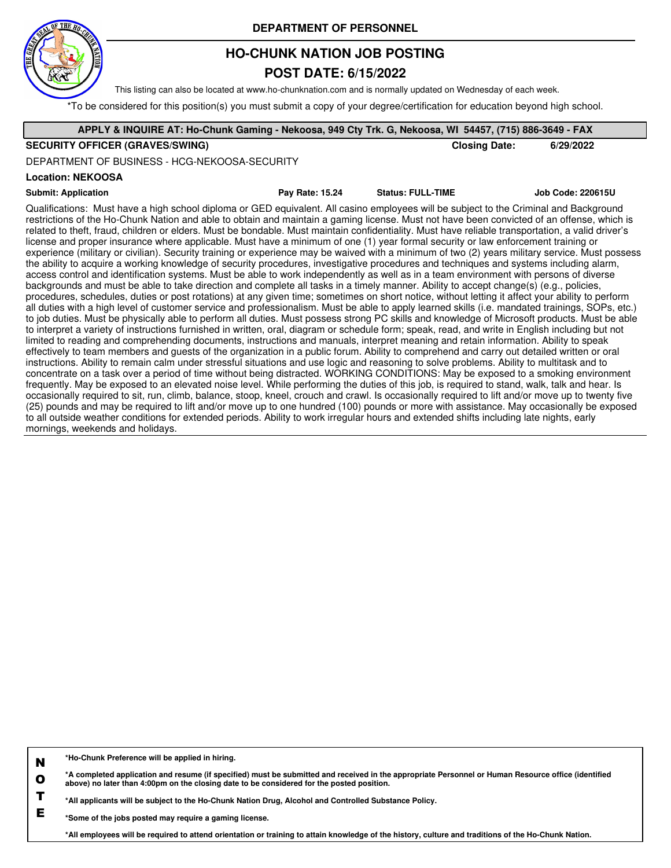

## **HO-CHUNK NATION JOB POSTING**

### **POST DATE: 6/15/2022**

This listing can also be located at www.ho-chunknation.com and is normally updated on Wednesday of each week.

\*To be considered for this position(s) you must submit a copy of your degree/certification for education beyond high school.

| APPLY & INQUIRE AT: Ho-Chunk Gaming - Nekoosa, 949 Cty Trk. G, Nekoosa, WI 54457, (715) 886-3649 - FAX                                                                                                                                                                                                                                                                                                                                                                                                                                                                                                                                                                                                                                                                                                                                                                                                                                                                                                                                                                                                                                                                                                                                                                                                                                                                                                                                                                                                                                                                                                                                                                                                                                                                                                                                                                                                                                                                                                                                                                                                                                                                                                            |                 |                          |                          |
|-------------------------------------------------------------------------------------------------------------------------------------------------------------------------------------------------------------------------------------------------------------------------------------------------------------------------------------------------------------------------------------------------------------------------------------------------------------------------------------------------------------------------------------------------------------------------------------------------------------------------------------------------------------------------------------------------------------------------------------------------------------------------------------------------------------------------------------------------------------------------------------------------------------------------------------------------------------------------------------------------------------------------------------------------------------------------------------------------------------------------------------------------------------------------------------------------------------------------------------------------------------------------------------------------------------------------------------------------------------------------------------------------------------------------------------------------------------------------------------------------------------------------------------------------------------------------------------------------------------------------------------------------------------------------------------------------------------------------------------------------------------------------------------------------------------------------------------------------------------------------------------------------------------------------------------------------------------------------------------------------------------------------------------------------------------------------------------------------------------------------------------------------------------------------------------------------------------------|-----------------|--------------------------|--------------------------|
| <b>SECURITY OFFICER (GRAVES/SWING)</b>                                                                                                                                                                                                                                                                                                                                                                                                                                                                                                                                                                                                                                                                                                                                                                                                                                                                                                                                                                                                                                                                                                                                                                                                                                                                                                                                                                                                                                                                                                                                                                                                                                                                                                                                                                                                                                                                                                                                                                                                                                                                                                                                                                            |                 | <b>Closing Date:</b>     | 6/29/2022                |
| DEPARTMENT OF BUSINESS - HCG-NEKOOSA-SECURITY                                                                                                                                                                                                                                                                                                                                                                                                                                                                                                                                                                                                                                                                                                                                                                                                                                                                                                                                                                                                                                                                                                                                                                                                                                                                                                                                                                                                                                                                                                                                                                                                                                                                                                                                                                                                                                                                                                                                                                                                                                                                                                                                                                     |                 |                          |                          |
| <b>Location: NEKOOSA</b>                                                                                                                                                                                                                                                                                                                                                                                                                                                                                                                                                                                                                                                                                                                                                                                                                                                                                                                                                                                                                                                                                                                                                                                                                                                                                                                                                                                                                                                                                                                                                                                                                                                                                                                                                                                                                                                                                                                                                                                                                                                                                                                                                                                          |                 |                          |                          |
| <b>Submit: Application</b>                                                                                                                                                                                                                                                                                                                                                                                                                                                                                                                                                                                                                                                                                                                                                                                                                                                                                                                                                                                                                                                                                                                                                                                                                                                                                                                                                                                                                                                                                                                                                                                                                                                                                                                                                                                                                                                                                                                                                                                                                                                                                                                                                                                        | Pay Rate: 15.24 | <b>Status: FULL-TIME</b> | <b>Job Code: 220615U</b> |
| Qualifications: Must have a high school diploma or GED equivalent. All casino employees will be subject to the Criminal and Background<br>restrictions of the Ho-Chunk Nation and able to obtain and maintain a gaming license. Must not have been convicted of an offense, which is<br>related to theft, fraud, children or elders. Must be bondable. Must maintain confidentiality. Must have reliable transportation, a valid driver's<br>license and proper insurance where applicable. Must have a minimum of one (1) year formal security or law enforcement training or<br>experience (military or civilian). Security training or experience may be waived with a minimum of two (2) years military service. Must possess<br>the ability to acquire a working knowledge of security procedures, investigative procedures and techniques and systems including alarm,<br>access control and identification systems. Must be able to work independently as well as in a team environment with persons of diverse<br>backgrounds and must be able to take direction and complete all tasks in a timely manner. Ability to accept change(s) (e.g., policies,<br>procedures, schedules, duties or post rotations) at any given time; sometimes on short notice, without letting it affect your ability to perform<br>all duties with a high level of customer service and professionalism. Must be able to apply learned skills (i.e. mandated trainings, SOPs, etc.)<br>to job duties. Must be physically able to perform all duties. Must possess strong PC skills and knowledge of Microsoft products. Must be able<br>to interpret a variety of instructions furnished in written, oral, diagram or schedule form; speak, read, and write in English including but not<br>limited to reading and comprehending documents, instructions and manuals, interpret meaning and retain information. Ability to speak<br>effectively to team members and guests of the organization in a public forum. Ability to comprehend and carry out detailed written or oral<br>instructions. Ability to remain calm under stressful situations and use logic and reasoning to solve problems. Ability to multitask and to |                 |                          |                          |

concentrate on a task over a period of time without being distracted. WORKING CONDITIONS: May be exposed to a smoking environment frequently. May be exposed to an elevated noise level. While performing the duties of this job, is required to stand, walk, talk and hear. Is occasionally required to sit, run, climb, balance, stoop, kneel, crouch and crawl. Is occasionally required to lift and/or move up to twenty five (25) pounds and may be required to lift and/or move up to one hundred (100) pounds or more with assistance. May occasionally be exposed

to all outside weather conditions for extended periods. Ability to work irregular hours and extended shifts including late nights, early

**N \*Ho-Chunk Preference will be applied in hiring.**

mornings, weekends and holidays.

**O \*A completed application and resume (if specified) must be submitted and received in the appropriate Personnel or Human Resource office (identified above) no later than 4:00pm on the closing date to be considered for the posted position.**

**T \*All applicants will be subject to the Ho-Chunk Nation Drug, Alcohol and Controlled Substance Policy.**

**E \*Some of the jobs posted may require a gaming license.**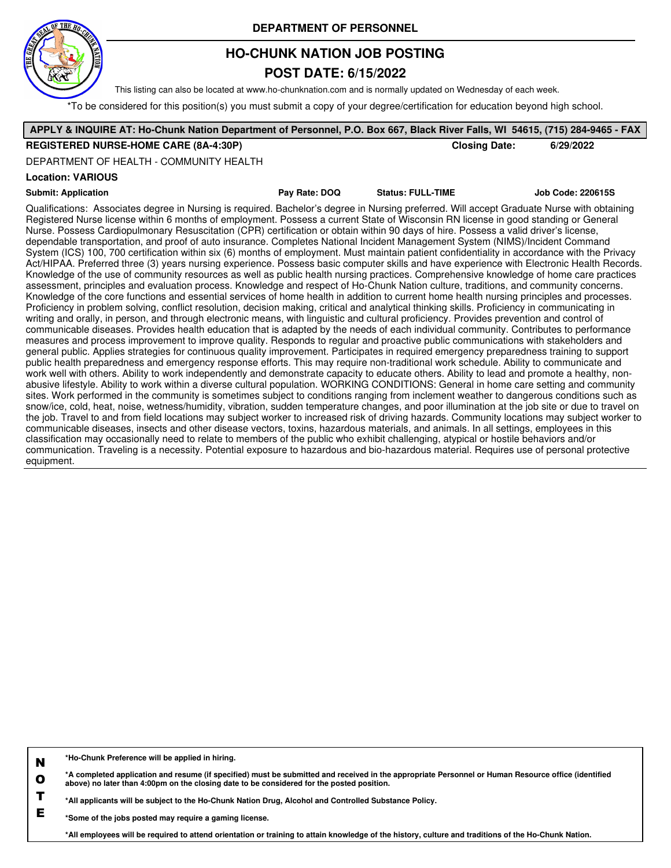

## **HO-CHUNK NATION JOB POSTING**

### **POST DATE: 6/15/2022**

This listing can also be located at www.ho-chunknation.com and is normally updated on Wednesday of each week.

\*To be considered for this position(s) you must submit a copy of your degree/certification for education beyond high school.

#### **APPLY & INQUIRE AT: Ho-Chunk Nation Department of Personnel, P.O. Box 667, Black River Falls, WI 54615, (715) 284-9465 - FAX REGISTERED NURSE-HOME CARE (8A-4:30P) Closing Date: 6/29/2022 Location: VARIOUS Submit: Application Pay Rate: DOQ Status: FULL-TIME Job Code: 220615S** Qualifications: Associates degree in Nursing is required. Bachelor's degree in Nursing preferred. Will accept Graduate Nurse with obtaining Registered Nurse license within 6 months of employment. Possess a current State of Wisconsin RN license in good standing or General Nurse. Possess Cardiopulmonary Resuscitation (CPR) certification or obtain within 90 days of hire. Possess a valid driver's license, dependable transportation, and proof of auto insurance. Completes National Incident Management System (NIMS)/Incident Command System (ICS) 100, 700 certification within six (6) months of employment. Must maintain patient confidentiality in accordance with the Privacy Act/HIPAA. Preferred three (3) years nursing experience. Possess basic computer skills and have experience with Electronic Health Records. Knowledge of the use of community resources as well as public health nursing practices. Comprehensive knowledge of home care practices assessment, principles and evaluation process. Knowledge and respect of Ho-Chunk Nation culture, traditions, and community concerns. Knowledge of the core functions and essential services of home health in addition to current home health nursing principles and processes. Proficiency in problem solving, conflict resolution, decision making, critical and analytical thinking skills. Proficiency in communicating in writing and orally, in person, and through electronic means, with linguistic and cultural proficiency. Provides prevention and control of communicable diseases. Provides health education that is adapted by the needs of each individual community. Contributes to performance measures and process improvement to improve quality. Responds to regular and proactive public communications with stakeholders and general public. Applies strategies for continuous quality improvement. Participates in required emergency preparedness training to support public health preparedness and emergency response efforts. This may require non-traditional work schedule. Ability to communicate and work well with others. Ability to work independently and demonstrate capacity to educate others. Ability to lead and promote a healthy, nonabusive lifestyle. Ability to work within a diverse cultural population. WORKING CONDITIONS: General in home care setting and community sites. Work performed in the community is sometimes subject to conditions ranging from inclement weather to dangerous conditions such as snow/ice, cold, heat, noise, wetness/humidity, vibration, sudden temperature changes, and poor illumination at the job site or due to travel on the job. Travel to and from field locations may subject worker to increased risk of driving hazards. Community locations may subject worker to communicable diseases, insects and other disease vectors, toxins, hazardous materials, and animals. In all settings, employees in this classification may occasionally need to relate to members of the public who exhibit challenging, atypical or hostile behaviors and/or communication. Traveling is a necessity. Potential exposure to hazardous and bio-hazardous material. Requires use of personal protective equipment. DEPARTMENT OF HEALTH - COMMUNITY HEALTH

**N \*Ho-Chunk Preference will be applied in hiring.**

**O \*A completed application and resume (if specified) must be submitted and received in the appropriate Personnel or Human Resource office (identified above) no later than 4:00pm on the closing date to be considered for the posted position.**

**T \*All applicants will be subject to the Ho-Chunk Nation Drug, Alcohol and Controlled Substance Policy.**

**E \*Some of the jobs posted may require a gaming license.**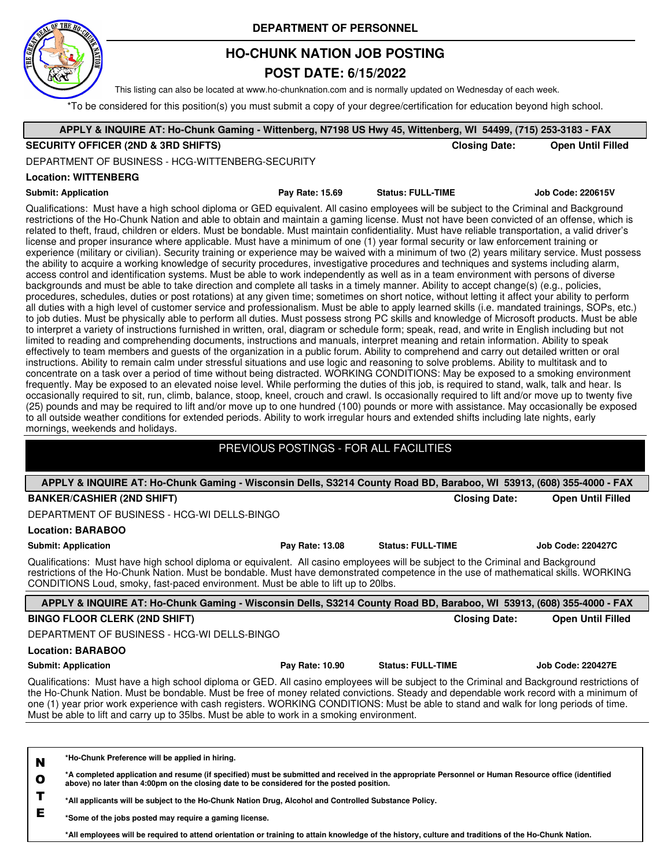

## **HO-CHUNK NATION JOB POSTING**

## **POST DATE: 6/15/2022**

This listing can also be located at www.ho-chunknation.com and is normally updated on Wednesday of each week.

 $T$  be considered for this position(s) you must submit a copy of your degree/certification for education beyond high school.

| ro be considered for this position(s) you must submit a copy or your degree/centification for education beyond myn school.<br>APPLY & INQUIRE AT: Ho-Chunk Gaming - Wittenberg, N7198 US Hwy 45, Wittenberg, WI 54499, (715) 253-3183 - FAX                                                                                                                                                                                                                                                                                                                                                                                                                                                                                                                                                                                                                                                                                                                                                                                                                                                                                                                                                                                                                                                                                                                                                                                                                                                                                                                                                                                                                                                                                                                                                                                                                                                                                                                                                                                                                                                                                                                                                                                                                                                                                                                                                                                                                                                                                                                                                                                                                                                                                                                                                                                                                                                                                                                                                                                                                  |                          |                          |  |  |  |
|--------------------------------------------------------------------------------------------------------------------------------------------------------------------------------------------------------------------------------------------------------------------------------------------------------------------------------------------------------------------------------------------------------------------------------------------------------------------------------------------------------------------------------------------------------------------------------------------------------------------------------------------------------------------------------------------------------------------------------------------------------------------------------------------------------------------------------------------------------------------------------------------------------------------------------------------------------------------------------------------------------------------------------------------------------------------------------------------------------------------------------------------------------------------------------------------------------------------------------------------------------------------------------------------------------------------------------------------------------------------------------------------------------------------------------------------------------------------------------------------------------------------------------------------------------------------------------------------------------------------------------------------------------------------------------------------------------------------------------------------------------------------------------------------------------------------------------------------------------------------------------------------------------------------------------------------------------------------------------------------------------------------------------------------------------------------------------------------------------------------------------------------------------------------------------------------------------------------------------------------------------------------------------------------------------------------------------------------------------------------------------------------------------------------------------------------------------------------------------------------------------------------------------------------------------------------------------------------------------------------------------------------------------------------------------------------------------------------------------------------------------------------------------------------------------------------------------------------------------------------------------------------------------------------------------------------------------------------------------------------------------------------------------------------------------------|--------------------------|--------------------------|--|--|--|
| <b>SECURITY OFFICER (2ND &amp; 3RD SHIFTS)</b>                                                                                                                                                                                                                                                                                                                                                                                                                                                                                                                                                                                                                                                                                                                                                                                                                                                                                                                                                                                                                                                                                                                                                                                                                                                                                                                                                                                                                                                                                                                                                                                                                                                                                                                                                                                                                                                                                                                                                                                                                                                                                                                                                                                                                                                                                                                                                                                                                                                                                                                                                                                                                                                                                                                                                                                                                                                                                                                                                                                                               | <b>Closing Date:</b>     | <b>Open Until Filled</b> |  |  |  |
| DEPARTMENT OF BUSINESS - HCG-WITTENBERG-SECURITY                                                                                                                                                                                                                                                                                                                                                                                                                                                                                                                                                                                                                                                                                                                                                                                                                                                                                                                                                                                                                                                                                                                                                                                                                                                                                                                                                                                                                                                                                                                                                                                                                                                                                                                                                                                                                                                                                                                                                                                                                                                                                                                                                                                                                                                                                                                                                                                                                                                                                                                                                                                                                                                                                                                                                                                                                                                                                                                                                                                                             |                          |                          |  |  |  |
| <b>Location: WITTENBERG</b>                                                                                                                                                                                                                                                                                                                                                                                                                                                                                                                                                                                                                                                                                                                                                                                                                                                                                                                                                                                                                                                                                                                                                                                                                                                                                                                                                                                                                                                                                                                                                                                                                                                                                                                                                                                                                                                                                                                                                                                                                                                                                                                                                                                                                                                                                                                                                                                                                                                                                                                                                                                                                                                                                                                                                                                                                                                                                                                                                                                                                                  |                          |                          |  |  |  |
|                                                                                                                                                                                                                                                                                                                                                                                                                                                                                                                                                                                                                                                                                                                                                                                                                                                                                                                                                                                                                                                                                                                                                                                                                                                                                                                                                                                                                                                                                                                                                                                                                                                                                                                                                                                                                                                                                                                                                                                                                                                                                                                                                                                                                                                                                                                                                                                                                                                                                                                                                                                                                                                                                                                                                                                                                                                                                                                                                                                                                                                              |                          |                          |  |  |  |
| <b>Submit: Application</b><br>Pay Rate: 15.69<br><b>Status: FULL-TIME</b><br><b>Job Code: 220615V</b><br>Qualifications: Must have a high school diploma or GED equivalent. All casino employees will be subject to the Criminal and Background<br>restrictions of the Ho-Chunk Nation and able to obtain and maintain a gaming license. Must not have been convicted of an offense, which is<br>related to theft, fraud, children or elders. Must be bondable. Must maintain confidentiality. Must have reliable transportation, a valid driver's<br>license and proper insurance where applicable. Must have a minimum of one (1) year formal security or law enforcement training or<br>experience (military or civilian). Security training or experience may be waived with a minimum of two (2) years military service. Must possess<br>the ability to acquire a working knowledge of security procedures, investigative procedures and techniques and systems including alarm,<br>access control and identification systems. Must be able to work independently as well as in a team environment with persons of diverse<br>backgrounds and must be able to take direction and complete all tasks in a timely manner. Ability to accept change(s) (e.g., policies,<br>procedures, schedules, duties or post rotations) at any given time; sometimes on short notice, without letting it affect your ability to perform<br>all duties with a high level of customer service and professionalism. Must be able to apply learned skills (i.e. mandated trainings, SOPs, etc.)<br>to job duties. Must be physically able to perform all duties. Must possess strong PC skills and knowledge of Microsoft products. Must be able<br>to interpret a variety of instructions furnished in written, oral, diagram or schedule form; speak, read, and write in English including but not<br>limited to reading and comprehending documents, instructions and manuals, interpret meaning and retain information. Ability to speak<br>effectively to team members and guests of the organization in a public forum. Ability to comprehend and carry out detailed written or oral<br>instructions. Ability to remain calm under stressful situations and use logic and reasoning to solve problems. Ability to multitask and to<br>concentrate on a task over a period of time without being distracted. WORKING CONDITIONS: May be exposed to a smoking environment<br>frequently. May be exposed to an elevated noise level. While performing the duties of this job, is required to stand, walk, talk and hear. Is<br>occasionally required to sit, run, climb, balance, stoop, kneel, crouch and crawl. Is occasionally required to lift and/or move up to twenty five<br>(25) pounds and may be required to lift and/or move up to one hundred (100) pounds or more with assistance. May occasionally be exposed<br>to all outside weather conditions for extended periods. Ability to work irregular hours and extended shifts including late nights, early |                          |                          |  |  |  |
| mornings, weekends and holidays.                                                                                                                                                                                                                                                                                                                                                                                                                                                                                                                                                                                                                                                                                                                                                                                                                                                                                                                                                                                                                                                                                                                                                                                                                                                                                                                                                                                                                                                                                                                                                                                                                                                                                                                                                                                                                                                                                                                                                                                                                                                                                                                                                                                                                                                                                                                                                                                                                                                                                                                                                                                                                                                                                                                                                                                                                                                                                                                                                                                                                             |                          |                          |  |  |  |
| PREVIOUS POSTINGS - FOR ALL FACILITIES                                                                                                                                                                                                                                                                                                                                                                                                                                                                                                                                                                                                                                                                                                                                                                                                                                                                                                                                                                                                                                                                                                                                                                                                                                                                                                                                                                                                                                                                                                                                                                                                                                                                                                                                                                                                                                                                                                                                                                                                                                                                                                                                                                                                                                                                                                                                                                                                                                                                                                                                                                                                                                                                                                                                                                                                                                                                                                                                                                                                                       |                          |                          |  |  |  |
|                                                                                                                                                                                                                                                                                                                                                                                                                                                                                                                                                                                                                                                                                                                                                                                                                                                                                                                                                                                                                                                                                                                                                                                                                                                                                                                                                                                                                                                                                                                                                                                                                                                                                                                                                                                                                                                                                                                                                                                                                                                                                                                                                                                                                                                                                                                                                                                                                                                                                                                                                                                                                                                                                                                                                                                                                                                                                                                                                                                                                                                              |                          |                          |  |  |  |
| APPLY & INQUIRE AT: Ho-Chunk Gaming - Wisconsin Dells, S3214 County Road BD, Baraboo, WI 53913, (608) 355-4000 - FAX                                                                                                                                                                                                                                                                                                                                                                                                                                                                                                                                                                                                                                                                                                                                                                                                                                                                                                                                                                                                                                                                                                                                                                                                                                                                                                                                                                                                                                                                                                                                                                                                                                                                                                                                                                                                                                                                                                                                                                                                                                                                                                                                                                                                                                                                                                                                                                                                                                                                                                                                                                                                                                                                                                                                                                                                                                                                                                                                         |                          |                          |  |  |  |
| <b>BANKER/CASHIER (2ND SHIFT)</b>                                                                                                                                                                                                                                                                                                                                                                                                                                                                                                                                                                                                                                                                                                                                                                                                                                                                                                                                                                                                                                                                                                                                                                                                                                                                                                                                                                                                                                                                                                                                                                                                                                                                                                                                                                                                                                                                                                                                                                                                                                                                                                                                                                                                                                                                                                                                                                                                                                                                                                                                                                                                                                                                                                                                                                                                                                                                                                                                                                                                                            | <b>Closing Date:</b>     | <b>Open Until Filled</b> |  |  |  |
| DEPARTMENT OF BUSINESS - HCG-WI DELLS-BINGO                                                                                                                                                                                                                                                                                                                                                                                                                                                                                                                                                                                                                                                                                                                                                                                                                                                                                                                                                                                                                                                                                                                                                                                                                                                                                                                                                                                                                                                                                                                                                                                                                                                                                                                                                                                                                                                                                                                                                                                                                                                                                                                                                                                                                                                                                                                                                                                                                                                                                                                                                                                                                                                                                                                                                                                                                                                                                                                                                                                                                  |                          |                          |  |  |  |
| <b>Location: BARABOO</b>                                                                                                                                                                                                                                                                                                                                                                                                                                                                                                                                                                                                                                                                                                                                                                                                                                                                                                                                                                                                                                                                                                                                                                                                                                                                                                                                                                                                                                                                                                                                                                                                                                                                                                                                                                                                                                                                                                                                                                                                                                                                                                                                                                                                                                                                                                                                                                                                                                                                                                                                                                                                                                                                                                                                                                                                                                                                                                                                                                                                                                     |                          |                          |  |  |  |
| <b>Submit: Application</b><br>Pay Rate: 13.08<br>Qualifications: Must have high school diploma or equivalent. All casino employees will be subject to the Criminal and Background<br>restrictions of the Ho-Chunk Nation. Must be bondable. Must have demonstrated competence in the use of mathematical skills. WORKING<br>CONDITIONS Loud, smoky, fast-paced environment. Must be able to lift up to 20lbs.                                                                                                                                                                                                                                                                                                                                                                                                                                                                                                                                                                                                                                                                                                                                                                                                                                                                                                                                                                                                                                                                                                                                                                                                                                                                                                                                                                                                                                                                                                                                                                                                                                                                                                                                                                                                                                                                                                                                                                                                                                                                                                                                                                                                                                                                                                                                                                                                                                                                                                                                                                                                                                                | <b>Status: FULL-TIME</b> | <b>Job Code: 220427C</b> |  |  |  |
| APPLY & INQUIRE AT: Ho-Chunk Gaming - Wisconsin Dells, S3214 County Road BD, Baraboo, WI 53913, (608) 355-4000 - FAX                                                                                                                                                                                                                                                                                                                                                                                                                                                                                                                                                                                                                                                                                                                                                                                                                                                                                                                                                                                                                                                                                                                                                                                                                                                                                                                                                                                                                                                                                                                                                                                                                                                                                                                                                                                                                                                                                                                                                                                                                                                                                                                                                                                                                                                                                                                                                                                                                                                                                                                                                                                                                                                                                                                                                                                                                                                                                                                                         |                          |                          |  |  |  |
| <b>BINGO FLOOR CLERK (2ND SHIFT)</b>                                                                                                                                                                                                                                                                                                                                                                                                                                                                                                                                                                                                                                                                                                                                                                                                                                                                                                                                                                                                                                                                                                                                                                                                                                                                                                                                                                                                                                                                                                                                                                                                                                                                                                                                                                                                                                                                                                                                                                                                                                                                                                                                                                                                                                                                                                                                                                                                                                                                                                                                                                                                                                                                                                                                                                                                                                                                                                                                                                                                                         | <b>Closing Date:</b>     | <b>Open Until Filled</b> |  |  |  |
| DEPARTMENT OF BUSINESS - HCG-WI DELLS-BINGO                                                                                                                                                                                                                                                                                                                                                                                                                                                                                                                                                                                                                                                                                                                                                                                                                                                                                                                                                                                                                                                                                                                                                                                                                                                                                                                                                                                                                                                                                                                                                                                                                                                                                                                                                                                                                                                                                                                                                                                                                                                                                                                                                                                                                                                                                                                                                                                                                                                                                                                                                                                                                                                                                                                                                                                                                                                                                                                                                                                                                  |                          |                          |  |  |  |
| <b>Location: BARABOO</b>                                                                                                                                                                                                                                                                                                                                                                                                                                                                                                                                                                                                                                                                                                                                                                                                                                                                                                                                                                                                                                                                                                                                                                                                                                                                                                                                                                                                                                                                                                                                                                                                                                                                                                                                                                                                                                                                                                                                                                                                                                                                                                                                                                                                                                                                                                                                                                                                                                                                                                                                                                                                                                                                                                                                                                                                                                                                                                                                                                                                                                     |                          |                          |  |  |  |
| Pay Rate: 10.90<br><b>Submit: Application</b>                                                                                                                                                                                                                                                                                                                                                                                                                                                                                                                                                                                                                                                                                                                                                                                                                                                                                                                                                                                                                                                                                                                                                                                                                                                                                                                                                                                                                                                                                                                                                                                                                                                                                                                                                                                                                                                                                                                                                                                                                                                                                                                                                                                                                                                                                                                                                                                                                                                                                                                                                                                                                                                                                                                                                                                                                                                                                                                                                                                                                | <b>Status: FULL-TIME</b> | <b>Job Code: 220427E</b> |  |  |  |
| Qualifications: Must have a high school diploma or GED. All casino employees will be subject to the Criminal and Background restrictions of<br>the Ho-Chunk Nation. Must be bondable. Must be free of money related convictions. Steady and dependable work record with a minimum of<br>one (1) year prior work experience with cash registers. WORKING CONDITIONS: Must be able to stand and walk for long periods of time.<br>Must be able to lift and carry up to 35lbs. Must be able to work in a smoking environment.                                                                                                                                                                                                                                                                                                                                                                                                                                                                                                                                                                                                                                                                                                                                                                                                                                                                                                                                                                                                                                                                                                                                                                                                                                                                                                                                                                                                                                                                                                                                                                                                                                                                                                                                                                                                                                                                                                                                                                                                                                                                                                                                                                                                                                                                                                                                                                                                                                                                                                                                   |                          |                          |  |  |  |
|                                                                                                                                                                                                                                                                                                                                                                                                                                                                                                                                                                                                                                                                                                                                                                                                                                                                                                                                                                                                                                                                                                                                                                                                                                                                                                                                                                                                                                                                                                                                                                                                                                                                                                                                                                                                                                                                                                                                                                                                                                                                                                                                                                                                                                                                                                                                                                                                                                                                                                                                                                                                                                                                                                                                                                                                                                                                                                                                                                                                                                                              |                          |                          |  |  |  |
| *Ho-Chunk Preference will be applied in hiring.<br>N<br>*A completed application and resume (if specified) must be submitted and received in the appropriate Personnel or Human Resource office (identified<br>$\mathbf{o}$<br>above) no later than 4:00pm on the closing date to be considered for the posted position.<br>T<br>*All applicants will be subject to the Ho-Chunk Nation Drug, Alcohol and Controlled Substance Policy.                                                                                                                                                                                                                                                                                                                                                                                                                                                                                                                                                                                                                                                                                                                                                                                                                                                                                                                                                                                                                                                                                                                                                                                                                                                                                                                                                                                                                                                                                                                                                                                                                                                                                                                                                                                                                                                                                                                                                                                                                                                                                                                                                                                                                                                                                                                                                                                                                                                                                                                                                                                                                       |                          |                          |  |  |  |

**\*Some of the jobs posted may require a gaming license.**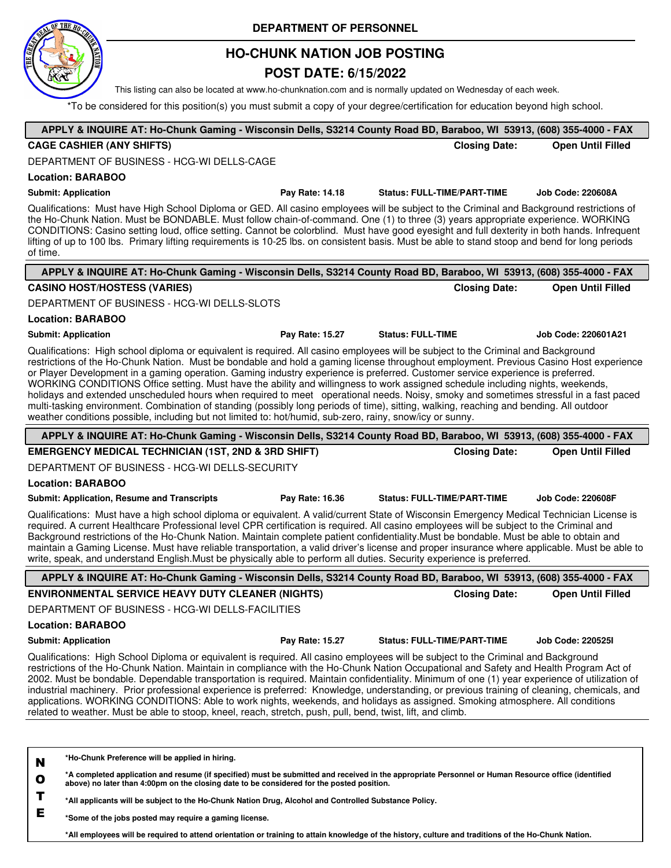

Г

### **DEPARTMENT OF PERSONNEL**

## **HO-CHUNK NATION JOB POSTING**

## **POST DATE: 6/15/2022**

This listing can also be located at www.ho-chunknation.com and is normally updated on Wednesday of each week.

\*To be considered for this position(s) you must submit a copy of your degree/certification for education beyond high school.

|              | APPLY & INQUIRE AT: Ho-Chunk Gaming - Wisconsin Dells, S3214 County Road BD, Baraboo, WI 53913, (608) 355-4000 - FAX                                                                                                                                                                                                                                                                                                                                                                                                                                                                                                                                                                                                                                                                                                                                                                                                                               |                 |                                    |                          |
|--------------|----------------------------------------------------------------------------------------------------------------------------------------------------------------------------------------------------------------------------------------------------------------------------------------------------------------------------------------------------------------------------------------------------------------------------------------------------------------------------------------------------------------------------------------------------------------------------------------------------------------------------------------------------------------------------------------------------------------------------------------------------------------------------------------------------------------------------------------------------------------------------------------------------------------------------------------------------|-----------------|------------------------------------|--------------------------|
|              | <b>CAGE CASHIER (ANY SHIFTS)</b>                                                                                                                                                                                                                                                                                                                                                                                                                                                                                                                                                                                                                                                                                                                                                                                                                                                                                                                   |                 | <b>Closing Date:</b>               | <b>Open Until Filled</b> |
|              | DEPARTMENT OF BUSINESS - HCG-WI DELLS-CAGE                                                                                                                                                                                                                                                                                                                                                                                                                                                                                                                                                                                                                                                                                                                                                                                                                                                                                                         |                 |                                    |                          |
|              | <b>Location: BARABOO</b>                                                                                                                                                                                                                                                                                                                                                                                                                                                                                                                                                                                                                                                                                                                                                                                                                                                                                                                           |                 |                                    |                          |
|              | <b>Submit: Application</b>                                                                                                                                                                                                                                                                                                                                                                                                                                                                                                                                                                                                                                                                                                                                                                                                                                                                                                                         | Pay Rate: 14.18 | <b>Status: FULL-TIME/PART-TIME</b> | <b>Job Code: 220608A</b> |
| of time.     | Qualifications: Must have High School Diploma or GED. All casino employees will be subject to the Criminal and Background restrictions of<br>the Ho-Chunk Nation. Must be BONDABLE. Must follow chain-of-command. One (1) to three (3) years appropriate experience. WORKING<br>CONDITIONS: Casino setting loud, office setting. Cannot be colorblind. Must have good eyesight and full dexterity in both hands. Infrequent<br>lifting of up to 100 lbs. Primary lifting requirements is 10-25 lbs. on consistent basis. Must be able to stand stoop and bend for long periods                                                                                                                                                                                                                                                                                                                                                                     |                 |                                    |                          |
|              | APPLY & INQUIRE AT: Ho-Chunk Gaming - Wisconsin Dells, S3214 County Road BD, Baraboo, WI 53913, (608) 355-4000 - FAX                                                                                                                                                                                                                                                                                                                                                                                                                                                                                                                                                                                                                                                                                                                                                                                                                               |                 |                                    |                          |
|              | <b>CASINO HOST/HOSTESS (VARIES)</b>                                                                                                                                                                                                                                                                                                                                                                                                                                                                                                                                                                                                                                                                                                                                                                                                                                                                                                                |                 | <b>Closing Date:</b>               | <b>Open Until Filled</b> |
|              | DEPARTMENT OF BUSINESS - HCG-WI DELLS-SLOTS                                                                                                                                                                                                                                                                                                                                                                                                                                                                                                                                                                                                                                                                                                                                                                                                                                                                                                        |                 |                                    |                          |
|              | <b>Location: BARABOO</b>                                                                                                                                                                                                                                                                                                                                                                                                                                                                                                                                                                                                                                                                                                                                                                                                                                                                                                                           |                 |                                    |                          |
|              | <b>Submit: Application</b>                                                                                                                                                                                                                                                                                                                                                                                                                                                                                                                                                                                                                                                                                                                                                                                                                                                                                                                         | Pay Rate: 15.27 | <b>Status: FULL-TIME</b>           | Job Code: 220601A21      |
|              | Qualifications: High school diploma or equivalent is required. All casino employees will be subject to the Criminal and Background<br>restrictions of the Ho-Chunk Nation. Must be bondable and hold a gaming license throughout employment. Previous Casino Host experience<br>or Player Development in a gaming operation. Gaming industry experience is preferred. Customer service experience is preferred.<br>WORKING CONDITIONS Office setting. Must have the ability and willingness to work assigned schedule including nights, weekends,<br>holidays and extended unscheduled hours when required to meet operational needs. Noisy, smoky and sometimes stressful in a fast paced<br>multi-tasking environment. Combination of standing (possibly long periods of time), sitting, walking, reaching and bending. All outdoor<br>weather conditions possible, including but not limited to: hot/humid, sub-zero, rainy, snow/icy or sunny. |                 |                                    |                          |
|              | APPLY & INQUIRE AT: Ho-Chunk Gaming - Wisconsin Dells, S3214 County Road BD, Baraboo, WI 53913, (608) 355-4000 - FAX                                                                                                                                                                                                                                                                                                                                                                                                                                                                                                                                                                                                                                                                                                                                                                                                                               |                 |                                    |                          |
|              | <b>EMERGENCY MEDICAL TECHNICIAN (1ST, 2ND &amp; 3RD SHIFT)</b>                                                                                                                                                                                                                                                                                                                                                                                                                                                                                                                                                                                                                                                                                                                                                                                                                                                                                     |                 | <b>Closing Date:</b>               | <b>Open Until Filled</b> |
|              | DEPARTMENT OF BUSINESS - HCG-WI DELLS-SECURITY                                                                                                                                                                                                                                                                                                                                                                                                                                                                                                                                                                                                                                                                                                                                                                                                                                                                                                     |                 |                                    |                          |
|              |                                                                                                                                                                                                                                                                                                                                                                                                                                                                                                                                                                                                                                                                                                                                                                                                                                                                                                                                                    |                 |                                    |                          |
|              | <b>Location: BARABOO</b>                                                                                                                                                                                                                                                                                                                                                                                                                                                                                                                                                                                                                                                                                                                                                                                                                                                                                                                           |                 |                                    |                          |
|              | <b>Submit: Application, Resume and Transcripts</b>                                                                                                                                                                                                                                                                                                                                                                                                                                                                                                                                                                                                                                                                                                                                                                                                                                                                                                 | Pay Rate: 16.36 | <b>Status: FULL-TIME/PART-TIME</b> | <b>Job Code: 220608F</b> |
|              | Qualifications: Must have a high school diploma or equivalent. A valid/current State of Wisconsin Emergency Medical Technician License is<br>required. A current Healthcare Professional level CPR certification is required. All casino employees will be subject to the Criminal and<br>Background restrictions of the Ho-Chunk Nation. Maintain complete patient confidentiality. Must be bondable. Must be able to obtain and<br>maintain a Gaming License. Must have reliable transportation, a valid driver's license and proper insurance where applicable. Must be able to<br>write, speak, and understand English. Must be physically able to perform all duties. Security experience is preferred.                                                                                                                                                                                                                                       |                 |                                    |                          |
|              | APPLY & INQUIRE AT: Ho-Chunk Gaming - Wisconsin Dells, S3214 County Road BD, Baraboo, WI 53913, (608) 355-4000 - FAX                                                                                                                                                                                                                                                                                                                                                                                                                                                                                                                                                                                                                                                                                                                                                                                                                               |                 |                                    |                          |
|              | <b>ENVIRONMENTAL SERVICE HEAVY DUTY CLEANER (NIGHTS)</b>                                                                                                                                                                                                                                                                                                                                                                                                                                                                                                                                                                                                                                                                                                                                                                                                                                                                                           |                 | <b>Closing Date:</b>               | <b>Open Until Filled</b> |
|              | DEPARTMENT OF BUSINESS - HCG-WI DELLS-FACILITIES                                                                                                                                                                                                                                                                                                                                                                                                                                                                                                                                                                                                                                                                                                                                                                                                                                                                                                   |                 |                                    |                          |
|              | <b>Location: BARABOO</b>                                                                                                                                                                                                                                                                                                                                                                                                                                                                                                                                                                                                                                                                                                                                                                                                                                                                                                                           |                 |                                    |                          |
|              | <b>Submit: Application</b>                                                                                                                                                                                                                                                                                                                                                                                                                                                                                                                                                                                                                                                                                                                                                                                                                                                                                                                         | Pay Rate: 15.27 | <b>Status: FULL-TIME/PART-TIME</b> | <b>Job Code: 2205251</b> |
|              | Qualifications: High School Diploma or equivalent is required. All casino employees will be subject to the Criminal and Background<br>restrictions of the Ho-Chunk Nation. Maintain in compliance with the Ho-Chunk Nation Occupational and Safety and Health Program Act of<br>2002. Must be bondable. Dependable transportation is required. Maintain confidentiality. Minimum of one (1) year experience of utilization of<br>industrial machinery. Prior professional experience is preferred: Knowledge, understanding, or previous training of cleaning, chemicals, and<br>applications. WORKING CONDITIONS: Able to work nights, weekends, and holidays as assigned. Smoking atmosphere. All conditions<br>related to weather. Must be able to stoop, kneel, reach, stretch, push, pull, bend, twist, lift, and climb.                                                                                                                      |                 |                                    |                          |
|              |                                                                                                                                                                                                                                                                                                                                                                                                                                                                                                                                                                                                                                                                                                                                                                                                                                                                                                                                                    |                 |                                    |                          |
| N            | *Ho-Chunk Preference will be applied in hiring.                                                                                                                                                                                                                                                                                                                                                                                                                                                                                                                                                                                                                                                                                                                                                                                                                                                                                                    |                 |                                    |                          |
| $\mathbf{o}$ | *A completed application and resume (if specified) must be submitted and received in the appropriate Personnel or Human Resource office (identified<br>above) no later than 4:00pm on the closing date to be considered for the posted position.                                                                                                                                                                                                                                                                                                                                                                                                                                                                                                                                                                                                                                                                                                   |                 |                                    |                          |
| т<br>Е       | *All applicants will be subject to the Ho-Chunk Nation Drug, Alcohol and Controlled Substance Policy.                                                                                                                                                                                                                                                                                                                                                                                                                                                                                                                                                                                                                                                                                                                                                                                                                                              |                 |                                    |                          |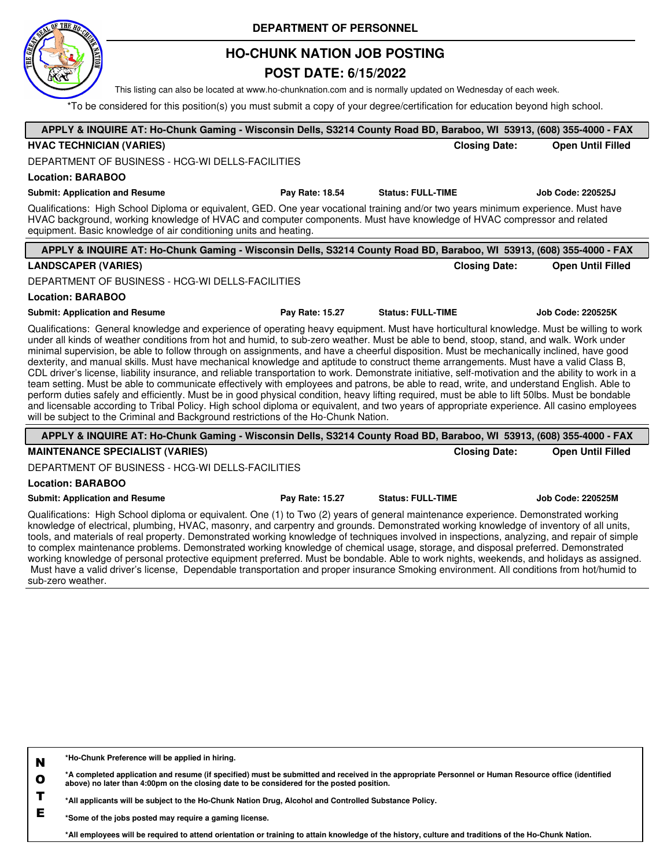

## **HO-CHUNK NATION JOB POSTING**

## **POST DATE: 6/15/2022**

This listing can also be located at www.ho-chunknation.com and is normally updated on Wednesday of each week.

\*To be considered for this position(s) you must submit a copy of your degree/certification for education beyond high school.

| APPLY & INQUIRE AT: Ho-Chunk Gaming - Wisconsin Dells, S3214 County Road BD, Baraboo, WI 53913, (608) 355-4000 - FAX                                                                                                                                                                                                                                                                                                                                                                                                                                                                                                                                                                                                                                                                                                                                                                                                                                                                                                                                                                                                                                                                                                                                                    |                 |                          |                      |                          |
|-------------------------------------------------------------------------------------------------------------------------------------------------------------------------------------------------------------------------------------------------------------------------------------------------------------------------------------------------------------------------------------------------------------------------------------------------------------------------------------------------------------------------------------------------------------------------------------------------------------------------------------------------------------------------------------------------------------------------------------------------------------------------------------------------------------------------------------------------------------------------------------------------------------------------------------------------------------------------------------------------------------------------------------------------------------------------------------------------------------------------------------------------------------------------------------------------------------------------------------------------------------------------|-----------------|--------------------------|----------------------|--------------------------|
| <b>HVAC TECHNICIAN (VARIES)</b>                                                                                                                                                                                                                                                                                                                                                                                                                                                                                                                                                                                                                                                                                                                                                                                                                                                                                                                                                                                                                                                                                                                                                                                                                                         |                 |                          | <b>Closing Date:</b> | <b>Open Until Filled</b> |
| DEPARTMENT OF BUSINESS - HCG-WI DELLS-FACILITIES                                                                                                                                                                                                                                                                                                                                                                                                                                                                                                                                                                                                                                                                                                                                                                                                                                                                                                                                                                                                                                                                                                                                                                                                                        |                 |                          |                      |                          |
| <b>Location: BARABOO</b>                                                                                                                                                                                                                                                                                                                                                                                                                                                                                                                                                                                                                                                                                                                                                                                                                                                                                                                                                                                                                                                                                                                                                                                                                                                |                 |                          |                      |                          |
| <b>Submit: Application and Resume</b>                                                                                                                                                                                                                                                                                                                                                                                                                                                                                                                                                                                                                                                                                                                                                                                                                                                                                                                                                                                                                                                                                                                                                                                                                                   | Pay Rate: 18.54 | <b>Status: FULL-TIME</b> |                      | Job Code: 220525J        |
| Qualifications: High School Diploma or equivalent, GED. One year vocational training and/or two years minimum experience. Must have<br>HVAC background, working knowledge of HVAC and computer components. Must have knowledge of HVAC compressor and related<br>equipment. Basic knowledge of air conditioning units and heating.                                                                                                                                                                                                                                                                                                                                                                                                                                                                                                                                                                                                                                                                                                                                                                                                                                                                                                                                      |                 |                          |                      |                          |
| APPLY & INQUIRE AT: Ho-Chunk Gaming - Wisconsin Dells, S3214 County Road BD, Baraboo, WI 53913, (608) 355-4000 - FAX                                                                                                                                                                                                                                                                                                                                                                                                                                                                                                                                                                                                                                                                                                                                                                                                                                                                                                                                                                                                                                                                                                                                                    |                 |                          |                      |                          |
| <b>LANDSCAPER (VARIES)</b>                                                                                                                                                                                                                                                                                                                                                                                                                                                                                                                                                                                                                                                                                                                                                                                                                                                                                                                                                                                                                                                                                                                                                                                                                                              |                 |                          | <b>Closing Date:</b> | <b>Open Until Filled</b> |
| DEPARTMENT OF BUSINESS - HCG-WI DELLS-FACILITIES                                                                                                                                                                                                                                                                                                                                                                                                                                                                                                                                                                                                                                                                                                                                                                                                                                                                                                                                                                                                                                                                                                                                                                                                                        |                 |                          |                      |                          |
| <b>Location: BARABOO</b>                                                                                                                                                                                                                                                                                                                                                                                                                                                                                                                                                                                                                                                                                                                                                                                                                                                                                                                                                                                                                                                                                                                                                                                                                                                |                 |                          |                      |                          |
| <b>Submit: Application and Resume</b>                                                                                                                                                                                                                                                                                                                                                                                                                                                                                                                                                                                                                                                                                                                                                                                                                                                                                                                                                                                                                                                                                                                                                                                                                                   | Pay Rate: 15.27 | <b>Status: FULL-TIME</b> |                      | <b>Job Code: 220525K</b> |
| Qualifications: General knowledge and experience of operating heavy equipment. Must have horticultural knowledge. Must be willing to work<br>under all kinds of weather conditions from hot and humid, to sub-zero weather. Must be able to bend, stoop, stand, and walk. Work under<br>minimal supervision, be able to follow through on assignments, and have a cheerful disposition. Must be mechanically inclined, have good<br>dexterity, and manual skills. Must have mechanical knowledge and aptitude to construct theme arrangements. Must have a valid Class B,<br>CDL driver's license, liability insurance, and reliable transportation to work. Demonstrate initiative, self-motivation and the ability to work in a<br>team setting. Must be able to communicate effectively with employees and patrons, be able to read, write, and understand English. Able to<br>perform duties safely and efficiently. Must be in good physical condition, heavy lifting required, must be able to lift 50lbs. Must be bondable<br>and licensable according to Tribal Policy. High school diploma or equivalent, and two years of appropriate experience. All casino employees<br>will be subject to the Criminal and Background restrictions of the Ho-Chunk Nation. |                 |                          |                      |                          |
| APPLY & INQUIRE AT: Ho-Chunk Gaming - Wisconsin Dells, S3214 County Road BD, Baraboo, WI 53913, (608) 355-4000 - FAX                                                                                                                                                                                                                                                                                                                                                                                                                                                                                                                                                                                                                                                                                                                                                                                                                                                                                                                                                                                                                                                                                                                                                    |                 |                          |                      |                          |
| <b>MAINTENANCE SPECIALIST (VARIES)</b>                                                                                                                                                                                                                                                                                                                                                                                                                                                                                                                                                                                                                                                                                                                                                                                                                                                                                                                                                                                                                                                                                                                                                                                                                                  |                 |                          | <b>Closing Date:</b> | <b>Open Until Filled</b> |
| DEPARTMENT OF BUSINESS - HCG-WI DELLS-FACILITIES                                                                                                                                                                                                                                                                                                                                                                                                                                                                                                                                                                                                                                                                                                                                                                                                                                                                                                                                                                                                                                                                                                                                                                                                                        |                 |                          |                      |                          |
| <b>Location: BARABOO</b>                                                                                                                                                                                                                                                                                                                                                                                                                                                                                                                                                                                                                                                                                                                                                                                                                                                                                                                                                                                                                                                                                                                                                                                                                                                |                 |                          |                      |                          |
| <b>Submit: Application and Resume</b>                                                                                                                                                                                                                                                                                                                                                                                                                                                                                                                                                                                                                                                                                                                                                                                                                                                                                                                                                                                                                                                                                                                                                                                                                                   | Pay Rate: 15.27 | <b>Status: FULL-TIME</b> |                      | <b>Job Code: 220525M</b> |
| Qualifications: High School diploma or equivalent. One (1) to Two (2) years of general maintenance experience. Demonstrated working<br>knowledge of electrical, plumbing, HVAC, masonry, and carpentry and grounds. Demonstrated working knowledge of inventory of all units,<br>tools, and materials of real property. Demonstrated working knowledge of techniques involved in inspections, analyzing, and repair of simple<br>to complex mointenance problems. Demonstrated werking knowledge of obemical weese, starses, and dispessed proferred. Demonstrated                                                                                                                                                                                                                                                                                                                                                                                                                                                                                                                                                                                                                                                                                                      |                 |                          |                      |                          |

to complex maintenance problems. Demonstrated working knowledge of chemical usage, storage, and disposal preferred. Demonstrated working knowledge of personal protective equipment preferred. Must be bondable. Able to work nights, weekends, and holidays as assigned. Must have a valid driver's license, Dependable transportation and proper insurance Smoking environment. All conditions from hot/humid to sub-zero weather.

| N | *Ho-Chunk Preference will be applied in hiring.                                                                                                                                                                                                  |
|---|--------------------------------------------------------------------------------------------------------------------------------------------------------------------------------------------------------------------------------------------------|
|   | *A completed application and resume (if specified) must be submitted and received in the appropriate Personnel or Human Resource office (identified<br>above) no later than 4:00pm on the closing date to be considered for the posted position. |
|   | *All applicants will be subject to the Ho-Chunk Nation Drug, Alcohol and Controlled Substance Policy.                                                                                                                                            |
|   | *Some of the jobs posted may require a gaming license                                                                                                                                                                                            |

**\*Some of the jobs posted may require a gaming license.**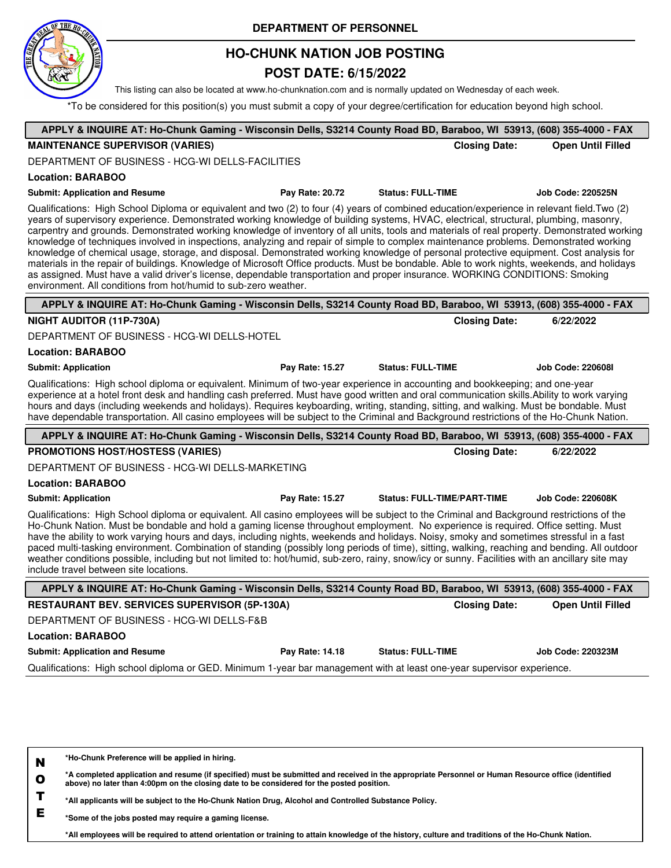

## **HO-CHUNK NATION JOB POSTING**

### **POST DATE: 6/15/2022**

This listing can also be located at www.ho-chunknation.com and is normally updated on Wednesday of each week.

\*To be considered for this position(s) you must submit a copy of your degree/certification for education beyond high school.

| APPLY & INQUIRE AT: Ho-Chunk Gaming - Wisconsin Dells, S3214 County Road BD, Baraboo, WI 53913, (608) 355-4000 - FAX                                                                                                                                                                                                                                                                                                                                                                                                                                                                                                                                                                                                                                                                                                                                                                                                                                                                                                                                                     |                 |                                    |                          |
|--------------------------------------------------------------------------------------------------------------------------------------------------------------------------------------------------------------------------------------------------------------------------------------------------------------------------------------------------------------------------------------------------------------------------------------------------------------------------------------------------------------------------------------------------------------------------------------------------------------------------------------------------------------------------------------------------------------------------------------------------------------------------------------------------------------------------------------------------------------------------------------------------------------------------------------------------------------------------------------------------------------------------------------------------------------------------|-----------------|------------------------------------|--------------------------|
| <b>MAINTENANCE SUPERVISOR (VARIES)</b>                                                                                                                                                                                                                                                                                                                                                                                                                                                                                                                                                                                                                                                                                                                                                                                                                                                                                                                                                                                                                                   |                 | <b>Closing Date:</b>               | <b>Open Until Filled</b> |
| DEPARTMENT OF BUSINESS - HCG-WI DELLS-FACILITIES                                                                                                                                                                                                                                                                                                                                                                                                                                                                                                                                                                                                                                                                                                                                                                                                                                                                                                                                                                                                                         |                 |                                    |                          |
| <b>Location: BARABOO</b>                                                                                                                                                                                                                                                                                                                                                                                                                                                                                                                                                                                                                                                                                                                                                                                                                                                                                                                                                                                                                                                 |                 |                                    |                          |
| <b>Submit: Application and Resume</b>                                                                                                                                                                                                                                                                                                                                                                                                                                                                                                                                                                                                                                                                                                                                                                                                                                                                                                                                                                                                                                    | Pay Rate: 20.72 | <b>Status: FULL-TIME</b>           | <b>Job Code: 220525N</b> |
| Qualifications: High School Diploma or equivalent and two (2) to four (4) years of combined education/experience in relevant field. Two (2)<br>years of supervisory experience. Demonstrated working knowledge of building systems, HVAC, electrical, structural, plumbing, masonry,<br>carpentry and grounds. Demonstrated working knowledge of inventory of all units, tools and materials of real property. Demonstrated working<br>knowledge of techniques involved in inspections, analyzing and repair of simple to complex maintenance problems. Demonstrated working<br>knowledge of chemical usage, storage, and disposal. Demonstrated working knowledge of personal protective equipment. Cost analysis for<br>materials in the repair of buildings. Knowledge of Microsoft Office products. Must be bondable. Able to work nights, weekends, and holidays<br>as assigned. Must have a valid driver's license, dependable transportation and proper insurance. WORKING CONDITIONS: Smoking<br>environment. All conditions from hot/humid to sub-zero weather. |                 |                                    |                          |
| APPLY & INQUIRE AT: Ho-Chunk Gaming - Wisconsin Dells, S3214 County Road BD, Baraboo, WI 53913, (608) 355-4000 - FAX                                                                                                                                                                                                                                                                                                                                                                                                                                                                                                                                                                                                                                                                                                                                                                                                                                                                                                                                                     |                 |                                    |                          |
| NIGHT AUDITOR (11P-730A)                                                                                                                                                                                                                                                                                                                                                                                                                                                                                                                                                                                                                                                                                                                                                                                                                                                                                                                                                                                                                                                 |                 | <b>Closing Date:</b>               | 6/22/2022                |
| DEPARTMENT OF BUSINESS - HCG-WI DELLS-HOTEL                                                                                                                                                                                                                                                                                                                                                                                                                                                                                                                                                                                                                                                                                                                                                                                                                                                                                                                                                                                                                              |                 |                                    |                          |
| <b>Location: BARABOO</b>                                                                                                                                                                                                                                                                                                                                                                                                                                                                                                                                                                                                                                                                                                                                                                                                                                                                                                                                                                                                                                                 |                 |                                    |                          |
| <b>Submit: Application</b>                                                                                                                                                                                                                                                                                                                                                                                                                                                                                                                                                                                                                                                                                                                                                                                                                                                                                                                                                                                                                                               | Pay Rate: 15.27 | <b>Status: FULL-TIME</b>           | <b>Job Code: 220608I</b> |
| Qualifications: High school diploma or equivalent. Minimum of two-year experience in accounting and bookkeeping; and one-year<br>experience at a hotel front desk and handling cash preferred. Must have good written and oral communication skills. Ability to work varying<br>hours and days (including weekends and holidays). Requires keyboarding, writing, standing, sitting, and walking. Must be bondable. Must<br>have dependable transportation. All casino employees will be subject to the Criminal and Background restrictions of the Ho-Chunk Nation.                                                                                                                                                                                                                                                                                                                                                                                                                                                                                                      |                 |                                    |                          |
| APPLY & INQUIRE AT: Ho-Chunk Gaming - Wisconsin Dells, S3214 County Road BD, Baraboo, WI 53913, (608) 355-4000 - FAX                                                                                                                                                                                                                                                                                                                                                                                                                                                                                                                                                                                                                                                                                                                                                                                                                                                                                                                                                     |                 |                                    |                          |
| PROMOTIONS HOST/HOSTESS (VARIES)                                                                                                                                                                                                                                                                                                                                                                                                                                                                                                                                                                                                                                                                                                                                                                                                                                                                                                                                                                                                                                         |                 | <b>Closing Date:</b>               | 6/22/2022                |
| DEPARTMENT OF BUSINESS - HCG-WI DELLS-MARKETING                                                                                                                                                                                                                                                                                                                                                                                                                                                                                                                                                                                                                                                                                                                                                                                                                                                                                                                                                                                                                          |                 |                                    |                          |
| <b>Location: BARABOO</b>                                                                                                                                                                                                                                                                                                                                                                                                                                                                                                                                                                                                                                                                                                                                                                                                                                                                                                                                                                                                                                                 |                 |                                    |                          |
| <b>Submit: Application</b>                                                                                                                                                                                                                                                                                                                                                                                                                                                                                                                                                                                                                                                                                                                                                                                                                                                                                                                                                                                                                                               | Pay Rate: 15.27 | <b>Status: FULL-TIME/PART-TIME</b> | <b>Job Code: 220608K</b> |
| Qualifications: High School diploma or equivalent. All casino employees will be subject to the Criminal and Background restrictions of the<br>Ho-Chunk Nation. Must be bondable and hold a gaming license throughout employment. No experience is required. Office setting. Must<br>have the ability to work varying hours and days, including nights, weekends and holidays. Noisy, smoky and sometimes stressful in a fast<br>paced multi-tasking environment. Combination of standing (possibly long periods of time), sitting, walking, reaching and bending. All outdoor<br>weather conditions possible, including but not limited to: hot/humid, sub-zero, rainy, snow/icy or sunny. Facilities with an ancillary site may<br>include travel between site locations.                                                                                                                                                                                                                                                                                               |                 |                                    |                          |
| APPLY & INQUIRE AT: Ho-Chunk Gaming - Wisconsin Dells, S3214 County Road BD, Baraboo, WI 53913, (608) 355-4000 - FAX                                                                                                                                                                                                                                                                                                                                                                                                                                                                                                                                                                                                                                                                                                                                                                                                                                                                                                                                                     |                 |                                    |                          |
| <b>RESTAURANT BEV. SERVICES SUPERVISOR (5P-130A)</b>                                                                                                                                                                                                                                                                                                                                                                                                                                                                                                                                                                                                                                                                                                                                                                                                                                                                                                                                                                                                                     |                 | <b>Closing Date:</b>               | <b>Open Until Filled</b> |
| DEPARTMENT OF BUSINESS - HCG-WI DELLS-F&B                                                                                                                                                                                                                                                                                                                                                                                                                                                                                                                                                                                                                                                                                                                                                                                                                                                                                                                                                                                                                                |                 |                                    |                          |
| <b>Location: BARABOO</b>                                                                                                                                                                                                                                                                                                                                                                                                                                                                                                                                                                                                                                                                                                                                                                                                                                                                                                                                                                                                                                                 |                 |                                    |                          |
| <b>Submit: Application and Resume</b>                                                                                                                                                                                                                                                                                                                                                                                                                                                                                                                                                                                                                                                                                                                                                                                                                                                                                                                                                                                                                                    | Pay Rate: 14.18 | <b>Status: FULL-TIME</b>           | Job Code: 220323M        |
|                                                                                                                                                                                                                                                                                                                                                                                                                                                                                                                                                                                                                                                                                                                                                                                                                                                                                                                                                                                                                                                                          |                 |                                    |                          |

**N \*Ho-Chunk Preference will be applied in hiring.**

**O \*A completed application and resume (if specified) must be submitted and received in the appropriate Personnel or Human Resource office (identified above) no later than 4:00pm on the closing date to be considered for the posted position.**

**T \*All applicants will be subject to the Ho-Chunk Nation Drug, Alcohol and Controlled Substance Policy.**

**E \*Some of the jobs posted may require a gaming license.**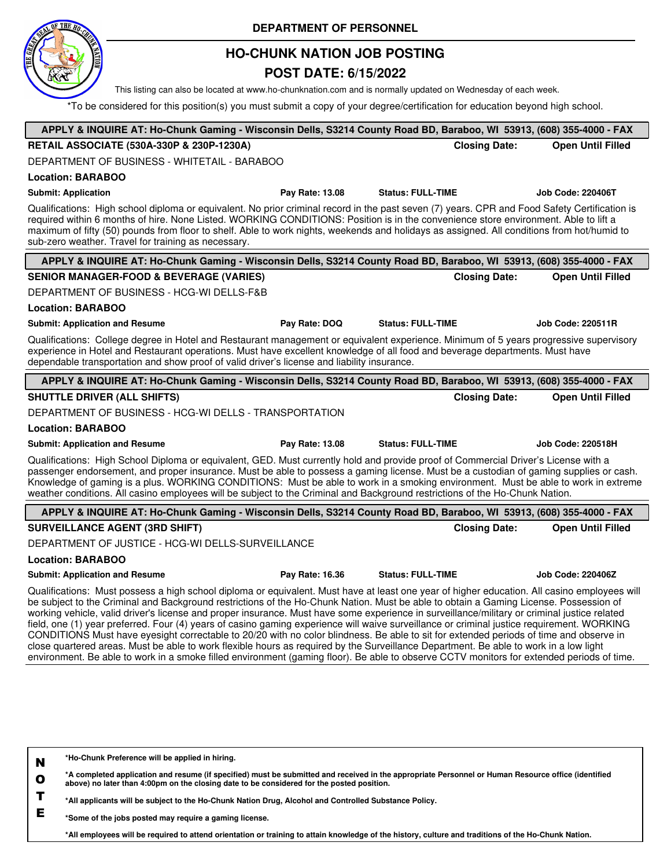

## **HO-CHUNK NATION JOB POSTING**

### **POST DATE: 6/15/2022**

This listing can also be located at www.ho-chunknation.com and is normally updated on Wednesday of each week.

\*To be considered for this position(s) you must submit a copy of your degree/certification for education beyond high school.

| APPLY & INQUIRE AT: Ho-Chunk Gaming - Wisconsin Dells, S3214 County Road BD, Baraboo, WI 53913, (608) 355-4000 - FAX                                                                                                                                                                                                                                                                                                                                                                                                                                                                                                                                                                                                                                                                                                                                                                                                                                                                                                |                 |                          |                      |                          |
|---------------------------------------------------------------------------------------------------------------------------------------------------------------------------------------------------------------------------------------------------------------------------------------------------------------------------------------------------------------------------------------------------------------------------------------------------------------------------------------------------------------------------------------------------------------------------------------------------------------------------------------------------------------------------------------------------------------------------------------------------------------------------------------------------------------------------------------------------------------------------------------------------------------------------------------------------------------------------------------------------------------------|-----------------|--------------------------|----------------------|--------------------------|
| RETAIL ASSOCIATE (530A-330P & 230P-1230A)                                                                                                                                                                                                                                                                                                                                                                                                                                                                                                                                                                                                                                                                                                                                                                                                                                                                                                                                                                           |                 |                          | <b>Closing Date:</b> | <b>Open Until Filled</b> |
| DEPARTMENT OF BUSINESS - WHITETAIL - BARABOO                                                                                                                                                                                                                                                                                                                                                                                                                                                                                                                                                                                                                                                                                                                                                                                                                                                                                                                                                                        |                 |                          |                      |                          |
| <b>Location: BARABOO</b>                                                                                                                                                                                                                                                                                                                                                                                                                                                                                                                                                                                                                                                                                                                                                                                                                                                                                                                                                                                            |                 |                          |                      |                          |
| <b>Submit: Application</b>                                                                                                                                                                                                                                                                                                                                                                                                                                                                                                                                                                                                                                                                                                                                                                                                                                                                                                                                                                                          | Pay Rate: 13.08 | <b>Status: FULL-TIME</b> |                      | <b>Job Code: 220406T</b> |
| Qualifications: High school diploma or equivalent. No prior criminal record in the past seven (7) years. CPR and Food Safety Certification is<br>required within 6 months of hire. None Listed. WORKING CONDITIONS: Position is in the convenience store environment. Able to lift a<br>maximum of fifty (50) pounds from floor to shelf. Able to work nights, weekends and holidays as assigned. All conditions from hot/humid to<br>sub-zero weather. Travel for training as necessary.                                                                                                                                                                                                                                                                                                                                                                                                                                                                                                                           |                 |                          |                      |                          |
| APPLY & INQUIRE AT: Ho-Chunk Gaming - Wisconsin Dells, S3214 County Road BD, Baraboo, WI 53913, (608) 355-4000 - FAX                                                                                                                                                                                                                                                                                                                                                                                                                                                                                                                                                                                                                                                                                                                                                                                                                                                                                                |                 |                          |                      |                          |
| <b>SENIOR MANAGER-FOOD &amp; BEVERAGE (VARIES)</b>                                                                                                                                                                                                                                                                                                                                                                                                                                                                                                                                                                                                                                                                                                                                                                                                                                                                                                                                                                  |                 |                          | <b>Closing Date:</b> | <b>Open Until Filled</b> |
| DEPARTMENT OF BUSINESS - HCG-WI DELLS-F&B                                                                                                                                                                                                                                                                                                                                                                                                                                                                                                                                                                                                                                                                                                                                                                                                                                                                                                                                                                           |                 |                          |                      |                          |
| <b>Location: BARABOO</b>                                                                                                                                                                                                                                                                                                                                                                                                                                                                                                                                                                                                                                                                                                                                                                                                                                                                                                                                                                                            |                 |                          |                      |                          |
| <b>Submit: Application and Resume</b>                                                                                                                                                                                                                                                                                                                                                                                                                                                                                                                                                                                                                                                                                                                                                                                                                                                                                                                                                                               | Pay Rate: DOQ   | <b>Status: FULL-TIME</b> |                      | <b>Job Code: 220511R</b> |
| Qualifications: College degree in Hotel and Restaurant management or equivalent experience. Minimum of 5 years progressive supervisory<br>experience in Hotel and Restaurant operations. Must have excellent knowledge of all food and beverage departments. Must have<br>dependable transportation and show proof of valid driver's license and liability insurance.                                                                                                                                                                                                                                                                                                                                                                                                                                                                                                                                                                                                                                               |                 |                          |                      |                          |
| APPLY & INQUIRE AT: Ho-Chunk Gaming - Wisconsin Dells, S3214 County Road BD, Baraboo, WI 53913, (608) 355-4000 - FAX                                                                                                                                                                                                                                                                                                                                                                                                                                                                                                                                                                                                                                                                                                                                                                                                                                                                                                |                 |                          |                      |                          |
| <b>SHUTTLE DRIVER (ALL SHIFTS)</b>                                                                                                                                                                                                                                                                                                                                                                                                                                                                                                                                                                                                                                                                                                                                                                                                                                                                                                                                                                                  |                 |                          | <b>Closing Date:</b> | <b>Open Until Filled</b> |
| DEPARTMENT OF BUSINESS - HCG-WI DELLS - TRANSPORTATION                                                                                                                                                                                                                                                                                                                                                                                                                                                                                                                                                                                                                                                                                                                                                                                                                                                                                                                                                              |                 |                          |                      |                          |
| <b>Location: BARABOO</b>                                                                                                                                                                                                                                                                                                                                                                                                                                                                                                                                                                                                                                                                                                                                                                                                                                                                                                                                                                                            |                 |                          |                      |                          |
| <b>Submit: Application and Resume</b>                                                                                                                                                                                                                                                                                                                                                                                                                                                                                                                                                                                                                                                                                                                                                                                                                                                                                                                                                                               | Pay Rate: 13.08 | <b>Status: FULL-TIME</b> |                      | <b>Job Code: 220518H</b> |
| Qualifications: High School Diploma or equivalent, GED. Must currently hold and provide proof of Commercial Driver's License with a<br>passenger endorsement, and proper insurance. Must be able to possess a gaming license. Must be a custodian of gaming supplies or cash.<br>Knowledge of gaming is a plus. WORKING CONDITIONS: Must be able to work in a smoking environment. Must be able to work in extreme<br>weather conditions. All casino employees will be subject to the Criminal and Background restrictions of the Ho-Chunk Nation.                                                                                                                                                                                                                                                                                                                                                                                                                                                                  |                 |                          |                      |                          |
| APPLY & INQUIRE AT: Ho-Chunk Gaming - Wisconsin Dells, S3214 County Road BD, Baraboo, WI 53913, (608) 355-4000 - FAX                                                                                                                                                                                                                                                                                                                                                                                                                                                                                                                                                                                                                                                                                                                                                                                                                                                                                                |                 |                          |                      |                          |
| <b>SURVEILLANCE AGENT (3RD SHIFT)</b>                                                                                                                                                                                                                                                                                                                                                                                                                                                                                                                                                                                                                                                                                                                                                                                                                                                                                                                                                                               |                 |                          | <b>Closing Date:</b> | <b>Open Until Filled</b> |
| DEPARTMENT OF JUSTICE - HCG-WI DELLS-SURVEILLANCE                                                                                                                                                                                                                                                                                                                                                                                                                                                                                                                                                                                                                                                                                                                                                                                                                                                                                                                                                                   |                 |                          |                      |                          |
| <b>Location: BARABOO</b>                                                                                                                                                                                                                                                                                                                                                                                                                                                                                                                                                                                                                                                                                                                                                                                                                                                                                                                                                                                            |                 |                          |                      |                          |
| <b>Submit: Application and Resume</b>                                                                                                                                                                                                                                                                                                                                                                                                                                                                                                                                                                                                                                                                                                                                                                                                                                                                                                                                                                               | Pay Rate: 16.36 | <b>Status: FULL-TIME</b> |                      | <b>Job Code: 220406Z</b> |
| Qualifications: Must possess a high school diploma or equivalent. Must have at least one year of higher education. All casino employees will<br>be subject to the Criminal and Background restrictions of the Ho-Chunk Nation. Must be able to obtain a Gaming License. Possession of<br>working vehicle, valid driver's license and proper insurance. Must have some experience in surveillance/military or criminal justice related<br>field, one (1) year preferred. Four (4) years of casino gaming experience will waive surveillance or criminal justice requirement. WORKING<br>CONDITIONS Must have eyesight correctable to 20/20 with no color blindness. Be able to sit for extended periods of time and observe in<br>close quartered areas. Must be able to work flexible hours as required by the Surveillance Department. Be able to work in a low light<br>environment. Be able to work in a smoke filled environment (gaming floor). Be able to observe CCTV monitors for extended periods of time. |                 |                          |                      |                          |
|                                                                                                                                                                                                                                                                                                                                                                                                                                                                                                                                                                                                                                                                                                                                                                                                                                                                                                                                                                                                                     |                 |                          |                      |                          |

**N \*Ho-Chunk Preference will be applied in hiring.**

**O \*A completed application and resume (if specified) must be submitted and received in the appropriate Personnel or Human Resource office (identified above) no later than 4:00pm on the closing date to be considered for the posted position.**

**T \*All applicants will be subject to the Ho-Chunk Nation Drug, Alcohol and Controlled Substance Policy.**

**E \*Some of the jobs posted may require a gaming license.**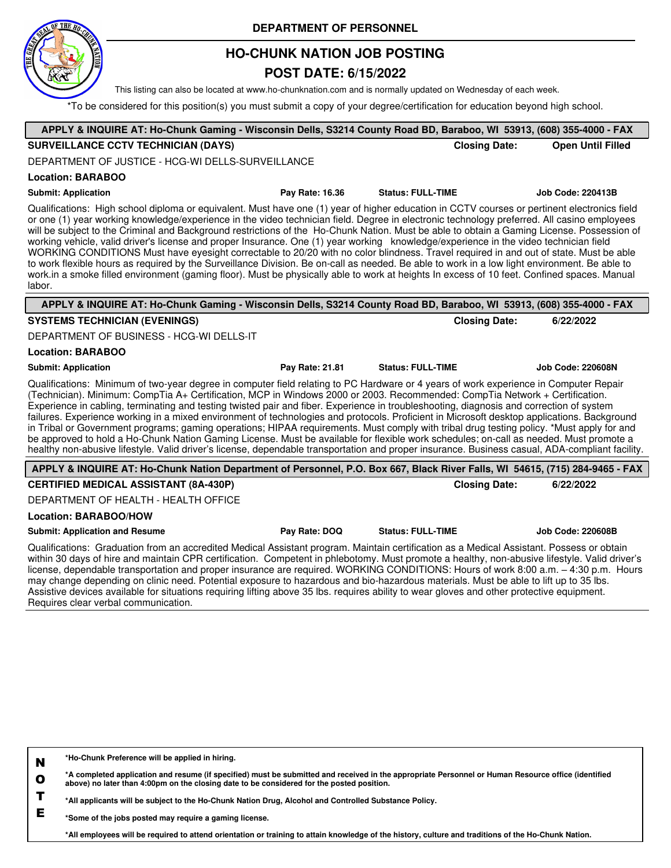

## **HO-CHUNK NATION JOB POSTING**

### **POST DATE: 6/15/2022**

This listing can also be located at www.ho-chunknation.com and is normally updated on Wednesday of each week.

\*To be considered for this position(s) you must submit a copy of your degree/certification for education beyond high school.

| APPLY & INQUIRE AT: Ho-Chunk Gaming - Wisconsin Dells, S3214 County Road BD, Baraboo, WI 53913, (608) 355-4000 - FAX                                                                                                                                                                                                                                                                                                                                                                                                                                                                                                                                                                                                                                                                                                                                                                                                                                                                                                                  |                 |                          |                      |                          |
|---------------------------------------------------------------------------------------------------------------------------------------------------------------------------------------------------------------------------------------------------------------------------------------------------------------------------------------------------------------------------------------------------------------------------------------------------------------------------------------------------------------------------------------------------------------------------------------------------------------------------------------------------------------------------------------------------------------------------------------------------------------------------------------------------------------------------------------------------------------------------------------------------------------------------------------------------------------------------------------------------------------------------------------|-----------------|--------------------------|----------------------|--------------------------|
| <b>SURVEILLANCE CCTV TECHNICIAN (DAYS)</b>                                                                                                                                                                                                                                                                                                                                                                                                                                                                                                                                                                                                                                                                                                                                                                                                                                                                                                                                                                                            |                 |                          | <b>Closing Date:</b> | <b>Open Until Filled</b> |
| DEPARTMENT OF JUSTICE - HCG-WI DELLS-SURVEILLANCE                                                                                                                                                                                                                                                                                                                                                                                                                                                                                                                                                                                                                                                                                                                                                                                                                                                                                                                                                                                     |                 |                          |                      |                          |
| <b>Location: BARABOO</b>                                                                                                                                                                                                                                                                                                                                                                                                                                                                                                                                                                                                                                                                                                                                                                                                                                                                                                                                                                                                              |                 |                          |                      |                          |
| <b>Submit: Application</b>                                                                                                                                                                                                                                                                                                                                                                                                                                                                                                                                                                                                                                                                                                                                                                                                                                                                                                                                                                                                            | Pay Rate: 16.36 | <b>Status: FULL-TIME</b> |                      | Job Code: 220413B        |
| Qualifications: High school diploma or equivalent. Must have one (1) year of higher education in CCTV courses or pertinent electronics field<br>or one (1) year working knowledge/experience in the video technician field. Degree in electronic technology preferred. All casino employees<br>will be subject to the Criminal and Background restrictions of the Ho-Chunk Nation. Must be able to obtain a Gaming License. Possession of<br>working vehicle, valid driver's license and proper Insurance. One (1) year working knowledge/experience in the video technician field<br>WORKING CONDITIONS Must have eyesight correctable to 20/20 with no color blindness. Travel required in and out of state. Must be able<br>to work flexible hours as required by the Surveillance Division. Be on-call as needed. Be able to work in a low light environment. Be able to<br>work.in a smoke filled environment (gaming floor). Must be physically able to work at heights In excess of 10 feet. Confined spaces. Manual<br>labor. |                 |                          |                      |                          |
| APPLY & INQUIRE AT: Ho-Chunk Gaming - Wisconsin Dells, S3214 County Road BD, Baraboo, WI 53913, (608) 355-4000 - FAX                                                                                                                                                                                                                                                                                                                                                                                                                                                                                                                                                                                                                                                                                                                                                                                                                                                                                                                  |                 |                          |                      |                          |
| <b>SYSTEMS TECHNICIAN (EVENINGS)</b>                                                                                                                                                                                                                                                                                                                                                                                                                                                                                                                                                                                                                                                                                                                                                                                                                                                                                                                                                                                                  |                 |                          | <b>Closing Date:</b> | 6/22/2022                |
| DEPARTMENT OF BUSINESS - HCG-WI DELLS-IT                                                                                                                                                                                                                                                                                                                                                                                                                                                                                                                                                                                                                                                                                                                                                                                                                                                                                                                                                                                              |                 |                          |                      |                          |
| <b>Location: BARABOO</b>                                                                                                                                                                                                                                                                                                                                                                                                                                                                                                                                                                                                                                                                                                                                                                                                                                                                                                                                                                                                              |                 |                          |                      |                          |
| <b>Submit: Application</b>                                                                                                                                                                                                                                                                                                                                                                                                                                                                                                                                                                                                                                                                                                                                                                                                                                                                                                                                                                                                            | Pay Rate: 21.81 | <b>Status: FULL-TIME</b> |                      | <b>Job Code: 220608N</b> |
| Qualifications: Minimum of two-year degree in computer field relating to PC Hardware or 4 years of work experience in Computer Repair<br>(Technician). Minimum: CompTia A+ Certification, MCP in Windows 2000 or 2003. Recommended: CompTia Network + Certification.<br>Experience in cabling, terminating and testing twisted pair and fiber. Experience in troubleshooting, diagnosis and correction of system<br>failures. Experience working in a mixed environment of technologies and protocols. Proficient in Microsoft desktop applications. Background<br>in Tribal or Government programs; gaming operations; HIPAA requirements. Must comply with tribal drug testing policy. *Must apply for and<br>be approved to hold a Ho-Chunk Nation Gaming License. Must be available for flexible work schedules; on-call as needed. Must promote a<br>healthy non-abusive lifestyle. Valid driver's license, dependable transportation and proper insurance. Business casual, ADA-compliant facility.                             |                 |                          |                      |                          |
| APPLY & INQUIRE AT: Ho-Chunk Nation Department of Personnel, P.O. Box 667, Black River Falls, WI 54615, (715) 284-9465 - FAX                                                                                                                                                                                                                                                                                                                                                                                                                                                                                                                                                                                                                                                                                                                                                                                                                                                                                                          |                 |                          |                      |                          |
| <b>CERTIFIED MEDICAL ASSISTANT (8A-430P)</b>                                                                                                                                                                                                                                                                                                                                                                                                                                                                                                                                                                                                                                                                                                                                                                                                                                                                                                                                                                                          |                 |                          | <b>Closing Date:</b> | 6/22/2022                |
| DEPARTMENT OF HEALTH - HEALTH OFFICE                                                                                                                                                                                                                                                                                                                                                                                                                                                                                                                                                                                                                                                                                                                                                                                                                                                                                                                                                                                                  |                 |                          |                      |                          |
| Location: BARABOO/HOW                                                                                                                                                                                                                                                                                                                                                                                                                                                                                                                                                                                                                                                                                                                                                                                                                                                                                                                                                                                                                 |                 |                          |                      |                          |
| <b>Submit: Application and Resume</b>                                                                                                                                                                                                                                                                                                                                                                                                                                                                                                                                                                                                                                                                                                                                                                                                                                                                                                                                                                                                 | Pay Rate: DOQ   | <b>Status: FULL-TIME</b> |                      | <b>Job Code: 220608B</b> |
| Qualifications: Graduation from an accredited Medical Assistant program. Maintain certification as a Medical Assistant. Possess or obtain<br>within 30 days of hire and maintain CPR certification. Competent in phlebotomy. Must promote a healthy, non-abusive lifestyle. Valid driver's<br>license, dependable transportation and proper insurance are required. WORKING CONDITIONS: Hours of work 8:00 a.m. - 4:30 p.m. Hours<br>may change depending on clinic need. Potential exposure to hazardous and bio-hazardous materials. Must be able to lift up to 35 lbs.<br>Assistive devices available for situations requiring lifting above 35 lbs. requires ability to wear gloves and other protective equipment.<br>Requires clear verbal communication.                                                                                                                                                                                                                                                                       |                 |                          |                      |                          |
|                                                                                                                                                                                                                                                                                                                                                                                                                                                                                                                                                                                                                                                                                                                                                                                                                                                                                                                                                                                                                                       |                 |                          |                      |                          |

**N \*Ho-Chunk Preference will be applied in hiring.**

**O \*A completed application and resume (if specified) must be submitted and received in the appropriate Personnel or Human Resource office (identified above) no later than 4:00pm on the closing date to be considered for the posted position.**

**T \*All applicants will be subject to the Ho-Chunk Nation Drug, Alcohol and Controlled Substance Policy.**

**E \*Some of the jobs posted may require a gaming license.**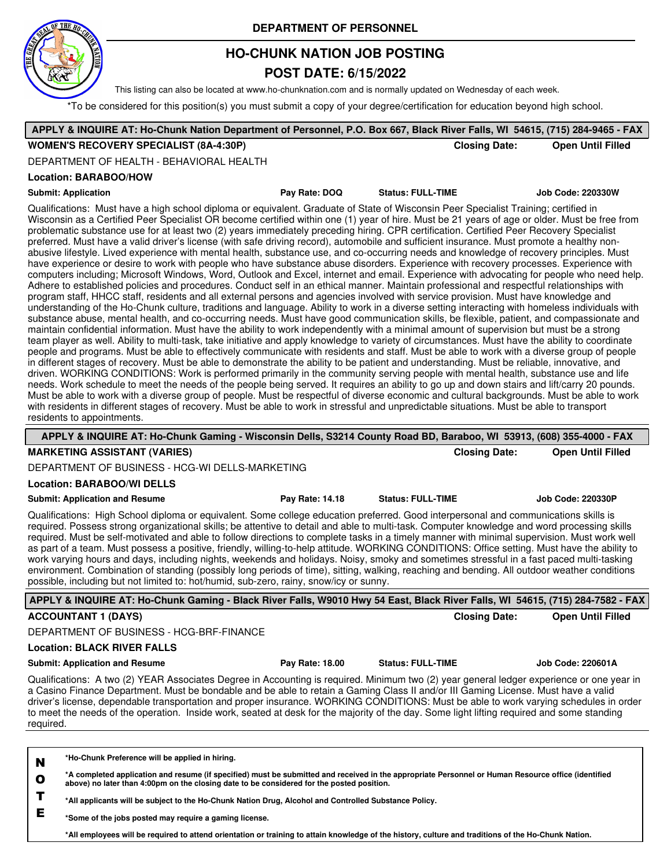

# **HO-CHUNK NATION JOB POSTING**

## **POST DATE: 6/15/2022**

This listing can also be located at www.ho-chunknation.com and is normally updated on Wednesday of each week.

\*To be considered for this position(s) you must submit a copy of your degree/certification for education beyond high school.

|           | APPLY & INQUIRE AT: Ho-Chunk Nation Department of Personnel, P.O. Box 667, Black River Falls, WI 54615, (715) 284-9465 - FAX                                                                                                                                                                                                                                                                                                                                                                                                                                                                                                                                                                                                                                                                                                                                                                                                                                                                                                                                                                                                                                                                                                                                                                                                                                                                                                                                                                                                                                                                                                                                                                                                                                                                                                                                                                                                                                                                                                                                                                                                                                                                                                                                                                                                                                                                                                                                                                                                                                                                                                                                                                                                                                                                                     |                 |                                                                                                                                                      |                      |                          |
|-----------|------------------------------------------------------------------------------------------------------------------------------------------------------------------------------------------------------------------------------------------------------------------------------------------------------------------------------------------------------------------------------------------------------------------------------------------------------------------------------------------------------------------------------------------------------------------------------------------------------------------------------------------------------------------------------------------------------------------------------------------------------------------------------------------------------------------------------------------------------------------------------------------------------------------------------------------------------------------------------------------------------------------------------------------------------------------------------------------------------------------------------------------------------------------------------------------------------------------------------------------------------------------------------------------------------------------------------------------------------------------------------------------------------------------------------------------------------------------------------------------------------------------------------------------------------------------------------------------------------------------------------------------------------------------------------------------------------------------------------------------------------------------------------------------------------------------------------------------------------------------------------------------------------------------------------------------------------------------------------------------------------------------------------------------------------------------------------------------------------------------------------------------------------------------------------------------------------------------------------------------------------------------------------------------------------------------------------------------------------------------------------------------------------------------------------------------------------------------------------------------------------------------------------------------------------------------------------------------------------------------------------------------------------------------------------------------------------------------------------------------------------------------------------------------------------------------|-----------------|------------------------------------------------------------------------------------------------------------------------------------------------------|----------------------|--------------------------|
|           | <b>WOMEN'S RECOVERY SPECIALIST (8A-4:30P)</b>                                                                                                                                                                                                                                                                                                                                                                                                                                                                                                                                                                                                                                                                                                                                                                                                                                                                                                                                                                                                                                                                                                                                                                                                                                                                                                                                                                                                                                                                                                                                                                                                                                                                                                                                                                                                                                                                                                                                                                                                                                                                                                                                                                                                                                                                                                                                                                                                                                                                                                                                                                                                                                                                                                                                                                    |                 |                                                                                                                                                      | <b>Closing Date:</b> | <b>Open Until Filled</b> |
|           | DEPARTMENT OF HEALTH - BEHAVIORAL HEALTH                                                                                                                                                                                                                                                                                                                                                                                                                                                                                                                                                                                                                                                                                                                                                                                                                                                                                                                                                                                                                                                                                                                                                                                                                                                                                                                                                                                                                                                                                                                                                                                                                                                                                                                                                                                                                                                                                                                                                                                                                                                                                                                                                                                                                                                                                                                                                                                                                                                                                                                                                                                                                                                                                                                                                                         |                 |                                                                                                                                                      |                      |                          |
|           | Location: BARABOO/HOW                                                                                                                                                                                                                                                                                                                                                                                                                                                                                                                                                                                                                                                                                                                                                                                                                                                                                                                                                                                                                                                                                                                                                                                                                                                                                                                                                                                                                                                                                                                                                                                                                                                                                                                                                                                                                                                                                                                                                                                                                                                                                                                                                                                                                                                                                                                                                                                                                                                                                                                                                                                                                                                                                                                                                                                            |                 |                                                                                                                                                      |                      |                          |
|           | <b>Submit: Application</b>                                                                                                                                                                                                                                                                                                                                                                                                                                                                                                                                                                                                                                                                                                                                                                                                                                                                                                                                                                                                                                                                                                                                                                                                                                                                                                                                                                                                                                                                                                                                                                                                                                                                                                                                                                                                                                                                                                                                                                                                                                                                                                                                                                                                                                                                                                                                                                                                                                                                                                                                                                                                                                                                                                                                                                                       | Pay Rate: DOQ   | <b>Status: FULL-TIME</b>                                                                                                                             |                      | Job Code: 220330W        |
|           | Qualifications: Must have a high school diploma or equivalent. Graduate of State of Wisconsin Peer Specialist Training; certified in<br>Wisconsin as a Certified Peer Specialist OR become certified within one (1) year of hire. Must be 21 years of age or older. Must be free from<br>problematic substance use for at least two (2) years immediately preceding hiring. CPR certification. Certified Peer Recovery Specialist<br>preferred. Must have a valid driver's license (with safe driving record), automobile and sufficient insurance. Must promote a healthy non-<br>abusive lifestyle. Lived experience with mental health, substance use, and co-occurring needs and knowledge of recovery principles. Must<br>have experience or desire to work with people who have substance abuse disorders. Experience with recovery processes. Experience with<br>computers including; Microsoft Windows, Word, Outlook and Excel, internet and email. Experience with advocating for people who need help.<br>Adhere to established policies and procedures. Conduct self in an ethical manner. Maintain professional and respectful relationships with<br>program staff, HHCC staff, residents and all external persons and agencies involved with service provision. Must have knowledge and<br>understanding of the Ho-Chunk culture, traditions and language. Ability to work in a diverse setting interacting with homeless individuals with<br>substance abuse, mental health, and co-occurring needs. Must have good communication skills, be flexible, patient, and compassionate and<br>maintain confidential information. Must have the ability to work independently with a minimal amount of supervision but must be a strong<br>team player as well. Ability to multi-task, take initiative and apply knowledge to variety of circumstances. Must have the ability to coordinate<br>people and programs. Must be able to effectively communicate with residents and staff. Must be able to work with a diverse group of people<br>in different stages of recovery. Must be able to demonstrate the ability to be patient and understanding. Must be reliable, innovative, and<br>driven. WORKING CONDITIONS: Work is performed primarily in the community serving people with mental health, substance use and life<br>needs. Work schedule to meet the needs of the people being served. It requires an ability to go up and down stairs and lift/carry 20 pounds.<br>Must be able to work with a diverse group of people. Must be respectful of diverse economic and cultural backgrounds. Must be able to work<br>with residents in different stages of recovery. Must be able to work in stressful and unpredictable situations. Must be able to transport<br>residents to appointments. |                 |                                                                                                                                                      |                      |                          |
|           | APPLY & INQUIRE AT: Ho-Chunk Gaming - Wisconsin Dells, S3214 County Road BD, Baraboo, WI 53913, (608) 355-4000 - FAX                                                                                                                                                                                                                                                                                                                                                                                                                                                                                                                                                                                                                                                                                                                                                                                                                                                                                                                                                                                                                                                                                                                                                                                                                                                                                                                                                                                                                                                                                                                                                                                                                                                                                                                                                                                                                                                                                                                                                                                                                                                                                                                                                                                                                                                                                                                                                                                                                                                                                                                                                                                                                                                                                             |                 |                                                                                                                                                      |                      |                          |
|           | <b>MARKETING ASSISTANT (VARIES)</b>                                                                                                                                                                                                                                                                                                                                                                                                                                                                                                                                                                                                                                                                                                                                                                                                                                                                                                                                                                                                                                                                                                                                                                                                                                                                                                                                                                                                                                                                                                                                                                                                                                                                                                                                                                                                                                                                                                                                                                                                                                                                                                                                                                                                                                                                                                                                                                                                                                                                                                                                                                                                                                                                                                                                                                              |                 |                                                                                                                                                      | <b>Closing Date:</b> | <b>Open Until Filled</b> |
|           | DEPARTMENT OF BUSINESS - HCG-WI DELLS-MARKETING                                                                                                                                                                                                                                                                                                                                                                                                                                                                                                                                                                                                                                                                                                                                                                                                                                                                                                                                                                                                                                                                                                                                                                                                                                                                                                                                                                                                                                                                                                                                                                                                                                                                                                                                                                                                                                                                                                                                                                                                                                                                                                                                                                                                                                                                                                                                                                                                                                                                                                                                                                                                                                                                                                                                                                  |                 |                                                                                                                                                      |                      |                          |
|           | <b>Location: BARABOO/WI DELLS</b>                                                                                                                                                                                                                                                                                                                                                                                                                                                                                                                                                                                                                                                                                                                                                                                                                                                                                                                                                                                                                                                                                                                                                                                                                                                                                                                                                                                                                                                                                                                                                                                                                                                                                                                                                                                                                                                                                                                                                                                                                                                                                                                                                                                                                                                                                                                                                                                                                                                                                                                                                                                                                                                                                                                                                                                |                 |                                                                                                                                                      |                      |                          |
|           | <b>Submit: Application and Resume</b>                                                                                                                                                                                                                                                                                                                                                                                                                                                                                                                                                                                                                                                                                                                                                                                                                                                                                                                                                                                                                                                                                                                                                                                                                                                                                                                                                                                                                                                                                                                                                                                                                                                                                                                                                                                                                                                                                                                                                                                                                                                                                                                                                                                                                                                                                                                                                                                                                                                                                                                                                                                                                                                                                                                                                                            | Pay Rate: 14.18 | <b>Status: FULL-TIME</b>                                                                                                                             |                      | <b>Job Code: 220330P</b> |
|           | Qualifications: High School diploma or equivalent. Some college education preferred. Good interpersonal and communications skills is<br>required. Possess strong organizational skills; be attentive to detail and able to multi-task. Computer knowledge and word processing skills<br>required. Must be self-motivated and able to follow directions to complete tasks in a timely manner with minimal supervision. Must work well<br>as part of a team. Must possess a positive, friendly, willing-to-help attitude. WORKING CONDITIONS: Office setting. Must have the ability to<br>work varying hours and days, including nights, weekends and holidays. Noisy, smoky and sometimes stressful in a fast paced multi-tasking<br>environment. Combination of standing (possibly long periods of time), sitting, walking, reaching and bending. All outdoor weather conditions<br>possible, including but not limited to: hot/humid, sub-zero, rainy, snow/icy or sunny.                                                                                                                                                                                                                                                                                                                                                                                                                                                                                                                                                                                                                                                                                                                                                                                                                                                                                                                                                                                                                                                                                                                                                                                                                                                                                                                                                                                                                                                                                                                                                                                                                                                                                                                                                                                                                                       |                 |                                                                                                                                                      |                      |                          |
|           | APPLY & INQUIRE AT: Ho-Chunk Gaming - Black River Falls, W9010 Hwy 54 East, Black River Falls, WI 54615, (715) 284-7582 - FAX                                                                                                                                                                                                                                                                                                                                                                                                                                                                                                                                                                                                                                                                                                                                                                                                                                                                                                                                                                                                                                                                                                                                                                                                                                                                                                                                                                                                                                                                                                                                                                                                                                                                                                                                                                                                                                                                                                                                                                                                                                                                                                                                                                                                                                                                                                                                                                                                                                                                                                                                                                                                                                                                                    |                 |                                                                                                                                                      |                      |                          |
|           | <b>ACCOUNTANT 1 (DAYS)</b>                                                                                                                                                                                                                                                                                                                                                                                                                                                                                                                                                                                                                                                                                                                                                                                                                                                                                                                                                                                                                                                                                                                                                                                                                                                                                                                                                                                                                                                                                                                                                                                                                                                                                                                                                                                                                                                                                                                                                                                                                                                                                                                                                                                                                                                                                                                                                                                                                                                                                                                                                                                                                                                                                                                                                                                       |                 |                                                                                                                                                      | <b>Closing Date:</b> | <b>Open Until Filled</b> |
|           | DEPARTMENT OF BUSINESS - HCG-BRF-FINANCE                                                                                                                                                                                                                                                                                                                                                                                                                                                                                                                                                                                                                                                                                                                                                                                                                                                                                                                                                                                                                                                                                                                                                                                                                                                                                                                                                                                                                                                                                                                                                                                                                                                                                                                                                                                                                                                                                                                                                                                                                                                                                                                                                                                                                                                                                                                                                                                                                                                                                                                                                                                                                                                                                                                                                                         |                 |                                                                                                                                                      |                      |                          |
|           | <b>Location: BLACK RIVER FALLS</b>                                                                                                                                                                                                                                                                                                                                                                                                                                                                                                                                                                                                                                                                                                                                                                                                                                                                                                                                                                                                                                                                                                                                                                                                                                                                                                                                                                                                                                                                                                                                                                                                                                                                                                                                                                                                                                                                                                                                                                                                                                                                                                                                                                                                                                                                                                                                                                                                                                                                                                                                                                                                                                                                                                                                                                               |                 |                                                                                                                                                      |                      |                          |
|           | <b>Submit: Application and Resume</b>                                                                                                                                                                                                                                                                                                                                                                                                                                                                                                                                                                                                                                                                                                                                                                                                                                                                                                                                                                                                                                                                                                                                                                                                                                                                                                                                                                                                                                                                                                                                                                                                                                                                                                                                                                                                                                                                                                                                                                                                                                                                                                                                                                                                                                                                                                                                                                                                                                                                                                                                                                                                                                                                                                                                                                            | Pay Rate: 18.00 | <b>Status: FULL-TIME</b>                                                                                                                             |                      | Job Code: 220601A        |
| required. | Qualifications: A two (2) YEAR Associates Degree in Accounting is required. Minimum two (2) year general ledger experience or one year in<br>a Casino Finance Department. Must be bondable and be able to retain a Gaming Class II and/or III Gaming License. Must have a valid<br>driver's license, dependable transportation and proper insurance. WORKING CONDITIONS: Must be able to work varying schedules in order<br>to meet the needs of the operation. Inside work, seated at desk for the majority of the day. Some light lifting required and some standing                                                                                                                                                                                                                                                                                                                                                                                                                                                                                                                                                                                                                                                                                                                                                                                                                                                                                                                                                                                                                                                                                                                                                                                                                                                                                                                                                                                                                                                                                                                                                                                                                                                                                                                                                                                                                                                                                                                                                                                                                                                                                                                                                                                                                                           |                 |                                                                                                                                                      |                      |                          |
|           |                                                                                                                                                                                                                                                                                                                                                                                                                                                                                                                                                                                                                                                                                                                                                                                                                                                                                                                                                                                                                                                                                                                                                                                                                                                                                                                                                                                                                                                                                                                                                                                                                                                                                                                                                                                                                                                                                                                                                                                                                                                                                                                                                                                                                                                                                                                                                                                                                                                                                                                                                                                                                                                                                                                                                                                                                  |                 |                                                                                                                                                      |                      |                          |
| N         | *Ho-Chunk Preference will be applied in hiring.                                                                                                                                                                                                                                                                                                                                                                                                                                                                                                                                                                                                                                                                                                                                                                                                                                                                                                                                                                                                                                                                                                                                                                                                                                                                                                                                                                                                                                                                                                                                                                                                                                                                                                                                                                                                                                                                                                                                                                                                                                                                                                                                                                                                                                                                                                                                                                                                                                                                                                                                                                                                                                                                                                                                                                  |                 |                                                                                                                                                      |                      |                          |
| $\bullet$ | *A completed application and resume (if specified) must be submitted and received in the appropriate Personnel or Human Resource office (identified<br>above) no later than 4:00pm on the closing date to be considered for the posted position.                                                                                                                                                                                                                                                                                                                                                                                                                                                                                                                                                                                                                                                                                                                                                                                                                                                                                                                                                                                                                                                                                                                                                                                                                                                                                                                                                                                                                                                                                                                                                                                                                                                                                                                                                                                                                                                                                                                                                                                                                                                                                                                                                                                                                                                                                                                                                                                                                                                                                                                                                                 |                 |                                                                                                                                                      |                      |                          |
| T         | *All applicants will be subject to the Ho-Chunk Nation Drug, Alcohol and Controlled Substance Policy.                                                                                                                                                                                                                                                                                                                                                                                                                                                                                                                                                                                                                                                                                                                                                                                                                                                                                                                                                                                                                                                                                                                                                                                                                                                                                                                                                                                                                                                                                                                                                                                                                                                                                                                                                                                                                                                                                                                                                                                                                                                                                                                                                                                                                                                                                                                                                                                                                                                                                                                                                                                                                                                                                                            |                 |                                                                                                                                                      |                      |                          |
| E         | *Some of the jobs posted may require a gaming license.                                                                                                                                                                                                                                                                                                                                                                                                                                                                                                                                                                                                                                                                                                                                                                                                                                                                                                                                                                                                                                                                                                                                                                                                                                                                                                                                                                                                                                                                                                                                                                                                                                                                                                                                                                                                                                                                                                                                                                                                                                                                                                                                                                                                                                                                                                                                                                                                                                                                                                                                                                                                                                                                                                                                                           |                 |                                                                                                                                                      |                      |                          |
|           |                                                                                                                                                                                                                                                                                                                                                                                                                                                                                                                                                                                                                                                                                                                                                                                                                                                                                                                                                                                                                                                                                                                                                                                                                                                                                                                                                                                                                                                                                                                                                                                                                                                                                                                                                                                                                                                                                                                                                                                                                                                                                                                                                                                                                                                                                                                                                                                                                                                                                                                                                                                                                                                                                                                                                                                                                  |                 | *All employees will be required to attend orientation or training to attain knowledge of the history, culture and traditions of the Ho-Chunk Nation. |                      |                          |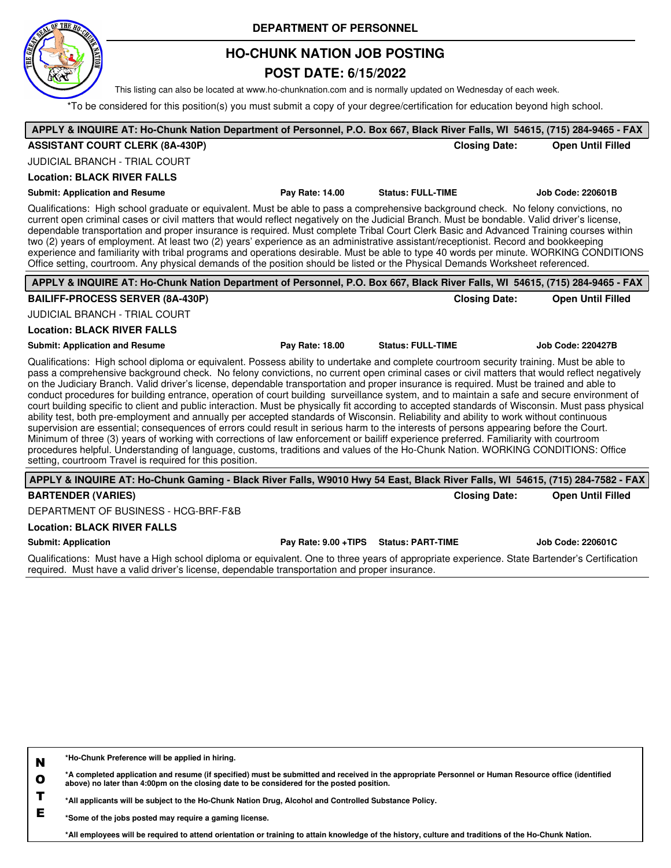

## **HO-CHUNK NATION JOB POSTING**

### **POST DATE: 6/15/2022**

This listing can also be located at www.ho-chunknation.com and is normally updated on Wednesday of each week.

\*To be considered for this position(s) you must submit a copy of your degree/certification for education beyond high school.

| APPLY & INQUIRE AT: Ho-Chunk Nation Department of Personnel, P.O. Box 667, Black River Falls, WI 54615, (715) 284-9465 - FAX                                                                                                                                                                                                                                                                                                                                                                                                                                                                                                                                                                                                                                                                                                                                                                                                                                                                                                                                                                                                                                                                                                                                                                                                                                          |                 |                          |                          |
|-----------------------------------------------------------------------------------------------------------------------------------------------------------------------------------------------------------------------------------------------------------------------------------------------------------------------------------------------------------------------------------------------------------------------------------------------------------------------------------------------------------------------------------------------------------------------------------------------------------------------------------------------------------------------------------------------------------------------------------------------------------------------------------------------------------------------------------------------------------------------------------------------------------------------------------------------------------------------------------------------------------------------------------------------------------------------------------------------------------------------------------------------------------------------------------------------------------------------------------------------------------------------------------------------------------------------------------------------------------------------|-----------------|--------------------------|--------------------------|
| <b>ASSISTANT COURT CLERK (8A-430P)</b>                                                                                                                                                                                                                                                                                                                                                                                                                                                                                                                                                                                                                                                                                                                                                                                                                                                                                                                                                                                                                                                                                                                                                                                                                                                                                                                                |                 | <b>Closing Date:</b>     | <b>Open Until Filled</b> |
| <b>JUDICIAL BRANCH - TRIAL COURT</b>                                                                                                                                                                                                                                                                                                                                                                                                                                                                                                                                                                                                                                                                                                                                                                                                                                                                                                                                                                                                                                                                                                                                                                                                                                                                                                                                  |                 |                          |                          |
| <b>Location: BLACK RIVER FALLS</b>                                                                                                                                                                                                                                                                                                                                                                                                                                                                                                                                                                                                                                                                                                                                                                                                                                                                                                                                                                                                                                                                                                                                                                                                                                                                                                                                    |                 |                          |                          |
| <b>Submit: Application and Resume</b>                                                                                                                                                                                                                                                                                                                                                                                                                                                                                                                                                                                                                                                                                                                                                                                                                                                                                                                                                                                                                                                                                                                                                                                                                                                                                                                                 | Pay Rate: 14.00 | <b>Status: FULL-TIME</b> | <b>Job Code: 220601B</b> |
| Qualifications: High school graduate or equivalent. Must be able to pass a comprehensive background check. No felony convictions, no<br>current open criminal cases or civil matters that would reflect negatively on the Judicial Branch. Must be bondable. Valid driver's license,<br>dependable transportation and proper insurance is required. Must complete Tribal Court Clerk Basic and Advanced Training courses within<br>two (2) years of employment. At least two (2) years' experience as an administrative assistant/receptionist. Record and bookkeeping<br>experience and familiarity with tribal programs and operations desirable. Must be able to type 40 words per minute. WORKING CONDITIONS<br>Office setting, courtroom. Any physical demands of the position should be listed or the Physical Demands Worksheet referenced.                                                                                                                                                                                                                                                                                                                                                                                                                                                                                                                    |                 |                          |                          |
| APPLY & INQUIRE AT: Ho-Chunk Nation Department of Personnel, P.O. Box 667, Black River Falls, WI 54615, (715) 284-9465 - FAX                                                                                                                                                                                                                                                                                                                                                                                                                                                                                                                                                                                                                                                                                                                                                                                                                                                                                                                                                                                                                                                                                                                                                                                                                                          |                 |                          |                          |
| <b>BAILIFF-PROCESS SERVER (8A-430P)</b>                                                                                                                                                                                                                                                                                                                                                                                                                                                                                                                                                                                                                                                                                                                                                                                                                                                                                                                                                                                                                                                                                                                                                                                                                                                                                                                               |                 | <b>Closing Date:</b>     | <b>Open Until Filled</b> |
| <b>JUDICIAL BRANCH - TRIAL COURT</b>                                                                                                                                                                                                                                                                                                                                                                                                                                                                                                                                                                                                                                                                                                                                                                                                                                                                                                                                                                                                                                                                                                                                                                                                                                                                                                                                  |                 |                          |                          |
| <b>Location: BLACK RIVER FALLS</b>                                                                                                                                                                                                                                                                                                                                                                                                                                                                                                                                                                                                                                                                                                                                                                                                                                                                                                                                                                                                                                                                                                                                                                                                                                                                                                                                    |                 |                          |                          |
| <b>Submit: Application and Resume</b>                                                                                                                                                                                                                                                                                                                                                                                                                                                                                                                                                                                                                                                                                                                                                                                                                                                                                                                                                                                                                                                                                                                                                                                                                                                                                                                                 | Pay Rate: 18.00 | <b>Status: FULL-TIME</b> | <b>Job Code: 220427B</b> |
| Qualifications: High school diploma or equivalent. Possess ability to undertake and complete courtroom security training. Must be able to<br>pass a comprehensive background check. No felony convictions, no current open criminal cases or civil matters that would reflect negatively<br>on the Judiciary Branch. Valid driver's license, dependable transportation and proper insurance is required. Must be trained and able to<br>conduct procedures for building entrance, operation of court building surveillance system, and to maintain a safe and secure environment of<br>court building specific to client and public interaction. Must be physically fit according to accepted standards of Wisconsin. Must pass physical<br>ability test, both pre-employment and annually per accepted standards of Wisconsin. Reliability and ability to work without continuous<br>supervision are essential; consequences of errors could result in serious harm to the interests of persons appearing before the Court.<br>Minimum of three (3) years of working with corrections of law enforcement or bailiff experience preferred. Familiarity with courtroom<br>procedures helpful. Understanding of language, customs, traditions and values of the Ho-Chunk Nation. WORKING CONDITIONS: Office<br>setting, courtroom Travel is required for this position. |                 |                          |                          |
| APPLY & INQUIRE AT: Ho-Chunk Gaming - Black River Falls, W9010 Hwy 54 East, Black River Falls, WI 54615, (715) 284-7582 - FAX                                                                                                                                                                                                                                                                                                                                                                                                                                                                                                                                                                                                                                                                                                                                                                                                                                                                                                                                                                                                                                                                                                                                                                                                                                         |                 |                          |                          |
| <b>BARTENDER (VARIES)</b>                                                                                                                                                                                                                                                                                                                                                                                                                                                                                                                                                                                                                                                                                                                                                                                                                                                                                                                                                                                                                                                                                                                                                                                                                                                                                                                                             |                 | <b>Closing Date:</b>     | <b>Open Until Filled</b> |
| DEPARTMENT OF BUSINESS - HCG-BRF-F&B                                                                                                                                                                                                                                                                                                                                                                                                                                                                                                                                                                                                                                                                                                                                                                                                                                                                                                                                                                                                                                                                                                                                                                                                                                                                                                                                  |                 |                          |                          |

#### **Location: BLACK RIVER FALLS**

**Submit: Application Pay Rate: 9.00 +TIPS Status: PART-TIME Job Code: 220601C**

Qualifications: Must have a High school diploma or equivalent. One to three years of appropriate experience. State Bartender's Certification required. Must have a valid driver's license, dependable transportation and proper insurance.

**N \*Ho-Chunk Preference will be applied in hiring.**

**O \*A completed application and resume (if specified) must be submitted and received in the appropriate Personnel or Human Resource office (identified above) no later than 4:00pm on the closing date to be considered for the posted position.**

**T \*All applicants will be subject to the Ho-Chunk Nation Drug, Alcohol and Controlled Substance Policy.**

**E \*Some of the jobs posted may require a gaming license.**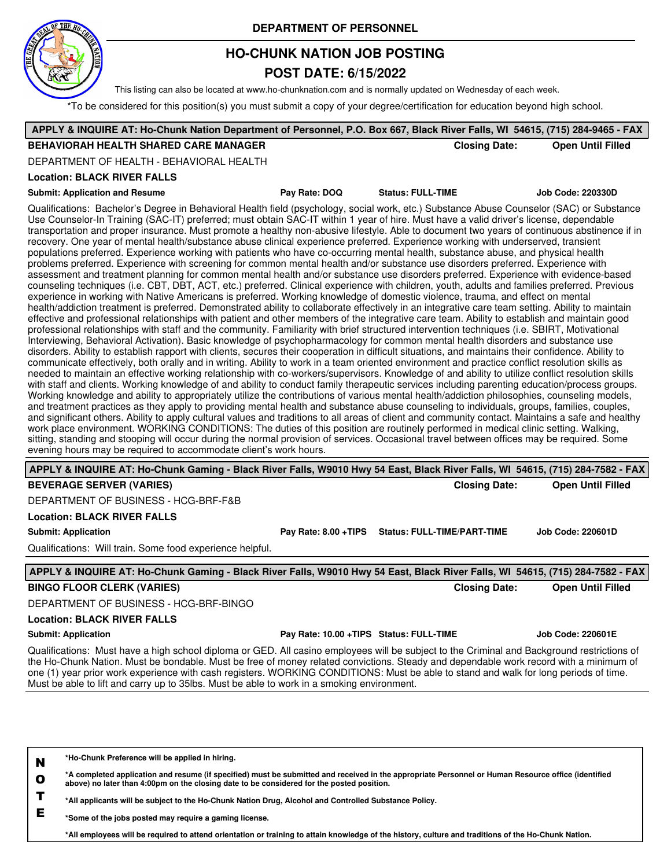

# **HO-CHUNK NATION JOB POSTING**

### **POST DATE: 6/15/2022**

This listing can also be located at www.ho-chunknation.com and is normally updated on Wednesday of each week.

\*To be considered for this position(s) you must submit a copy of your degree/certification for education beyond high school.

| APPLY & INQUIRE AT: Ho-Chunk Nation Department of Personnel, P.O. Box 667, Black River Falls, WI 54615, (715) 284-9465 - FAX                                                                                                                                                                                                                                                                                                                                                                                                                                                                                                                                                                                                                                                                                                                                                                                                                                                                                                                                                                                                                                                                                                                                                                                                                                                                                                                                                                                                                                                                                                                                                                                                                                                                                                                                                                                                                                                                                                                                                                                                                                                                                                                                                                                                                                                                                                                                                                                                                                                                                                                                                                                                                                                                                                                                                                                                                                                                                                                                                                                                                                                                                                                                                                     |                                         |                                    |                      |                          |
|--------------------------------------------------------------------------------------------------------------------------------------------------------------------------------------------------------------------------------------------------------------------------------------------------------------------------------------------------------------------------------------------------------------------------------------------------------------------------------------------------------------------------------------------------------------------------------------------------------------------------------------------------------------------------------------------------------------------------------------------------------------------------------------------------------------------------------------------------------------------------------------------------------------------------------------------------------------------------------------------------------------------------------------------------------------------------------------------------------------------------------------------------------------------------------------------------------------------------------------------------------------------------------------------------------------------------------------------------------------------------------------------------------------------------------------------------------------------------------------------------------------------------------------------------------------------------------------------------------------------------------------------------------------------------------------------------------------------------------------------------------------------------------------------------------------------------------------------------------------------------------------------------------------------------------------------------------------------------------------------------------------------------------------------------------------------------------------------------------------------------------------------------------------------------------------------------------------------------------------------------------------------------------------------------------------------------------------------------------------------------------------------------------------------------------------------------------------------------------------------------------------------------------------------------------------------------------------------------------------------------------------------------------------------------------------------------------------------------------------------------------------------------------------------------------------------------------------------------------------------------------------------------------------------------------------------------------------------------------------------------------------------------------------------------------------------------------------------------------------------------------------------------------------------------------------------------------------------------------------------------------------------------------------------------|-----------------------------------------|------------------------------------|----------------------|--------------------------|
| <b>BEHAVIORAH HEALTH SHARED CARE MANAGER</b>                                                                                                                                                                                                                                                                                                                                                                                                                                                                                                                                                                                                                                                                                                                                                                                                                                                                                                                                                                                                                                                                                                                                                                                                                                                                                                                                                                                                                                                                                                                                                                                                                                                                                                                                                                                                                                                                                                                                                                                                                                                                                                                                                                                                                                                                                                                                                                                                                                                                                                                                                                                                                                                                                                                                                                                                                                                                                                                                                                                                                                                                                                                                                                                                                                                     |                                         |                                    | <b>Closing Date:</b> | <b>Open Until Filled</b> |
| DEPARTMENT OF HEALTH - BEHAVIORAL HEALTH                                                                                                                                                                                                                                                                                                                                                                                                                                                                                                                                                                                                                                                                                                                                                                                                                                                                                                                                                                                                                                                                                                                                                                                                                                                                                                                                                                                                                                                                                                                                                                                                                                                                                                                                                                                                                                                                                                                                                                                                                                                                                                                                                                                                                                                                                                                                                                                                                                                                                                                                                                                                                                                                                                                                                                                                                                                                                                                                                                                                                                                                                                                                                                                                                                                         |                                         |                                    |                      |                          |
| <b>Location: BLACK RIVER FALLS</b>                                                                                                                                                                                                                                                                                                                                                                                                                                                                                                                                                                                                                                                                                                                                                                                                                                                                                                                                                                                                                                                                                                                                                                                                                                                                                                                                                                                                                                                                                                                                                                                                                                                                                                                                                                                                                                                                                                                                                                                                                                                                                                                                                                                                                                                                                                                                                                                                                                                                                                                                                                                                                                                                                                                                                                                                                                                                                                                                                                                                                                                                                                                                                                                                                                                               |                                         |                                    |                      |                          |
| <b>Submit: Application and Resume</b>                                                                                                                                                                                                                                                                                                                                                                                                                                                                                                                                                                                                                                                                                                                                                                                                                                                                                                                                                                                                                                                                                                                                                                                                                                                                                                                                                                                                                                                                                                                                                                                                                                                                                                                                                                                                                                                                                                                                                                                                                                                                                                                                                                                                                                                                                                                                                                                                                                                                                                                                                                                                                                                                                                                                                                                                                                                                                                                                                                                                                                                                                                                                                                                                                                                            | Pay Rate: DOQ                           | <b>Status: FULL-TIME</b>           |                      | <b>Job Code: 220330D</b> |
| Qualifications: Bachelor's Degree in Behavioral Health field (psychology, social work, etc.) Substance Abuse Counselor (SAC) or Substance<br>Use Counselor-In Training (SAC-IT) preferred; must obtain SAC-IT within 1 year of hire. Must have a valid driver's license, dependable<br>transportation and proper insurance. Must promote a healthy non-abusive lifestyle. Able to document two years of continuous abstinence if in<br>recovery. One year of mental health/substance abuse clinical experience preferred. Experience working with underserved, transient<br>populations preferred. Experience working with patients who have co-occurring mental health, substance abuse, and physical health<br>problems preferred. Experience with screening for common mental health and/or substance use disorders preferred. Experience with<br>assessment and treatment planning for common mental health and/or substance use disorders preferred. Experience with evidence-based<br>counseling techniques (i.e. CBT, DBT, ACT, etc.) preferred. Clinical experience with children, youth, adults and families preferred. Previous<br>experience in working with Native Americans is preferred. Working knowledge of domestic violence, trauma, and effect on mental<br>health/addiction treatment is preferred. Demonstrated ability to collaborate effectively in an integrative care team setting. Ability to maintain<br>effective and professional relationships with patient and other members of the integrative care team. Ability to establish and maintain good<br>professional relationships with staff and the community. Familiarity with brief structured intervention techniques (i.e. SBIRT, Motivational<br>Interviewing, Behavioral Activation). Basic knowledge of psychopharmacology for common mental health disorders and substance use<br>disorders. Ability to establish rapport with clients, secures their cooperation in difficult situations, and maintains their confidence. Ability to<br>communicate effectively, both orally and in writing. Ability to work in a team oriented environment and practice conflict resolution skills as<br>needed to maintain an effective working relationship with co-workers/supervisors. Knowledge of and ability to utilize conflict resolution skills<br>with staff and clients. Working knowledge of and ability to conduct family therapeutic services including parenting education/process groups.<br>Working knowledge and ability to appropriately utilize the contributions of various mental health/addiction philosophies, counseling models,<br>and treatment practices as they apply to providing mental health and substance abuse counseling to individuals, groups, families, couples,<br>and significant others. Ability to apply cultural values and traditions to all areas of client and community contact. Maintains a safe and healthy<br>work place environment. WORKING CONDITIONS: The duties of this position are routinely performed in medical clinic setting. Walking,<br>sitting, standing and stooping will occur during the normal provision of services. Occasional travel between offices may be required. Some<br>evening hours may be required to accommodate client's work hours. |                                         |                                    |                      |                          |
| APPLY & INQUIRE AT: Ho-Chunk Gaming - Black River Falls, W9010 Hwy 54 East, Black River Falls, WI 54615, (715) 284-7582 - FAX                                                                                                                                                                                                                                                                                                                                                                                                                                                                                                                                                                                                                                                                                                                                                                                                                                                                                                                                                                                                                                                                                                                                                                                                                                                                                                                                                                                                                                                                                                                                                                                                                                                                                                                                                                                                                                                                                                                                                                                                                                                                                                                                                                                                                                                                                                                                                                                                                                                                                                                                                                                                                                                                                                                                                                                                                                                                                                                                                                                                                                                                                                                                                                    |                                         |                                    |                      |                          |
| <b>BEVERAGE SERVER (VARIES)</b>                                                                                                                                                                                                                                                                                                                                                                                                                                                                                                                                                                                                                                                                                                                                                                                                                                                                                                                                                                                                                                                                                                                                                                                                                                                                                                                                                                                                                                                                                                                                                                                                                                                                                                                                                                                                                                                                                                                                                                                                                                                                                                                                                                                                                                                                                                                                                                                                                                                                                                                                                                                                                                                                                                                                                                                                                                                                                                                                                                                                                                                                                                                                                                                                                                                                  |                                         |                                    | <b>Closing Date:</b> | <b>Open Until Filled</b> |
| DEPARTMENT OF BUSINESS - HCG-BRF-F&B                                                                                                                                                                                                                                                                                                                                                                                                                                                                                                                                                                                                                                                                                                                                                                                                                                                                                                                                                                                                                                                                                                                                                                                                                                                                                                                                                                                                                                                                                                                                                                                                                                                                                                                                                                                                                                                                                                                                                                                                                                                                                                                                                                                                                                                                                                                                                                                                                                                                                                                                                                                                                                                                                                                                                                                                                                                                                                                                                                                                                                                                                                                                                                                                                                                             |                                         |                                    |                      |                          |
| <b>Location: BLACK RIVER FALLS</b>                                                                                                                                                                                                                                                                                                                                                                                                                                                                                                                                                                                                                                                                                                                                                                                                                                                                                                                                                                                                                                                                                                                                                                                                                                                                                                                                                                                                                                                                                                                                                                                                                                                                                                                                                                                                                                                                                                                                                                                                                                                                                                                                                                                                                                                                                                                                                                                                                                                                                                                                                                                                                                                                                                                                                                                                                                                                                                                                                                                                                                                                                                                                                                                                                                                               |                                         |                                    |                      |                          |
| <b>Submit: Application</b>                                                                                                                                                                                                                                                                                                                                                                                                                                                                                                                                                                                                                                                                                                                                                                                                                                                                                                                                                                                                                                                                                                                                                                                                                                                                                                                                                                                                                                                                                                                                                                                                                                                                                                                                                                                                                                                                                                                                                                                                                                                                                                                                                                                                                                                                                                                                                                                                                                                                                                                                                                                                                                                                                                                                                                                                                                                                                                                                                                                                                                                                                                                                                                                                                                                                       | Pay Rate: 8.00 +TIPS                    | <b>Status: FULL-TIME/PART-TIME</b> |                      | <b>Job Code: 220601D</b> |
| Qualifications: Will train. Some food experience helpful.                                                                                                                                                                                                                                                                                                                                                                                                                                                                                                                                                                                                                                                                                                                                                                                                                                                                                                                                                                                                                                                                                                                                                                                                                                                                                                                                                                                                                                                                                                                                                                                                                                                                                                                                                                                                                                                                                                                                                                                                                                                                                                                                                                                                                                                                                                                                                                                                                                                                                                                                                                                                                                                                                                                                                                                                                                                                                                                                                                                                                                                                                                                                                                                                                                        |                                         |                                    |                      |                          |
| APPLY & INQUIRE AT: Ho-Chunk Gaming - Black River Falls, W9010 Hwy 54 East, Black River Falls, WI 54615, (715) 284-7582 - FAX                                                                                                                                                                                                                                                                                                                                                                                                                                                                                                                                                                                                                                                                                                                                                                                                                                                                                                                                                                                                                                                                                                                                                                                                                                                                                                                                                                                                                                                                                                                                                                                                                                                                                                                                                                                                                                                                                                                                                                                                                                                                                                                                                                                                                                                                                                                                                                                                                                                                                                                                                                                                                                                                                                                                                                                                                                                                                                                                                                                                                                                                                                                                                                    |                                         |                                    |                      |                          |
| <b>BINGO FLOOR CLERK (VARIES)</b>                                                                                                                                                                                                                                                                                                                                                                                                                                                                                                                                                                                                                                                                                                                                                                                                                                                                                                                                                                                                                                                                                                                                                                                                                                                                                                                                                                                                                                                                                                                                                                                                                                                                                                                                                                                                                                                                                                                                                                                                                                                                                                                                                                                                                                                                                                                                                                                                                                                                                                                                                                                                                                                                                                                                                                                                                                                                                                                                                                                                                                                                                                                                                                                                                                                                |                                         |                                    | <b>Closing Date:</b> | <b>Open Until Filled</b> |
| DEPARTMENT OF BUSINESS - HCG-BRF-BINGO                                                                                                                                                                                                                                                                                                                                                                                                                                                                                                                                                                                                                                                                                                                                                                                                                                                                                                                                                                                                                                                                                                                                                                                                                                                                                                                                                                                                                                                                                                                                                                                                                                                                                                                                                                                                                                                                                                                                                                                                                                                                                                                                                                                                                                                                                                                                                                                                                                                                                                                                                                                                                                                                                                                                                                                                                                                                                                                                                                                                                                                                                                                                                                                                                                                           |                                         |                                    |                      |                          |
| <b>Location: BLACK RIVER FALLS</b>                                                                                                                                                                                                                                                                                                                                                                                                                                                                                                                                                                                                                                                                                                                                                                                                                                                                                                                                                                                                                                                                                                                                                                                                                                                                                                                                                                                                                                                                                                                                                                                                                                                                                                                                                                                                                                                                                                                                                                                                                                                                                                                                                                                                                                                                                                                                                                                                                                                                                                                                                                                                                                                                                                                                                                                                                                                                                                                                                                                                                                                                                                                                                                                                                                                               |                                         |                                    |                      |                          |
| <b>Submit: Application</b>                                                                                                                                                                                                                                                                                                                                                                                                                                                                                                                                                                                                                                                                                                                                                                                                                                                                                                                                                                                                                                                                                                                                                                                                                                                                                                                                                                                                                                                                                                                                                                                                                                                                                                                                                                                                                                                                                                                                                                                                                                                                                                                                                                                                                                                                                                                                                                                                                                                                                                                                                                                                                                                                                                                                                                                                                                                                                                                                                                                                                                                                                                                                                                                                                                                                       | Pay Rate: 10.00 +TIPS Status: FULL-TIME |                                    |                      | Job Code: 220601E        |
| Qualifications: Must have a high school diploma or GED. All casino employees will be subject to the Criminal and Background restrictions of<br>the Ho-Chunk Nation. Must be bondable. Must be free of money related convictions. Steady and dependable work record with a minimum of<br>one (1) year prior work experience with cash registers. WORKING CONDITIONS: Must be able to stand and walk for long periods of time.<br>Must be able to lift and carry up to 35lbs. Must be able to work in a smoking environment.                                                                                                                                                                                                                                                                                                                                                                                                                                                                                                                                                                                                                                                                                                                                                                                                                                                                                                                                                                                                                                                                                                                                                                                                                                                                                                                                                                                                                                                                                                                                                                                                                                                                                                                                                                                                                                                                                                                                                                                                                                                                                                                                                                                                                                                                                                                                                                                                                                                                                                                                                                                                                                                                                                                                                                       |                                         |                                    |                      |                          |
|                                                                                                                                                                                                                                                                                                                                                                                                                                                                                                                                                                                                                                                                                                                                                                                                                                                                                                                                                                                                                                                                                                                                                                                                                                                                                                                                                                                                                                                                                                                                                                                                                                                                                                                                                                                                                                                                                                                                                                                                                                                                                                                                                                                                                                                                                                                                                                                                                                                                                                                                                                                                                                                                                                                                                                                                                                                                                                                                                                                                                                                                                                                                                                                                                                                                                                  |                                         |                                    |                      |                          |

**N O T \*Ho-Chunk Preference will be applied in hiring. \*A completed application and resume (if specified) must be submitted and received in the appropriate Personnel or Human Resource office (identified above) no later than 4:00pm on the closing date to be considered for the posted position. \*All applicants will be subject to the Ho-Chunk Nation Drug, Alcohol and Controlled Substance Policy.**

**E \*Some of the jobs posted may require a gaming license.**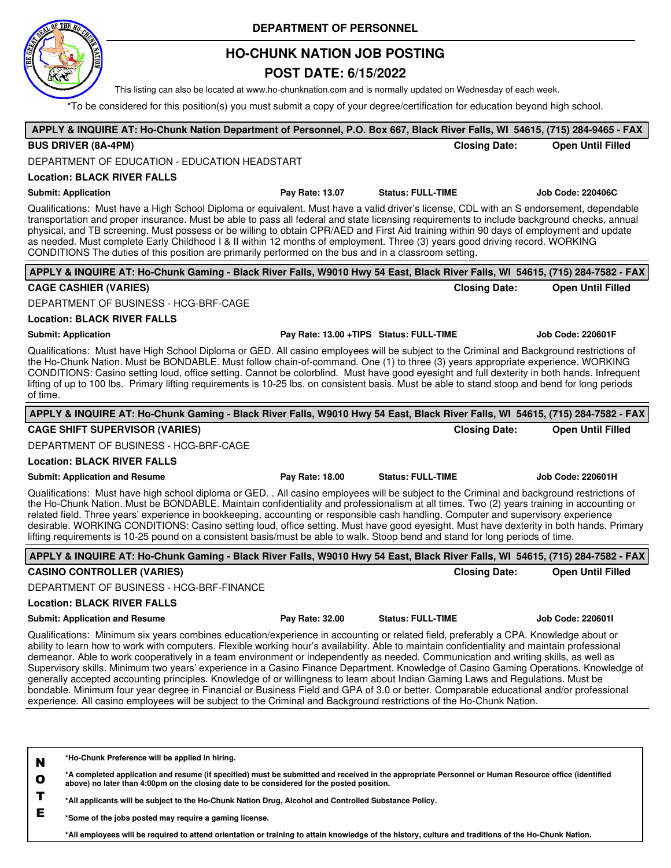# **HO-CHUNK NATION JOB POSTING DEPARTMENT OF PERSONNEL**

# **POST DATE: 6/15/2022**

This listing can also be located at www.ho-chunknation.com and is normally updated on Wednesday of each week.

\*To be considered for this position(s) you must submit a copy of your degree/certification for education beyond high school.

| APPLY & INQUIRE AT: Ho-Chunk Nation Department of Personnel, P.O. Box 667, Black River Falls, WI 54615, (715) 284-9465 - FAX                                                                                                                                                                                                                                                                                                                                                                                                                                                                                                                                                                                                                                                                                                                                                                                                                                                |                 |                                         |                          |
|-----------------------------------------------------------------------------------------------------------------------------------------------------------------------------------------------------------------------------------------------------------------------------------------------------------------------------------------------------------------------------------------------------------------------------------------------------------------------------------------------------------------------------------------------------------------------------------------------------------------------------------------------------------------------------------------------------------------------------------------------------------------------------------------------------------------------------------------------------------------------------------------------------------------------------------------------------------------------------|-----------------|-----------------------------------------|--------------------------|
| <b>BUS DRIVER (8A-4PM)</b>                                                                                                                                                                                                                                                                                                                                                                                                                                                                                                                                                                                                                                                                                                                                                                                                                                                                                                                                                  |                 | <b>Closing Date:</b>                    | <b>Open Until Filled</b> |
| DEPARTMENT OF EDUCATION - EDUCATION HEADSTART                                                                                                                                                                                                                                                                                                                                                                                                                                                                                                                                                                                                                                                                                                                                                                                                                                                                                                                               |                 |                                         |                          |
| <b>Location: BLACK RIVER FALLS</b>                                                                                                                                                                                                                                                                                                                                                                                                                                                                                                                                                                                                                                                                                                                                                                                                                                                                                                                                          |                 |                                         |                          |
| <b>Submit: Application</b>                                                                                                                                                                                                                                                                                                                                                                                                                                                                                                                                                                                                                                                                                                                                                                                                                                                                                                                                                  | Pay Rate: 13.07 | <b>Status: FULL-TIME</b>                | <b>Job Code: 220406C</b> |
| Qualifications: Must have a High School Diploma or equivalent. Must have a valid driver's license, CDL with an S endorsement, dependable<br>transportation and proper insurance. Must be able to pass all federal and state licensing requirements to include background checks, annual<br>physical, and TB screening. Must possess or be willing to obtain CPR/AED and First Aid training within 90 days of employment and update<br>as needed. Must complete Early Childhood I & II within 12 months of employment. Three (3) years good driving record. WORKING<br>CONDITIONS The duties of this position are primarily performed on the bus and in a classroom setting.                                                                                                                                                                                                                                                                                                 |                 |                                         |                          |
| APPLY & INQUIRE AT: Ho-Chunk Gaming - Black River Falls, W9010 Hwy 54 East, Black River Falls, WI 54615, (715) 284-7582 - FAX                                                                                                                                                                                                                                                                                                                                                                                                                                                                                                                                                                                                                                                                                                                                                                                                                                               |                 |                                         |                          |
| <b>CAGE CASHIER (VARIES)</b>                                                                                                                                                                                                                                                                                                                                                                                                                                                                                                                                                                                                                                                                                                                                                                                                                                                                                                                                                |                 | <b>Closing Date:</b>                    | <b>Open Until Filled</b> |
| DEPARTMENT OF BUSINESS - HCG-BRF-CAGE                                                                                                                                                                                                                                                                                                                                                                                                                                                                                                                                                                                                                                                                                                                                                                                                                                                                                                                                       |                 |                                         |                          |
| <b>Location: BLACK RIVER FALLS</b>                                                                                                                                                                                                                                                                                                                                                                                                                                                                                                                                                                                                                                                                                                                                                                                                                                                                                                                                          |                 |                                         |                          |
| <b>Submit: Application</b>                                                                                                                                                                                                                                                                                                                                                                                                                                                                                                                                                                                                                                                                                                                                                                                                                                                                                                                                                  |                 | Pay Rate: 13.00 +TIPS Status: FULL-TIME | <b>Job Code: 220601F</b> |
| Qualifications: Must have High School Diploma or GED. All casino employees will be subject to the Criminal and Background restrictions of<br>the Ho-Chunk Nation. Must be BONDABLE. Must follow chain-of-command. One (1) to three (3) years appropriate experience. WORKING<br>CONDITIONS: Casino setting loud, office setting. Cannot be colorblind. Must have good eyesight and full dexterity in both hands. Infrequent<br>lifting of up to 100 lbs. Primary lifting requirements is 10-25 lbs. on consistent basis. Must be able to stand stoop and bend for long periods<br>of time.                                                                                                                                                                                                                                                                                                                                                                                  |                 |                                         |                          |
| APPLY & INQUIRE AT: Ho-Chunk Gaming - Black River Falls, W9010 Hwy 54 East, Black River Falls, WI 54615, (715) 284-7582 - FAX                                                                                                                                                                                                                                                                                                                                                                                                                                                                                                                                                                                                                                                                                                                                                                                                                                               |                 |                                         |                          |
| <b>CAGE SHIFT SUPERVISOR (VARIES)</b>                                                                                                                                                                                                                                                                                                                                                                                                                                                                                                                                                                                                                                                                                                                                                                                                                                                                                                                                       |                 | <b>Closing Date:</b>                    | <b>Open Until Filled</b> |
| DEPARTMENT OF BUSINESS - HCG-BRF-CAGE                                                                                                                                                                                                                                                                                                                                                                                                                                                                                                                                                                                                                                                                                                                                                                                                                                                                                                                                       |                 |                                         |                          |
| <b>Location: BLACK RIVER FALLS</b>                                                                                                                                                                                                                                                                                                                                                                                                                                                                                                                                                                                                                                                                                                                                                                                                                                                                                                                                          |                 |                                         |                          |
| <b>Submit: Application and Resume</b>                                                                                                                                                                                                                                                                                                                                                                                                                                                                                                                                                                                                                                                                                                                                                                                                                                                                                                                                       | Pay Rate: 18.00 | <b>Status: FULL-TIME</b>                | <b>Job Code: 220601H</b> |
| Qualifications: Must have high school diploma or GED. . All casino employees will be subject to the Criminal and background restrictions of<br>the Ho-Chunk Nation. Must be BONDABLE. Maintain confidentiality and professionalism at all times. Two (2) years training in accounting or<br>related field. Three years' experience in bookkeeping, accounting or responsible cash handling. Computer and supervisory experience<br>desirable. WORKING CONDITIONS: Casino setting loud, office setting. Must have good eyesight. Must have dexterity in both hands. Primary<br>lifting requirements is 10-25 pound on a consistent basis/must be able to walk. Stoop bend and stand for long periods of time.                                                                                                                                                                                                                                                                |                 |                                         |                          |
| APPLY & INQUIRE AT: Ho-Chunk Gaming - Black River Falls, W9010 Hwy 54 East, Black River Falls, WI 54615, (715) 284-7582 - FAX                                                                                                                                                                                                                                                                                                                                                                                                                                                                                                                                                                                                                                                                                                                                                                                                                                               |                 |                                         |                          |
| <b>CASINO CONTROLLER (VARIES)</b>                                                                                                                                                                                                                                                                                                                                                                                                                                                                                                                                                                                                                                                                                                                                                                                                                                                                                                                                           |                 | <b>Closing Date:</b>                    | <b>Open Until Filled</b> |
| DEPARTMENT OF BUSINESS - HCG-BRF-FINANCE                                                                                                                                                                                                                                                                                                                                                                                                                                                                                                                                                                                                                                                                                                                                                                                                                                                                                                                                    |                 |                                         |                          |
| <b>Location: BLACK RIVER FALLS</b>                                                                                                                                                                                                                                                                                                                                                                                                                                                                                                                                                                                                                                                                                                                                                                                                                                                                                                                                          |                 |                                         |                          |
| <b>Submit: Application and Resume</b>                                                                                                                                                                                                                                                                                                                                                                                                                                                                                                                                                                                                                                                                                                                                                                                                                                                                                                                                       | Pay Rate: 32.00 | <b>Status: FULL-TIME</b>                | Job Code: 220601l        |
| Qualifications: Minimum six years combines education/experience in accounting or related field, preferably a CPA. Knowledge about or<br>ability to learn how to work with computers. Flexible working hour's availability. Able to maintain confidentiality and maintain professional<br>demeanor. Able to work cooperatively in a team environment or independently as needed. Communication and writing skills, as well as<br>Supervisory skills. Minimum two years' experience in a Casino Finance Department. Knowledge of Casino Gaming Operations. Knowledge of<br>generally accepted accounting principles. Knowledge of or willingness to learn about Indian Gaming Laws and Regulations. Must be<br>bondable. Minimum four year degree in Financial or Business Field and GPA of 3.0 or better. Comparable educational and/or professional<br>experience. All casino employees will be subject to the Criminal and Background restrictions of the Ho-Chunk Nation. |                 |                                         |                          |
| *Ho-Chunk Preference will be applied in hiring.<br>N<br>*A completed application and resume (if specified) must be submitted and received in the appropriate Personnel or Human Resource office (identified<br>$\mathbf o$<br>above) no later than 4:00pm on the closing date to be considered for the posted position.<br>T<br>*All applicants will be subject to the Ho-Chunk Nation Drug, Alcohol and Controlled Substance Policy.<br>Е<br>*Some of the jobs posted may require a gaming license                                                                                                                                                                                                                                                                                                                                                                                                                                                                         |                 |                                         |                          |

**\*Some of the jobs posted may require a gaming license.**

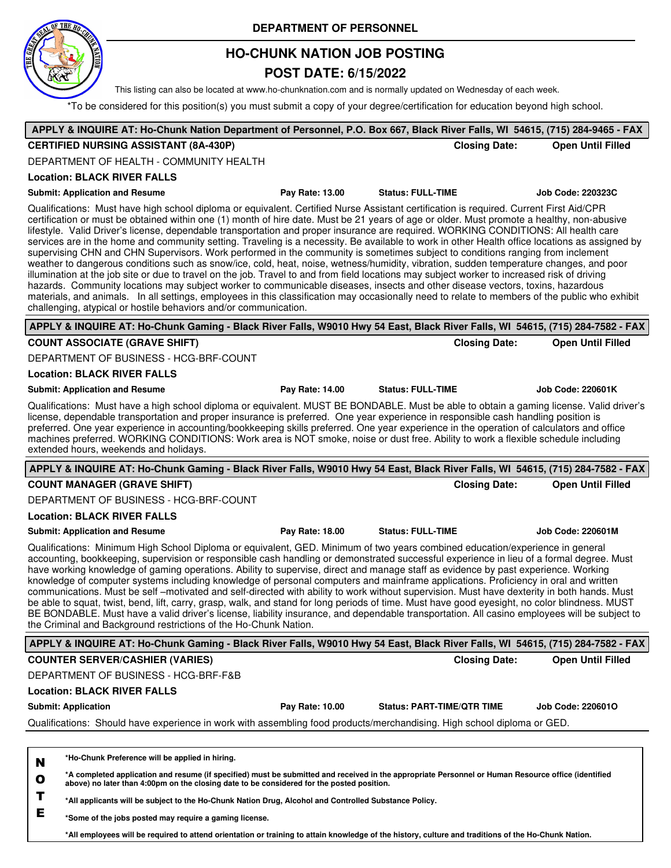

## **HO-CHUNK NATION JOB POSTING**

## **POST DATE: 6/15/2022**

This listing can also be located at www.ho-chunknation.com and is normally updated on Wednesday of each week.

\*To be considered for this position(s) you must submit a copy of your degree/certification for education beyond high school.

| APPLY & INQUIRE AT: Ho-Chunk Nation Department of Personnel, P.O. Box 667, Black River Falls, WI 54615, (715) 284-9465 - FAX                                                                                                                                                                                                                                                                                                                                                                                                                                                                                                                                                                                                                                                                                                                                                                                                                                                                                                                                                                                                                                                                                                                                                                                                                                       |                 |                                   |                      |                          |
|--------------------------------------------------------------------------------------------------------------------------------------------------------------------------------------------------------------------------------------------------------------------------------------------------------------------------------------------------------------------------------------------------------------------------------------------------------------------------------------------------------------------------------------------------------------------------------------------------------------------------------------------------------------------------------------------------------------------------------------------------------------------------------------------------------------------------------------------------------------------------------------------------------------------------------------------------------------------------------------------------------------------------------------------------------------------------------------------------------------------------------------------------------------------------------------------------------------------------------------------------------------------------------------------------------------------------------------------------------------------|-----------------|-----------------------------------|----------------------|--------------------------|
| <b>CERTIFIED NURSING ASSISTANT (8A-430P)</b>                                                                                                                                                                                                                                                                                                                                                                                                                                                                                                                                                                                                                                                                                                                                                                                                                                                                                                                                                                                                                                                                                                                                                                                                                                                                                                                       |                 |                                   | <b>Closing Date:</b> | <b>Open Until Filled</b> |
| DEPARTMENT OF HEALTH - COMMUNITY HEALTH                                                                                                                                                                                                                                                                                                                                                                                                                                                                                                                                                                                                                                                                                                                                                                                                                                                                                                                                                                                                                                                                                                                                                                                                                                                                                                                            |                 |                                   |                      |                          |
| <b>Location: BLACK RIVER FALLS</b>                                                                                                                                                                                                                                                                                                                                                                                                                                                                                                                                                                                                                                                                                                                                                                                                                                                                                                                                                                                                                                                                                                                                                                                                                                                                                                                                 |                 |                                   |                      |                          |
| <b>Submit: Application and Resume</b>                                                                                                                                                                                                                                                                                                                                                                                                                                                                                                                                                                                                                                                                                                                                                                                                                                                                                                                                                                                                                                                                                                                                                                                                                                                                                                                              | Pay Rate: 13.00 | <b>Status: FULL-TIME</b>          |                      | <b>Job Code: 220323C</b> |
| Qualifications: Must have high school diploma or equivalent. Certified Nurse Assistant certification is required. Current First Aid/CPR<br>certification or must be obtained within one (1) month of hire date. Must be 21 years of age or older. Must promote a healthy, non-abusive<br>lifestyle. Valid Driver's license, dependable transportation and proper insurance are required. WORKING CONDITIONS: All health care<br>services are in the home and community setting. Traveling is a necessity. Be available to work in other Health office locations as assigned by<br>supervising CHN and CHN Supervisors. Work performed in the community is sometimes subject to conditions ranging from inclement<br>weather to dangerous conditions such as snow/ice, cold, heat, noise, wetness/humidity, vibration, sudden temperature changes, and poor<br>illumination at the job site or due to travel on the job. Travel to and from field locations may subject worker to increased risk of driving<br>hazards. Community locations may subject worker to communicable diseases, insects and other disease vectors, toxins, hazardous<br>materials, and animals. In all settings, employees in this classification may occasionally need to relate to members of the public who exhibit<br>challenging, atypical or hostile behaviors and/or communication. |                 |                                   |                      |                          |
| APPLY & INQUIRE AT: Ho-Chunk Gaming - Black River Falls, W9010 Hwy 54 East, Black River Falls, WI 54615, (715) 284-7582 - FAX                                                                                                                                                                                                                                                                                                                                                                                                                                                                                                                                                                                                                                                                                                                                                                                                                                                                                                                                                                                                                                                                                                                                                                                                                                      |                 |                                   |                      |                          |
| <b>COUNT ASSOCIATE (GRAVE SHIFT)</b>                                                                                                                                                                                                                                                                                                                                                                                                                                                                                                                                                                                                                                                                                                                                                                                                                                                                                                                                                                                                                                                                                                                                                                                                                                                                                                                               |                 |                                   | <b>Closing Date:</b> | <b>Open Until Filled</b> |
| DEPARTMENT OF BUSINESS - HCG-BRF-COUNT                                                                                                                                                                                                                                                                                                                                                                                                                                                                                                                                                                                                                                                                                                                                                                                                                                                                                                                                                                                                                                                                                                                                                                                                                                                                                                                             |                 |                                   |                      |                          |
| <b>Location: BLACK RIVER FALLS</b>                                                                                                                                                                                                                                                                                                                                                                                                                                                                                                                                                                                                                                                                                                                                                                                                                                                                                                                                                                                                                                                                                                                                                                                                                                                                                                                                 |                 |                                   |                      |                          |
| <b>Submit: Application and Resume</b>                                                                                                                                                                                                                                                                                                                                                                                                                                                                                                                                                                                                                                                                                                                                                                                                                                                                                                                                                                                                                                                                                                                                                                                                                                                                                                                              | Pay Rate: 14.00 | <b>Status: FULL-TIME</b>          |                      | <b>Job Code: 220601K</b> |
| Qualifications: Must have a high school diploma or equivalent. MUST BE BONDABLE. Must be able to obtain a gaming license. Valid driver's<br>license, dependable transportation and proper insurance is preferred. One year experience in responsible cash handling position is<br>preferred. One year experience in accounting/bookkeeping skills preferred. One year experience in the operation of calculators and office<br>machines preferred. WORKING CONDITIONS: Work area is NOT smoke, noise or dust free. Ability to work a flexible schedule including<br>extended hours, weekends and holidays.                                                                                                                                                                                                                                                                                                                                                                                                                                                                                                                                                                                                                                                                                                                                                         |                 |                                   |                      |                          |
| APPLY & INQUIRE AT: Ho-Chunk Gaming - Black River Falls, W9010 Hwy 54 East, Black River Falls, WI 54615, (715) 284-7582 - FAX                                                                                                                                                                                                                                                                                                                                                                                                                                                                                                                                                                                                                                                                                                                                                                                                                                                                                                                                                                                                                                                                                                                                                                                                                                      |                 |                                   |                      |                          |
| <b>COUNT MANAGER (GRAVE SHIFT)</b>                                                                                                                                                                                                                                                                                                                                                                                                                                                                                                                                                                                                                                                                                                                                                                                                                                                                                                                                                                                                                                                                                                                                                                                                                                                                                                                                 |                 |                                   | <b>Closing Date:</b> | <b>Open Until Filled</b> |
| DEPARTMENT OF BUSINESS - HCG-BRF-COUNT                                                                                                                                                                                                                                                                                                                                                                                                                                                                                                                                                                                                                                                                                                                                                                                                                                                                                                                                                                                                                                                                                                                                                                                                                                                                                                                             |                 |                                   |                      |                          |
| <b>Location: BLACK RIVER FALLS</b>                                                                                                                                                                                                                                                                                                                                                                                                                                                                                                                                                                                                                                                                                                                                                                                                                                                                                                                                                                                                                                                                                                                                                                                                                                                                                                                                 |                 |                                   |                      |                          |
| <b>Submit: Application and Resume</b>                                                                                                                                                                                                                                                                                                                                                                                                                                                                                                                                                                                                                                                                                                                                                                                                                                                                                                                                                                                                                                                                                                                                                                                                                                                                                                                              | Pay Rate: 18.00 | <b>Status: FULL-TIME</b>          |                      | <b>Job Code: 220601M</b> |
| Qualifications: Minimum High School Diploma or equivalent, GED. Minimum of two years combined education/experience in general<br>accounting, bookkeeping, supervision or responsible cash handling or demonstrated successful experience in lieu of a formal degree. Must<br>have working knowledge of gaming operations. Ability to supervise, direct and manage staff as evidence by past experience. Working<br>knowledge of computer systems including knowledge of personal computers and mainframe applications. Proficiency in oral and written<br>communications. Must be self -motivated and self-directed with ability to work without supervision. Must have dexterity in both hands. Must<br>be able to squat, twist, bend, lift, carry, grasp, walk, and stand for long periods of time. Must have good eyesight, no color blindness. MUST<br>BE BONDABLE. Must have a valid driver's license, liability insurance, and dependable transportation. All casino employees will be subject to<br>the Criminal and Background restrictions of the Ho-Chunk Nation.                                                                                                                                                                                                                                                                                        |                 |                                   |                      |                          |
| APPLY & INQUIRE AT: Ho-Chunk Gaming - Black River Falls, W9010 Hwy 54 East, Black River Falls, WI 54615, (715) 284-7582 - FAX                                                                                                                                                                                                                                                                                                                                                                                                                                                                                                                                                                                                                                                                                                                                                                                                                                                                                                                                                                                                                                                                                                                                                                                                                                      |                 |                                   |                      |                          |
| <b>COUNTER SERVER/CASHIER (VARIES)</b>                                                                                                                                                                                                                                                                                                                                                                                                                                                                                                                                                                                                                                                                                                                                                                                                                                                                                                                                                                                                                                                                                                                                                                                                                                                                                                                             |                 |                                   | <b>Closing Date:</b> | <b>Open Until Filled</b> |
| DEPARTMENT OF BUSINESS - HCG-BRF-F&B                                                                                                                                                                                                                                                                                                                                                                                                                                                                                                                                                                                                                                                                                                                                                                                                                                                                                                                                                                                                                                                                                                                                                                                                                                                                                                                               |                 |                                   |                      |                          |
| <b>Location: BLACK RIVER FALLS</b>                                                                                                                                                                                                                                                                                                                                                                                                                                                                                                                                                                                                                                                                                                                                                                                                                                                                                                                                                                                                                                                                                                                                                                                                                                                                                                                                 |                 |                                   |                      |                          |
| <b>Submit: Application</b>                                                                                                                                                                                                                                                                                                                                                                                                                                                                                                                                                                                                                                                                                                                                                                                                                                                                                                                                                                                                                                                                                                                                                                                                                                                                                                                                         | Pay Rate: 10.00 | <b>Status: PART-TIME/QTR TIME</b> |                      | <b>Job Code: 2206010</b> |
| Qualifications: Should have experience in work with assembling food products/merchandising. High school diploma or GED.                                                                                                                                                                                                                                                                                                                                                                                                                                                                                                                                                                                                                                                                                                                                                                                                                                                                                                                                                                                                                                                                                                                                                                                                                                            |                 |                                   |                      |                          |
|                                                                                                                                                                                                                                                                                                                                                                                                                                                                                                                                                                                                                                                                                                                                                                                                                                                                                                                                                                                                                                                                                                                                                                                                                                                                                                                                                                    |                 |                                   |                      |                          |
| *Ho-Chunk Preference will be applied in hiring.<br>N<br>*A completed application and resume (if specified) must be submitted and received in the appropriate Personnel or Human Resource office (identified<br>$\mathbf o$<br>above) no later than 4:00pm on the closing date to be considered for the posted position.                                                                                                                                                                                                                                                                                                                                                                                                                                                                                                                                                                                                                                                                                                                                                                                                                                                                                                                                                                                                                                            |                 |                                   |                      |                          |
| Т<br>*All applicants will be subject to the Ho-Chunk Nation Drug, Alcohol and Controlled Substance Policy.                                                                                                                                                                                                                                                                                                                                                                                                                                                                                                                                                                                                                                                                                                                                                                                                                                                                                                                                                                                                                                                                                                                                                                                                                                                         |                 |                                   |                      |                          |

**E \*Some of the jobs posted may require a gaming license.**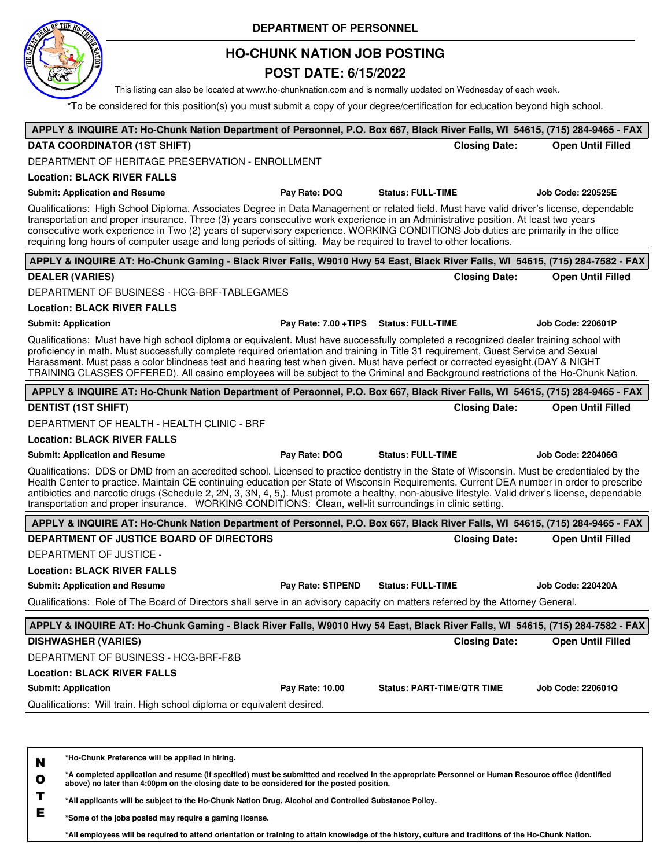

## **HO-CHUNK NATION JOB POSTING**

### **POST DATE: 6/15/2022**

This listing can also be located at www.ho-chunknation.com and is normally updated on Wednesday of each week.

\*To be considered for this position(s) you must submit a copy of your degree/certification for education beyond high school.

| APPLY & INQUIRE AT: Ho-Chunk Nation Department of Personnel, P.O. Box 667, Black River Falls, WI 54615, (715) 284-9465 - FAX                                                                                                                                                                                                                                                                                                                                                                                                                             |                                   |                          |
|----------------------------------------------------------------------------------------------------------------------------------------------------------------------------------------------------------------------------------------------------------------------------------------------------------------------------------------------------------------------------------------------------------------------------------------------------------------------------------------------------------------------------------------------------------|-----------------------------------|--------------------------|
| <b>DATA COORDINATOR (1ST SHIFT)</b>                                                                                                                                                                                                                                                                                                                                                                                                                                                                                                                      | <b>Closing Date:</b>              | <b>Open Until Filled</b> |
| DEPARTMENT OF HERITAGE PRESERVATION - ENROLLMENT                                                                                                                                                                                                                                                                                                                                                                                                                                                                                                         |                                   |                          |
| <b>Location: BLACK RIVER FALLS</b>                                                                                                                                                                                                                                                                                                                                                                                                                                                                                                                       |                                   |                          |
| Pay Rate: DOQ<br><b>Submit: Application and Resume</b><br><b>Status: FULL-TIME</b>                                                                                                                                                                                                                                                                                                                                                                                                                                                                       |                                   | <b>Job Code: 220525E</b> |
| Qualifications: High School Diploma. Associates Degree in Data Management or related field. Must have valid driver's license, dependable<br>transportation and proper insurance. Three (3) years consecutive work experience in an Administrative position. At least two years<br>consecutive work experience in Two (2) years of supervisory experience. WORKING CONDITIONS Job duties are primarily in the office<br>requiring long hours of computer usage and long periods of sitting. May be required to travel to other locations.                 |                                   |                          |
| APPLY & INQUIRE AT: Ho-Chunk Gaming - Black River Falls, W9010 Hwy 54 East, Black River Falls, WI 54615, (715) 284-7582 - FAX                                                                                                                                                                                                                                                                                                                                                                                                                            |                                   |                          |
| <b>DEALER (VARIES)</b>                                                                                                                                                                                                                                                                                                                                                                                                                                                                                                                                   | <b>Closing Date:</b>              | <b>Open Until Filled</b> |
| DEPARTMENT OF BUSINESS - HCG-BRF-TABLEGAMES                                                                                                                                                                                                                                                                                                                                                                                                                                                                                                              |                                   |                          |
| <b>Location: BLACK RIVER FALLS</b>                                                                                                                                                                                                                                                                                                                                                                                                                                                                                                                       |                                   |                          |
| <b>Submit: Application</b><br>Pay Rate: 7.00 + TIPS Status: FULL-TIME                                                                                                                                                                                                                                                                                                                                                                                                                                                                                    |                                   | <b>Job Code: 220601P</b> |
| Qualifications: Must have high school diploma or equivalent. Must have successfully completed a recognized dealer training school with<br>proficiency in math. Must successfully complete required orientation and training in Title 31 requirement, Guest Service and Sexual<br>Harassment. Must pass a color blindness test and hearing test when given. Must have perfect or corrected eyesight. (DAY & NIGHT<br>TRAINING CLASSES OFFERED). All casino employees will be subject to the Criminal and Background restrictions of the Ho-Chunk Nation.  |                                   |                          |
| APPLY & INQUIRE AT: Ho-Chunk Nation Department of Personnel, P.O. Box 667, Black River Falls, WI 54615, (715) 284-9465 - FAX                                                                                                                                                                                                                                                                                                                                                                                                                             |                                   |                          |
| <b>DENTIST (1ST SHIFT)</b>                                                                                                                                                                                                                                                                                                                                                                                                                                                                                                                               | <b>Closing Date:</b>              | <b>Open Until Filled</b> |
| DEPARTMENT OF HEALTH - HEALTH CLINIC - BRF                                                                                                                                                                                                                                                                                                                                                                                                                                                                                                               |                                   |                          |
| <b>Location: BLACK RIVER FALLS</b>                                                                                                                                                                                                                                                                                                                                                                                                                                                                                                                       |                                   |                          |
| Pay Rate: DOQ<br><b>Status: FULL-TIME</b><br><b>Submit: Application and Resume</b>                                                                                                                                                                                                                                                                                                                                                                                                                                                                       |                                   | <b>Job Code: 220406G</b> |
| Qualifications: DDS or DMD from an accredited school. Licensed to practice dentistry in the State of Wisconsin. Must be credentialed by the<br>Health Center to practice. Maintain CE continuing education per State of Wisconsin Requirements. Current DEA number in order to prescribe<br>antibiotics and narcotic drugs (Schedule 2, 2N, 3, 3N, 4, 5,). Must promote a healthy, non-abusive lifestyle. Valid driver's license, dependable<br>transportation and proper insurance. WORKING CONDITIONS: Clean, well-lit surroundings in clinic setting. |                                   |                          |
| APPLY & INQUIRE AT: Ho-Chunk Nation Department of Personnel, P.O. Box 667, Black River Falls, WI 54615, (715) 284-9465 - FAX                                                                                                                                                                                                                                                                                                                                                                                                                             |                                   |                          |
| DEPARTMENT OF JUSTICE BOARD OF DIRECTORS                                                                                                                                                                                                                                                                                                                                                                                                                                                                                                                 | <b>Closing Date:</b>              | <b>Open Until Filled</b> |
| DEPARTMENT OF JUSTICE -                                                                                                                                                                                                                                                                                                                                                                                                                                                                                                                                  |                                   |                          |
| <b>Location: BLACK RIVER FALLS</b>                                                                                                                                                                                                                                                                                                                                                                                                                                                                                                                       |                                   |                          |
| <b>Status: FULL-TIME</b><br>Pay Rate: STIPEND<br><b>Submit: Application and Resume</b>                                                                                                                                                                                                                                                                                                                                                                                                                                                                   |                                   | <b>Job Code: 220420A</b> |
| Qualifications: Role of The Board of Directors shall serve in an advisory capacity on matters referred by the Attorney General.                                                                                                                                                                                                                                                                                                                                                                                                                          |                                   |                          |
| APPLY & INQUIRE AT: Ho-Chunk Gaming - Black River Falls, W9010 Hwy 54 East, Black River Falls, WI 54615, (715) 284-7582 - FAX                                                                                                                                                                                                                                                                                                                                                                                                                            |                                   |                          |
| <b>DISHWASHER (VARIES)</b>                                                                                                                                                                                                                                                                                                                                                                                                                                                                                                                               | <b>Closing Date:</b>              | <b>Open Until Filled</b> |
| DEPARTMENT OF BUSINESS - HCG-BRF-F&B                                                                                                                                                                                                                                                                                                                                                                                                                                                                                                                     |                                   |                          |
| <b>Location: BLACK RIVER FALLS</b>                                                                                                                                                                                                                                                                                                                                                                                                                                                                                                                       |                                   |                          |
| <b>Submit: Application</b><br>Pay Rate: 10.00                                                                                                                                                                                                                                                                                                                                                                                                                                                                                                            | <b>Status: PART-TIME/QTR TIME</b> | <b>Job Code: 220601Q</b> |
| Qualifications: Will train. High school diploma or equivalent desired.                                                                                                                                                                                                                                                                                                                                                                                                                                                                                   |                                   |                          |
|                                                                                                                                                                                                                                                                                                                                                                                                                                                                                                                                                          |                                   |                          |
|                                                                                                                                                                                                                                                                                                                                                                                                                                                                                                                                                          |                                   |                          |

**N \*Ho-Chunk Preference will be applied in hiring.**

**O \*A completed application and resume (if specified) must be submitted and received in the appropriate Personnel or Human Resource office (identified above) no later than 4:00pm on the closing date to be considered for the posted position.**

**T \*All applicants will be subject to the Ho-Chunk Nation Drug, Alcohol and Controlled Substance Policy.**

**E \*Some of the jobs posted may require a gaming license.**

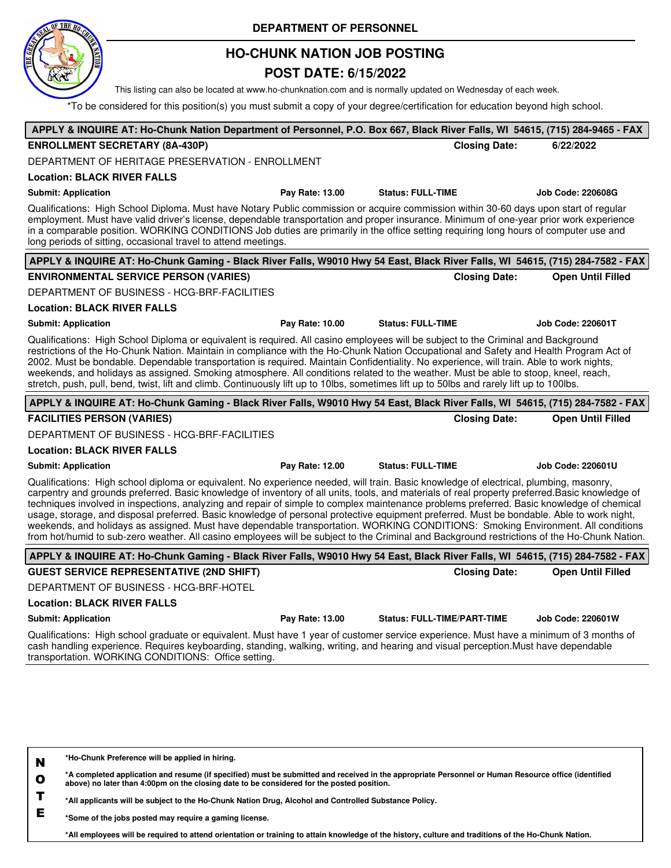# **HO-CHUNK NATION JOB POSTING DEPARTMENT OF PERSONNEL**

## **POST DATE: 6/15/2022**

This listing can also be located at www.ho-chunknation.com and is normally updated on Wednesday of each week.

\*To be considered for this position(s) you must submit a copy of your degree/certification for education beyond high school.

| APPLY & INQUIRE AT: Ho-Chunk Nation Department of Personnel, P.O. Box 667, Black River Falls, WI 54615, (715) 284-9465 - FAX                                                                                                                                                                                                                                                                                                                                                                                                                                                                                                                                                                                                                                                                                                                                            |                 |                                    |                      |                          |
|-------------------------------------------------------------------------------------------------------------------------------------------------------------------------------------------------------------------------------------------------------------------------------------------------------------------------------------------------------------------------------------------------------------------------------------------------------------------------------------------------------------------------------------------------------------------------------------------------------------------------------------------------------------------------------------------------------------------------------------------------------------------------------------------------------------------------------------------------------------------------|-----------------|------------------------------------|----------------------|--------------------------|
| <b>ENROLLMENT SECRETARY (8A-430P)</b>                                                                                                                                                                                                                                                                                                                                                                                                                                                                                                                                                                                                                                                                                                                                                                                                                                   |                 |                                    | <b>Closing Date:</b> | 6/22/2022                |
| DEPARTMENT OF HERITAGE PRESERVATION - ENROLLMENT                                                                                                                                                                                                                                                                                                                                                                                                                                                                                                                                                                                                                                                                                                                                                                                                                        |                 |                                    |                      |                          |
| <b>Location: BLACK RIVER FALLS</b>                                                                                                                                                                                                                                                                                                                                                                                                                                                                                                                                                                                                                                                                                                                                                                                                                                      |                 |                                    |                      |                          |
| <b>Submit: Application</b>                                                                                                                                                                                                                                                                                                                                                                                                                                                                                                                                                                                                                                                                                                                                                                                                                                              | Pay Rate: 13.00 | <b>Status: FULL-TIME</b>           |                      | <b>Job Code: 220608G</b> |
| Qualifications: High School Diploma. Must have Notary Public commission or acquire commission within 30-60 days upon start of regular<br>employment. Must have valid driver's license, dependable transportation and proper insurance. Minimum of one-year prior work experience<br>in a comparable position. WORKING CONDITIONS Job duties are primarily in the office setting requiring long hours of computer use and<br>long periods of sitting, occasional travel to attend meetings.                                                                                                                                                                                                                                                                                                                                                                              |                 |                                    |                      |                          |
| APPLY & INQUIRE AT: Ho-Chunk Gaming - Black River Falls, W9010 Hwy 54 East, Black River Falls, WI 54615, (715) 284-7582 - FAX                                                                                                                                                                                                                                                                                                                                                                                                                                                                                                                                                                                                                                                                                                                                           |                 |                                    |                      |                          |
| <b>ENVIRONMENTAL SERVICE PERSON (VARIES)</b>                                                                                                                                                                                                                                                                                                                                                                                                                                                                                                                                                                                                                                                                                                                                                                                                                            |                 |                                    | <b>Closing Date:</b> | <b>Open Until Filled</b> |
| DEPARTMENT OF BUSINESS - HCG-BRF-FACILITIES                                                                                                                                                                                                                                                                                                                                                                                                                                                                                                                                                                                                                                                                                                                                                                                                                             |                 |                                    |                      |                          |
| <b>Location: BLACK RIVER FALLS</b>                                                                                                                                                                                                                                                                                                                                                                                                                                                                                                                                                                                                                                                                                                                                                                                                                                      |                 |                                    |                      |                          |
| <b>Submit: Application</b>                                                                                                                                                                                                                                                                                                                                                                                                                                                                                                                                                                                                                                                                                                                                                                                                                                              | Pay Rate: 10.00 | <b>Status: FULL-TIME</b>           |                      | <b>Job Code: 220601T</b> |
| Qualifications: High School Diploma or equivalent is required. All casino employees will be subject to the Criminal and Background<br>restrictions of the Ho-Chunk Nation. Maintain in compliance with the Ho-Chunk Nation Occupational and Safety and Health Program Act of<br>2002. Must be bondable. Dependable transportation is required. Maintain Confidentiality. No experience, will train. Able to work nights,<br>weekends, and holidays as assigned. Smoking atmosphere. All conditions related to the weather. Must be able to stoop, kneel, reach,<br>stretch, push, pull, bend, twist, lift and climb. Continuously lift up to 10lbs, sometimes lift up to 50lbs and rarely lift up to 100lbs.                                                                                                                                                            |                 |                                    |                      |                          |
| APPLY & INQUIRE AT: Ho-Chunk Gaming - Black River Falls, W9010 Hwy 54 East, Black River Falls, WI 54615, (715) 284-7582 - FAX                                                                                                                                                                                                                                                                                                                                                                                                                                                                                                                                                                                                                                                                                                                                           |                 |                                    |                      |                          |
| <b>FACILITIES PERSON (VARIES)</b>                                                                                                                                                                                                                                                                                                                                                                                                                                                                                                                                                                                                                                                                                                                                                                                                                                       |                 |                                    | <b>Closing Date:</b> | <b>Open Until Filled</b> |
| DEPARTMENT OF BUSINESS - HCG-BRF-FACILITIES                                                                                                                                                                                                                                                                                                                                                                                                                                                                                                                                                                                                                                                                                                                                                                                                                             |                 |                                    |                      |                          |
| <b>Location: BLACK RIVER FALLS</b>                                                                                                                                                                                                                                                                                                                                                                                                                                                                                                                                                                                                                                                                                                                                                                                                                                      |                 |                                    |                      |                          |
| <b>Submit: Application</b>                                                                                                                                                                                                                                                                                                                                                                                                                                                                                                                                                                                                                                                                                                                                                                                                                                              | Pay Rate: 12.00 | <b>Status: FULL-TIME</b>           |                      | Job Code: 220601U        |
| Qualifications: High school diploma or equivalent. No experience needed, will train. Basic knowledge of electrical, plumbing, masonry,<br>carpentry and grounds preferred. Basic knowledge of inventory of all units, tools, and materials of real property preferred. Basic knowledge of<br>techniques involved in inspections, analyzing and repair of simple to complex maintenance problems preferred. Basic knowledge of chemical<br>usage, storage, and disposal preferred. Basic knowledge of personal protective equipment preferred. Must be bondable. Able to work night,<br>weekends, and holidays as assigned. Must have dependable transportation. WORKING CONDITIONS: Smoking Environment. All conditions<br>from hot/humid to sub-zero weather. All casino employees will be subject to the Criminal and Background restrictions of the Ho-Chunk Nation. |                 |                                    |                      |                          |
| APPLY & INQUIRE AT: Ho-Chunk Gaming - Black River Falls, W9010 Hwy 54 East, Black River Falls, WI 54615, (715) 284-7582 - FAX                                                                                                                                                                                                                                                                                                                                                                                                                                                                                                                                                                                                                                                                                                                                           |                 |                                    |                      |                          |
| <b>GUEST SERVICE REPRESENTATIVE (2ND SHIFT)</b>                                                                                                                                                                                                                                                                                                                                                                                                                                                                                                                                                                                                                                                                                                                                                                                                                         |                 |                                    | <b>Closing Date:</b> | <b>Open Until Filled</b> |
| DEPARTMENT OF BUSINESS - HCG-BRF-HOTEL                                                                                                                                                                                                                                                                                                                                                                                                                                                                                                                                                                                                                                                                                                                                                                                                                                  |                 |                                    |                      |                          |
| <b>Location: BLACK RIVER FALLS</b>                                                                                                                                                                                                                                                                                                                                                                                                                                                                                                                                                                                                                                                                                                                                                                                                                                      |                 |                                    |                      |                          |
| <b>Submit: Application</b>                                                                                                                                                                                                                                                                                                                                                                                                                                                                                                                                                                                                                                                                                                                                                                                                                                              | Pay Rate: 13.00 | <b>Status: FULL-TIME/PART-TIME</b> |                      | Job Code: 220601W        |
| Qualifications: High school graduate or equivalent. Must have 1 year of customer service experience. Must have a minimum of 3 months of<br>cash handling experience. Requires keyboarding, standing, walking, writing, and hearing and visual perception.Must have dependable<br>transportation. WORKING CONDITIONS: Office setting.                                                                                                                                                                                                                                                                                                                                                                                                                                                                                                                                    |                 |                                    |                      |                          |
|                                                                                                                                                                                                                                                                                                                                                                                                                                                                                                                                                                                                                                                                                                                                                                                                                                                                         |                 |                                    |                      |                          |

**N \*Ho-Chunk Preference will be applied in hiring.**

**O \*A completed application and resume (if specified) must be submitted and received in the appropriate Personnel or Human Resource office (identified above) no later than 4:00pm on the closing date to be considered for the posted position.**

**T \*All applicants will be subject to the Ho-Chunk Nation Drug, Alcohol and Controlled Substance Policy.**

**E \*Some of the jobs posted may require a gaming license.**

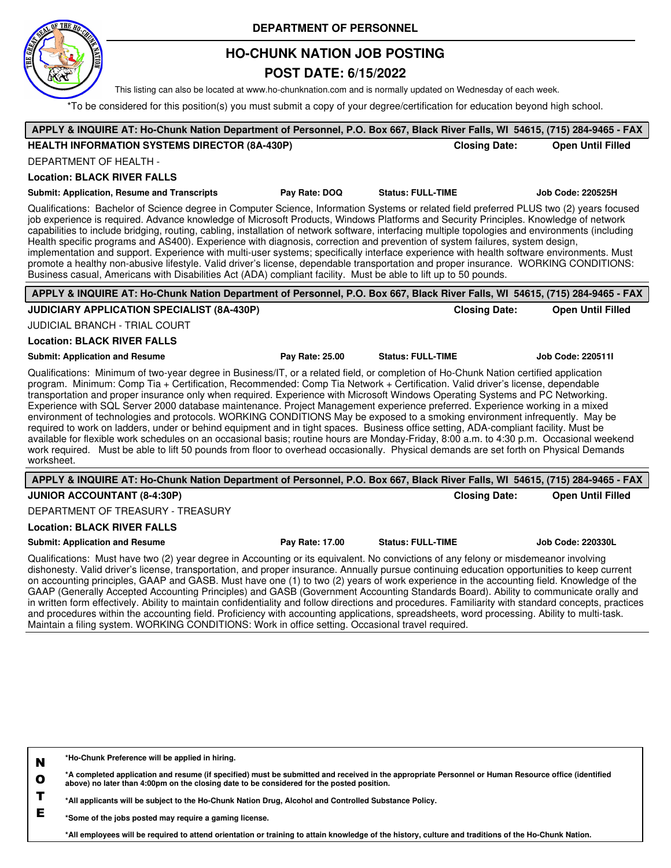

## **HO-CHUNK NATION JOB POSTING**

### **POST DATE: 6/15/2022**

This listing can also be located at www.ho-chunknation.com and is normally updated on Wednesday of each week.

\*To be considered for this position(s) you must submit a copy of your degree/certification for education beyond high school.

| APPLY & INQUIRE AT: Ho-Chunk Nation Department of Personnel, P.O. Box 667, Black River Falls, WI 54615, (715) 284-9465 - FAX                                                                                                                                                                                                                                                                                                                                                                                                                                                                                                                                                                                                                                                                                                                                                                                                                                                                                                                                                                                      |                 |                          |                          |  |  |  |
|-------------------------------------------------------------------------------------------------------------------------------------------------------------------------------------------------------------------------------------------------------------------------------------------------------------------------------------------------------------------------------------------------------------------------------------------------------------------------------------------------------------------------------------------------------------------------------------------------------------------------------------------------------------------------------------------------------------------------------------------------------------------------------------------------------------------------------------------------------------------------------------------------------------------------------------------------------------------------------------------------------------------------------------------------------------------------------------------------------------------|-----------------|--------------------------|--------------------------|--|--|--|
| <b>HEALTH INFORMATION SYSTEMS DIRECTOR (8A-430P)</b>                                                                                                                                                                                                                                                                                                                                                                                                                                                                                                                                                                                                                                                                                                                                                                                                                                                                                                                                                                                                                                                              |                 | <b>Closing Date:</b>     | <b>Open Until Filled</b> |  |  |  |
| <b>DEPARTMENT OF HEALTH -</b>                                                                                                                                                                                                                                                                                                                                                                                                                                                                                                                                                                                                                                                                                                                                                                                                                                                                                                                                                                                                                                                                                     |                 |                          |                          |  |  |  |
| <b>Location: BLACK RIVER FALLS</b>                                                                                                                                                                                                                                                                                                                                                                                                                                                                                                                                                                                                                                                                                                                                                                                                                                                                                                                                                                                                                                                                                |                 |                          |                          |  |  |  |
| <b>Submit: Application, Resume and Transcripts</b>                                                                                                                                                                                                                                                                                                                                                                                                                                                                                                                                                                                                                                                                                                                                                                                                                                                                                                                                                                                                                                                                | Pay Rate: DOQ   | <b>Status: FULL-TIME</b> | <b>Job Code: 220525H</b> |  |  |  |
| Qualifications: Bachelor of Science degree in Computer Science, Information Systems or related field preferred PLUS two (2) years focused<br>job experience is required. Advance knowledge of Microsoft Products, Windows Platforms and Security Principles. Knowledge of network<br>capabilities to include bridging, routing, cabling, installation of network software, interfacing multiple topologies and environments (including<br>Health specific programs and AS400). Experience with diagnosis, correction and prevention of system failures, system design,<br>implementation and support. Experience with multi-user systems; specifically interface experience with health software environments. Must<br>promote a healthy non-abusive lifestyle. Valid driver's license, dependable transportation and proper insurance. WORKING CONDITIONS:<br>Business casual, Americans with Disabilities Act (ADA) compliant facility. Must be able to lift up to 50 pounds.                                                                                                                                   |                 |                          |                          |  |  |  |
| APPLY & INQUIRE AT: Ho-Chunk Nation Department of Personnel, P.O. Box 667, Black River Falls, WI 54615, (715) 284-9465 - FAX                                                                                                                                                                                                                                                                                                                                                                                                                                                                                                                                                                                                                                                                                                                                                                                                                                                                                                                                                                                      |                 |                          |                          |  |  |  |
| JUDICIARY APPLICATION SPECIALIST (8A-430P)                                                                                                                                                                                                                                                                                                                                                                                                                                                                                                                                                                                                                                                                                                                                                                                                                                                                                                                                                                                                                                                                        |                 | <b>Closing Date:</b>     | <b>Open Until Filled</b> |  |  |  |
| JUDICIAL BRANCH - TRIAL COURT                                                                                                                                                                                                                                                                                                                                                                                                                                                                                                                                                                                                                                                                                                                                                                                                                                                                                                                                                                                                                                                                                     |                 |                          |                          |  |  |  |
| <b>Location: BLACK RIVER FALLS</b>                                                                                                                                                                                                                                                                                                                                                                                                                                                                                                                                                                                                                                                                                                                                                                                                                                                                                                                                                                                                                                                                                |                 |                          |                          |  |  |  |
| <b>Submit: Application and Resume</b>                                                                                                                                                                                                                                                                                                                                                                                                                                                                                                                                                                                                                                                                                                                                                                                                                                                                                                                                                                                                                                                                             | Pay Rate: 25.00 | <b>Status: FULL-TIME</b> | <b>Job Code: 2205111</b> |  |  |  |
| Qualifications: Minimum of two-year degree in Business/IT, or a related field, or completion of Ho-Chunk Nation certified application<br>program. Minimum: Comp Tia + Certification, Recommended: Comp Tia Network + Certification. Valid driver's license, dependable<br>transportation and proper insurance only when required. Experience with Microsoft Windows Operating Systems and PC Networking.<br>Experience with SQL Server 2000 database maintenance. Project Management experience preferred. Experience working in a mixed<br>environment of technologies and protocols. WORKING CONDITIONS May be exposed to a smoking environment infrequently. May be<br>required to work on ladders, under or behind equipment and in tight spaces. Business office setting, ADA-compliant facility. Must be<br>available for flexible work schedules on an occasional basis; routine hours are Monday-Friday, 8:00 a.m. to 4:30 p.m. Occasional weekend<br>work required. Must be able to lift 50 pounds from floor to overhead occasionally. Physical demands are set forth on Physical Demands<br>worksheet. |                 |                          |                          |  |  |  |
| APPLY & INQUIRE AT: Ho-Chunk Nation Department of Personnel, P.O. Box 667, Black River Falls, WI 54615, (715) 284-9465 - FAX                                                                                                                                                                                                                                                                                                                                                                                                                                                                                                                                                                                                                                                                                                                                                                                                                                                                                                                                                                                      |                 |                          |                          |  |  |  |
| <b>JUNIOR ACCOUNTANT (8-4:30P)</b>                                                                                                                                                                                                                                                                                                                                                                                                                                                                                                                                                                                                                                                                                                                                                                                                                                                                                                                                                                                                                                                                                |                 | <b>Closing Date:</b>     | <b>Open Until Filled</b> |  |  |  |
| DEPARTMENT OF TREASURY - TREASURY                                                                                                                                                                                                                                                                                                                                                                                                                                                                                                                                                                                                                                                                                                                                                                                                                                                                                                                                                                                                                                                                                 |                 |                          |                          |  |  |  |
| <b>Location: BLACK RIVER FALLS</b>                                                                                                                                                                                                                                                                                                                                                                                                                                                                                                                                                                                                                                                                                                                                                                                                                                                                                                                                                                                                                                                                                |                 |                          |                          |  |  |  |
| <b>Submit: Application and Resume</b>                                                                                                                                                                                                                                                                                                                                                                                                                                                                                                                                                                                                                                                                                                                                                                                                                                                                                                                                                                                                                                                                             | Pay Rate: 17.00 | <b>Status: FULL-TIME</b> | Job Code: 220330L        |  |  |  |
| Qualifications: Must have two (2) year degree in Accounting or its equivalent. No convictions of any felony or misdemeanor involving<br>dishonesty. Valid driver's license, transportation, and proper insurance. Annually pursue continuing education opportunities to keep current                                                                                                                                                                                                                                                                                                                                                                                                                                                                                                                                                                                                                                                                                                                                                                                                                              |                 |                          |                          |  |  |  |

on accounting principles, GAAP and GASB. Must have one (1) to two (2) years of work experience in the accounting field. Knowledge of the GAAP (Generally Accepted Accounting Principles) and GASB (Government Accounting Standards Board). Ability to communicate orally and in written form effectively. Ability to maintain confidentiality and follow directions and procedures. Familiarity with standard concepts, practices and procedures within the accounting field. Proficiency with accounting applications, spreadsheets, word processing. Ability to multi-task. Maintain a filing system. WORKING CONDITIONS: Work in office setting. Occasional travel required.

**N \*Ho-Chunk Preference will be applied in hiring.**

**O \*A completed application and resume (if specified) must be submitted and received in the appropriate Personnel or Human Resource office (identified above) no later than 4:00pm on the closing date to be considered for the posted position.**

**T \*All applicants will be subject to the Ho-Chunk Nation Drug, Alcohol and Controlled Substance Policy.**

**E \*Some of the jobs posted may require a gaming license.**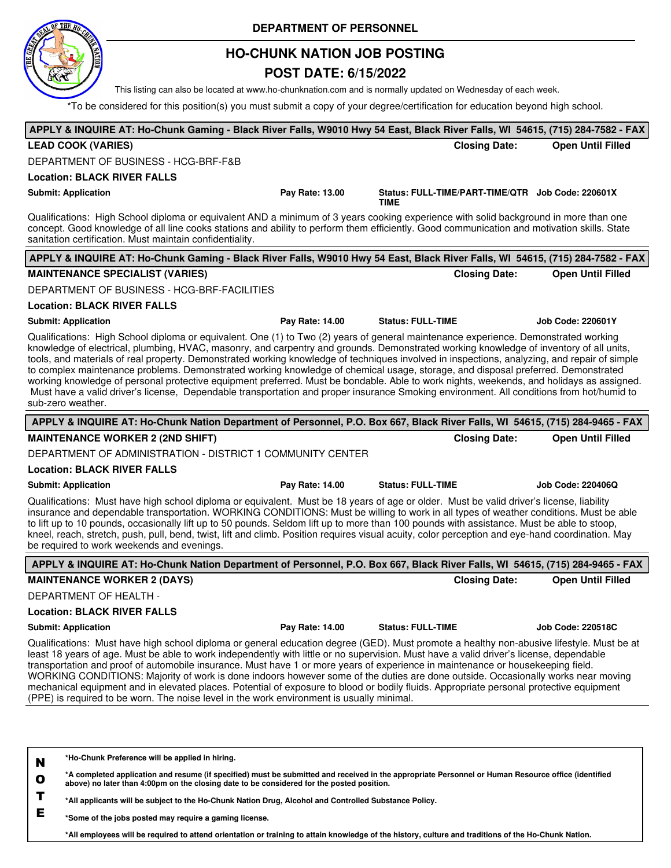

## **HO-CHUNK NATION JOB POSTING**

## **POST DATE: 6/15/2022**

This listing can also be located at www.ho-chunknation.com and is normally updated on Wednesday of each week.

\*To be considered for this position(s) you must submit a copy of your degree/certification for education beyond high school.

| APPLY & INQUIRE AT: Ho-Chunk Gaming - Black River Falls, W9010 Hwy 54 East, Black River Falls, WI 54615, (715) 284-7582 - FAX                                                                                                                                                                                                                                                                                                                                                                                                                                                                                                                                                                                                                                                                                                                                                  |                 |                                                                  |                          |
|--------------------------------------------------------------------------------------------------------------------------------------------------------------------------------------------------------------------------------------------------------------------------------------------------------------------------------------------------------------------------------------------------------------------------------------------------------------------------------------------------------------------------------------------------------------------------------------------------------------------------------------------------------------------------------------------------------------------------------------------------------------------------------------------------------------------------------------------------------------------------------|-----------------|------------------------------------------------------------------|--------------------------|
| <b>LEAD COOK (VARIES)</b>                                                                                                                                                                                                                                                                                                                                                                                                                                                                                                                                                                                                                                                                                                                                                                                                                                                      |                 | <b>Closing Date:</b>                                             | <b>Open Until Filled</b> |
| DEPARTMENT OF BUSINESS - HCG-BRF-F&B                                                                                                                                                                                                                                                                                                                                                                                                                                                                                                                                                                                                                                                                                                                                                                                                                                           |                 |                                                                  |                          |
| <b>Location: BLACK RIVER FALLS</b>                                                                                                                                                                                                                                                                                                                                                                                                                                                                                                                                                                                                                                                                                                                                                                                                                                             |                 |                                                                  |                          |
| <b>Submit: Application</b>                                                                                                                                                                                                                                                                                                                                                                                                                                                                                                                                                                                                                                                                                                                                                                                                                                                     | Pay Rate: 13.00 | Status: FULL-TIME/PART-TIME/QTR Job Code: 220601X<br><b>TIME</b> |                          |
| Qualifications: High School diploma or equivalent AND a minimum of 3 years cooking experience with solid background in more than one<br>concept. Good knowledge of all line cooks stations and ability to perform them efficiently. Good communication and motivation skills. State<br>sanitation certification. Must maintain confidentiality.                                                                                                                                                                                                                                                                                                                                                                                                                                                                                                                                |                 |                                                                  |                          |
| APPLY & INQUIRE AT: Ho-Chunk Gaming - Black River Falls, W9010 Hwy 54 East, Black River Falls, WI 54615, (715) 284-7582 - FAX                                                                                                                                                                                                                                                                                                                                                                                                                                                                                                                                                                                                                                                                                                                                                  |                 |                                                                  |                          |
| <b>MAINTENANCE SPECIALIST (VARIES)</b>                                                                                                                                                                                                                                                                                                                                                                                                                                                                                                                                                                                                                                                                                                                                                                                                                                         |                 | <b>Closing Date:</b>                                             | <b>Open Until Filled</b> |
| DEPARTMENT OF BUSINESS - HCG-BRF-FACILITIES                                                                                                                                                                                                                                                                                                                                                                                                                                                                                                                                                                                                                                                                                                                                                                                                                                    |                 |                                                                  |                          |
| <b>Location: BLACK RIVER FALLS</b>                                                                                                                                                                                                                                                                                                                                                                                                                                                                                                                                                                                                                                                                                                                                                                                                                                             |                 |                                                                  |                          |
| <b>Submit: Application</b>                                                                                                                                                                                                                                                                                                                                                                                                                                                                                                                                                                                                                                                                                                                                                                                                                                                     | Pay Rate: 14.00 | <b>Status: FULL-TIME</b>                                         | <b>Job Code: 220601Y</b> |
| Qualifications: High School diploma or equivalent. One (1) to Two (2) years of general maintenance experience. Demonstrated working<br>knowledge of electrical, plumbing, HVAC, masonry, and carpentry and grounds. Demonstrated working knowledge of inventory of all units,<br>tools, and materials of real property. Demonstrated working knowledge of techniques involved in inspections, analyzing, and repair of simple<br>to complex maintenance problems. Demonstrated working knowledge of chemical usage, storage, and disposal preferred. Demonstrated<br>working knowledge of personal protective equipment preferred. Must be bondable. Able to work nights, weekends, and holidays as assigned.<br>Must have a valid driver's license, Dependable transportation and proper insurance Smoking environment. All conditions from hot/humid to<br>sub-zero weather. |                 |                                                                  |                          |
| APPLY & INQUIRE AT: Ho-Chunk Nation Department of Personnel, P.O. Box 667, Black River Falls, WI 54615, (715) 284-9465 - FAX                                                                                                                                                                                                                                                                                                                                                                                                                                                                                                                                                                                                                                                                                                                                                   |                 |                                                                  |                          |
| <b>MAINTENANCE WORKER 2 (2ND SHIFT)</b>                                                                                                                                                                                                                                                                                                                                                                                                                                                                                                                                                                                                                                                                                                                                                                                                                                        |                 | <b>Closing Date:</b>                                             | <b>Open Until Filled</b> |
| DEPARTMENT OF ADMINISTRATION - DISTRICT 1 COMMUNITY CENTER                                                                                                                                                                                                                                                                                                                                                                                                                                                                                                                                                                                                                                                                                                                                                                                                                     |                 |                                                                  |                          |
| <b>Location: BLACK RIVER FALLS</b>                                                                                                                                                                                                                                                                                                                                                                                                                                                                                                                                                                                                                                                                                                                                                                                                                                             |                 |                                                                  |                          |
| <b>Submit: Application</b>                                                                                                                                                                                                                                                                                                                                                                                                                                                                                                                                                                                                                                                                                                                                                                                                                                                     | Pay Rate: 14.00 | <b>Status: FULL-TIME</b>                                         | <b>Job Code: 220406Q</b> |
| Qualifications: Must have high school diploma or equivalent. Must be 18 years of age or older. Must be valid driver's license, liability<br>insurance and dependable transportation. WORKING CONDITIONS: Must be willing to work in all types of weather conditions. Must be able<br>to lift up to 10 pounds, occasionally lift up to 50 pounds. Seldom lift up to more than 100 pounds with assistance. Must be able to stoop,<br>kneel, reach, stretch, push, pull, bend, twist, lift and climb. Position requires visual acuity, color perception and eye-hand coordination. May<br>be required to work weekends and evenings.                                                                                                                                                                                                                                              |                 |                                                                  |                          |
| APPLY & INQUIRE AT: Ho-Chunk Nation Department of Personnel, P.O. Box 667, Black River Falls, WI 54615, (715) 284-9465 - FAX                                                                                                                                                                                                                                                                                                                                                                                                                                                                                                                                                                                                                                                                                                                                                   |                 |                                                                  |                          |
| <b>MAINTENANCE WORKER 2 (DAYS)</b>                                                                                                                                                                                                                                                                                                                                                                                                                                                                                                                                                                                                                                                                                                                                                                                                                                             |                 | <b>Closing Date:</b>                                             | <b>Open Until Filled</b> |
| DEPARTMENT OF HEALTH -                                                                                                                                                                                                                                                                                                                                                                                                                                                                                                                                                                                                                                                                                                                                                                                                                                                         |                 |                                                                  |                          |
| <b>Location: BLACK RIVER FALLS</b>                                                                                                                                                                                                                                                                                                                                                                                                                                                                                                                                                                                                                                                                                                                                                                                                                                             |                 |                                                                  |                          |
| <b>Submit: Application</b>                                                                                                                                                                                                                                                                                                                                                                                                                                                                                                                                                                                                                                                                                                                                                                                                                                                     | Pay Rate: 14.00 | <b>Status: FULL-TIME</b>                                         | <b>Job Code: 220518C</b> |
| Qualifications: Must have high school diploma or general education degree (GED). Must promote a healthy non-abusive lifestyle. Must be at<br>least 18 years of age. Must be able to work independently with little or no supervision. Must have a valid driver's license, dependable<br>transportation and proof of automobile insurance. Must have 1 or more years of experience in maintenance or housekeeping field.<br>WORKING CONDITIONS: Majority of work is done indoors however some of the duties are done outside. Occasionally works near moving<br>mechanical equipment and in elevated places. Potential of exposure to blood or bodily fluids. Appropriate personal protective equipment<br>(PPE) is required to be worn. The noise level in the work environment is usually minimal.                                                                            |                 |                                                                  |                          |
| *Ho-Chunk Preference will be applied in hiring.<br>N<br>*A completed application and resume (if specified) must be submitted and received in the appropriate Personnel or Human Resource office (identified<br>O                                                                                                                                                                                                                                                                                                                                                                                                                                                                                                                                                                                                                                                               |                 |                                                                  |                          |

**T \*All applicants will be subject to the Ho-Chunk Nation Drug, Alcohol and Controlled Substance Policy.**

**E \*Some of the jobs posted may require a gaming license.**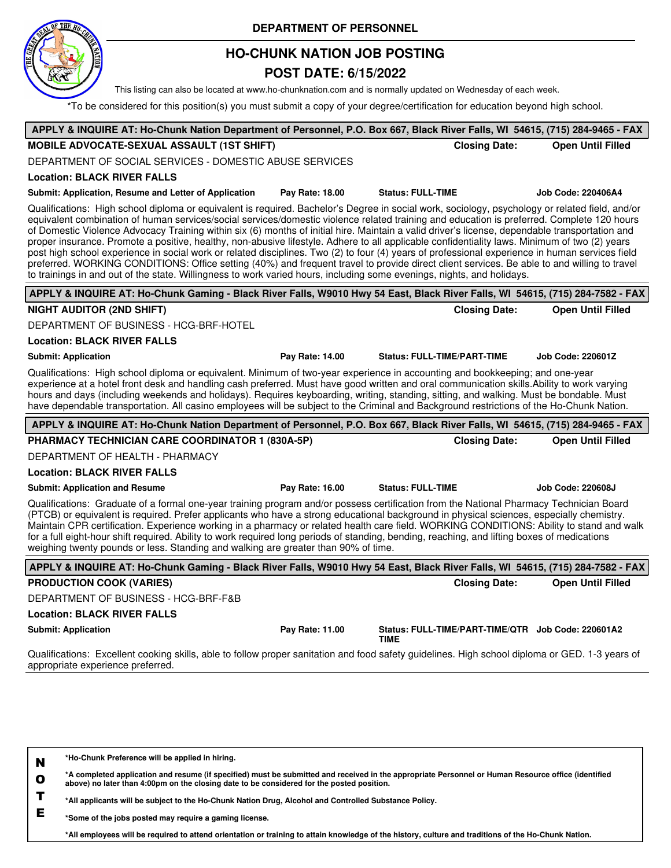

## **HO-CHUNK NATION JOB POSTING**

## **POST DATE: 6/15/2022**

This listing can also be located at www.ho-chunknation.com and is normally updated on Wednesday of each week.

\*To be considered for this position(s) you must submit a copy of your degree/certification for education beyond high school.

| APPLY & INQUIRE AT: Ho-Chunk Nation Department of Personnel, P.O. Box 667, Black River Falls, WI 54615, (715) 284-9465 - FAX                                                                                                                                                                                                                                                                                                                                                                                                                                                                                                                                                                                                                                                                                                                                                                                                                                                                                                 |                 |                                                                   |                          |
|------------------------------------------------------------------------------------------------------------------------------------------------------------------------------------------------------------------------------------------------------------------------------------------------------------------------------------------------------------------------------------------------------------------------------------------------------------------------------------------------------------------------------------------------------------------------------------------------------------------------------------------------------------------------------------------------------------------------------------------------------------------------------------------------------------------------------------------------------------------------------------------------------------------------------------------------------------------------------------------------------------------------------|-----------------|-------------------------------------------------------------------|--------------------------|
| <b>MOBILE ADVOCATE-SEXUAL ASSAULT (1ST SHIFT)</b>                                                                                                                                                                                                                                                                                                                                                                                                                                                                                                                                                                                                                                                                                                                                                                                                                                                                                                                                                                            |                 | <b>Closing Date:</b>                                              | <b>Open Until Filled</b> |
| DEPARTMENT OF SOCIAL SERVICES - DOMESTIC ABUSE SERVICES                                                                                                                                                                                                                                                                                                                                                                                                                                                                                                                                                                                                                                                                                                                                                                                                                                                                                                                                                                      |                 |                                                                   |                          |
| <b>Location: BLACK RIVER FALLS</b>                                                                                                                                                                                                                                                                                                                                                                                                                                                                                                                                                                                                                                                                                                                                                                                                                                                                                                                                                                                           |                 |                                                                   |                          |
| Submit: Application, Resume and Letter of Application                                                                                                                                                                                                                                                                                                                                                                                                                                                                                                                                                                                                                                                                                                                                                                                                                                                                                                                                                                        | Pay Rate: 18.00 | <b>Status: FULL-TIME</b>                                          | Job Code: 220406A4       |
| Qualifications: High school diploma or equivalent is required. Bachelor's Degree in social work, sociology, psychology or related field, and/or<br>equivalent combination of human services/social services/domestic violence related training and education is preferred. Complete 120 hours<br>of Domestic Violence Advocacy Training within six (6) months of initial hire. Maintain a valid driver's license, dependable transportation and<br>proper insurance. Promote a positive, healthy, non-abusive lifestyle. Adhere to all applicable confidentiality laws. Minimum of two (2) years<br>post high school experience in social work or related disciplines. Two (2) to four (4) years of professional experience in human services field<br>preferred. WORKING CONDITIONS: Office setting (40%) and frequent travel to provide direct client services. Be able to and willing to travel<br>to trainings in and out of the state. Willingness to work varied hours, including some evenings, nights, and holidays. |                 |                                                                   |                          |
| APPLY & INQUIRE AT: Ho-Chunk Gaming - Black River Falls, W9010 Hwy 54 East, Black River Falls, WI 54615, (715) 284-7582 - FAX                                                                                                                                                                                                                                                                                                                                                                                                                                                                                                                                                                                                                                                                                                                                                                                                                                                                                                |                 |                                                                   |                          |
| <b>NIGHT AUDITOR (2ND SHIFT)</b>                                                                                                                                                                                                                                                                                                                                                                                                                                                                                                                                                                                                                                                                                                                                                                                                                                                                                                                                                                                             |                 | <b>Closing Date:</b>                                              | <b>Open Until Filled</b> |
| DEPARTMENT OF BUSINESS - HCG-BRF-HOTEL                                                                                                                                                                                                                                                                                                                                                                                                                                                                                                                                                                                                                                                                                                                                                                                                                                                                                                                                                                                       |                 |                                                                   |                          |
| <b>Location: BLACK RIVER FALLS</b>                                                                                                                                                                                                                                                                                                                                                                                                                                                                                                                                                                                                                                                                                                                                                                                                                                                                                                                                                                                           |                 |                                                                   |                          |
| <b>Submit: Application</b>                                                                                                                                                                                                                                                                                                                                                                                                                                                                                                                                                                                                                                                                                                                                                                                                                                                                                                                                                                                                   | Pay Rate: 14.00 | <b>Status: FULL-TIME/PART-TIME</b>                                | <b>Job Code: 220601Z</b> |
| Qualifications: High school diploma or equivalent. Minimum of two-year experience in accounting and bookkeeping; and one-year<br>experience at a hotel front desk and handling cash preferred. Must have good written and oral communication skills. Ability to work varying<br>hours and days (including weekends and holidays). Requires keyboarding, writing, standing, sitting, and walking. Must be bondable. Must<br>have dependable transportation. All casino employees will be subject to the Criminal and Background restrictions of the Ho-Chunk Nation.                                                                                                                                                                                                                                                                                                                                                                                                                                                          |                 |                                                                   |                          |
| APPLY & INQUIRE AT: Ho-Chunk Nation Department of Personnel, P.O. Box 667, Black River Falls, WI 54615, (715) 284-9465 - FAX                                                                                                                                                                                                                                                                                                                                                                                                                                                                                                                                                                                                                                                                                                                                                                                                                                                                                                 |                 |                                                                   |                          |
| PHARMACY TECHNICIAN CARE COORDINATOR 1 (830A-5P)                                                                                                                                                                                                                                                                                                                                                                                                                                                                                                                                                                                                                                                                                                                                                                                                                                                                                                                                                                             |                 | <b>Closing Date:</b>                                              | <b>Open Until Filled</b> |
| DEPARTMENT OF HEALTH - PHARMACY                                                                                                                                                                                                                                                                                                                                                                                                                                                                                                                                                                                                                                                                                                                                                                                                                                                                                                                                                                                              |                 |                                                                   |                          |
| <b>Location: BLACK RIVER FALLS</b>                                                                                                                                                                                                                                                                                                                                                                                                                                                                                                                                                                                                                                                                                                                                                                                                                                                                                                                                                                                           |                 |                                                                   |                          |
| <b>Submit: Application and Resume</b>                                                                                                                                                                                                                                                                                                                                                                                                                                                                                                                                                                                                                                                                                                                                                                                                                                                                                                                                                                                        | Pay Rate: 16.00 | <b>Status: FULL-TIME</b>                                          | <b>Job Code: 220608J</b> |
| Qualifications: Graduate of a formal one-year training program and/or possess certification from the National Pharmacy Technician Board<br>(PTCB) or equivalent is required. Prefer applicants who have a strong educational background in physical sciences, especially chemistry.<br>Maintain CPR certification. Experience working in a pharmacy or related health care field. WORKING CONDITIONS: Ability to stand and walk<br>for a full eight-hour shift required. Ability to work required long periods of standing, bending, reaching, and lifting boxes of medications<br>weighing twenty pounds or less. Standing and walking are greater than 90% of time.                                                                                                                                                                                                                                                                                                                                                        |                 |                                                                   |                          |
| APPLY & INQUIRE AT: Ho-Chunk Gaming - Black River Falls, W9010 Hwy 54 East, Black River Falls, WI 54615, (715) 284-7582 - FAX                                                                                                                                                                                                                                                                                                                                                                                                                                                                                                                                                                                                                                                                                                                                                                                                                                                                                                |                 |                                                                   |                          |
| <b>PRODUCTION COOK (VARIES)</b>                                                                                                                                                                                                                                                                                                                                                                                                                                                                                                                                                                                                                                                                                                                                                                                                                                                                                                                                                                                              |                 | <b>Closing Date:</b>                                              | <b>Open Until Filled</b> |
| DEPARTMENT OF BUSINESS - HCG-BRF-F&B                                                                                                                                                                                                                                                                                                                                                                                                                                                                                                                                                                                                                                                                                                                                                                                                                                                                                                                                                                                         |                 |                                                                   |                          |
| <b>Location: BLACK RIVER FALLS</b>                                                                                                                                                                                                                                                                                                                                                                                                                                                                                                                                                                                                                                                                                                                                                                                                                                                                                                                                                                                           |                 |                                                                   |                          |
| <b>Submit: Application</b>                                                                                                                                                                                                                                                                                                                                                                                                                                                                                                                                                                                                                                                                                                                                                                                                                                                                                                                                                                                                   | Pay Rate: 11.00 | Status: FULL-TIME/PART-TIME/QTR Job Code: 220601A2<br><b>TIME</b> |                          |
| Qualificationa: Excellent cooking akilla, able to follow prepar copitation and food safety quidelines. High sebesi diploma ar CED 1.2 years of                                                                                                                                                                                                                                                                                                                                                                                                                                                                                                                                                                                                                                                                                                                                                                                                                                                                               |                 |                                                                   |                          |

oking skills, able to follow proper sanitation and food safety guidelines. High school diploma or GED. appropriate experience preferred.

| N | *Ho-Chunk Preference will be applied in hiring.                                                                                                                                                                                                  |  |
|---|--------------------------------------------------------------------------------------------------------------------------------------------------------------------------------------------------------------------------------------------------|--|
| O | *A completed application and resume (if specified) must be submitted and received in the appropriate Personnel or Human Resource office (identified<br>above) no later than 4:00pm on the closing date to be considered for the posted position. |  |
|   | *All applicants will be subject to the Ho-Chunk Nation Drug, Alcohol and Controlled Substance Policy.                                                                                                                                            |  |
|   | *Some of the jobs posted may require a gaming license.                                                                                                                                                                                           |  |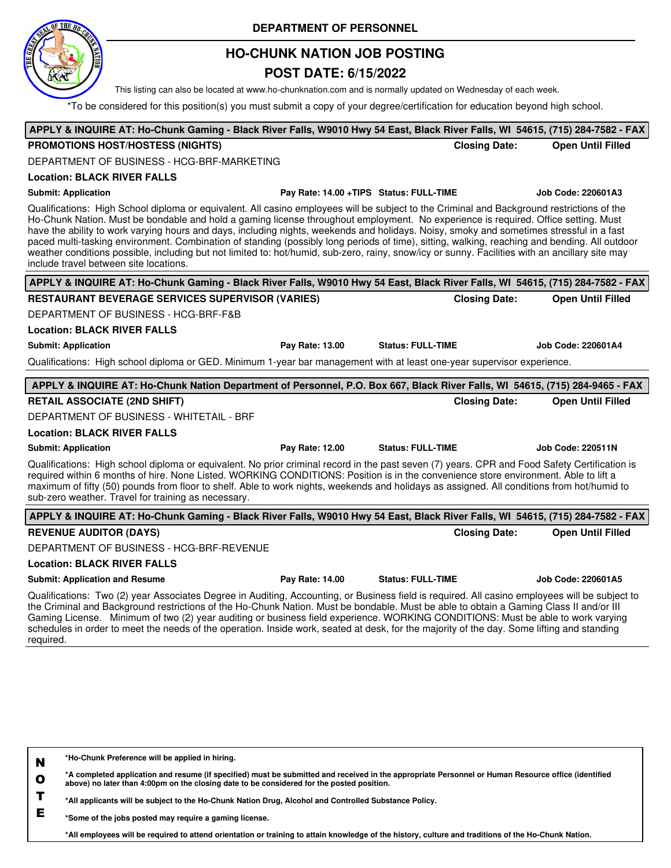

## **HO-CHUNK NATION JOB POSTING**

### **POST DATE: 6/15/2022**

This listing can also be located at www.ho-chunknation.com and is normally updated on Wednesday of each week.

\*To be considered for this position(s) you must submit a copy of your degree/certification for education beyond high school.

| APPLY & INQUIRE AT: Ho-Chunk Gaming - Black River Falls, W9010 Hwy 54 East, Black River Falls, WI 54615, (715) 284-7582 - FAX                                                                                                                                                                                                                                                                                                                                                                                                                                                                                                                                                                                                                                              |                                         |                          |                          |
|----------------------------------------------------------------------------------------------------------------------------------------------------------------------------------------------------------------------------------------------------------------------------------------------------------------------------------------------------------------------------------------------------------------------------------------------------------------------------------------------------------------------------------------------------------------------------------------------------------------------------------------------------------------------------------------------------------------------------------------------------------------------------|-----------------------------------------|--------------------------|--------------------------|
| <b>PROMOTIONS HOST/HOSTESS (NIGHTS)</b>                                                                                                                                                                                                                                                                                                                                                                                                                                                                                                                                                                                                                                                                                                                                    |                                         | <b>Closing Date:</b>     | <b>Open Until Filled</b> |
| DEPARTMENT OF BUSINESS - HCG-BRF-MARKETING                                                                                                                                                                                                                                                                                                                                                                                                                                                                                                                                                                                                                                                                                                                                 |                                         |                          |                          |
| <b>Location: BLACK RIVER FALLS</b>                                                                                                                                                                                                                                                                                                                                                                                                                                                                                                                                                                                                                                                                                                                                         |                                         |                          |                          |
| <b>Submit: Application</b>                                                                                                                                                                                                                                                                                                                                                                                                                                                                                                                                                                                                                                                                                                                                                 | Pay Rate: 14.00 +TIPS Status: FULL-TIME |                          | Job Code: 220601A3       |
| Qualifications: High School diploma or equivalent. All casino employees will be subject to the Criminal and Background restrictions of the<br>Ho-Chunk Nation. Must be bondable and hold a gaming license throughout employment. No experience is required. Office setting. Must<br>have the ability to work varying hours and days, including nights, weekends and holidays. Noisy, smoky and sometimes stressful in a fast<br>paced multi-tasking environment. Combination of standing (possibly long periods of time), sitting, walking, reaching and bending. All outdoor<br>weather conditions possible, including but not limited to: hot/humid, sub-zero, rainy, snow/icy or sunny. Facilities with an ancillary site may<br>include travel between site locations. |                                         |                          |                          |
| APPLY & INQUIRE AT: Ho-Chunk Gaming - Black River Falls, W9010 Hwy 54 East, Black River Falls, WI 54615, (715) 284-7582 - FAX                                                                                                                                                                                                                                                                                                                                                                                                                                                                                                                                                                                                                                              |                                         |                          |                          |
| <b>RESTAURANT BEVERAGE SERVICES SUPERVISOR (VARIES)</b>                                                                                                                                                                                                                                                                                                                                                                                                                                                                                                                                                                                                                                                                                                                    |                                         | <b>Closing Date:</b>     | <b>Open Until Filled</b> |
| DEPARTMENT OF BUSINESS - HCG-BRF-F&B                                                                                                                                                                                                                                                                                                                                                                                                                                                                                                                                                                                                                                                                                                                                       |                                         |                          |                          |
| <b>Location: BLACK RIVER FALLS</b>                                                                                                                                                                                                                                                                                                                                                                                                                                                                                                                                                                                                                                                                                                                                         |                                         |                          |                          |
| <b>Submit: Application</b>                                                                                                                                                                                                                                                                                                                                                                                                                                                                                                                                                                                                                                                                                                                                                 | Pay Rate: 13.00                         | <b>Status: FULL-TIME</b> | Job Code: 220601A4       |
| Qualifications: High school diploma or GED. Minimum 1-year bar management with at least one-year supervisor experience.                                                                                                                                                                                                                                                                                                                                                                                                                                                                                                                                                                                                                                                    |                                         |                          |                          |
| APPLY & INQUIRE AT: Ho-Chunk Nation Department of Personnel, P.O. Box 667, Black River Falls, WI 54615, (715) 284-9465 - FAX                                                                                                                                                                                                                                                                                                                                                                                                                                                                                                                                                                                                                                               |                                         |                          |                          |
| <b>RETAIL ASSOCIATE (2ND SHIFT)</b>                                                                                                                                                                                                                                                                                                                                                                                                                                                                                                                                                                                                                                                                                                                                        |                                         | <b>Closing Date:</b>     | <b>Open Until Filled</b> |
| DEPARTMENT OF BUSINESS - WHITETAIL - BRF                                                                                                                                                                                                                                                                                                                                                                                                                                                                                                                                                                                                                                                                                                                                   |                                         |                          |                          |
| <b>Location: BLACK RIVER FALLS</b>                                                                                                                                                                                                                                                                                                                                                                                                                                                                                                                                                                                                                                                                                                                                         |                                         |                          |                          |
| <b>Submit: Application</b>                                                                                                                                                                                                                                                                                                                                                                                                                                                                                                                                                                                                                                                                                                                                                 | Pay Rate: 12.00                         | <b>Status: FULL-TIME</b> | <b>Job Code: 220511N</b> |
| Qualifications: High school diploma or equivalent. No prior criminal record in the past seven (7) years. CPR and Food Safety Certification is<br>required within 6 months of hire. None Listed. WORKING CONDITIONS: Position is in the convenience store environment. Able to lift a<br>maximum of fifty (50) pounds from floor to shelf. Able to work nights, weekends and holidays as assigned. All conditions from hot/humid to<br>sub-zero weather. Travel for training as necessary.                                                                                                                                                                                                                                                                                  |                                         |                          |                          |
| APPLY & INQUIRE AT: Ho-Chunk Gaming - Black River Falls, W9010 Hwy 54 East, Black River Falls, WI 54615, (715) 284-7582 - FAX                                                                                                                                                                                                                                                                                                                                                                                                                                                                                                                                                                                                                                              |                                         |                          |                          |
| <b>REVENUE AUDITOR (DAYS)</b>                                                                                                                                                                                                                                                                                                                                                                                                                                                                                                                                                                                                                                                                                                                                              |                                         | <b>Closing Date:</b>     | <b>Open Until Filled</b> |
| DEPARTMENT OF BUSINESS - HCG-BRF-REVENUE                                                                                                                                                                                                                                                                                                                                                                                                                                                                                                                                                                                                                                                                                                                                   |                                         |                          |                          |
| <b>Location: BLACK RIVER FALLS</b>                                                                                                                                                                                                                                                                                                                                                                                                                                                                                                                                                                                                                                                                                                                                         |                                         |                          |                          |
| <b>Submit: Application and Resume</b>                                                                                                                                                                                                                                                                                                                                                                                                                                                                                                                                                                                                                                                                                                                                      | Pay Rate: 14.00                         | <b>Status: FULL-TIME</b> | Job Code: 220601A5       |
| Qualifications: Two (2) year Associates Degree in Auditing, Accounting, or Business field is required. All casino employees will be subject to<br>the Criminal and Background restrictions of the Ho-Chunk Nation. Must be bondable. Must be able to obtain a Gaming Class II and/or III<br>Gaming License. Minimum of two (2) year auditing or business field experience. WORKING CONDITIONS: Must be able to work varying                                                                                                                                                                                                                                                                                                                                                |                                         |                          |                          |

required.

**N O T E \*Ho-Chunk Preference will be applied in hiring. \*A completed application and resume (if specified) must be submitted and received in the appropriate Personnel or Human Resource office (identified above) no later than 4:00pm on the closing date to be considered for the posted position. \*All applicants will be subject to the Ho-Chunk Nation Drug, Alcohol and Controlled Substance Policy.**

schedules in order to meet the needs of the operation. Inside work, seated at desk, for the majority of the day. Some lifting and standing

**\*Some of the jobs posted may require a gaming license.**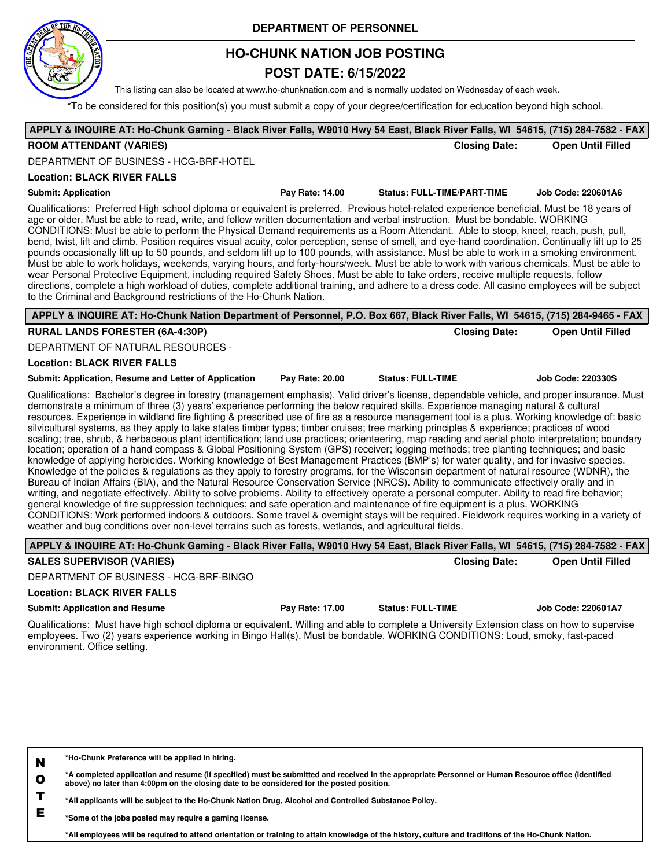

## **HO-CHUNK NATION JOB POSTING**

### **POST DATE: 6/15/2022**

This listing can also be located at www.ho-chunknation.com and is normally updated on Wednesday of each week.

\*To be considered for this position(s) you must submit a copy of your degree/certification for education beyond high school.

| <b>ROOM ATTENDANT (VARIES)</b>                                                                                                                                                                                                                                                                                                                                                                                                                                                                                                                                                                                                                                                                                                                                                                                                                                                                                                                                                                                                                                                                                                                                                                                                                                                                                                                                                                                                                                                                                                                                                                                                                                                                                                                                                                                                                       |                 | <b>Closing Date:</b>               | APPLY & INQUIRE AT: Ho-Chunk Gaming - Black River Falls, W9010 Hwy 54 East, Black River Falls, WI 54615, (715) 284-7582 - FAX<br><b>Open Until Filled</b> |
|------------------------------------------------------------------------------------------------------------------------------------------------------------------------------------------------------------------------------------------------------------------------------------------------------------------------------------------------------------------------------------------------------------------------------------------------------------------------------------------------------------------------------------------------------------------------------------------------------------------------------------------------------------------------------------------------------------------------------------------------------------------------------------------------------------------------------------------------------------------------------------------------------------------------------------------------------------------------------------------------------------------------------------------------------------------------------------------------------------------------------------------------------------------------------------------------------------------------------------------------------------------------------------------------------------------------------------------------------------------------------------------------------------------------------------------------------------------------------------------------------------------------------------------------------------------------------------------------------------------------------------------------------------------------------------------------------------------------------------------------------------------------------------------------------------------------------------------------------|-----------------|------------------------------------|-----------------------------------------------------------------------------------------------------------------------------------------------------------|
| DEPARTMENT OF BUSINESS - HCG-BRF-HOTEL                                                                                                                                                                                                                                                                                                                                                                                                                                                                                                                                                                                                                                                                                                                                                                                                                                                                                                                                                                                                                                                                                                                                                                                                                                                                                                                                                                                                                                                                                                                                                                                                                                                                                                                                                                                                               |                 |                                    |                                                                                                                                                           |
| <b>Location: BLACK RIVER FALLS</b>                                                                                                                                                                                                                                                                                                                                                                                                                                                                                                                                                                                                                                                                                                                                                                                                                                                                                                                                                                                                                                                                                                                                                                                                                                                                                                                                                                                                                                                                                                                                                                                                                                                                                                                                                                                                                   |                 |                                    |                                                                                                                                                           |
| <b>Submit: Application</b>                                                                                                                                                                                                                                                                                                                                                                                                                                                                                                                                                                                                                                                                                                                                                                                                                                                                                                                                                                                                                                                                                                                                                                                                                                                                                                                                                                                                                                                                                                                                                                                                                                                                                                                                                                                                                           | Pay Rate: 14.00 | <b>Status: FULL-TIME/PART-TIME</b> | Job Code: 220601A6                                                                                                                                        |
| Qualifications: Preferred High school diploma or equivalent is preferred. Previous hotel-related experience beneficial. Must be 18 years of<br>age or older. Must be able to read, write, and follow written documentation and verbal instruction. Must be bondable. WORKING<br>CONDITIONS: Must be able to perform the Physical Demand requirements as a Room Attendant. Able to stoop, kneel, reach, push, pull,<br>bend, twist, lift and climb. Position requires visual acuity, color perception, sense of smell, and eye-hand coordination. Continually lift up to 25<br>pounds occasionally lift up to 50 pounds, and seldom lift up to 100 pounds, with assistance. Must be able to work in a smoking environment.<br>Must be able to work holidays, weekends, varying hours, and forty-hours/week. Must be able to work with various chemicals. Must be able to<br>wear Personal Protective Equipment, including required Safety Shoes. Must be able to take orders, receive multiple requests, follow<br>directions, complete a high workload of duties, complete additional training, and adhere to a dress code. All casino employees will be subject<br>to the Criminal and Background restrictions of the Ho-Chunk Nation.                                                                                                                                                                                                                                                                                                                                                                                                                                                                                                                                                                                                              |                 |                                    |                                                                                                                                                           |
| APPLY & INQUIRE AT: Ho-Chunk Nation Department of Personnel, P.O. Box 667, Black River Falls, WI 54615, (715) 284-9465 - FAX                                                                                                                                                                                                                                                                                                                                                                                                                                                                                                                                                                                                                                                                                                                                                                                                                                                                                                                                                                                                                                                                                                                                                                                                                                                                                                                                                                                                                                                                                                                                                                                                                                                                                                                         |                 |                                    |                                                                                                                                                           |
| <b>RURAL LANDS FORESTER (6A-4:30P)</b>                                                                                                                                                                                                                                                                                                                                                                                                                                                                                                                                                                                                                                                                                                                                                                                                                                                                                                                                                                                                                                                                                                                                                                                                                                                                                                                                                                                                                                                                                                                                                                                                                                                                                                                                                                                                               |                 | <b>Closing Date:</b>               | <b>Open Until Filled</b>                                                                                                                                  |
| DEPARTMENT OF NATURAL RESOURCES -                                                                                                                                                                                                                                                                                                                                                                                                                                                                                                                                                                                                                                                                                                                                                                                                                                                                                                                                                                                                                                                                                                                                                                                                                                                                                                                                                                                                                                                                                                                                                                                                                                                                                                                                                                                                                    |                 |                                    |                                                                                                                                                           |
| <b>Location: BLACK RIVER FALLS</b>                                                                                                                                                                                                                                                                                                                                                                                                                                                                                                                                                                                                                                                                                                                                                                                                                                                                                                                                                                                                                                                                                                                                                                                                                                                                                                                                                                                                                                                                                                                                                                                                                                                                                                                                                                                                                   |                 |                                    |                                                                                                                                                           |
| Submit: Application, Resume and Letter of Application                                                                                                                                                                                                                                                                                                                                                                                                                                                                                                                                                                                                                                                                                                                                                                                                                                                                                                                                                                                                                                                                                                                                                                                                                                                                                                                                                                                                                                                                                                                                                                                                                                                                                                                                                                                                | Pay Rate: 20.00 | <b>Status: FULL-TIME</b>           | <b>Job Code: 220330S</b>                                                                                                                                  |
| Qualifications: Bachelor's degree in forestry (management emphasis). Valid driver's license, dependable vehicle, and proper insurance. Must<br>demonstrate a minimum of three (3) years' experience performing the below required skills. Experience managing natural & cultural<br>resources. Experience in wildland fire fighting & prescribed use of fire as a resource management tool is a plus. Working knowledge of: basic<br>silvicultural systems, as they apply to lake states timber types; timber cruises; tree marking principles & experience; practices of wood<br>scaling; tree, shrub, & herbaceous plant identification; land use practices; orienteering, map reading and aerial photo interpretation; boundary<br>location; operation of a hand compass & Global Positioning System (GPS) receiver; logging methods; tree planting techniques; and basic<br>knowledge of applying herbicides. Working knowledge of Best Management Practices (BMP's) for water quality, and for invasive species.<br>Knowledge of the policies & regulations as they apply to forestry programs, for the Wisconsin department of natural resource (WDNR), the<br>Bureau of Indian Affairs (BIA), and the Natural Resource Conservation Service (NRCS). Ability to communicate effectively orally and in<br>writing, and negotiate effectively. Ability to solve problems. Ability to effectively operate a personal computer. Ability to read fire behavior;<br>general knowledge of fire suppression techniques; and safe operation and maintenance of fire equipment is a plus. WORKING<br>CONDITIONS: Work performed indoors & outdoors. Some travel & overnight stays will be required. Fieldwork requires working in a variety of<br>weather and bug conditions over non-level terrains such as forests, wetlands, and agricultural fields. |                 |                                    |                                                                                                                                                           |
| APPLY & INQUIRE AT: Ho-Chunk Gaming - Black River Falls, W9010 Hwy 54 East, Black River Falls, WI 54615, (715) 284-7582 - FAX                                                                                                                                                                                                                                                                                                                                                                                                                                                                                                                                                                                                                                                                                                                                                                                                                                                                                                                                                                                                                                                                                                                                                                                                                                                                                                                                                                                                                                                                                                                                                                                                                                                                                                                        |                 |                                    |                                                                                                                                                           |
| <b>SALES SUPERVISOR (VARIES)</b>                                                                                                                                                                                                                                                                                                                                                                                                                                                                                                                                                                                                                                                                                                                                                                                                                                                                                                                                                                                                                                                                                                                                                                                                                                                                                                                                                                                                                                                                                                                                                                                                                                                                                                                                                                                                                     |                 | <b>Closing Date:</b>               | <b>Open Until Filled</b>                                                                                                                                  |
| DEPARTMENT OF BUSINESS - HCG-BRF-BINGO                                                                                                                                                                                                                                                                                                                                                                                                                                                                                                                                                                                                                                                                                                                                                                                                                                                                                                                                                                                                                                                                                                                                                                                                                                                                                                                                                                                                                                                                                                                                                                                                                                                                                                                                                                                                               |                 |                                    |                                                                                                                                                           |
| <b>Location: BLACK RIVER FALLS</b>                                                                                                                                                                                                                                                                                                                                                                                                                                                                                                                                                                                                                                                                                                                                                                                                                                                                                                                                                                                                                                                                                                                                                                                                                                                                                                                                                                                                                                                                                                                                                                                                                                                                                                                                                                                                                   |                 |                                    |                                                                                                                                                           |
| <b>Submit: Application and Resume</b>                                                                                                                                                                                                                                                                                                                                                                                                                                                                                                                                                                                                                                                                                                                                                                                                                                                                                                                                                                                                                                                                                                                                                                                                                                                                                                                                                                                                                                                                                                                                                                                                                                                                                                                                                                                                                | Pay Rate: 17.00 | <b>Status: FULL-TIME</b>           | Job Code: 220601A7                                                                                                                                        |
| Qualifications: Must have high school diploma or equivalent. Willing and able to complete a University Extension class on how to supervise<br>employees. Two (2) years experience working in Bingo Hall(s). Must be bondable. WORKING CONDITIONS: Loud, smoky, fast-paced<br>environment. Office setting.                                                                                                                                                                                                                                                                                                                                                                                                                                                                                                                                                                                                                                                                                                                                                                                                                                                                                                                                                                                                                                                                                                                                                                                                                                                                                                                                                                                                                                                                                                                                            |                 |                                    |                                                                                                                                                           |
| *Ho-Chunk Preference will be applied in hiring.<br>N<br>*A completed application and resume (if specified) must be submitted and received in the appropriate Personnel or Human Resource office (identified<br>$\mathbf{o}$                                                                                                                                                                                                                                                                                                                                                                                                                                                                                                                                                                                                                                                                                                                                                                                                                                                                                                                                                                                                                                                                                                                                                                                                                                                                                                                                                                                                                                                                                                                                                                                                                          |                 |                                    |                                                                                                                                                           |

**T \*All applicants will be subject to the Ho-Chunk Nation Drug, Alcohol and Controlled Substance Policy.**

**E \*Some of the jobs posted may require a gaming license.**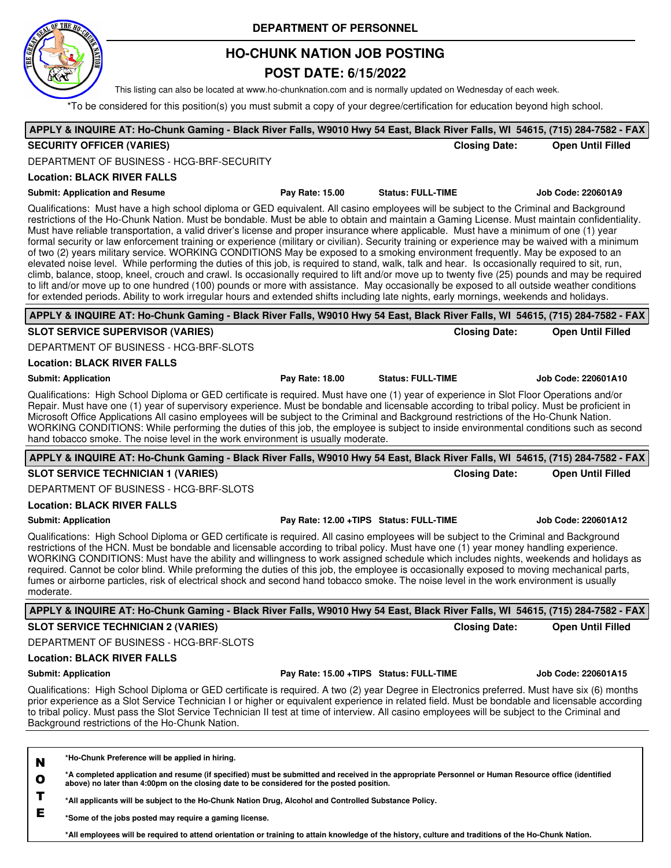

## **HO-CHUNK NATION JOB POSTING**

## **POST DATE: 6/15/2022**

This listing can also be located at www.ho-chunknation.com and is normally updated on Wednesday of each week.

\*To be considered for this position(s) you must submit a copy of your degree/certification for education beyond high school.

|                                                                                                                                                                                                                                                                                                                                                                                                                                                                                                                                                                                                                                                                                                                                                                                                                                                                                                                                                                                                                                                                                                                                                                                                                                                                                                                  |                 |                                          |                      | APPLY & INQUIRE AT: Ho-Chunk Gaming - Black River Falls, W9010 Hwy 54 East, Black River Falls, WI 54615, (715) 284-7582 - FAX |
|------------------------------------------------------------------------------------------------------------------------------------------------------------------------------------------------------------------------------------------------------------------------------------------------------------------------------------------------------------------------------------------------------------------------------------------------------------------------------------------------------------------------------------------------------------------------------------------------------------------------------------------------------------------------------------------------------------------------------------------------------------------------------------------------------------------------------------------------------------------------------------------------------------------------------------------------------------------------------------------------------------------------------------------------------------------------------------------------------------------------------------------------------------------------------------------------------------------------------------------------------------------------------------------------------------------|-----------------|------------------------------------------|----------------------|-------------------------------------------------------------------------------------------------------------------------------|
| <b>SECURITY OFFICER (VARIES)</b>                                                                                                                                                                                                                                                                                                                                                                                                                                                                                                                                                                                                                                                                                                                                                                                                                                                                                                                                                                                                                                                                                                                                                                                                                                                                                 |                 |                                          | <b>Closing Date:</b> | <b>Open Until Filled</b>                                                                                                      |
| DEPARTMENT OF BUSINESS - HCG-BRF-SECURITY                                                                                                                                                                                                                                                                                                                                                                                                                                                                                                                                                                                                                                                                                                                                                                                                                                                                                                                                                                                                                                                                                                                                                                                                                                                                        |                 |                                          |                      |                                                                                                                               |
| <b>Location: BLACK RIVER FALLS</b>                                                                                                                                                                                                                                                                                                                                                                                                                                                                                                                                                                                                                                                                                                                                                                                                                                                                                                                                                                                                                                                                                                                                                                                                                                                                               |                 |                                          |                      |                                                                                                                               |
| <b>Submit: Application and Resume</b>                                                                                                                                                                                                                                                                                                                                                                                                                                                                                                                                                                                                                                                                                                                                                                                                                                                                                                                                                                                                                                                                                                                                                                                                                                                                            | Pay Rate: 15.00 | <b>Status: FULL-TIME</b>                 |                      | Job Code: 220601A9                                                                                                            |
| Qualifications: Must have a high school diploma or GED equivalent. All casino employees will be subject to the Criminal and Background<br>restrictions of the Ho-Chunk Nation. Must be bondable. Must be able to obtain and maintain a Gaming License. Must maintain confidentiality.<br>Must have reliable transportation, a valid driver's license and proper insurance where applicable. Must have a minimum of one (1) year<br>formal security or law enforcement training or experience (military or civilian). Security training or experience may be waived with a minimum<br>of two (2) years military service. WORKING CONDITIONS May be exposed to a smoking environment frequently. May be exposed to an<br>elevated noise level. While performing the duties of this job, is required to stand, walk, talk and hear. Is occasionally required to sit, run,<br>climb, balance, stoop, kneel, crouch and crawl. Is occasionally required to lift and/or move up to twenty five (25) pounds and may be required<br>to lift and/or move up to one hundred (100) pounds or more with assistance. May occasionally be exposed to all outside weather conditions<br>for extended periods. Ability to work irregular hours and extended shifts including late nights, early mornings, weekends and holidays. |                 |                                          |                      |                                                                                                                               |
| APPLY & INQUIRE AT: Ho-Chunk Gaming - Black River Falls, W9010 Hwy 54 East, Black River Falls, WI 54615, (715) 284-7582 - FAX                                                                                                                                                                                                                                                                                                                                                                                                                                                                                                                                                                                                                                                                                                                                                                                                                                                                                                                                                                                                                                                                                                                                                                                    |                 |                                          |                      |                                                                                                                               |
| <b>SLOT SERVICE SUPERVISOR (VARIES)</b>                                                                                                                                                                                                                                                                                                                                                                                                                                                                                                                                                                                                                                                                                                                                                                                                                                                                                                                                                                                                                                                                                                                                                                                                                                                                          |                 |                                          | <b>Closing Date:</b> | <b>Open Until Filled</b>                                                                                                      |
| DEPARTMENT OF BUSINESS - HCG-BRF-SLOTS                                                                                                                                                                                                                                                                                                                                                                                                                                                                                                                                                                                                                                                                                                                                                                                                                                                                                                                                                                                                                                                                                                                                                                                                                                                                           |                 |                                          |                      |                                                                                                                               |
| <b>Location: BLACK RIVER FALLS</b>                                                                                                                                                                                                                                                                                                                                                                                                                                                                                                                                                                                                                                                                                                                                                                                                                                                                                                                                                                                                                                                                                                                                                                                                                                                                               |                 |                                          |                      |                                                                                                                               |
| <b>Submit: Application</b>                                                                                                                                                                                                                                                                                                                                                                                                                                                                                                                                                                                                                                                                                                                                                                                                                                                                                                                                                                                                                                                                                                                                                                                                                                                                                       | Pay Rate: 18.00 | <b>Status: FULL-TIME</b>                 |                      | Job Code: 220601A10                                                                                                           |
| Qualifications: High School Diploma or GED certificate is required. Must have one (1) year of experience in Slot Floor Operations and/or<br>Repair. Must have one (1) year of supervisory experience. Must be bondable and licensable according to tribal policy. Must be proficient in<br>Microsoft Office Applications All casino employees will be subject to the Criminal and Background restrictions of the Ho-Chunk Nation.<br>WORKING CONDITIONS: While performing the duties of this job, the employee is subject to inside environmental conditions such as second<br>hand tobacco smoke. The noise level in the work environment is usually moderate.                                                                                                                                                                                                                                                                                                                                                                                                                                                                                                                                                                                                                                                  |                 |                                          |                      |                                                                                                                               |
| APPLY & INQUIRE AT: Ho-Chunk Gaming - Black River Falls, W9010 Hwy 54 East, Black River Falls, WI 54615, (715) 284-7582 - FAX                                                                                                                                                                                                                                                                                                                                                                                                                                                                                                                                                                                                                                                                                                                                                                                                                                                                                                                                                                                                                                                                                                                                                                                    |                 |                                          |                      |                                                                                                                               |
| <b>SLOT SERVICE TECHNICIAN 1 (VARIES)</b>                                                                                                                                                                                                                                                                                                                                                                                                                                                                                                                                                                                                                                                                                                                                                                                                                                                                                                                                                                                                                                                                                                                                                                                                                                                                        |                 |                                          |                      |                                                                                                                               |
|                                                                                                                                                                                                                                                                                                                                                                                                                                                                                                                                                                                                                                                                                                                                                                                                                                                                                                                                                                                                                                                                                                                                                                                                                                                                                                                  |                 |                                          | <b>Closing Date:</b> | <b>Open Until Filled</b>                                                                                                      |
| DEPARTMENT OF BUSINESS - HCG-BRF-SLOTS                                                                                                                                                                                                                                                                                                                                                                                                                                                                                                                                                                                                                                                                                                                                                                                                                                                                                                                                                                                                                                                                                                                                                                                                                                                                           |                 |                                          |                      |                                                                                                                               |
| <b>Location: BLACK RIVER FALLS</b>                                                                                                                                                                                                                                                                                                                                                                                                                                                                                                                                                                                                                                                                                                                                                                                                                                                                                                                                                                                                                                                                                                                                                                                                                                                                               |                 |                                          |                      |                                                                                                                               |
| <b>Submit: Application</b>                                                                                                                                                                                                                                                                                                                                                                                                                                                                                                                                                                                                                                                                                                                                                                                                                                                                                                                                                                                                                                                                                                                                                                                                                                                                                       |                 | Pay Rate: 12.00 + TIPS Status: FULL-TIME |                      | Job Code: 220601A12                                                                                                           |
| Qualifications: High School Diploma or GED certificate is required. All casino employees will be subject to the Criminal and Background<br>restrictions of the HCN. Must be bondable and licensable according to tribal policy. Must have one (1) year money handling experience.<br>WORKING CONDITIONS: Must have the ability and willingness to work assigned schedule which includes nights, weekends and holidays as<br>required. Cannot be color blind. While preforming the duties of this job, the employee is occasionally exposed to moving mechanical parts,<br>fumes or airborne particles, risk of electrical shock and second hand tobacco smoke. The noise level in the work environment is usually<br>moderate.                                                                                                                                                                                                                                                                                                                                                                                                                                                                                                                                                                                   |                 |                                          |                      |                                                                                                                               |
| APPLY & INQUIRE AT: Ho-Chunk Gaming - Black River Falls, W9010 Hwy 54 East, Black River Falls, WI 54615, (715) 284-7582 - FAX                                                                                                                                                                                                                                                                                                                                                                                                                                                                                                                                                                                                                                                                                                                                                                                                                                                                                                                                                                                                                                                                                                                                                                                    |                 |                                          |                      |                                                                                                                               |
| <b>SLOT SERVICE TECHNICIAN 2 (VARIES)</b>                                                                                                                                                                                                                                                                                                                                                                                                                                                                                                                                                                                                                                                                                                                                                                                                                                                                                                                                                                                                                                                                                                                                                                                                                                                                        |                 |                                          | <b>Closing Date:</b> | <b>Open Until Filled</b>                                                                                                      |
| DEPARTMENT OF BUSINESS - HCG-BRF-SLOTS                                                                                                                                                                                                                                                                                                                                                                                                                                                                                                                                                                                                                                                                                                                                                                                                                                                                                                                                                                                                                                                                                                                                                                                                                                                                           |                 |                                          |                      |                                                                                                                               |
| <b>Location: BLACK RIVER FALLS</b>                                                                                                                                                                                                                                                                                                                                                                                                                                                                                                                                                                                                                                                                                                                                                                                                                                                                                                                                                                                                                                                                                                                                                                                                                                                                               |                 |                                          |                      |                                                                                                                               |
| <b>Submit: Application</b>                                                                                                                                                                                                                                                                                                                                                                                                                                                                                                                                                                                                                                                                                                                                                                                                                                                                                                                                                                                                                                                                                                                                                                                                                                                                                       |                 | Pay Rate: 15.00 + TIPS Status: FULL-TIME |                      | <b>Job Code: 220601A15</b>                                                                                                    |
| Qualifications: High School Diploma or GED certificate is required. A two (2) year Degree in Electronics preferred. Must have six (6) months<br>prior experience as a Slot Service Technician I or higher or equivalent experience in related field. Must be bondable and licensable according<br>to tribal policy. Must pass the Slot Service Technician II test at time of interview. All casino employees will be subject to the Criminal and<br>Background restrictions of the Ho-Chunk Nation.                                                                                                                                                                                                                                                                                                                                                                                                                                                                                                                                                                                                                                                                                                                                                                                                              |                 |                                          |                      |                                                                                                                               |
|                                                                                                                                                                                                                                                                                                                                                                                                                                                                                                                                                                                                                                                                                                                                                                                                                                                                                                                                                                                                                                                                                                                                                                                                                                                                                                                  |                 |                                          |                      |                                                                                                                               |

**T \*All applicants will be subject to the Ho-Chunk Nation Drug, Alcohol and Controlled Substance Policy.**

**E \*Some of the jobs posted may require a gaming license.**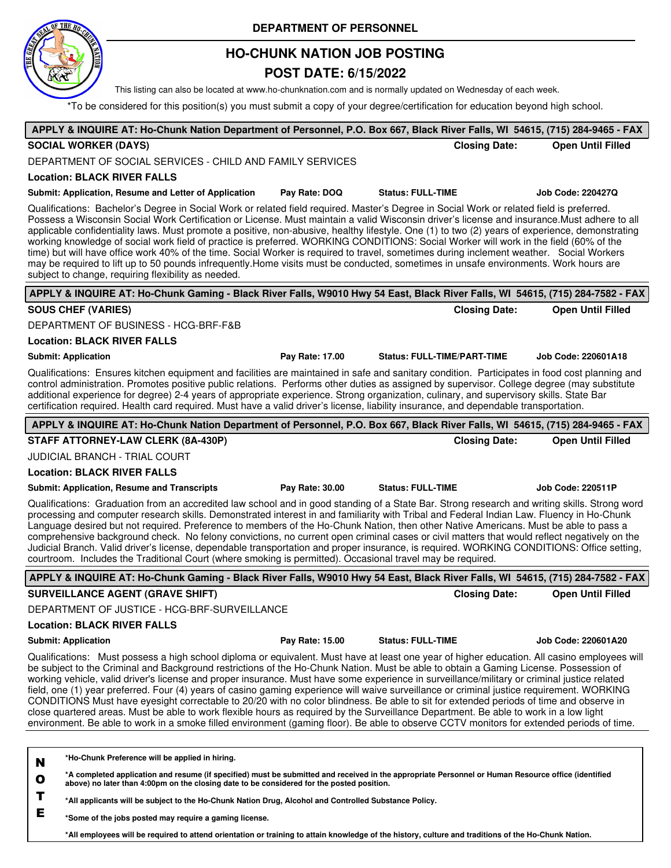

## **HO-CHUNK NATION JOB POSTING**

## **POST DATE: 6/15/2022**

This listing can also be located at www.ho-chunknation.com and is normally updated on Wednesday of each week.

\*To be considered for this position(s) you must submit a copy of your degree/certification for education beyond high school.

| APPLY & INQUIRE AT: Ho-Chunk Nation Department of Personnel, P.O. Box 667, Black River Falls, WI 54615, (715) 284-9465 - FAX                                                                                                                                                                                                                                                                                                                                                                                                                                                                                                                                                                                                                                                                                                                                                                                                                                                                                        |                                    |                            |
|---------------------------------------------------------------------------------------------------------------------------------------------------------------------------------------------------------------------------------------------------------------------------------------------------------------------------------------------------------------------------------------------------------------------------------------------------------------------------------------------------------------------------------------------------------------------------------------------------------------------------------------------------------------------------------------------------------------------------------------------------------------------------------------------------------------------------------------------------------------------------------------------------------------------------------------------------------------------------------------------------------------------|------------------------------------|----------------------------|
| <b>SOCIAL WORKER (DAYS)</b>                                                                                                                                                                                                                                                                                                                                                                                                                                                                                                                                                                                                                                                                                                                                                                                                                                                                                                                                                                                         | <b>Closing Date:</b>               | <b>Open Until Filled</b>   |
| DEPARTMENT OF SOCIAL SERVICES - CHILD AND FAMILY SERVICES                                                                                                                                                                                                                                                                                                                                                                                                                                                                                                                                                                                                                                                                                                                                                                                                                                                                                                                                                           |                                    |                            |
| <b>Location: BLACK RIVER FALLS</b>                                                                                                                                                                                                                                                                                                                                                                                                                                                                                                                                                                                                                                                                                                                                                                                                                                                                                                                                                                                  |                                    |                            |
| Submit: Application, Resume and Letter of Application<br>Pay Rate: DOQ                                                                                                                                                                                                                                                                                                                                                                                                                                                                                                                                                                                                                                                                                                                                                                                                                                                                                                                                              | <b>Status: FULL-TIME</b>           | Job Code: 220427Q          |
| Qualifications: Bachelor's Degree in Social Work or related field required. Master's Degree in Social Work or related field is preferred.<br>Possess a Wisconsin Social Work Certification or License. Must maintain a valid Wisconsin driver's license and insurance. Must adhere to all<br>applicable confidentiality laws. Must promote a positive, non-abusive, healthy lifestyle. One (1) to two (2) years of experience, demonstrating<br>working knowledge of social work field of practice is preferred. WORKING CONDITIONS: Social Worker will work in the field (60% of the<br>time) but will have office work 40% of the time. Social Worker is required to travel, sometimes during inclement weather. Social Workers<br>may be required to lift up to 50 pounds infrequently.Home visits must be conducted, sometimes in unsafe environments. Work hours are<br>subject to change, requiring flexibility as needed.                                                                                    |                                    |                            |
| APPLY & INQUIRE AT: Ho-Chunk Gaming - Black River Falls, W9010 Hwy 54 East, Black River Falls, WI 54615, (715) 284-7582 - FAX                                                                                                                                                                                                                                                                                                                                                                                                                                                                                                                                                                                                                                                                                                                                                                                                                                                                                       |                                    |                            |
| <b>SOUS CHEF (VARIES)</b>                                                                                                                                                                                                                                                                                                                                                                                                                                                                                                                                                                                                                                                                                                                                                                                                                                                                                                                                                                                           | <b>Closing Date:</b>               | <b>Open Until Filled</b>   |
| DEPARTMENT OF BUSINESS - HCG-BRF-F&B                                                                                                                                                                                                                                                                                                                                                                                                                                                                                                                                                                                                                                                                                                                                                                                                                                                                                                                                                                                |                                    |                            |
| <b>Location: BLACK RIVER FALLS</b>                                                                                                                                                                                                                                                                                                                                                                                                                                                                                                                                                                                                                                                                                                                                                                                                                                                                                                                                                                                  |                                    |                            |
| <b>Submit: Application</b><br>Pay Rate: 17.00                                                                                                                                                                                                                                                                                                                                                                                                                                                                                                                                                                                                                                                                                                                                                                                                                                                                                                                                                                       | <b>Status: FULL-TIME/PART-TIME</b> | Job Code: 220601A18        |
| Qualifications: Ensures kitchen equipment and facilities are maintained in safe and sanitary condition. Participates in food cost planning and<br>control administration. Promotes positive public relations. Performs other duties as assigned by supervisor. College degree (may substitute<br>additional experience for degree) 2-4 years of appropriate experience. Strong organization, culinary, and supervisory skills. State Bar<br>certification required. Health card required. Must have a valid driver's license, liability insurance, and dependable transportation.                                                                                                                                                                                                                                                                                                                                                                                                                                   |                                    |                            |
| APPLY & INQUIRE AT: Ho-Chunk Nation Department of Personnel, P.O. Box 667, Black River Falls, WI 54615, (715) 284-9465 - FAX                                                                                                                                                                                                                                                                                                                                                                                                                                                                                                                                                                                                                                                                                                                                                                                                                                                                                        |                                    |                            |
| STAFF ATTORNEY-LAW CLERK (8A-430P)                                                                                                                                                                                                                                                                                                                                                                                                                                                                                                                                                                                                                                                                                                                                                                                                                                                                                                                                                                                  | <b>Closing Date:</b>               | <b>Open Until Filled</b>   |
| <b>JUDICIAL BRANCH - TRIAL COURT</b>                                                                                                                                                                                                                                                                                                                                                                                                                                                                                                                                                                                                                                                                                                                                                                                                                                                                                                                                                                                |                                    |                            |
| <b>Location: BLACK RIVER FALLS</b>                                                                                                                                                                                                                                                                                                                                                                                                                                                                                                                                                                                                                                                                                                                                                                                                                                                                                                                                                                                  |                                    |                            |
| <b>Submit: Application, Resume and Transcripts</b><br>Pay Rate: 30.00                                                                                                                                                                                                                                                                                                                                                                                                                                                                                                                                                                                                                                                                                                                                                                                                                                                                                                                                               | <b>Status: FULL-TIME</b>           | <b>Job Code: 220511P</b>   |
| Qualifications: Graduation from an accredited law school and in good standing of a State Bar. Strong research and writing skills. Strong word<br>processing and computer research skills. Demonstrated interest in and familiarity with Tribal and Federal Indian Law. Fluency in Ho-Chunk<br>Language desired but not required. Preference to members of the Ho-Chunk Nation, then other Native Americans. Must be able to pass a<br>comprehensive background check. No felony convictions, no current open criminal cases or civil matters that would reflect negatively on the<br>Judicial Branch. Valid driver's license, dependable transportation and proper insurance, is required. WORKING CONDITIONS: Office setting,<br>courtroom. Includes the Traditional Court (where smoking is permitted). Occasional travel may be required.                                                                                                                                                                        |                                    |                            |
| APPLY & INQUIRE AT: Ho-Chunk Gaming - Black River Falls, W9010 Hwy 54 East, Black River Falls, WI 54615, (715) 284-7582 - FAX                                                                                                                                                                                                                                                                                                                                                                                                                                                                                                                                                                                                                                                                                                                                                                                                                                                                                       |                                    |                            |
| <b>SURVEILLANCE AGENT (GRAVE SHIFT)</b>                                                                                                                                                                                                                                                                                                                                                                                                                                                                                                                                                                                                                                                                                                                                                                                                                                                                                                                                                                             | <b>Closing Date:</b>               | <b>Open Until Filled</b>   |
| DEPARTMENT OF JUSTICE - HCG-BRF-SURVEILLANCE                                                                                                                                                                                                                                                                                                                                                                                                                                                                                                                                                                                                                                                                                                                                                                                                                                                                                                                                                                        |                                    |                            |
| <b>Location: BLACK RIVER FALLS</b>                                                                                                                                                                                                                                                                                                                                                                                                                                                                                                                                                                                                                                                                                                                                                                                                                                                                                                                                                                                  |                                    |                            |
| <b>Submit: Application</b><br>Pay Rate: 15.00                                                                                                                                                                                                                                                                                                                                                                                                                                                                                                                                                                                                                                                                                                                                                                                                                                                                                                                                                                       | <b>Status: FULL-TIME</b>           | <b>Job Code: 220601A20</b> |
| Qualifications: Must possess a high school diploma or equivalent. Must have at least one year of higher education. All casino employees will<br>be subject to the Criminal and Background restrictions of the Ho-Chunk Nation. Must be able to obtain a Gaming License. Possession of<br>working vehicle, valid driver's license and proper insurance. Must have some experience in surveillance/military or criminal justice related<br>field, one (1) year preferred. Four (4) years of casino gaming experience will waive surveillance or criminal justice requirement. WORKING<br>CONDITIONS Must have eyesight correctable to 20/20 with no color blindness. Be able to sit for extended periods of time and observe in<br>close quartered areas. Must be able to work flexible hours as required by the Surveillance Department. Be able to work in a low light<br>environment. Be able to work in a smoke filled environment (gaming floor). Be able to observe CCTV monitors for extended periods of time. |                                    |                            |
|                                                                                                                                                                                                                                                                                                                                                                                                                                                                                                                                                                                                                                                                                                                                                                                                                                                                                                                                                                                                                     |                                    |                            |
| *Ho-Chunk Preference will be applied in hiring.<br>N<br>*A completed application and resume (if specified) must be submitted and received in the appropriate Personnel or Human Resource office (identified<br>$\mathbf o$<br>above) no later than 4:00pm on the closing date to be considered for the posted position.<br>Т                                                                                                                                                                                                                                                                                                                                                                                                                                                                                                                                                                                                                                                                                        |                                    |                            |
| *All applicants will be subject to the Ho-Chunk Nation Drug, Alcohol and Controlled Substance Policy.                                                                                                                                                                                                                                                                                                                                                                                                                                                                                                                                                                                                                                                                                                                                                                                                                                                                                                               |                                    |                            |

**E \*Some of the jobs posted may require a gaming license.**

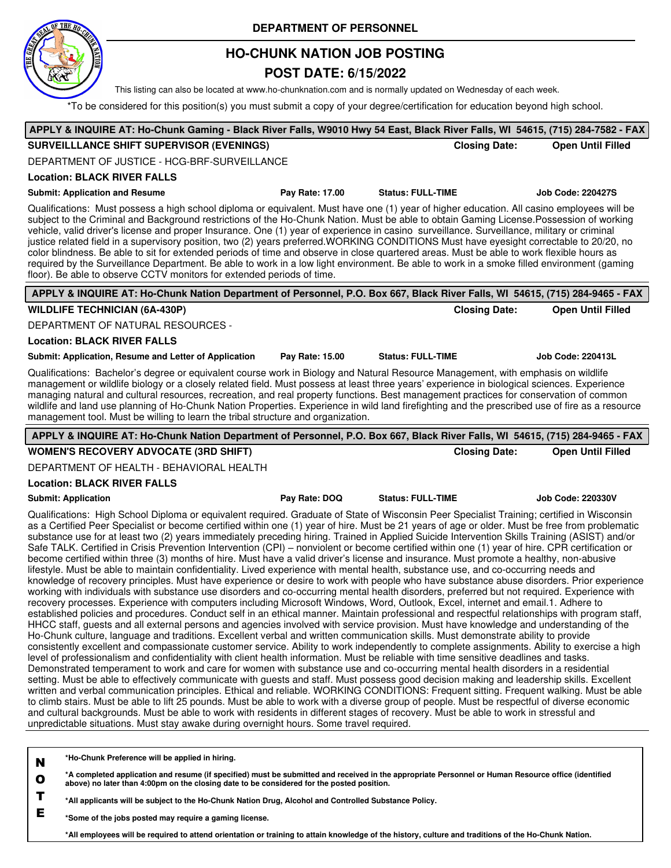

## **HO-CHUNK NATION JOB POSTING**

## **POST DATE: 6/15/2022**

This listing can also be located at www.ho-chunknation.com and is normally updated on Wednesday of each week.

\*To be considered for this position(s) you must submit a copy of your degree/certification for education beyond high school.

|                                                                                                                                                                                                                                                                                                                                                                                                                                                                                                                                                                                                                                                                                                                                                                                                                                                                                                                                                       |                 |                          |                      | APPLY & INQUIRE AT: Ho-Chunk Gaming - Black River Falls, W9010 Hwy 54 East, Black River Falls, WI 54615, (715) 284-7582 - FAX |
|-------------------------------------------------------------------------------------------------------------------------------------------------------------------------------------------------------------------------------------------------------------------------------------------------------------------------------------------------------------------------------------------------------------------------------------------------------------------------------------------------------------------------------------------------------------------------------------------------------------------------------------------------------------------------------------------------------------------------------------------------------------------------------------------------------------------------------------------------------------------------------------------------------------------------------------------------------|-----------------|--------------------------|----------------------|-------------------------------------------------------------------------------------------------------------------------------|
| SURVEILLLANCE SHIFT SUPERVISOR (EVENINGS)                                                                                                                                                                                                                                                                                                                                                                                                                                                                                                                                                                                                                                                                                                                                                                                                                                                                                                             |                 |                          | <b>Closing Date:</b> | <b>Open Until Filled</b>                                                                                                      |
| DEPARTMENT OF JUSTICE - HCG-BRF-SURVEILLANCE                                                                                                                                                                                                                                                                                                                                                                                                                                                                                                                                                                                                                                                                                                                                                                                                                                                                                                          |                 |                          |                      |                                                                                                                               |
| <b>Location: BLACK RIVER FALLS</b>                                                                                                                                                                                                                                                                                                                                                                                                                                                                                                                                                                                                                                                                                                                                                                                                                                                                                                                    |                 |                          |                      |                                                                                                                               |
| <b>Submit: Application and Resume</b>                                                                                                                                                                                                                                                                                                                                                                                                                                                                                                                                                                                                                                                                                                                                                                                                                                                                                                                 | Pay Rate: 17.00 | <b>Status: FULL-TIME</b> |                      | <b>Job Code: 220427S</b>                                                                                                      |
| Qualifications: Must possess a high school diploma or equivalent. Must have one (1) year of higher education. All casino employees will be<br>subject to the Criminal and Background restrictions of the Ho-Chunk Nation. Must be able to obtain Gaming License. Possession of working<br>vehicle, valid driver's license and proper Insurance. One (1) year of experience in casino surveillance. Surveillance, military or criminal<br>justice related field in a supervisory position, two (2) years preferred.WORKING CONDITIONS Must have eyesight correctable to 20/20, no<br>color blindness. Be able to sit for extended periods of time and observe in close quartered areas. Must be able to work flexible hours as<br>required by the Surveillance Department. Be able to work in a low light environment. Be able to work in a smoke filled environment (gaming<br>floor). Be able to observe CCTV monitors for extended periods of time. |                 |                          |                      |                                                                                                                               |
| APPLY & INQUIRE AT: Ho-Chunk Nation Department of Personnel, P.O. Box 667, Black River Falls, WI 54615, (715) 284-9465 - FAX                                                                                                                                                                                                                                                                                                                                                                                                                                                                                                                                                                                                                                                                                                                                                                                                                          |                 |                          |                      |                                                                                                                               |
| <b>WILDLIFE TECHNICIAN (6A-430P)</b>                                                                                                                                                                                                                                                                                                                                                                                                                                                                                                                                                                                                                                                                                                                                                                                                                                                                                                                  |                 |                          | <b>Closing Date:</b> | <b>Open Until Filled</b>                                                                                                      |
| DEPARTMENT OF NATURAL RESOURCES -                                                                                                                                                                                                                                                                                                                                                                                                                                                                                                                                                                                                                                                                                                                                                                                                                                                                                                                     |                 |                          |                      |                                                                                                                               |
| <b>Location: BLACK RIVER FALLS</b>                                                                                                                                                                                                                                                                                                                                                                                                                                                                                                                                                                                                                                                                                                                                                                                                                                                                                                                    |                 |                          |                      |                                                                                                                               |
| Submit: Application, Resume and Letter of Application                                                                                                                                                                                                                                                                                                                                                                                                                                                                                                                                                                                                                                                                                                                                                                                                                                                                                                 | Pay Rate: 15.00 | <b>Status: FULL-TIME</b> |                      | <b>Job Code: 220413L</b>                                                                                                      |
| Qualifications: Bachelor's degree or equivalent course work in Biology and Natural Resource Management, with emphasis on wildlife<br>management or wildlife biology or a closely related field. Must possess at least three years' experience in biological sciences. Experience<br>managing natural and cultural resources, recreation, and real property functions. Best management practices for conservation of common<br>wildlife and land use planning of Ho-Chunk Nation Properties. Experience in wild land firefighting and the prescribed use of fire as a resource<br>management tool. Must be willing to learn the tribal structure and organization.                                                                                                                                                                                                                                                                                     |                 |                          |                      |                                                                                                                               |
| APPLY & INQUIRE AT: Ho-Chunk Nation Department of Personnel, P.O. Box 667, Black River Falls, WI 54615, (715) 284-9465 - FAX                                                                                                                                                                                                                                                                                                                                                                                                                                                                                                                                                                                                                                                                                                                                                                                                                          |                 |                          |                      |                                                                                                                               |
| <b>WOMEN'S RECOVERY ADVOCATE (3RD SHIFT)</b>                                                                                                                                                                                                                                                                                                                                                                                                                                                                                                                                                                                                                                                                                                                                                                                                                                                                                                          |                 |                          | <b>Closing Date:</b> | <b>Open Until Filled</b>                                                                                                      |
| DEPARTMENT OF HEALTH - BEHAVIORAL HEALTH                                                                                                                                                                                                                                                                                                                                                                                                                                                                                                                                                                                                                                                                                                                                                                                                                                                                                                              |                 |                          |                      |                                                                                                                               |
|                                                                                                                                                                                                                                                                                                                                                                                                                                                                                                                                                                                                                                                                                                                                                                                                                                                                                                                                                       |                 |                          |                      |                                                                                                                               |
| <b>Location: BLACK RIVER FALLS</b>                                                                                                                                                                                                                                                                                                                                                                                                                                                                                                                                                                                                                                                                                                                                                                                                                                                                                                                    |                 |                          |                      |                                                                                                                               |
| <b>Submit: Application</b>                                                                                                                                                                                                                                                                                                                                                                                                                                                                                                                                                                                                                                                                                                                                                                                                                                                                                                                            | Pay Rate: DOQ   | <b>Status: FULL-TIME</b> |                      | <b>Job Code: 220330V</b>                                                                                                      |

**\*Ho-Chunk Preference will be applied in hiring.**

**N**

**O \*A completed application and resume (if specified) must be submitted and received in the appropriate Personnel or Human Resource office (identified above) no later than 4:00pm on the closing date to be considered for the posted position.**

**T \*All applicants will be subject to the Ho-Chunk Nation Drug, Alcohol and Controlled Substance Policy.**

**E \*Some of the jobs posted may require a gaming license.**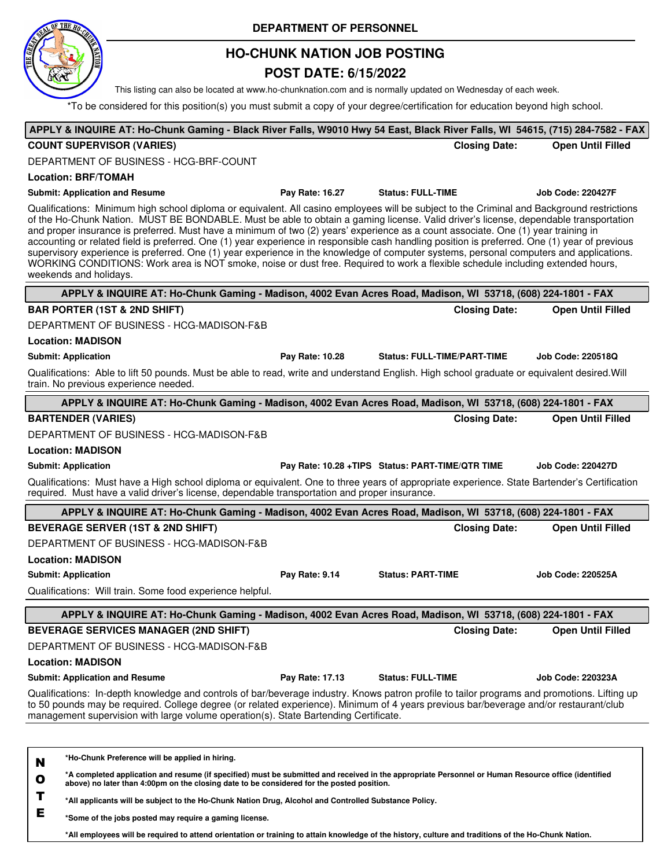

## **HO-CHUNK NATION JOB POSTING**

## **POST DATE: 6/15/2022**

This listing can also be located at www.ho-chunknation.com and is normally updated on Wednesday of each week.

\*To be considered for this position(s) you must submit a copy of your degree/certification for education beyond high school.

| APPLY & INQUIRE AT: Ho-Chunk Gaming - Black River Falls, W9010 Hwy 54 East, Black River Falls, WI 54615, (715) 284-7582 - FAX                                                                                                                                                                                                                                                                                                                                                                                                                                                                                                                                                                                                                                                                                                                                                      |                 |                                                  |                          |
|------------------------------------------------------------------------------------------------------------------------------------------------------------------------------------------------------------------------------------------------------------------------------------------------------------------------------------------------------------------------------------------------------------------------------------------------------------------------------------------------------------------------------------------------------------------------------------------------------------------------------------------------------------------------------------------------------------------------------------------------------------------------------------------------------------------------------------------------------------------------------------|-----------------|--------------------------------------------------|--------------------------|
| <b>COUNT SUPERVISOR (VARIES)</b>                                                                                                                                                                                                                                                                                                                                                                                                                                                                                                                                                                                                                                                                                                                                                                                                                                                   |                 | <b>Closing Date:</b>                             | <b>Open Until Filled</b> |
| DEPARTMENT OF BUSINESS - HCG-BRF-COUNT                                                                                                                                                                                                                                                                                                                                                                                                                                                                                                                                                                                                                                                                                                                                                                                                                                             |                 |                                                  |                          |
| <b>Location: BRF/TOMAH</b>                                                                                                                                                                                                                                                                                                                                                                                                                                                                                                                                                                                                                                                                                                                                                                                                                                                         |                 |                                                  |                          |
| <b>Submit: Application and Resume</b>                                                                                                                                                                                                                                                                                                                                                                                                                                                                                                                                                                                                                                                                                                                                                                                                                                              | Pay Rate: 16.27 | <b>Status: FULL-TIME</b>                         | <b>Job Code: 220427F</b> |
| Qualifications: Minimum high school diploma or equivalent. All casino employees will be subject to the Criminal and Background restrictions<br>of the Ho-Chunk Nation. MUST BE BONDABLE. Must be able to obtain a gaming license. Valid driver's license, dependable transportation<br>and proper insurance is preferred. Must have a minimum of two (2) years' experience as a count associate. One (1) year training in<br>accounting or related field is preferred. One (1) year experience in responsible cash handling position is preferred. One (1) year of previous<br>supervisory experience is preferred. One (1) year experience in the knowledge of computer systems, personal computers and applications.<br>WORKING CONDITIONS: Work area is NOT smoke, noise or dust free. Required to work a flexible schedule including extended hours,<br>weekends and holidays. |                 |                                                  |                          |
| APPLY & INQUIRE AT: Ho-Chunk Gaming - Madison, 4002 Evan Acres Road, Madison, WI 53718, (608) 224-1801 - FAX                                                                                                                                                                                                                                                                                                                                                                                                                                                                                                                                                                                                                                                                                                                                                                       |                 |                                                  |                          |
| <b>BAR PORTER (1ST &amp; 2ND SHIFT)</b>                                                                                                                                                                                                                                                                                                                                                                                                                                                                                                                                                                                                                                                                                                                                                                                                                                            |                 | <b>Closing Date:</b>                             | <b>Open Until Filled</b> |
| DEPARTMENT OF BUSINESS - HCG-MADISON-F&B                                                                                                                                                                                                                                                                                                                                                                                                                                                                                                                                                                                                                                                                                                                                                                                                                                           |                 |                                                  |                          |
| <b>Location: MADISON</b>                                                                                                                                                                                                                                                                                                                                                                                                                                                                                                                                                                                                                                                                                                                                                                                                                                                           |                 |                                                  |                          |
| <b>Submit: Application</b>                                                                                                                                                                                                                                                                                                                                                                                                                                                                                                                                                                                                                                                                                                                                                                                                                                                         | Pay Rate: 10.28 | <b>Status: FULL-TIME/PART-TIME</b>               | Job Code: 220518Q        |
| Qualifications: Able to lift 50 pounds. Must be able to read, write and understand English. High school graduate or equivalent desired. Will<br>train. No previous experience needed.                                                                                                                                                                                                                                                                                                                                                                                                                                                                                                                                                                                                                                                                                              |                 |                                                  |                          |
| APPLY & INQUIRE AT: Ho-Chunk Gaming - Madison, 4002 Evan Acres Road, Madison, WI 53718, (608) 224-1801 - FAX                                                                                                                                                                                                                                                                                                                                                                                                                                                                                                                                                                                                                                                                                                                                                                       |                 |                                                  |                          |
| <b>BARTENDER (VARIES)</b>                                                                                                                                                                                                                                                                                                                                                                                                                                                                                                                                                                                                                                                                                                                                                                                                                                                          |                 | <b>Closing Date:</b>                             | <b>Open Until Filled</b> |
| DEPARTMENT OF BUSINESS - HCG-MADISON-F&B                                                                                                                                                                                                                                                                                                                                                                                                                                                                                                                                                                                                                                                                                                                                                                                                                                           |                 |                                                  |                          |
| <b>Location: MADISON</b>                                                                                                                                                                                                                                                                                                                                                                                                                                                                                                                                                                                                                                                                                                                                                                                                                                                           |                 |                                                  |                          |
| <b>Submit: Application</b>                                                                                                                                                                                                                                                                                                                                                                                                                                                                                                                                                                                                                                                                                                                                                                                                                                                         |                 | Pay Rate: 10.28 +TIPS Status: PART-TIME/QTR TIME | Job Code: 220427D        |
| Qualifications: Must have a High school diploma or equivalent. One to three years of appropriate experience. State Bartender's Certification<br>required. Must have a valid driver's license, dependable transportation and proper insurance.                                                                                                                                                                                                                                                                                                                                                                                                                                                                                                                                                                                                                                      |                 |                                                  |                          |
| APPLY & INQUIRE AT: Ho-Chunk Gaming - Madison, 4002 Evan Acres Road, Madison, WI 53718, (608) 224-1801 - FAX                                                                                                                                                                                                                                                                                                                                                                                                                                                                                                                                                                                                                                                                                                                                                                       |                 |                                                  |                          |
| <b>BEVERAGE SERVER (1ST &amp; 2ND SHIFT)</b>                                                                                                                                                                                                                                                                                                                                                                                                                                                                                                                                                                                                                                                                                                                                                                                                                                       |                 | <b>Closing Date:</b>                             | <b>Open Until Filled</b> |
| DEPARTMENT OF BUSINESS - HCG-MADISON-F&B                                                                                                                                                                                                                                                                                                                                                                                                                                                                                                                                                                                                                                                                                                                                                                                                                                           |                 |                                                  |                          |
| <b>Location: MADISON</b>                                                                                                                                                                                                                                                                                                                                                                                                                                                                                                                                                                                                                                                                                                                                                                                                                                                           |                 |                                                  |                          |
| <b>Submit: Application</b>                                                                                                                                                                                                                                                                                                                                                                                                                                                                                                                                                                                                                                                                                                                                                                                                                                                         | Pay Rate: 9.14  | <b>Status: PART-TIME</b>                         | <b>Job Code: 220525A</b> |
| Qualifications: Will train. Some food experience helpful.                                                                                                                                                                                                                                                                                                                                                                                                                                                                                                                                                                                                                                                                                                                                                                                                                          |                 |                                                  |                          |
| APPLY & INQUIRE AT: Ho-Chunk Gaming - Madison, 4002 Evan Acres Road, Madison, WI 53718, (608) 224-1801 - FAX                                                                                                                                                                                                                                                                                                                                                                                                                                                                                                                                                                                                                                                                                                                                                                       |                 |                                                  |                          |
| <b>BEVERAGE SERVICES MANAGER (2ND SHIFT)</b>                                                                                                                                                                                                                                                                                                                                                                                                                                                                                                                                                                                                                                                                                                                                                                                                                                       |                 | <b>Closing Date:</b>                             | <b>Open Until Filled</b> |
| DEPARTMENT OF BUSINESS - HCG-MADISON-F&B                                                                                                                                                                                                                                                                                                                                                                                                                                                                                                                                                                                                                                                                                                                                                                                                                                           |                 |                                                  |                          |
| <b>Location: MADISON</b>                                                                                                                                                                                                                                                                                                                                                                                                                                                                                                                                                                                                                                                                                                                                                                                                                                                           |                 |                                                  |                          |
| <b>Submit: Application and Resume</b>                                                                                                                                                                                                                                                                                                                                                                                                                                                                                                                                                                                                                                                                                                                                                                                                                                              | Pay Rate: 17.13 | <b>Status: FULL-TIME</b>                         | Job Code: 220323A        |
| Qualifications: In-depth knowledge and controls of bar/beverage industry. Knows patron profile to tailor programs and promotions. Lifting up                                                                                                                                                                                                                                                                                                                                                                                                                                                                                                                                                                                                                                                                                                                                       |                 |                                                  |                          |
| to 50 pounds may be required. College degree (or related experience). Minimum of 4 years previous bar/beverage and/or restaurant/club<br>management supervision with large volume operation(s). State Bartending Certificate.                                                                                                                                                                                                                                                                                                                                                                                                                                                                                                                                                                                                                                                      |                 |                                                  |                          |
|                                                                                                                                                                                                                                                                                                                                                                                                                                                                                                                                                                                                                                                                                                                                                                                                                                                                                    |                 |                                                  |                          |
| *Ho-Chunk Preference will be applied in hiring.<br>N                                                                                                                                                                                                                                                                                                                                                                                                                                                                                                                                                                                                                                                                                                                                                                                                                               |                 |                                                  |                          |
| *A completed application and resume (if specified) must be submitted and received in the appropriate Personnel or Human Resource office (identified<br>$\mathbf o$<br>above) no later than 4:00pm on the closing date to be considered for the posted position.                                                                                                                                                                                                                                                                                                                                                                                                                                                                                                                                                                                                                    |                 |                                                  |                          |
| Т<br>*All applicants will be subject to the Ho-Chunk Nation Drug, Alcohol and Controlled Substance Policy.                                                                                                                                                                                                                                                                                                                                                                                                                                                                                                                                                                                                                                                                                                                                                                         |                 |                                                  |                          |

**E \*Some of the jobs posted may require a gaming license.**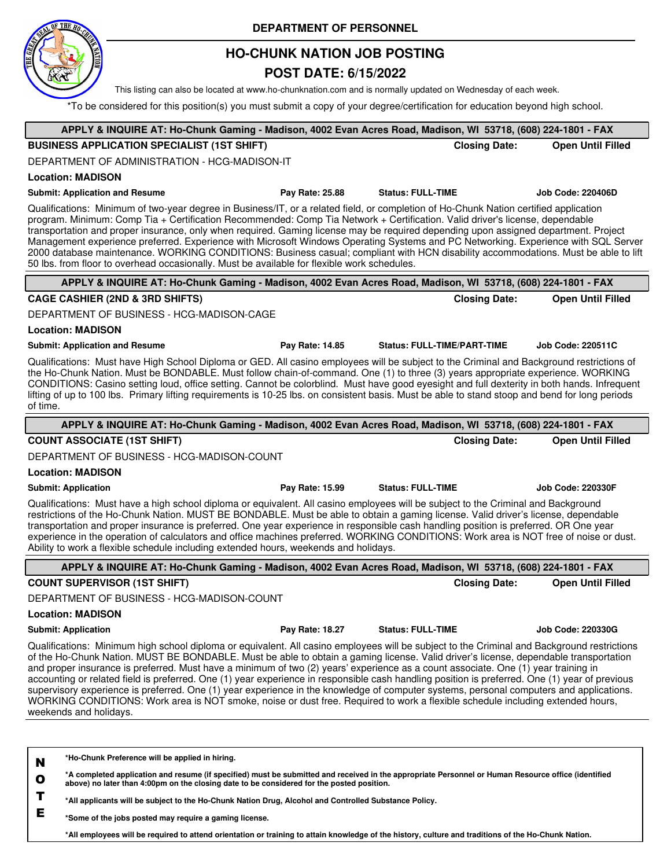

## **HO-CHUNK NATION JOB POSTING**

### **POST DATE: 6/15/2022**

This listing can also be located at www.ho-chunknation.com and is normally updated on Wednesday of each week.

\*To be considered for this position(s) you must submit a copy of your degree/certification for education beyond high school.

| APPLY & INQUIRE AT: Ho-Chunk Gaming - Madison, 4002 Evan Acres Road, Madison, WI 53718, (608) 224-1801 - FAX                                                                                                                                                                                                                                                                                                                                                                                                                                                                                                                                                                                                                                                                                                                                                                       |                 |                                    |                      |                          |
|------------------------------------------------------------------------------------------------------------------------------------------------------------------------------------------------------------------------------------------------------------------------------------------------------------------------------------------------------------------------------------------------------------------------------------------------------------------------------------------------------------------------------------------------------------------------------------------------------------------------------------------------------------------------------------------------------------------------------------------------------------------------------------------------------------------------------------------------------------------------------------|-----------------|------------------------------------|----------------------|--------------------------|
| <b>BUSINESS APPLICATION SPECIALIST (1ST SHIFT)</b>                                                                                                                                                                                                                                                                                                                                                                                                                                                                                                                                                                                                                                                                                                                                                                                                                                 |                 |                                    | <b>Closing Date:</b> | <b>Open Until Filled</b> |
| DEPARTMENT OF ADMINISTRATION - HCG-MADISON-IT                                                                                                                                                                                                                                                                                                                                                                                                                                                                                                                                                                                                                                                                                                                                                                                                                                      |                 |                                    |                      |                          |
| <b>Location: MADISON</b>                                                                                                                                                                                                                                                                                                                                                                                                                                                                                                                                                                                                                                                                                                                                                                                                                                                           |                 |                                    |                      |                          |
| <b>Submit: Application and Resume</b>                                                                                                                                                                                                                                                                                                                                                                                                                                                                                                                                                                                                                                                                                                                                                                                                                                              | Pay Rate: 25.88 | <b>Status: FULL-TIME</b>           |                      | <b>Job Code: 220406D</b> |
| Qualifications: Minimum of two-year degree in Business/IT, or a related field, or completion of Ho-Chunk Nation certified application<br>program. Minimum: Comp Tia + Certification Recommended: Comp Tia Network + Certification. Valid driver's license, dependable<br>transportation and proper insurance, only when required. Gaming license may be required depending upon assigned department. Project<br>Management experience preferred. Experience with Microsoft Windows Operating Systems and PC Networking. Experience with SQL Server<br>2000 database maintenance. WORKING CONDITIONS: Business casual; compliant with HCN disability accommodations. Must be able to lift<br>50 lbs. from floor to overhead occasionally. Must be available for flexible work schedules.                                                                                            |                 |                                    |                      |                          |
| APPLY & INQUIRE AT: Ho-Chunk Gaming - Madison, 4002 Evan Acres Road, Madison, WI 53718, (608) 224-1801 - FAX                                                                                                                                                                                                                                                                                                                                                                                                                                                                                                                                                                                                                                                                                                                                                                       |                 |                                    |                      |                          |
| <b>CAGE CASHIER (2ND &amp; 3RD SHIFTS)</b>                                                                                                                                                                                                                                                                                                                                                                                                                                                                                                                                                                                                                                                                                                                                                                                                                                         |                 |                                    | <b>Closing Date:</b> | <b>Open Until Filled</b> |
| DEPARTMENT OF BUSINESS - HCG-MADISON-CAGE                                                                                                                                                                                                                                                                                                                                                                                                                                                                                                                                                                                                                                                                                                                                                                                                                                          |                 |                                    |                      |                          |
| <b>Location: MADISON</b>                                                                                                                                                                                                                                                                                                                                                                                                                                                                                                                                                                                                                                                                                                                                                                                                                                                           |                 |                                    |                      |                          |
| <b>Submit: Application and Resume</b>                                                                                                                                                                                                                                                                                                                                                                                                                                                                                                                                                                                                                                                                                                                                                                                                                                              | Pay Rate: 14.85 | <b>Status: FULL-TIME/PART-TIME</b> |                      | Job Code: 220511C        |
| Qualifications: Must have High School Diploma or GED. All casino employees will be subject to the Criminal and Background restrictions of<br>the Ho-Chunk Nation. Must be BONDABLE. Must follow chain-of-command. One (1) to three (3) years appropriate experience. WORKING<br>CONDITIONS: Casino setting loud, office setting. Cannot be colorblind. Must have good eyesight and full dexterity in both hands. Infrequent<br>lifting of up to 100 lbs. Primary lifting requirements is 10-25 lbs. on consistent basis. Must be able to stand stoop and bend for long periods<br>of time.                                                                                                                                                                                                                                                                                         |                 |                                    |                      |                          |
| APPLY & INQUIRE AT: Ho-Chunk Gaming - Madison, 4002 Evan Acres Road, Madison, WI 53718, (608) 224-1801 - FAX                                                                                                                                                                                                                                                                                                                                                                                                                                                                                                                                                                                                                                                                                                                                                                       |                 |                                    |                      |                          |
| <b>COUNT ASSOCIATE (1ST SHIFT)</b>                                                                                                                                                                                                                                                                                                                                                                                                                                                                                                                                                                                                                                                                                                                                                                                                                                                 |                 |                                    | <b>Closing Date:</b> | <b>Open Until Filled</b> |
| DEPARTMENT OF BUSINESS - HCG-MADISON-COUNT                                                                                                                                                                                                                                                                                                                                                                                                                                                                                                                                                                                                                                                                                                                                                                                                                                         |                 |                                    |                      |                          |
| <b>Location: MADISON</b>                                                                                                                                                                                                                                                                                                                                                                                                                                                                                                                                                                                                                                                                                                                                                                                                                                                           |                 |                                    |                      |                          |
| <b>Submit: Application</b>                                                                                                                                                                                                                                                                                                                                                                                                                                                                                                                                                                                                                                                                                                                                                                                                                                                         | Pay Rate: 15.99 | <b>Status: FULL-TIME</b>           |                      | <b>Job Code: 220330F</b> |
| Qualifications: Must have a high school diploma or equivalent. All casino employees will be subject to the Criminal and Background<br>restrictions of the Ho-Chunk Nation. MUST BE BONDABLE. Must be able to obtain a gaming license. Valid driver's license, dependable<br>transportation and proper insurance is preferred. One year experience in responsible cash handling position is preferred. OR One year<br>experience in the operation of calculators and office machines preferred. WORKING CONDITIONS: Work area is NOT free of noise or dust.<br>Ability to work a flexible schedule including extended hours, weekends and holidays.                                                                                                                                                                                                                                 |                 |                                    |                      |                          |
| APPLY & INQUIRE AT: Ho-Chunk Gaming - Madison, 4002 Evan Acres Road, Madison, WI 53718, (608) 224-1801 - FAX                                                                                                                                                                                                                                                                                                                                                                                                                                                                                                                                                                                                                                                                                                                                                                       |                 |                                    |                      |                          |
| <b>COUNT SUPERVISOR (1ST SHIFT)</b>                                                                                                                                                                                                                                                                                                                                                                                                                                                                                                                                                                                                                                                                                                                                                                                                                                                |                 |                                    | <b>Closing Date:</b> | <b>Open Until Filled</b> |
| DEPARTMENT OF BUSINESS - HCG-MADISON-COUNT                                                                                                                                                                                                                                                                                                                                                                                                                                                                                                                                                                                                                                                                                                                                                                                                                                         |                 |                                    |                      |                          |
| <b>Location: MADISON</b>                                                                                                                                                                                                                                                                                                                                                                                                                                                                                                                                                                                                                                                                                                                                                                                                                                                           |                 |                                    |                      |                          |
| <b>Submit: Application</b>                                                                                                                                                                                                                                                                                                                                                                                                                                                                                                                                                                                                                                                                                                                                                                                                                                                         | Pay Rate: 18.27 | <b>Status: FULL-TIME</b>           |                      | <b>Job Code: 220330G</b> |
| Qualifications: Minimum high school diploma or equivalent. All casino employees will be subject to the Criminal and Background restrictions<br>of the Ho-Chunk Nation. MUST BE BONDABLE. Must be able to obtain a gaming license. Valid driver's license, dependable transportation<br>and proper insurance is preferred. Must have a minimum of two (2) years' experience as a count associate. One (1) year training in<br>accounting or related field is preferred. One (1) year experience in responsible cash handling position is preferred. One (1) year of previous<br>supervisory experience is preferred. One (1) year experience in the knowledge of computer systems, personal computers and applications.<br>WORKING CONDITIONS: Work area is NOT smoke, noise or dust free. Required to work a flexible schedule including extended hours,<br>weekends and holidays. |                 |                                    |                      |                          |
|                                                                                                                                                                                                                                                                                                                                                                                                                                                                                                                                                                                                                                                                                                                                                                                                                                                                                    |                 |                                    |                      |                          |
| *Ho-Chunk Preference will be applied in hiring.<br>N<br>*A completed application and resume (if specified) must be submitted and received in the appropriate Personnel or Human Resource office (identified<br>O<br>above) no later than 4:00pm on the closing date to be considered for the posted position.<br>*All annitogate will be subject to the Ho-Chunk Nation Drug, Algobal and Controlled Substance Policy                                                                                                                                                                                                                                                                                                                                                                                                                                                              |                 |                                    |                      |                          |

**\*All applicants will be subject to the Ho-Chunk Nation Drug, Alcohol and Controlled Substance Policy.**

**E \*Some of the jobs posted may require a gaming license.**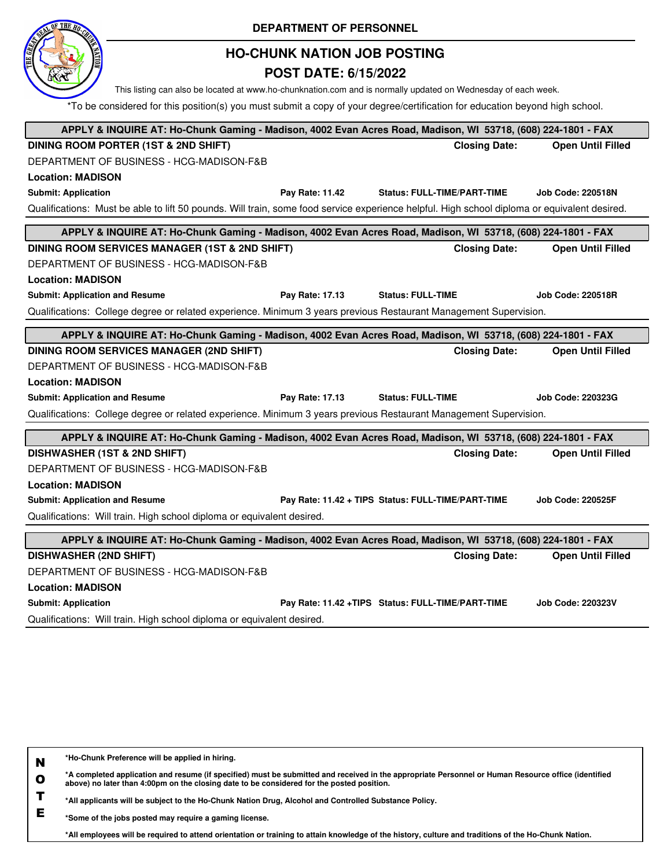| <b>HO-CHUNK NATION JOB POSTING</b>                                                                                                                                                                                                            |                          |  |  |  |  |
|-----------------------------------------------------------------------------------------------------------------------------------------------------------------------------------------------------------------------------------------------|--------------------------|--|--|--|--|
|                                                                                                                                                                                                                                               |                          |  |  |  |  |
| <b>POST DATE: 6/15/2022</b>                                                                                                                                                                                                                   |                          |  |  |  |  |
| This listing can also be located at www.ho-chunknation.com and is normally updated on Wednesday of each week.<br>*To be considered for this position(s) you must submit a copy of your degree/certification for education beyond high school. |                          |  |  |  |  |
|                                                                                                                                                                                                                                               |                          |  |  |  |  |
| APPLY & INQUIRE AT: Ho-Chunk Gaming - Madison, 4002 Evan Acres Road, Madison, WI 53718, (608) 224-1801 - FAX                                                                                                                                  |                          |  |  |  |  |
| DINING ROOM PORTER (1ST & 2ND SHIFT)<br><b>Closing Date:</b>                                                                                                                                                                                  | <b>Open Until Filled</b> |  |  |  |  |
| DEPARTMENT OF BUSINESS - HCG-MADISON-F&B                                                                                                                                                                                                      |                          |  |  |  |  |
| <b>Location: MADISON</b>                                                                                                                                                                                                                      |                          |  |  |  |  |
| <b>Submit: Application</b><br>Pay Rate: 11.42<br><b>Status: FULL-TIME/PART-TIME</b>                                                                                                                                                           | <b>Job Code: 220518N</b> |  |  |  |  |
| Qualifications: Must be able to lift 50 pounds. Will train, some food service experience helpful. High school diploma or equivalent desired.                                                                                                  |                          |  |  |  |  |
| APPLY & INQUIRE AT: Ho-Chunk Gaming - Madison, 4002 Evan Acres Road, Madison, WI 53718, (608) 224-1801 - FAX                                                                                                                                  |                          |  |  |  |  |
| DINING ROOM SERVICES MANAGER (1ST & 2ND SHIFT)<br><b>Closing Date:</b>                                                                                                                                                                        | <b>Open Until Filled</b> |  |  |  |  |
| DEPARTMENT OF BUSINESS - HCG-MADISON-F&B                                                                                                                                                                                                      |                          |  |  |  |  |
| <b>Location: MADISON</b>                                                                                                                                                                                                                      |                          |  |  |  |  |
| <b>Submit: Application and Resume</b><br>Pay Rate: 17.13<br><b>Status: FULL-TIME</b>                                                                                                                                                          | <b>Job Code: 220518R</b> |  |  |  |  |
| Qualifications: College degree or related experience. Minimum 3 years previous Restaurant Management Supervision.                                                                                                                             |                          |  |  |  |  |
| APPLY & INQUIRE AT: Ho-Chunk Gaming - Madison, 4002 Evan Acres Road, Madison, WI 53718, (608) 224-1801 - FAX                                                                                                                                  |                          |  |  |  |  |
| <b>DINING ROOM SERVICES MANAGER (2ND SHIFT)</b><br><b>Closing Date:</b>                                                                                                                                                                       | <b>Open Until Filled</b> |  |  |  |  |
|                                                                                                                                                                                                                                               |                          |  |  |  |  |
| DEPARTMENT OF BUSINESS - HCG-MADISON-F&B                                                                                                                                                                                                      |                          |  |  |  |  |
| <b>Location: MADISON</b>                                                                                                                                                                                                                      |                          |  |  |  |  |
| <b>Status: FULL-TIME</b><br><b>Submit: Application and Resume</b><br>Pay Rate: 17.13                                                                                                                                                          | <b>Job Code: 220323G</b> |  |  |  |  |
| Qualifications: College degree or related experience. Minimum 3 years previous Restaurant Management Supervision.                                                                                                                             |                          |  |  |  |  |
|                                                                                                                                                                                                                                               |                          |  |  |  |  |
| APPLY & INQUIRE AT: Ho-Chunk Gaming - Madison, 4002 Evan Acres Road, Madison, WI 53718, (608) 224-1801 - FAX                                                                                                                                  |                          |  |  |  |  |
| <b>DISHWASHER (1ST &amp; 2ND SHIFT)</b><br><b>Closing Date:</b>                                                                                                                                                                               | <b>Open Until Filled</b> |  |  |  |  |
| DEPARTMENT OF BUSINESS - HCG-MADISON-F&B                                                                                                                                                                                                      |                          |  |  |  |  |
| <b>Location: MADISON</b>                                                                                                                                                                                                                      | <b>Job Code: 220525F</b> |  |  |  |  |
| Pay Rate: 11.42 + TIPS Status: FULL-TIME/PART-TIME<br><b>Submit: Application and Resume</b>                                                                                                                                                   |                          |  |  |  |  |
| Qualifications: Will train. High school diploma or equivalent desired.                                                                                                                                                                        |                          |  |  |  |  |
| APPLY & INQUIRE AT: Ho-Chunk Gaming - Madison, 4002 Evan Acres Road, Madison, WI 53718, (608) 224-1801 - FAX                                                                                                                                  |                          |  |  |  |  |
| <b>DISHWASHER (2ND SHIFT)</b><br><b>Closing Date:</b>                                                                                                                                                                                         | <b>Open Until Filled</b> |  |  |  |  |
| DEPARTMENT OF BUSINESS - HCG-MADISON-F&B                                                                                                                                                                                                      |                          |  |  |  |  |
| <b>Location: MADISON</b><br>Pay Rate: 11.42 +TIPS Status: FULL-TIME/PART-TIME<br><b>Submit: Application</b>                                                                                                                                   | Job Code: 220323V        |  |  |  |  |

Qualifications: Will train. High school diploma or equivalent desired.

**N \*Ho-Chunk Preference will be applied in hiring.**

AL OF THE HO.

**O \*A completed application and resume (if specified) must be submitted and received in the appropriate Personnel or Human Resource office (identified above) no later than 4:00pm on the closing date to be considered for the posted position.**

**T \*All applicants will be subject to the Ho-Chunk Nation Drug, Alcohol and Controlled Substance Policy.**

**E \*Some of the jobs posted may require a gaming license.**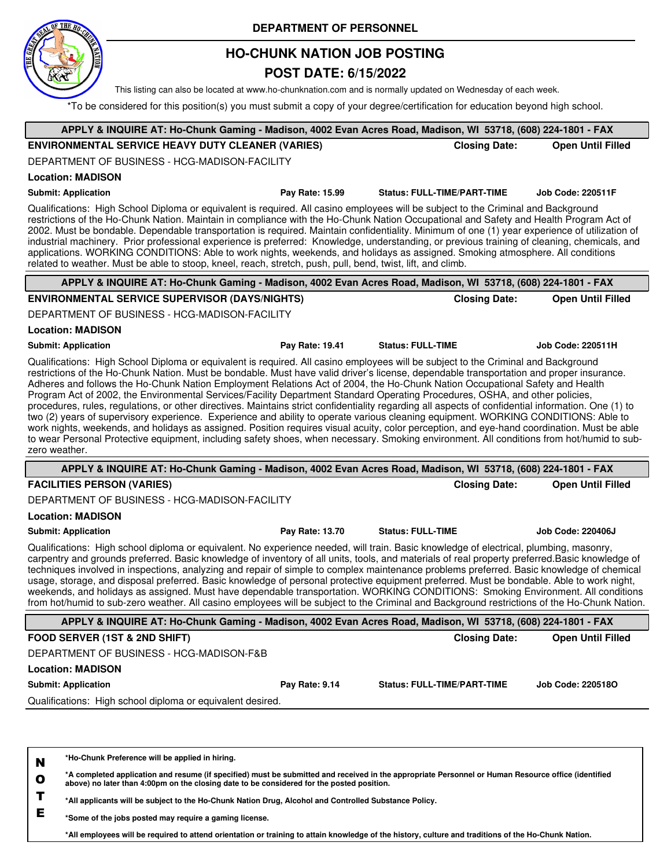

## **HO-CHUNK NATION JOB POSTING**

### **POST DATE: 6/15/2022**

This listing can also be located at www.ho-chunknation.com and is normally updated on Wednesday of each week.

\*To be considered for this position(s) you must submit a copy of your degree/certification for education beyond high school.

| APPLY & INQUIRE AT: Ho-Chunk Gaming - Madison, 4002 Evan Acres Road, Madison, WI 53718, (608) 224-1801 - FAX                                                                                                                                                                                                                                                                                                                                                                                                                                                                                                                                                                                                                                                                                                                                                                                                                                                                                                                                                                                                                                             |                 |                                    |                          |
|----------------------------------------------------------------------------------------------------------------------------------------------------------------------------------------------------------------------------------------------------------------------------------------------------------------------------------------------------------------------------------------------------------------------------------------------------------------------------------------------------------------------------------------------------------------------------------------------------------------------------------------------------------------------------------------------------------------------------------------------------------------------------------------------------------------------------------------------------------------------------------------------------------------------------------------------------------------------------------------------------------------------------------------------------------------------------------------------------------------------------------------------------------|-----------------|------------------------------------|--------------------------|
| <b>ENVIRONMENTAL SERVICE HEAVY DUTY CLEANER (VARIES)</b>                                                                                                                                                                                                                                                                                                                                                                                                                                                                                                                                                                                                                                                                                                                                                                                                                                                                                                                                                                                                                                                                                                 |                 | <b>Closing Date:</b>               | <b>Open Until Filled</b> |
| DEPARTMENT OF BUSINESS - HCG-MADISON-FACILITY                                                                                                                                                                                                                                                                                                                                                                                                                                                                                                                                                                                                                                                                                                                                                                                                                                                                                                                                                                                                                                                                                                            |                 |                                    |                          |
| <b>Location: MADISON</b>                                                                                                                                                                                                                                                                                                                                                                                                                                                                                                                                                                                                                                                                                                                                                                                                                                                                                                                                                                                                                                                                                                                                 |                 |                                    |                          |
| <b>Submit: Application</b>                                                                                                                                                                                                                                                                                                                                                                                                                                                                                                                                                                                                                                                                                                                                                                                                                                                                                                                                                                                                                                                                                                                               | Pay Rate: 15.99 | <b>Status: FULL-TIME/PART-TIME</b> | <b>Job Code: 220511F</b> |
| Qualifications: High School Diploma or equivalent is required. All casino employees will be subject to the Criminal and Background<br>restrictions of the Ho-Chunk Nation. Maintain in compliance with the Ho-Chunk Nation Occupational and Safety and Health Program Act of<br>2002. Must be bondable. Dependable transportation is required. Maintain confidentiality. Minimum of one (1) year experience of utilization of<br>industrial machinery. Prior professional experience is preferred: Knowledge, understanding, or previous training of cleaning, chemicals, and<br>applications. WORKING CONDITIONS: Able to work nights, weekends, and holidays as assigned. Smoking atmosphere. All conditions<br>related to weather. Must be able to stoop, kneel, reach, stretch, push, pull, bend, twist, lift, and climb.                                                                                                                                                                                                                                                                                                                            |                 |                                    |                          |
| APPLY & INQUIRE AT: Ho-Chunk Gaming - Madison, 4002 Evan Acres Road, Madison, WI 53718, (608) 224-1801 - FAX                                                                                                                                                                                                                                                                                                                                                                                                                                                                                                                                                                                                                                                                                                                                                                                                                                                                                                                                                                                                                                             |                 |                                    |                          |
| <b>ENVIRONMENTAL SERVICE SUPERVISOR (DAYS/NIGHTS)</b>                                                                                                                                                                                                                                                                                                                                                                                                                                                                                                                                                                                                                                                                                                                                                                                                                                                                                                                                                                                                                                                                                                    |                 | <b>Closing Date:</b>               | <b>Open Until Filled</b> |
| DEPARTMENT OF BUSINESS - HCG-MADISON-FACILITY                                                                                                                                                                                                                                                                                                                                                                                                                                                                                                                                                                                                                                                                                                                                                                                                                                                                                                                                                                                                                                                                                                            |                 |                                    |                          |
| <b>Location: MADISON</b>                                                                                                                                                                                                                                                                                                                                                                                                                                                                                                                                                                                                                                                                                                                                                                                                                                                                                                                                                                                                                                                                                                                                 |                 |                                    |                          |
| <b>Submit: Application</b>                                                                                                                                                                                                                                                                                                                                                                                                                                                                                                                                                                                                                                                                                                                                                                                                                                                                                                                                                                                                                                                                                                                               | Pay Rate: 19.41 | <b>Status: FULL-TIME</b>           | <b>Job Code: 220511H</b> |
| Qualifications: High School Diploma or equivalent is required. All casino employees will be subject to the Criminal and Background<br>restrictions of the Ho-Chunk Nation. Must be bondable. Must have valid driver's license, dependable transportation and proper insurance.<br>Adheres and follows the Ho-Chunk Nation Employment Relations Act of 2004, the Ho-Chunk Nation Occupational Safety and Health<br>Program Act of 2002, the Environmental Services/Facility Department Standard Operating Procedures, OSHA, and other policies,<br>procedures, rules, regulations, or other directives. Maintains strict confidentiality regarding all aspects of confidential information. One (1) to<br>two (2) years of supervisory experience. Experience and ability to operate various cleaning equipment. WORKING CONDITIONS: Able to<br>work nights, weekends, and holidays as assigned. Position requires visual acuity, color perception, and eye-hand coordination. Must be able<br>to wear Personal Protective equipment, including safety shoes, when necessary. Smoking environment. All conditions from hot/humid to sub-<br>zero weather. |                 |                                    |                          |
| APPLY & INQUIRE AT: Ho-Chunk Gaming - Madison, 4002 Evan Acres Road, Madison, WI 53718, (608) 224-1801 - FAX                                                                                                                                                                                                                                                                                                                                                                                                                                                                                                                                                                                                                                                                                                                                                                                                                                                                                                                                                                                                                                             |                 |                                    |                          |
| <b>FACILITIES PERSON (VARIES)</b>                                                                                                                                                                                                                                                                                                                                                                                                                                                                                                                                                                                                                                                                                                                                                                                                                                                                                                                                                                                                                                                                                                                        |                 | <b>Closing Date:</b>               | <b>Open Until Filled</b> |
| DEPARTMENT OF BUSINESS - HCG-MADISON-FACILITY                                                                                                                                                                                                                                                                                                                                                                                                                                                                                                                                                                                                                                                                                                                                                                                                                                                                                                                                                                                                                                                                                                            |                 |                                    |                          |
| <b>Location: MADISON</b>                                                                                                                                                                                                                                                                                                                                                                                                                                                                                                                                                                                                                                                                                                                                                                                                                                                                                                                                                                                                                                                                                                                                 |                 |                                    |                          |
| <b>Submit: Application</b>                                                                                                                                                                                                                                                                                                                                                                                                                                                                                                                                                                                                                                                                                                                                                                                                                                                                                                                                                                                                                                                                                                                               | Pay Rate: 13.70 | <b>Status: FULL-TIME</b>           | <b>Job Code: 220406J</b> |
| Qualifications: High school diploma or equivalent. No experience needed, will train. Basic knowledge of electrical, plumbing, masonry,<br>carpentry and grounds preferred. Basic knowledge of inventory of all units, tools, and materials of real property preferred. Basic knowledge of<br>techniques involved in inspections, analyzing and repair of simple to complex maintenance problems preferred. Basic knowledge of chemical<br>usage, storage, and disposal preferred. Basic knowledge of personal protective equipment preferred. Must be bondable. Able to work night,<br>weekends, and holidays as assigned. Must have dependable transportation. WORKING CONDITIONS: Smoking Environment. All conditions<br>from hot/humid to sub-zero weather. All casino employees will be subject to the Criminal and Background restrictions of the Ho-Chunk Nation.                                                                                                                                                                                                                                                                                  |                 |                                    |                          |
| APPLY & INQUIRE AT: Ho-Chunk Gaming - Madison, 4002 Evan Acres Road, Madison, WI 53718, (608) 224-1801 - FAX                                                                                                                                                                                                                                                                                                                                                                                                                                                                                                                                                                                                                                                                                                                                                                                                                                                                                                                                                                                                                                             |                 |                                    |                          |
| FOOD SERVER (1ST & 2ND SHIFT)                                                                                                                                                                                                                                                                                                                                                                                                                                                                                                                                                                                                                                                                                                                                                                                                                                                                                                                                                                                                                                                                                                                            |                 | <b>Closing Date:</b>               | <b>Open Until Filled</b> |
| DEPARTMENT OF BUSINESS - HCG-MADISON-F&B                                                                                                                                                                                                                                                                                                                                                                                                                                                                                                                                                                                                                                                                                                                                                                                                                                                                                                                                                                                                                                                                                                                 |                 |                                    |                          |
| <b>Location: MADISON</b>                                                                                                                                                                                                                                                                                                                                                                                                                                                                                                                                                                                                                                                                                                                                                                                                                                                                                                                                                                                                                                                                                                                                 |                 |                                    |                          |
| <b>Submit: Application</b>                                                                                                                                                                                                                                                                                                                                                                                                                                                                                                                                                                                                                                                                                                                                                                                                                                                                                                                                                                                                                                                                                                                               | Pay Rate: 9.14  | <b>Status: FULL-TIME/PART-TIME</b> | Job Code: 220518O        |
| Qualifications: High school diploma or equivalent desired.                                                                                                                                                                                                                                                                                                                                                                                                                                                                                                                                                                                                                                                                                                                                                                                                                                                                                                                                                                                                                                                                                               |                 |                                    |                          |
| *Ho-Chunk Preference will be applied in hiring.<br>N                                                                                                                                                                                                                                                                                                                                                                                                                                                                                                                                                                                                                                                                                                                                                                                                                                                                                                                                                                                                                                                                                                     |                 |                                    |                          |

**O \*A completed application and resume (if specified) must be submitted and received in the appropriate Personnel or Human Resource office (identified above) no later than 4:00pm on the closing date to be considered for the posted position.**

**T \*All applicants will be subject to the Ho-Chunk Nation Drug, Alcohol and Controlled Substance Policy.**

**E \*Some of the jobs posted may require a gaming license.**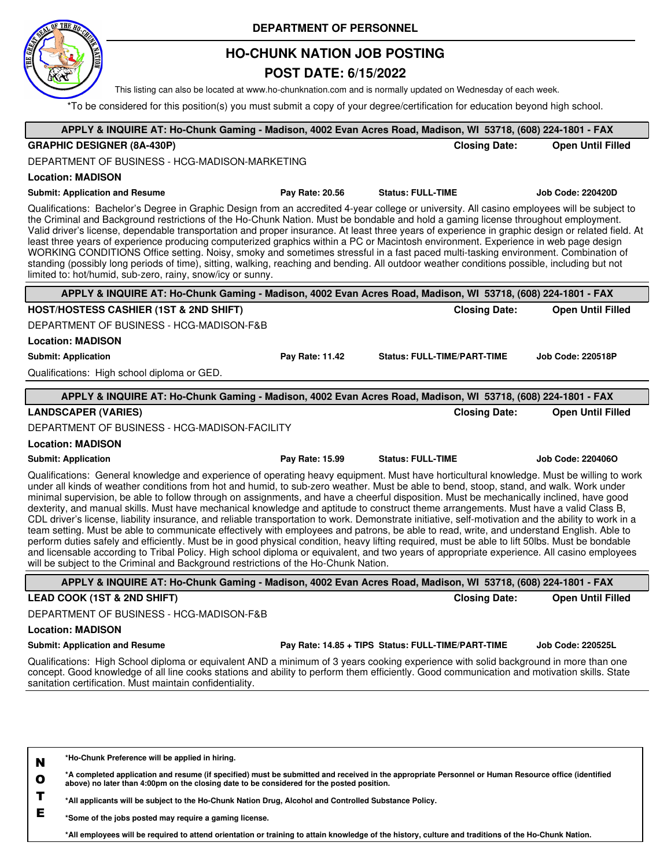

## **HO-CHUNK NATION JOB POSTING**

### **POST DATE: 6/15/2022**

This listing can also be located at www.ho-chunknation.com and is normally updated on Wednesday of each week.

\*To be considered for this position(s) you must submit a copy of your degree/certification for education beyond high school.

| APPLY & INQUIRE AT: Ho-Chunk Gaming - Madison, 4002 Evan Acres Road, Madison, WI 53718, (608) 224-1801 - FAX                                                                                                                                                                                                                                                                                                                                                                                                                                                                                                                                                                                                                                                                                                                                                                                                                                                                                                                                                                                                                                                                                                                                                            |                 |                                                    |                          |
|-------------------------------------------------------------------------------------------------------------------------------------------------------------------------------------------------------------------------------------------------------------------------------------------------------------------------------------------------------------------------------------------------------------------------------------------------------------------------------------------------------------------------------------------------------------------------------------------------------------------------------------------------------------------------------------------------------------------------------------------------------------------------------------------------------------------------------------------------------------------------------------------------------------------------------------------------------------------------------------------------------------------------------------------------------------------------------------------------------------------------------------------------------------------------------------------------------------------------------------------------------------------------|-----------------|----------------------------------------------------|--------------------------|
| <b>GRAPHIC DESIGNER (8A-430P)</b>                                                                                                                                                                                                                                                                                                                                                                                                                                                                                                                                                                                                                                                                                                                                                                                                                                                                                                                                                                                                                                                                                                                                                                                                                                       |                 | <b>Closing Date:</b>                               | <b>Open Until Filled</b> |
| DEPARTMENT OF BUSINESS - HCG-MADISON-MARKETING                                                                                                                                                                                                                                                                                                                                                                                                                                                                                                                                                                                                                                                                                                                                                                                                                                                                                                                                                                                                                                                                                                                                                                                                                          |                 |                                                    |                          |
| <b>Location: MADISON</b>                                                                                                                                                                                                                                                                                                                                                                                                                                                                                                                                                                                                                                                                                                                                                                                                                                                                                                                                                                                                                                                                                                                                                                                                                                                |                 |                                                    |                          |
| <b>Submit: Application and Resume</b>                                                                                                                                                                                                                                                                                                                                                                                                                                                                                                                                                                                                                                                                                                                                                                                                                                                                                                                                                                                                                                                                                                                                                                                                                                   | Pay Rate: 20.56 | <b>Status: FULL-TIME</b>                           | <b>Job Code: 220420D</b> |
| Qualifications: Bachelor's Degree in Graphic Design from an accredited 4-year college or university. All casino employees will be subject to<br>the Criminal and Background restrictions of the Ho-Chunk Nation. Must be bondable and hold a gaming license throughout employment.<br>Valid driver's license, dependable transportation and proper insurance. At least three years of experience in graphic design or related field. At<br>least three years of experience producing computerized graphics within a PC or Macintosh environment. Experience in web page design<br>WORKING CONDITIONS Office setting. Noisy, smoky and sometimes stressful in a fast paced multi-tasking environment. Combination of<br>standing (possibly long periods of time), sitting, walking, reaching and bending. All outdoor weather conditions possible, including but not<br>limited to: hot/humid, sub-zero, rainy, snow/icy or sunny.                                                                                                                                                                                                                                                                                                                                       |                 |                                                    |                          |
| APPLY & INQUIRE AT: Ho-Chunk Gaming - Madison, 4002 Evan Acres Road, Madison, WI 53718, (608) 224-1801 - FAX                                                                                                                                                                                                                                                                                                                                                                                                                                                                                                                                                                                                                                                                                                                                                                                                                                                                                                                                                                                                                                                                                                                                                            |                 |                                                    |                          |
| <b>HOST/HOSTESS CASHIER (1ST &amp; 2ND SHIFT)</b>                                                                                                                                                                                                                                                                                                                                                                                                                                                                                                                                                                                                                                                                                                                                                                                                                                                                                                                                                                                                                                                                                                                                                                                                                       |                 | <b>Closing Date:</b>                               | <b>Open Until Filled</b> |
| DEPARTMENT OF BUSINESS - HCG-MADISON-F&B                                                                                                                                                                                                                                                                                                                                                                                                                                                                                                                                                                                                                                                                                                                                                                                                                                                                                                                                                                                                                                                                                                                                                                                                                                |                 |                                                    |                          |
| <b>Location: MADISON</b>                                                                                                                                                                                                                                                                                                                                                                                                                                                                                                                                                                                                                                                                                                                                                                                                                                                                                                                                                                                                                                                                                                                                                                                                                                                |                 |                                                    |                          |
| <b>Submit: Application</b>                                                                                                                                                                                                                                                                                                                                                                                                                                                                                                                                                                                                                                                                                                                                                                                                                                                                                                                                                                                                                                                                                                                                                                                                                                              | Pay Rate: 11.42 | <b>Status: FULL-TIME/PART-TIME</b>                 | <b>Job Code: 220518P</b> |
| Qualifications: High school diploma or GED.                                                                                                                                                                                                                                                                                                                                                                                                                                                                                                                                                                                                                                                                                                                                                                                                                                                                                                                                                                                                                                                                                                                                                                                                                             |                 |                                                    |                          |
| APPLY & INQUIRE AT: Ho-Chunk Gaming - Madison, 4002 Evan Acres Road, Madison, WI 53718, (608) 224-1801 - FAX                                                                                                                                                                                                                                                                                                                                                                                                                                                                                                                                                                                                                                                                                                                                                                                                                                                                                                                                                                                                                                                                                                                                                            |                 |                                                    |                          |
| <b>LANDSCAPER (VARIES)</b>                                                                                                                                                                                                                                                                                                                                                                                                                                                                                                                                                                                                                                                                                                                                                                                                                                                                                                                                                                                                                                                                                                                                                                                                                                              |                 | <b>Closing Date:</b>                               | <b>Open Until Filled</b> |
| DEPARTMENT OF BUSINESS - HCG-MADISON-FACILITY                                                                                                                                                                                                                                                                                                                                                                                                                                                                                                                                                                                                                                                                                                                                                                                                                                                                                                                                                                                                                                                                                                                                                                                                                           |                 |                                                    |                          |
| <b>Location: MADISON</b>                                                                                                                                                                                                                                                                                                                                                                                                                                                                                                                                                                                                                                                                                                                                                                                                                                                                                                                                                                                                                                                                                                                                                                                                                                                |                 |                                                    |                          |
| <b>Submit: Application</b>                                                                                                                                                                                                                                                                                                                                                                                                                                                                                                                                                                                                                                                                                                                                                                                                                                                                                                                                                                                                                                                                                                                                                                                                                                              | Pay Rate: 15.99 | <b>Status: FULL-TIME</b>                           | Job Code: 220406O        |
| Qualifications: General knowledge and experience of operating heavy equipment. Must have horticultural knowledge. Must be willing to work<br>under all kinds of weather conditions from hot and humid, to sub-zero weather. Must be able to bend, stoop, stand, and walk. Work under<br>minimal supervision, be able to follow through on assignments, and have a cheerful disposition. Must be mechanically inclined, have good<br>dexterity, and manual skills. Must have mechanical knowledge and aptitude to construct theme arrangements. Must have a valid Class B,<br>CDL driver's license, liability insurance, and reliable transportation to work. Demonstrate initiative, self-motivation and the ability to work in a<br>team setting. Must be able to communicate effectively with employees and patrons, be able to read, write, and understand English. Able to<br>perform duties safely and efficiently. Must be in good physical condition, heavy lifting required, must be able to lift 50lbs. Must be bondable<br>and licensable according to Tribal Policy. High school diploma or equivalent, and two years of appropriate experience. All casino employees<br>will be subject to the Criminal and Background restrictions of the Ho-Chunk Nation. |                 |                                                    |                          |
| APPLY & INQUIRE AT: Ho-Chunk Gaming - Madison, 4002 Evan Acres Road, Madison, WI 53718, (608) 224-1801 - FAX                                                                                                                                                                                                                                                                                                                                                                                                                                                                                                                                                                                                                                                                                                                                                                                                                                                                                                                                                                                                                                                                                                                                                            |                 |                                                    |                          |
| LEAD COOK (1ST & 2ND SHIFT)                                                                                                                                                                                                                                                                                                                                                                                                                                                                                                                                                                                                                                                                                                                                                                                                                                                                                                                                                                                                                                                                                                                                                                                                                                             |                 | <b>Closing Date:</b>                               | <b>Open Until Filled</b> |
| DEPARTMENT OF BUSINESS - HCG-MADISON-F&B                                                                                                                                                                                                                                                                                                                                                                                                                                                                                                                                                                                                                                                                                                                                                                                                                                                                                                                                                                                                                                                                                                                                                                                                                                |                 |                                                    |                          |
| <b>Location: MADISON</b>                                                                                                                                                                                                                                                                                                                                                                                                                                                                                                                                                                                                                                                                                                                                                                                                                                                                                                                                                                                                                                                                                                                                                                                                                                                |                 |                                                    |                          |
| <b>Submit: Application and Resume</b>                                                                                                                                                                                                                                                                                                                                                                                                                                                                                                                                                                                                                                                                                                                                                                                                                                                                                                                                                                                                                                                                                                                                                                                                                                   |                 | Pay Rate: 14.85 + TIPS Status: FULL-TIME/PART-TIME | <b>Job Code: 220525L</b> |
| Qualifications: High School diploma or equivalent AND a minimum of 3 years cooking experience with solid background in more than one<br>concept. Good knowledge of all line cooks stations and ability to perform them efficiently. Good communication and motivation skills. State<br>sanitation certification. Must maintain confidentiality.                                                                                                                                                                                                                                                                                                                                                                                                                                                                                                                                                                                                                                                                                                                                                                                                                                                                                                                         |                 |                                                    |                          |
| *Ho-Chunk Preference will be applied in hiring.<br>N                                                                                                                                                                                                                                                                                                                                                                                                                                                                                                                                                                                                                                                                                                                                                                                                                                                                                                                                                                                                                                                                                                                                                                                                                    |                 |                                                    |                          |

**O \*A completed application and resume (if specified) must be submitted and received in the appropriate Personnel or Human Resource office (identified above) no later than 4:00pm on the closing date to be considered for the posted position.**

**T \*All applicants will be subject to the Ho-Chunk Nation Drug, Alcohol and Controlled Substance Policy.**

**E \*Some of the jobs posted may require a gaming license.**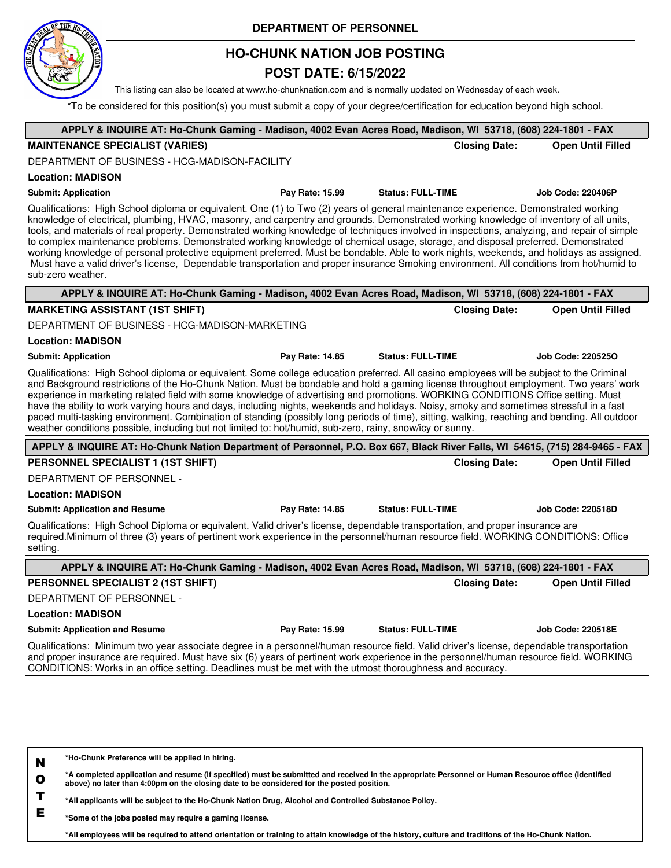

## **HO-CHUNK NATION JOB POSTING**

### **POST DATE: 6/15/2022**

This listing can also be located at www.ho-chunknation.com and is normally updated on Wednesday of each week.

\*To be considered for this position(s) you must submit a copy of your degree/certification for education beyond high school.

| APPLY & INQUIRE AT: Ho-Chunk Gaming - Madison, 4002 Evan Acres Road, Madison, WI 53718, (608) 224-1801 - FAX                                                                                                                                                                                                                                                                                                                                                                                                                                                                                                                                                                                                                                                                                                                                                                   |                          |                          |
|--------------------------------------------------------------------------------------------------------------------------------------------------------------------------------------------------------------------------------------------------------------------------------------------------------------------------------------------------------------------------------------------------------------------------------------------------------------------------------------------------------------------------------------------------------------------------------------------------------------------------------------------------------------------------------------------------------------------------------------------------------------------------------------------------------------------------------------------------------------------------------|--------------------------|--------------------------|
| <b>MAINTENANCE SPECIALIST (VARIES)</b>                                                                                                                                                                                                                                                                                                                                                                                                                                                                                                                                                                                                                                                                                                                                                                                                                                         | <b>Closing Date:</b>     | <b>Open Until Filled</b> |
| DEPARTMENT OF BUSINESS - HCG-MADISON-FACILITY                                                                                                                                                                                                                                                                                                                                                                                                                                                                                                                                                                                                                                                                                                                                                                                                                                  |                          |                          |
| <b>Location: MADISON</b>                                                                                                                                                                                                                                                                                                                                                                                                                                                                                                                                                                                                                                                                                                                                                                                                                                                       |                          |                          |
| <b>Submit: Application</b><br>Pay Rate: 15.99                                                                                                                                                                                                                                                                                                                                                                                                                                                                                                                                                                                                                                                                                                                                                                                                                                  | <b>Status: FULL-TIME</b> | <b>Job Code: 220406P</b> |
| Qualifications: High School diploma or equivalent. One (1) to Two (2) years of general maintenance experience. Demonstrated working<br>knowledge of electrical, plumbing, HVAC, masonry, and carpentry and grounds. Demonstrated working knowledge of inventory of all units,<br>tools, and materials of real property. Demonstrated working knowledge of techniques involved in inspections, analyzing, and repair of simple<br>to complex maintenance problems. Demonstrated working knowledge of chemical usage, storage, and disposal preferred. Demonstrated<br>working knowledge of personal protective equipment preferred. Must be bondable. Able to work nights, weekends, and holidays as assigned.<br>Must have a valid driver's license, Dependable transportation and proper insurance Smoking environment. All conditions from hot/humid to<br>sub-zero weather. |                          |                          |
| APPLY & INQUIRE AT: Ho-Chunk Gaming - Madison, 4002 Evan Acres Road, Madison, WI 53718, (608) 224-1801 - FAX                                                                                                                                                                                                                                                                                                                                                                                                                                                                                                                                                                                                                                                                                                                                                                   |                          |                          |
| <b>MARKETING ASSISTANT (1ST SHIFT)</b>                                                                                                                                                                                                                                                                                                                                                                                                                                                                                                                                                                                                                                                                                                                                                                                                                                         | <b>Closing Date:</b>     | <b>Open Until Filled</b> |
| DEPARTMENT OF BUSINESS - HCG-MADISON-MARKETING                                                                                                                                                                                                                                                                                                                                                                                                                                                                                                                                                                                                                                                                                                                                                                                                                                 |                          |                          |
| <b>Location: MADISON</b>                                                                                                                                                                                                                                                                                                                                                                                                                                                                                                                                                                                                                                                                                                                                                                                                                                                       |                          |                          |
| Pay Rate: 14.85<br><b>Submit: Application</b>                                                                                                                                                                                                                                                                                                                                                                                                                                                                                                                                                                                                                                                                                                                                                                                                                                  | <b>Status: FULL-TIME</b> | <b>Job Code: 2205250</b> |
| Qualifications: High School diploma or equivalent. Some college education preferred. All casino employees will be subject to the Criminal<br>and Background restrictions of the Ho-Chunk Nation. Must be bondable and hold a gaming license throughout employment. Two years' work<br>experience in marketing related field with some knowledge of advertising and promotions. WORKING CONDITIONS Office setting. Must<br>have the ability to work varying hours and days, including nights, weekends and holidays. Noisy, smoky and sometimes stressful in a fast<br>paced multi-tasking environment. Combination of standing (possibly long periods of time), sitting, walking, reaching and bending. All outdoor<br>weather conditions possible, including but not limited to: hot/humid, sub-zero, rainy, snow/icy or sunny.                                               |                          |                          |
| APPLY & INQUIRE AT: Ho-Chunk Nation Department of Personnel, P.O. Box 667, Black River Falls, WI 54615, (715) 284-9465 - FAX                                                                                                                                                                                                                                                                                                                                                                                                                                                                                                                                                                                                                                                                                                                                                   |                          |                          |
| PERSONNEL SPECIALIST 1 (1ST SHIFT)                                                                                                                                                                                                                                                                                                                                                                                                                                                                                                                                                                                                                                                                                                                                                                                                                                             | <b>Closing Date:</b>     | <b>Open Until Filled</b> |
| DEPARTMENT OF PERSONNEL -                                                                                                                                                                                                                                                                                                                                                                                                                                                                                                                                                                                                                                                                                                                                                                                                                                                      |                          |                          |
| <b>Location: MADISON</b>                                                                                                                                                                                                                                                                                                                                                                                                                                                                                                                                                                                                                                                                                                                                                                                                                                                       |                          |                          |
| Pay Rate: 14.85<br><b>Submit: Application and Resume</b>                                                                                                                                                                                                                                                                                                                                                                                                                                                                                                                                                                                                                                                                                                                                                                                                                       | <b>Status: FULL-TIME</b> | <b>Job Code: 220518D</b> |
| Qualifications: High School Diploma or equivalent. Valid driver's license, dependable transportation, and proper insurance are<br>required.Minimum of three (3) years of pertinent work experience in the personnel/human resource field. WORKING CONDITIONS: Office<br>setting.                                                                                                                                                                                                                                                                                                                                                                                                                                                                                                                                                                                               |                          |                          |
| APPLY & INQUIRE AT: Ho-Chunk Gaming - Madison, 4002 Evan Acres Road, Madison, WI 53718, (608) 224-1801 - FAX                                                                                                                                                                                                                                                                                                                                                                                                                                                                                                                                                                                                                                                                                                                                                                   |                          |                          |
| PERSONNEL SPECIALIST 2 (1ST SHIFT)                                                                                                                                                                                                                                                                                                                                                                                                                                                                                                                                                                                                                                                                                                                                                                                                                                             | <b>Closing Date:</b>     | <b>Open Until Filled</b> |
| DEPARTMENT OF PERSONNEL -                                                                                                                                                                                                                                                                                                                                                                                                                                                                                                                                                                                                                                                                                                                                                                                                                                                      |                          |                          |
| <b>Location: MADISON</b>                                                                                                                                                                                                                                                                                                                                                                                                                                                                                                                                                                                                                                                                                                                                                                                                                                                       |                          |                          |
| <b>Submit: Application and Resume</b><br>Pay Rate: 15.99                                                                                                                                                                                                                                                                                                                                                                                                                                                                                                                                                                                                                                                                                                                                                                                                                       | <b>Status: FULL-TIME</b> | <b>Job Code: 220518E</b> |
| Qualifications: Minimum two year associate degree in a personnel/human resource field. Valid driver's license, dependable transportation<br>and proper insurance are required. Must have six (6) years of pertinent work experience in the personnel/human resource field. WORKING<br>CONDITIONS: Works in an office setting. Deadlines must be met with the utmost thoroughness and accuracy.                                                                                                                                                                                                                                                                                                                                                                                                                                                                                 |                          |                          |
|                                                                                                                                                                                                                                                                                                                                                                                                                                                                                                                                                                                                                                                                                                                                                                                                                                                                                |                          |                          |

**N \*Ho-Chunk Preference will be applied in hiring.**

**O \*A completed application and resume (if specified) must be submitted and received in the appropriate Personnel or Human Resource office (identified above) no later than 4:00pm on the closing date to be considered for the posted position.**

**T \*All applicants will be subject to the Ho-Chunk Nation Drug, Alcohol and Controlled Substance Policy.**

**E \*Some of the jobs posted may require a gaming license.**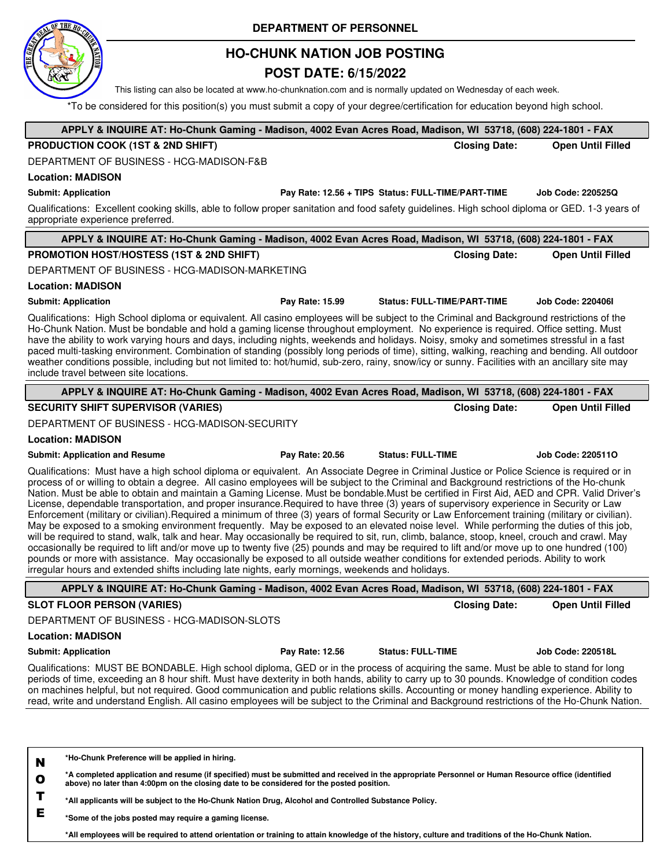

## **HO-CHUNK NATION JOB POSTING**

### **POST DATE: 6/15/2022**

This listing can also be located at www.ho-chunknation.com and is normally updated on Wednesday of each week.

**APPLY & INQUIRE AT: Ho-Chunk Gaming - Madison, 4002 Evan Acres Road, Madison, WI 53718, (608) 224-1801 - FAX** \*To be considered for this position(s) you must submit a copy of your degree/certification for education beyond high school.

| PRODUCTION COOK (1ST & 2ND SHIFT)                                                                                                                                                                                                                                                                                                                                                                                                                                                                                                                                                                                                                                                                                                                                                                                                                                                                                                                                                                                                                                                                                                                                                                                                                                                                                                                                                                                          |                 |                                                    | <b>Closing Date:</b> | <b>Open Until Filled</b> |
|----------------------------------------------------------------------------------------------------------------------------------------------------------------------------------------------------------------------------------------------------------------------------------------------------------------------------------------------------------------------------------------------------------------------------------------------------------------------------------------------------------------------------------------------------------------------------------------------------------------------------------------------------------------------------------------------------------------------------------------------------------------------------------------------------------------------------------------------------------------------------------------------------------------------------------------------------------------------------------------------------------------------------------------------------------------------------------------------------------------------------------------------------------------------------------------------------------------------------------------------------------------------------------------------------------------------------------------------------------------------------------------------------------------------------|-----------------|----------------------------------------------------|----------------------|--------------------------|
| DEPARTMENT OF BUSINESS - HCG-MADISON-F&B                                                                                                                                                                                                                                                                                                                                                                                                                                                                                                                                                                                                                                                                                                                                                                                                                                                                                                                                                                                                                                                                                                                                                                                                                                                                                                                                                                                   |                 |                                                    |                      |                          |
| <b>Location: MADISON</b>                                                                                                                                                                                                                                                                                                                                                                                                                                                                                                                                                                                                                                                                                                                                                                                                                                                                                                                                                                                                                                                                                                                                                                                                                                                                                                                                                                                                   |                 |                                                    |                      |                          |
| <b>Submit: Application</b>                                                                                                                                                                                                                                                                                                                                                                                                                                                                                                                                                                                                                                                                                                                                                                                                                                                                                                                                                                                                                                                                                                                                                                                                                                                                                                                                                                                                 |                 | Pay Rate: 12.56 + TIPS Status: FULL-TIME/PART-TIME |                      | <b>Job Code: 220525Q</b> |
| Qualifications: Excellent cooking skills, able to follow proper sanitation and food safety guidelines. High school diploma or GED. 1-3 years of<br>appropriate experience preferred.                                                                                                                                                                                                                                                                                                                                                                                                                                                                                                                                                                                                                                                                                                                                                                                                                                                                                                                                                                                                                                                                                                                                                                                                                                       |                 |                                                    |                      |                          |
| APPLY & INQUIRE AT: Ho-Chunk Gaming - Madison, 4002 Evan Acres Road, Madison, WI 53718, (608) 224-1801 - FAX                                                                                                                                                                                                                                                                                                                                                                                                                                                                                                                                                                                                                                                                                                                                                                                                                                                                                                                                                                                                                                                                                                                                                                                                                                                                                                               |                 |                                                    |                      |                          |
| PROMOTION HOST/HOSTESS (1ST & 2ND SHIFT)                                                                                                                                                                                                                                                                                                                                                                                                                                                                                                                                                                                                                                                                                                                                                                                                                                                                                                                                                                                                                                                                                                                                                                                                                                                                                                                                                                                   |                 |                                                    | <b>Closing Date:</b> | <b>Open Until Filled</b> |
| DEPARTMENT OF BUSINESS - HCG-MADISON-MARKETING                                                                                                                                                                                                                                                                                                                                                                                                                                                                                                                                                                                                                                                                                                                                                                                                                                                                                                                                                                                                                                                                                                                                                                                                                                                                                                                                                                             |                 |                                                    |                      |                          |
| <b>Location: MADISON</b>                                                                                                                                                                                                                                                                                                                                                                                                                                                                                                                                                                                                                                                                                                                                                                                                                                                                                                                                                                                                                                                                                                                                                                                                                                                                                                                                                                                                   |                 |                                                    |                      |                          |
| <b>Submit: Application</b>                                                                                                                                                                                                                                                                                                                                                                                                                                                                                                                                                                                                                                                                                                                                                                                                                                                                                                                                                                                                                                                                                                                                                                                                                                                                                                                                                                                                 | Pay Rate: 15.99 | <b>Status: FULL-TIME/PART-TIME</b>                 |                      | <b>Job Code: 220406I</b> |
| Qualifications: High School diploma or equivalent. All casino employees will be subject to the Criminal and Background restrictions of the<br>Ho-Chunk Nation. Must be bondable and hold a gaming license throughout employment. No experience is required. Office setting. Must<br>have the ability to work varying hours and days, including nights, weekends and holidays. Noisy, smoky and sometimes stressful in a fast<br>paced multi-tasking environment. Combination of standing (possibly long periods of time), sitting, walking, reaching and bending. All outdoor<br>weather conditions possible, including but not limited to: hot/humid, sub-zero, rainy, snow/icy or sunny. Facilities with an ancillary site may<br>include travel between site locations.                                                                                                                                                                                                                                                                                                                                                                                                                                                                                                                                                                                                                                                 |                 |                                                    |                      |                          |
| APPLY & INQUIRE AT: Ho-Chunk Gaming - Madison, 4002 Evan Acres Road, Madison, WI 53718, (608) 224-1801 - FAX                                                                                                                                                                                                                                                                                                                                                                                                                                                                                                                                                                                                                                                                                                                                                                                                                                                                                                                                                                                                                                                                                                                                                                                                                                                                                                               |                 |                                                    |                      |                          |
| <b>SECURITY SHIFT SUPERVISOR (VARIES)</b>                                                                                                                                                                                                                                                                                                                                                                                                                                                                                                                                                                                                                                                                                                                                                                                                                                                                                                                                                                                                                                                                                                                                                                                                                                                                                                                                                                                  |                 |                                                    | <b>Closing Date:</b> | <b>Open Until Filled</b> |
| DEPARTMENT OF BUSINESS - HCG-MADISON-SECURITY                                                                                                                                                                                                                                                                                                                                                                                                                                                                                                                                                                                                                                                                                                                                                                                                                                                                                                                                                                                                                                                                                                                                                                                                                                                                                                                                                                              |                 |                                                    |                      |                          |
| <b>Location: MADISON</b>                                                                                                                                                                                                                                                                                                                                                                                                                                                                                                                                                                                                                                                                                                                                                                                                                                                                                                                                                                                                                                                                                                                                                                                                                                                                                                                                                                                                   |                 |                                                    |                      |                          |
| <b>Submit: Application and Resume</b>                                                                                                                                                                                                                                                                                                                                                                                                                                                                                                                                                                                                                                                                                                                                                                                                                                                                                                                                                                                                                                                                                                                                                                                                                                                                                                                                                                                      | Pay Rate: 20.56 | <b>Status: FULL-TIME</b>                           |                      | Job Code: 2205110        |
| Qualifications: Must have a high school diploma or equivalent. An Associate Degree in Criminal Justice or Police Science is required or in<br>process of or willing to obtain a degree. All casino employees will be subject to the Criminal and Background restrictions of the Ho-chunk<br>Nation. Must be able to obtain and maintain a Gaming License. Must be bondable.Must be certified in First Aid, AED and CPR. Valid Driver's<br>License, dependable transportation, and proper insurance.Required to have three (3) years of supervisory experience in Security or Law<br>Enforcement (military or civilian). Required a minimum of three (3) years of formal Security or Law Enforcement training (military or civilian).<br>May be exposed to a smoking environment frequently. May be exposed to an elevated noise level. While performing the duties of this job,<br>will be required to stand, walk, talk and hear. May occasionally be required to sit, run, climb, balance, stoop, kneel, crouch and crawl. May<br>occasionally be required to lift and/or move up to twenty five (25) pounds and may be required to lift and/or move up to one hundred (100)<br>pounds or more with assistance. May occasionally be exposed to all outside weather conditions for extended periods. Ability to work<br>irregular hours and extended shifts including late nights, early mornings, weekends and holidays. |                 |                                                    |                      |                          |
| APPLY & INQUIRE AT: Ho-Chunk Gaming - Madison, 4002 Evan Acres Road, Madison, WI 53718, (608) 224-1801 - FAX                                                                                                                                                                                                                                                                                                                                                                                                                                                                                                                                                                                                                                                                                                                                                                                                                                                                                                                                                                                                                                                                                                                                                                                                                                                                                                               |                 |                                                    |                      |                          |
| <b>SLOT FLOOR PERSON (VARIES)</b>                                                                                                                                                                                                                                                                                                                                                                                                                                                                                                                                                                                                                                                                                                                                                                                                                                                                                                                                                                                                                                                                                                                                                                                                                                                                                                                                                                                          |                 |                                                    | <b>Closing Date:</b> | <b>Open Until Filled</b> |
| DEPARTMENT OF BUSINESS - HCG-MADISON-SLOTS                                                                                                                                                                                                                                                                                                                                                                                                                                                                                                                                                                                                                                                                                                                                                                                                                                                                                                                                                                                                                                                                                                                                                                                                                                                                                                                                                                                 |                 |                                                    |                      |                          |
| <b>Location: MADISON</b>                                                                                                                                                                                                                                                                                                                                                                                                                                                                                                                                                                                                                                                                                                                                                                                                                                                                                                                                                                                                                                                                                                                                                                                                                                                                                                                                                                                                   |                 |                                                    |                      |                          |
| <b>Submit: Application</b>                                                                                                                                                                                                                                                                                                                                                                                                                                                                                                                                                                                                                                                                                                                                                                                                                                                                                                                                                                                                                                                                                                                                                                                                                                                                                                                                                                                                 | Pay Rate: 12.56 | <b>Status: FULL-TIME</b>                           |                      | <b>Job Code: 220518L</b> |
| Qualifications: MUST BE BONDABLE. High school diploma, GED or in the process of acquiring the same. Must be able to stand for long<br>periods of time, exceeding an 8 hour shift. Must have dexterity in both hands, ability to carry up to 30 pounds. Knowledge of condition codes<br>on machines helpful, but not required. Good communication and public relations skills. Accounting or money handling experience. Ability to<br>read, write and understand English. All casino employees will be subject to the Criminal and Background restrictions of the Ho-Chunk Nation.                                                                                                                                                                                                                                                                                                                                                                                                                                                                                                                                                                                                                                                                                                                                                                                                                                          |                 |                                                    |                      |                          |
|                                                                                                                                                                                                                                                                                                                                                                                                                                                                                                                                                                                                                                                                                                                                                                                                                                                                                                                                                                                                                                                                                                                                                                                                                                                                                                                                                                                                                            |                 |                                                    |                      |                          |
| *Ho-Chunk Preference will be applied in hiring.<br>N                                                                                                                                                                                                                                                                                                                                                                                                                                                                                                                                                                                                                                                                                                                                                                                                                                                                                                                                                                                                                                                                                                                                                                                                                                                                                                                                                                       |                 |                                                    |                      |                          |
| *A completed application and resume (if specified) must be submitted and received in the appropriate Personnel or Human Resource office (identified<br>$\mathbf{o}$<br>above) no later than 4:00pm on the closing date to be considered for the posted position.                                                                                                                                                                                                                                                                                                                                                                                                                                                                                                                                                                                                                                                                                                                                                                                                                                                                                                                                                                                                                                                                                                                                                           |                 |                                                    |                      |                          |
| т<br>*All applicants will be subject to the Ho-Chunk Nation Drug, Alcohol and Controlled Substance Policy.                                                                                                                                                                                                                                                                                                                                                                                                                                                                                                                                                                                                                                                                                                                                                                                                                                                                                                                                                                                                                                                                                                                                                                                                                                                                                                                 |                 |                                                    |                      |                          |
| Е<br>*Some of the jobs posted may require a gaming license.                                                                                                                                                                                                                                                                                                                                                                                                                                                                                                                                                                                                                                                                                                                                                                                                                                                                                                                                                                                                                                                                                                                                                                                                                                                                                                                                                                |                 |                                                    |                      |                          |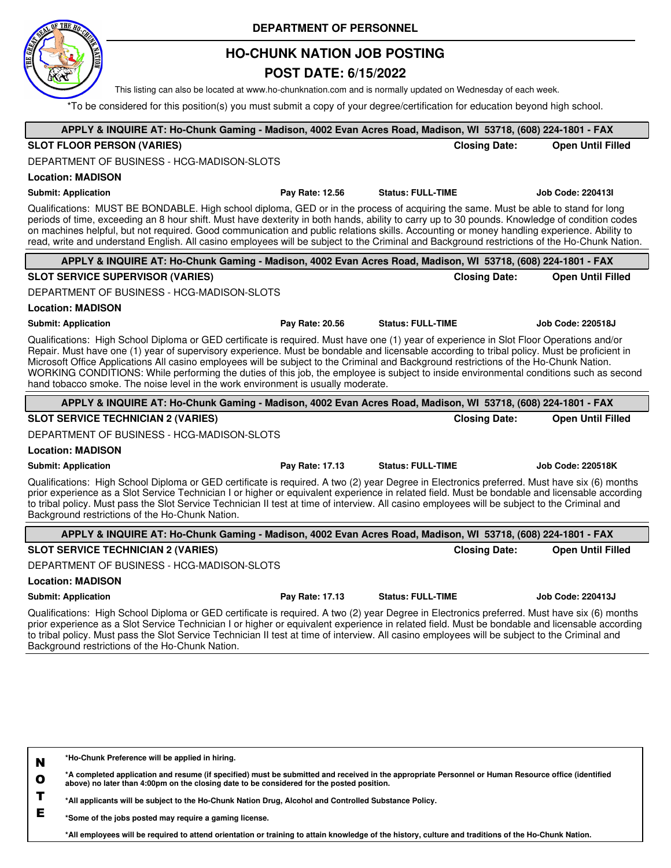

## **HO-CHUNK NATION JOB POSTING**

## **POST DATE: 6/15/2022**

This listing can also be located at www.ho-chunknation.com and is normally updated on Wednesday of each week.

\*To be considered for this position(s) you must submit a copy of your degree/certification for education beyond high school.

| APPLY & INQUIRE AT: Ho-Chunk Gaming - Madison, 4002 Evan Acres Road, Madison, WI 53718, (608) 224-1801 - FAX                                                                                                                                                                                                                                                                                                                                                                                                                                                                                                                                                    |                 |                          |                          |
|-----------------------------------------------------------------------------------------------------------------------------------------------------------------------------------------------------------------------------------------------------------------------------------------------------------------------------------------------------------------------------------------------------------------------------------------------------------------------------------------------------------------------------------------------------------------------------------------------------------------------------------------------------------------|-----------------|--------------------------|--------------------------|
| <b>SLOT FLOOR PERSON (VARIES)</b>                                                                                                                                                                                                                                                                                                                                                                                                                                                                                                                                                                                                                               |                 | <b>Closing Date:</b>     | <b>Open Until Filled</b> |
| DEPARTMENT OF BUSINESS - HCG-MADISON-SLOTS                                                                                                                                                                                                                                                                                                                                                                                                                                                                                                                                                                                                                      |                 |                          |                          |
| <b>Location: MADISON</b>                                                                                                                                                                                                                                                                                                                                                                                                                                                                                                                                                                                                                                        |                 |                          |                          |
| <b>Submit: Application</b>                                                                                                                                                                                                                                                                                                                                                                                                                                                                                                                                                                                                                                      | Pay Rate: 12.56 | <b>Status: FULL-TIME</b> | <b>Job Code: 220413I</b> |
| Qualifications: MUST BE BONDABLE. High school diploma, GED or in the process of acquiring the same. Must be able to stand for long<br>periods of time, exceeding an 8 hour shift. Must have dexterity in both hands, ability to carry up to 30 pounds. Knowledge of condition codes<br>on machines helpful, but not required. Good communication and public relations skills. Accounting or money handling experience. Ability to<br>read, write and understand English. All casino employees will be subject to the Criminal and Background restrictions of the Ho-Chunk Nation.                                                                               |                 |                          |                          |
| APPLY & INQUIRE AT: Ho-Chunk Gaming - Madison, 4002 Evan Acres Road, Madison, WI 53718, (608) 224-1801 - FAX                                                                                                                                                                                                                                                                                                                                                                                                                                                                                                                                                    |                 |                          |                          |
| <b>SLOT SERVICE SUPERVISOR (VARIES)</b>                                                                                                                                                                                                                                                                                                                                                                                                                                                                                                                                                                                                                         |                 | <b>Closing Date:</b>     | <b>Open Until Filled</b> |
| DEPARTMENT OF BUSINESS - HCG-MADISON-SLOTS                                                                                                                                                                                                                                                                                                                                                                                                                                                                                                                                                                                                                      |                 |                          |                          |
| <b>Location: MADISON</b>                                                                                                                                                                                                                                                                                                                                                                                                                                                                                                                                                                                                                                        |                 |                          |                          |
| <b>Submit: Application</b>                                                                                                                                                                                                                                                                                                                                                                                                                                                                                                                                                                                                                                      | Pay Rate: 20.56 | <b>Status: FULL-TIME</b> | Job Code: 220518J        |
| Qualifications: High School Diploma or GED certificate is required. Must have one (1) year of experience in Slot Floor Operations and/or<br>Repair. Must have one (1) year of supervisory experience. Must be bondable and licensable according to tribal policy. Must be proficient in<br>Microsoft Office Applications All casino employees will be subject to the Criminal and Background restrictions of the Ho-Chunk Nation.<br>WORKING CONDITIONS: While performing the duties of this job, the employee is subject to inside environmental conditions such as second<br>hand tobacco smoke. The noise level in the work environment is usually moderate. |                 |                          |                          |
| APPLY & INQUIRE AT: Ho-Chunk Gaming - Madison, 4002 Evan Acres Road, Madison, WI 53718, (608) 224-1801 - FAX                                                                                                                                                                                                                                                                                                                                                                                                                                                                                                                                                    |                 |                          |                          |
| <b>SLOT SERVICE TECHNICIAN 2 (VARIES)</b>                                                                                                                                                                                                                                                                                                                                                                                                                                                                                                                                                                                                                       |                 | <b>Closing Date:</b>     | <b>Open Until Filled</b> |
| DEPARTMENT OF BUSINESS - HCG-MADISON-SLOTS                                                                                                                                                                                                                                                                                                                                                                                                                                                                                                                                                                                                                      |                 |                          |                          |
| <b>Location: MADISON</b>                                                                                                                                                                                                                                                                                                                                                                                                                                                                                                                                                                                                                                        |                 |                          |                          |
| <b>Submit: Application</b>                                                                                                                                                                                                                                                                                                                                                                                                                                                                                                                                                                                                                                      | Pay Rate: 17.13 | <b>Status: FULL-TIME</b> | <b>Job Code: 220518K</b> |
| Qualifications: High School Diploma or GED certificate is required. A two (2) year Degree in Electronics preferred. Must have six (6) months<br>prior experience as a Slot Service Technician I or higher or equivalent experience in related field. Must be bondable and licensable according<br>to tribal policy. Must pass the Slot Service Technician II test at time of interview. All casino employees will be subject to the Criminal and<br>Background restrictions of the Ho-Chunk Nation.                                                                                                                                                             |                 |                          |                          |
| APPLY & INQUIRE AT: Ho-Chunk Gaming - Madison, 4002 Evan Acres Road, Madison, WI 53718, (608) 224-1801 - FAX                                                                                                                                                                                                                                                                                                                                                                                                                                                                                                                                                    |                 |                          |                          |
| <b>SLOT SERVICE TECHNICIAN 2 (VARIES)</b>                                                                                                                                                                                                                                                                                                                                                                                                                                                                                                                                                                                                                       |                 | <b>Closing Date:</b>     | <b>Open Until Filled</b> |
| DEPARTMENT OF BUSINESS - HCG-MADISON-SLOTS                                                                                                                                                                                                                                                                                                                                                                                                                                                                                                                                                                                                                      |                 |                          |                          |
| <b>Location: MADISON</b>                                                                                                                                                                                                                                                                                                                                                                                                                                                                                                                                                                                                                                        |                 |                          |                          |
| <b>Submit: Application</b>                                                                                                                                                                                                                                                                                                                                                                                                                                                                                                                                                                                                                                      | Pay Rate: 17.13 | <b>Status: FULL-TIME</b> | Job Code: 220413J        |
| Qualifications: High School Diploma or GED certificate is required. A two (2) year Degree in Electronics preferred. Must have six (6) months<br>prior experience as a Slot Service Technician I or higher or equivalent experience in related field. Must be bondable and licensable according<br>to tribal policy. Must pass the Slot Service Technician II test at time of interview. All casino employees will be subject to the Criminal and<br>Background restrictions of the Ho-Chunk Nation.                                                                                                                                                             |                 |                          |                          |
|                                                                                                                                                                                                                                                                                                                                                                                                                                                                                                                                                                                                                                                                 |                 |                          |                          |

**N \*Ho-Chunk Preference will be applied in hiring.**

**O \*A completed application and resume (if specified) must be submitted and received in the appropriate Personnel or Human Resource office (identified above) no later than 4:00pm on the closing date to be considered for the posted position.**

**T \*All applicants will be subject to the Ho-Chunk Nation Drug, Alcohol and Controlled Substance Policy.**

**E \*Some of the jobs posted may require a gaming license.**

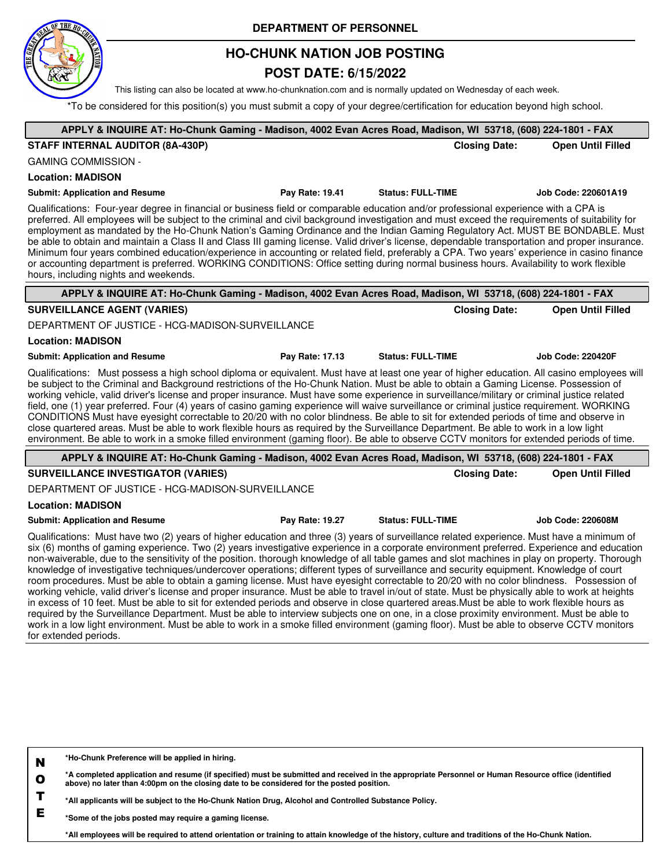

## **HO-CHUNK NATION JOB POSTING**

### **POST DATE: 6/15/2022**

This listing can also be located at www.ho-chunknation.com and is normally updated on Wednesday of each week.

\*To be considered for this position(s) you must submit a copy of your degree/certification for education beyond high school.

| APPLY & INQUIRE AT: Ho-Chunk Gaming - Madison, 4002 Evan Acres Road, Madison, WI 53718, (608) 224-1801 - FAX                                                                                                                                                                                                                                                                                                                                                                                                                                                                                                                                                                                                                                                                                                                                                                                                                                                                                                        |                 |                          |                      |                          |
|---------------------------------------------------------------------------------------------------------------------------------------------------------------------------------------------------------------------------------------------------------------------------------------------------------------------------------------------------------------------------------------------------------------------------------------------------------------------------------------------------------------------------------------------------------------------------------------------------------------------------------------------------------------------------------------------------------------------------------------------------------------------------------------------------------------------------------------------------------------------------------------------------------------------------------------------------------------------------------------------------------------------|-----------------|--------------------------|----------------------|--------------------------|
| STAFF INTERNAL AUDITOR (8A-430P)                                                                                                                                                                                                                                                                                                                                                                                                                                                                                                                                                                                                                                                                                                                                                                                                                                                                                                                                                                                    |                 |                          | <b>Closing Date:</b> | <b>Open Until Filled</b> |
| <b>GAMING COMMISSION -</b>                                                                                                                                                                                                                                                                                                                                                                                                                                                                                                                                                                                                                                                                                                                                                                                                                                                                                                                                                                                          |                 |                          |                      |                          |
| <b>Location: MADISON</b>                                                                                                                                                                                                                                                                                                                                                                                                                                                                                                                                                                                                                                                                                                                                                                                                                                                                                                                                                                                            |                 |                          |                      |                          |
| <b>Submit: Application and Resume</b>                                                                                                                                                                                                                                                                                                                                                                                                                                                                                                                                                                                                                                                                                                                                                                                                                                                                                                                                                                               | Pay Rate: 19.41 | <b>Status: FULL-TIME</b> |                      | Job Code: 220601A19      |
| Qualifications: Four-year degree in financial or business field or comparable education and/or professional experience with a CPA is<br>preferred. All employees will be subject to the criminal and civil background investigation and must exceed the requirements of suitability for<br>employment as mandated by the Ho-Chunk Nation's Gaming Ordinance and the Indian Gaming Regulatory Act. MUST BE BONDABLE. Must<br>be able to obtain and maintain a Class II and Class III gaming license. Valid driver's license, dependable transportation and proper insurance.<br>Minimum four years combined education/experience in accounting or related field, preferably a CPA. Two years' experience in casino finance<br>or accounting department is preferred. WORKING CONDITIONS: Office setting during normal business hours. Availability to work flexible<br>hours, including nights and weekends.                                                                                                         |                 |                          |                      |                          |
| APPLY & INQUIRE AT: Ho-Chunk Gaming - Madison, 4002 Evan Acres Road, Madison, WI 53718, (608) 224-1801 - FAX                                                                                                                                                                                                                                                                                                                                                                                                                                                                                                                                                                                                                                                                                                                                                                                                                                                                                                        |                 |                          |                      |                          |
| <b>SURVEILLANCE AGENT (VARIES)</b>                                                                                                                                                                                                                                                                                                                                                                                                                                                                                                                                                                                                                                                                                                                                                                                                                                                                                                                                                                                  |                 |                          | <b>Closing Date:</b> | <b>Open Until Filled</b> |
| DEPARTMENT OF JUSTICE - HCG-MADISON-SURVEILLANCE                                                                                                                                                                                                                                                                                                                                                                                                                                                                                                                                                                                                                                                                                                                                                                                                                                                                                                                                                                    |                 |                          |                      |                          |
| <b>Location: MADISON</b>                                                                                                                                                                                                                                                                                                                                                                                                                                                                                                                                                                                                                                                                                                                                                                                                                                                                                                                                                                                            |                 |                          |                      |                          |
| <b>Submit: Application and Resume</b>                                                                                                                                                                                                                                                                                                                                                                                                                                                                                                                                                                                                                                                                                                                                                                                                                                                                                                                                                                               | Pay Rate: 17.13 | <b>Status: FULL-TIME</b> |                      | <b>Job Code: 220420F</b> |
| Qualifications: Must possess a high school diploma or equivalent. Must have at least one year of higher education. All casino employees will<br>be subject to the Criminal and Background restrictions of the Ho-Chunk Nation. Must be able to obtain a Gaming License. Possession of<br>working vehicle, valid driver's license and proper insurance. Must have some experience in surveillance/military or criminal justice related<br>field, one (1) year preferred. Four (4) years of casino gaming experience will waive surveillance or criminal justice requirement. WORKING<br>CONDITIONS Must have eyesight correctable to 20/20 with no color blindness. Be able to sit for extended periods of time and observe in<br>close quartered areas. Must be able to work flexible hours as required by the Surveillance Department. Be able to work in a low light<br>environment. Be able to work in a smoke filled environment (gaming floor). Be able to observe CCTV monitors for extended periods of time. |                 |                          |                      |                          |
| APPLY & INQUIRE AT: Ho-Chunk Gaming - Madison, 4002 Evan Acres Road, Madison, WI 53718, (608) 224-1801 - FAX                                                                                                                                                                                                                                                                                                                                                                                                                                                                                                                                                                                                                                                                                                                                                                                                                                                                                                        |                 |                          |                      |                          |
| <b>SURVEILLANCE INVESTIGATOR (VARIES)</b>                                                                                                                                                                                                                                                                                                                                                                                                                                                                                                                                                                                                                                                                                                                                                                                                                                                                                                                                                                           |                 |                          | <b>Closing Date:</b> | <b>Open Until Filled</b> |
| DEPARTMENT OF JUSTICE - HCG-MADISON-SURVEILLANCE                                                                                                                                                                                                                                                                                                                                                                                                                                                                                                                                                                                                                                                                                                                                                                                                                                                                                                                                                                    |                 |                          |                      |                          |
| <b>Location: MADISON</b>                                                                                                                                                                                                                                                                                                                                                                                                                                                                                                                                                                                                                                                                                                                                                                                                                                                                                                                                                                                            |                 |                          |                      |                          |
| <b>Submit: Application and Resume</b>                                                                                                                                                                                                                                                                                                                                                                                                                                                                                                                                                                                                                                                                                                                                                                                                                                                                                                                                                                               | Pay Rate: 19.27 | <b>Status: FULL-TIME</b> |                      | <b>Job Code: 220608M</b> |
| Qualifications: Must have two (2) years of higher education and three (3) years of surveillance related experience. Must have a minimum of<br>six (6) months of gaming experience. Two (2) years investigative experience in a corporate environment preferred. Experience and education<br>non-waiverable, due to the sensitivity of the position. thorough knowledge of all table games and slot machines in play on property. Thorough<br>knowledge of investigative techniques/undercover operations; different types of surveillance and security equipment. Knowledge of court<br>room procedures. Must be able to obtain a gaming license. Must have eyesight correctable to 20/20 with no color blindness. Possession of<br>working vehicle, valid driver's license and proper insurance. Must be able to travel in/out of state. Must be physically able to work at heights                                                                                                                                |                 |                          |                      |                          |

in excess of 10 feet. Must be able to sit for extended periods and observe in close quartered areas.Must be able to work flexible hours as required by the Surveillance Department. Must be able to interview subjects one on one, in a close proximity environment. Must be able to work in a low light environment. Must be able to work in a smoke filled environment (gaming floor). Must be able to observe CCTV monitors for extended periods.

**N O T E \*Ho-Chunk Preference will be applied in hiring. \*A completed application and resume (if specified) must be submitted and received in the appropriate Personnel or Human Resource office (identified above) no later than 4:00pm on the closing date to be considered for the posted position. \*All applicants will be subject to the Ho-Chunk Nation Drug, Alcohol and Controlled Substance Policy. \*Some of the jobs posted may require a gaming license.**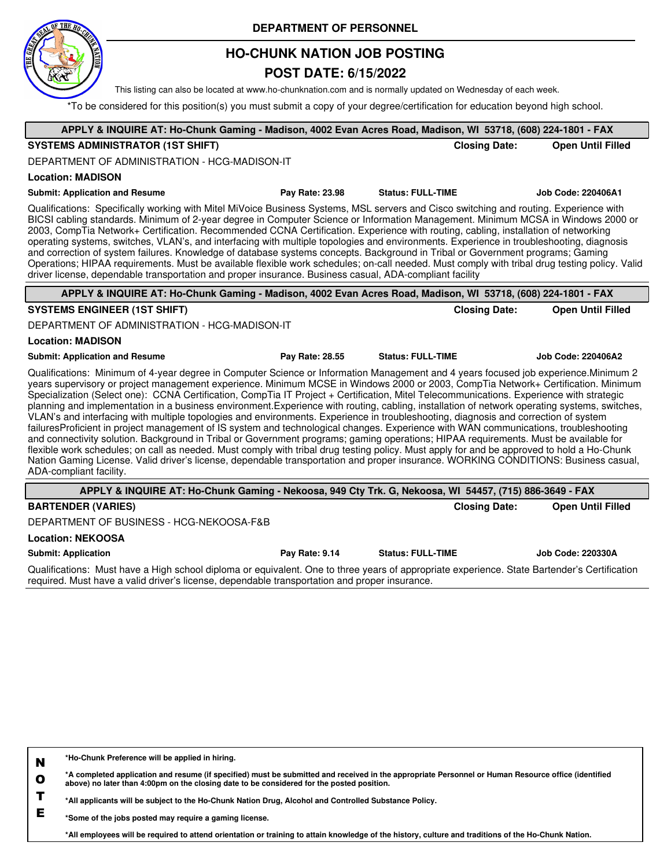

## **HO-CHUNK NATION JOB POSTING**

### **POST DATE: 6/15/2022**

This listing can also be located at www.ho-chunknation.com and is normally updated on Wednesday of each week.

\*To be considered for this position(s) you must submit a copy of your degree/certification for education beyond high school.

| APPLY & INQUIRE AT: Ho-Chunk Gaming - Madison, 4002 Evan Acres Road, Madison, WI 53718, (608) 224-1801 - FAX                                                                                                                                                                                                                                                                                                                                                                                                                                                                                                                                                                                                                                                                                                                                                                                                                                                                                                                                                                                                                                                                                                                                                                                                 |                 |                          |                          |
|--------------------------------------------------------------------------------------------------------------------------------------------------------------------------------------------------------------------------------------------------------------------------------------------------------------------------------------------------------------------------------------------------------------------------------------------------------------------------------------------------------------------------------------------------------------------------------------------------------------------------------------------------------------------------------------------------------------------------------------------------------------------------------------------------------------------------------------------------------------------------------------------------------------------------------------------------------------------------------------------------------------------------------------------------------------------------------------------------------------------------------------------------------------------------------------------------------------------------------------------------------------------------------------------------------------|-----------------|--------------------------|--------------------------|
| <b>SYSTEMS ADMINISTRATOR (1ST SHIFT)</b>                                                                                                                                                                                                                                                                                                                                                                                                                                                                                                                                                                                                                                                                                                                                                                                                                                                                                                                                                                                                                                                                                                                                                                                                                                                                     |                 | <b>Closing Date:</b>     | <b>Open Until Filled</b> |
| DEPARTMENT OF ADMINISTRATION - HCG-MADISON-IT                                                                                                                                                                                                                                                                                                                                                                                                                                                                                                                                                                                                                                                                                                                                                                                                                                                                                                                                                                                                                                                                                                                                                                                                                                                                |                 |                          |                          |
| <b>Location: MADISON</b>                                                                                                                                                                                                                                                                                                                                                                                                                                                                                                                                                                                                                                                                                                                                                                                                                                                                                                                                                                                                                                                                                                                                                                                                                                                                                     |                 |                          |                          |
| <b>Submit: Application and Resume</b>                                                                                                                                                                                                                                                                                                                                                                                                                                                                                                                                                                                                                                                                                                                                                                                                                                                                                                                                                                                                                                                                                                                                                                                                                                                                        | Pay Rate: 23.98 | <b>Status: FULL-TIME</b> | Job Code: 220406A1       |
| Qualifications: Specifically working with Mitel MiVoice Business Systems, MSL servers and Cisco switching and routing. Experience with<br>BICSI cabling standards. Minimum of 2-year degree in Computer Science or Information Management. Minimum MCSA in Windows 2000 or<br>2003, CompTia Network+ Certification. Recommended CCNA Certification. Experience with routing, cabling, installation of networking<br>operating systems, switches, VLAN's, and interfacing with multiple topologies and environments. Experience in troubleshooting, diagnosis<br>and correction of system failures. Knowledge of database systems concepts. Background in Tribal or Government programs; Gaming<br>Operations; HIPAA requirements. Must be available flexible work schedules; on-call needed. Must comply with tribal drug testing policy. Valid<br>driver license, dependable transportation and proper insurance. Business casual, ADA-compliant facility                                                                                                                                                                                                                                                                                                                                                   |                 |                          |                          |
| APPLY & INQUIRE AT: Ho-Chunk Gaming - Madison, 4002 Evan Acres Road, Madison, WI 53718, (608) 224-1801 - FAX                                                                                                                                                                                                                                                                                                                                                                                                                                                                                                                                                                                                                                                                                                                                                                                                                                                                                                                                                                                                                                                                                                                                                                                                 |                 |                          |                          |
| <b>SYSTEMS ENGINEER (1ST SHIFT)</b>                                                                                                                                                                                                                                                                                                                                                                                                                                                                                                                                                                                                                                                                                                                                                                                                                                                                                                                                                                                                                                                                                                                                                                                                                                                                          |                 | <b>Closing Date:</b>     | <b>Open Until Filled</b> |
| DEPARTMENT OF ADMINISTRATION - HCG-MADISON-IT                                                                                                                                                                                                                                                                                                                                                                                                                                                                                                                                                                                                                                                                                                                                                                                                                                                                                                                                                                                                                                                                                                                                                                                                                                                                |                 |                          |                          |
| <b>Location: MADISON</b>                                                                                                                                                                                                                                                                                                                                                                                                                                                                                                                                                                                                                                                                                                                                                                                                                                                                                                                                                                                                                                                                                                                                                                                                                                                                                     |                 |                          |                          |
| <b>Submit: Application and Resume</b>                                                                                                                                                                                                                                                                                                                                                                                                                                                                                                                                                                                                                                                                                                                                                                                                                                                                                                                                                                                                                                                                                                                                                                                                                                                                        | Pay Rate: 28.55 | <b>Status: FULL-TIME</b> | Job Code: 220406A2       |
| Qualifications: Minimum of 4-year degree in Computer Science or Information Management and 4 years focused job experience.Minimum 2<br>years supervisory or project management experience. Minimum MCSE in Windows 2000 or 2003, CompTia Network+ Certification. Minimum<br>Specialization (Select one): CCNA Certification, CompTia IT Project + Certification, Mitel Telecommunications. Experience with strategic<br>planning and implementation in a business environment. Experience with routing, cabling, installation of network operating systems, switches,<br>VLAN's and interfacing with multiple topologies and environments. Experience in troubleshooting, diagnosis and correction of system<br>failuresProficient in project management of IS system and technological changes. Experience with WAN communications, troubleshooting<br>and connectivity solution. Background in Tribal or Government programs; gaming operations; HIPAA requirements. Must be available for<br>flexible work schedules; on call as needed. Must comply with tribal drug testing policy. Must apply for and be approved to hold a Ho-Chunk<br>Nation Gaming License. Valid driver's license, dependable transportation and proper insurance. WORKING CONDITIONS: Business casual,<br>ADA-compliant facility. |                 |                          |                          |
| APPLY & INQUIRE AT: Ho-Chunk Gaming - Nekoosa, 949 Cty Trk. G, Nekoosa, WI 54457, (715) 886-3649 - FAX                                                                                                                                                                                                                                                                                                                                                                                                                                                                                                                                                                                                                                                                                                                                                                                                                                                                                                                                                                                                                                                                                                                                                                                                       |                 |                          |                          |
| <b>BARTENDER (VARIES)</b>                                                                                                                                                                                                                                                                                                                                                                                                                                                                                                                                                                                                                                                                                                                                                                                                                                                                                                                                                                                                                                                                                                                                                                                                                                                                                    |                 | <b>Closing Date:</b>     | <b>Open Until Filled</b> |
| DEPARTMENT OF BUSINESS - HCG-NEKOOSA-F&B                                                                                                                                                                                                                                                                                                                                                                                                                                                                                                                                                                                                                                                                                                                                                                                                                                                                                                                                                                                                                                                                                                                                                                                                                                                                     |                 |                          |                          |
| <b>Location: NEKOOSA</b>                                                                                                                                                                                                                                                                                                                                                                                                                                                                                                                                                                                                                                                                                                                                                                                                                                                                                                                                                                                                                                                                                                                                                                                                                                                                                     |                 |                          |                          |

**Submit: Application Pay Rate: 9.14 Status: FULL-TIME Job Code: 220330A**

Qualifications: Must have a High school diploma or equivalent. One to three years of appropriate experience. State Bartender's Certification required. Must have a valid driver's license, dependable transportation and proper insurance.

**N \*Ho-Chunk Preference will be applied in hiring.**

**O \*A completed application and resume (if specified) must be submitted and received in the appropriate Personnel or Human Resource office (identified above) no later than 4:00pm on the closing date to be considered for the posted position.**

**T \*All applicants will be subject to the Ho-Chunk Nation Drug, Alcohol and Controlled Substance Policy.**

**E \*Some of the jobs posted may require a gaming license.**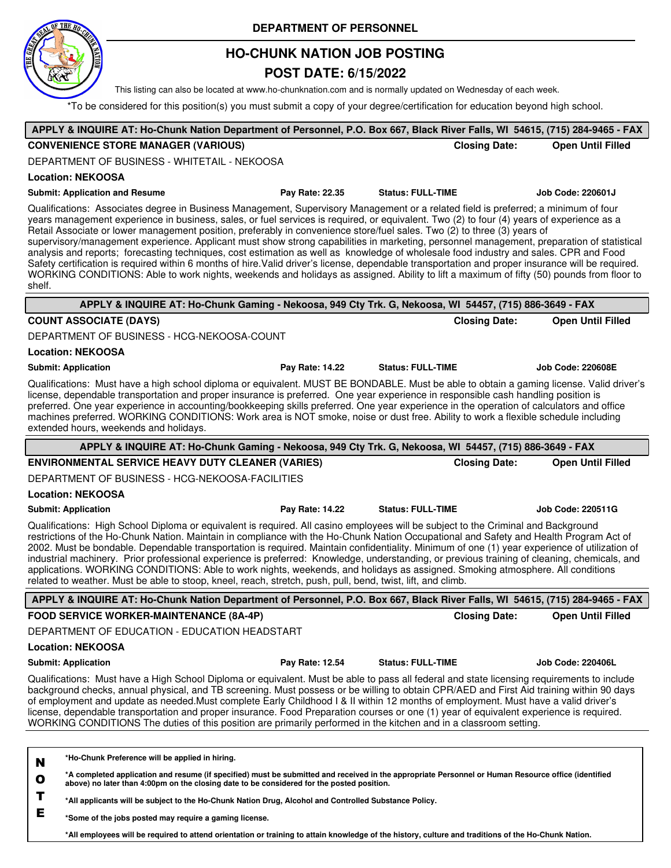

# **HO-CHUNK NATION JOB POSTING**

## **POST DATE: 6/15/2022**

This listing can also be located at www.ho-chunknation.com and is normally updated on Wednesday of each week.

\*To be considered for this position(s) you must submit a copy of your degree/certification for education beyond high school.

| APPLY & INQUIRE AT: Ho-Chunk Nation Department of Personnel, P.O. Box 667, Black River Falls, WI 54615, (715) 284-9465 - FAX                                                                                                                                                                                                                                                                                                                                                                                                                                                                                                                                                                                                                                                                                                                                                                                                                                                                                   |                 |                          |                      |                          |
|----------------------------------------------------------------------------------------------------------------------------------------------------------------------------------------------------------------------------------------------------------------------------------------------------------------------------------------------------------------------------------------------------------------------------------------------------------------------------------------------------------------------------------------------------------------------------------------------------------------------------------------------------------------------------------------------------------------------------------------------------------------------------------------------------------------------------------------------------------------------------------------------------------------------------------------------------------------------------------------------------------------|-----------------|--------------------------|----------------------|--------------------------|
| <b>CONVENIENCE STORE MANAGER (VARIOUS)</b>                                                                                                                                                                                                                                                                                                                                                                                                                                                                                                                                                                                                                                                                                                                                                                                                                                                                                                                                                                     |                 |                          | <b>Closing Date:</b> | <b>Open Until Filled</b> |
| DEPARTMENT OF BUSINESS - WHITETAIL - NEKOOSA                                                                                                                                                                                                                                                                                                                                                                                                                                                                                                                                                                                                                                                                                                                                                                                                                                                                                                                                                                   |                 |                          |                      |                          |
| <b>Location: NEKOOSA</b>                                                                                                                                                                                                                                                                                                                                                                                                                                                                                                                                                                                                                                                                                                                                                                                                                                                                                                                                                                                       |                 |                          |                      |                          |
| <b>Submit: Application and Resume</b>                                                                                                                                                                                                                                                                                                                                                                                                                                                                                                                                                                                                                                                                                                                                                                                                                                                                                                                                                                          | Pay Rate: 22.35 | <b>Status: FULL-TIME</b> |                      | <b>Job Code: 220601J</b> |
| Qualifications: Associates degree in Business Management, Supervisory Management or a related field is preferred; a minimum of four<br>years management experience in business, sales, or fuel services is required, or equivalent. Two (2) to four (4) years of experience as a<br>Retail Associate or lower management position, preferably in convenience store/fuel sales. Two (2) to three (3) years of<br>supervisory/management experience. Applicant must show strong capabilities in marketing, personnel management, preparation of statistical<br>analysis and reports; forecasting techniques, cost estimation as well as knowledge of wholesale food industry and sales. CPR and Food<br>Safety certification is required within 6 months of hire. Valid driver's license, dependable transportation and proper insurance will be required.<br>WORKING CONDITIONS: Able to work nights, weekends and holidays as assigned. Ability to lift a maximum of fifty (50) pounds from floor to<br>shelf. |                 |                          |                      |                          |
| APPLY & INQUIRE AT: Ho-Chunk Gaming - Nekoosa, 949 Cty Trk. G, Nekoosa, WI 54457, (715) 886-3649 - FAX                                                                                                                                                                                                                                                                                                                                                                                                                                                                                                                                                                                                                                                                                                                                                                                                                                                                                                         |                 |                          |                      |                          |
| <b>COUNT ASSOCIATE (DAYS)</b>                                                                                                                                                                                                                                                                                                                                                                                                                                                                                                                                                                                                                                                                                                                                                                                                                                                                                                                                                                                  |                 |                          | <b>Closing Date:</b> | <b>Open Until Filled</b> |
| DEPARTMENT OF BUSINESS - HCG-NEKOOSA-COUNT                                                                                                                                                                                                                                                                                                                                                                                                                                                                                                                                                                                                                                                                                                                                                                                                                                                                                                                                                                     |                 |                          |                      |                          |
| <b>Location: NEKOOSA</b>                                                                                                                                                                                                                                                                                                                                                                                                                                                                                                                                                                                                                                                                                                                                                                                                                                                                                                                                                                                       |                 |                          |                      |                          |
| <b>Submit: Application</b>                                                                                                                                                                                                                                                                                                                                                                                                                                                                                                                                                                                                                                                                                                                                                                                                                                                                                                                                                                                     | Pay Rate: 14.22 | <b>Status: FULL-TIME</b> |                      | <b>Job Code: 220608E</b> |
| Qualifications: Must have a high school diploma or equivalent. MUST BE BONDABLE. Must be able to obtain a gaming license. Valid driver's<br>license, dependable transportation and proper insurance is preferred. One year experience in responsible cash handling position is<br>preferred. One year experience in accounting/bookkeeping skills preferred. One year experience in the operation of calculators and office<br>machines preferred. WORKING CONDITIONS: Work area is NOT smoke, noise or dust free. Ability to work a flexible schedule including<br>extended hours, weekends and holidays.                                                                                                                                                                                                                                                                                                                                                                                                     |                 |                          |                      |                          |
| APPLY & INQUIRE AT: Ho-Chunk Gaming - Nekoosa, 949 Cty Trk. G, Nekoosa, WI 54457, (715) 886-3649 - FAX                                                                                                                                                                                                                                                                                                                                                                                                                                                                                                                                                                                                                                                                                                                                                                                                                                                                                                         |                 |                          |                      |                          |
| <b>ENVIRONMENTAL SERVICE HEAVY DUTY CLEANER (VARIES)</b>                                                                                                                                                                                                                                                                                                                                                                                                                                                                                                                                                                                                                                                                                                                                                                                                                                                                                                                                                       |                 |                          | <b>Closing Date:</b> | <b>Open Until Filled</b> |
| DEPARTMENT OF BUSINESS - HCG-NEKOOSA-FACILITIES                                                                                                                                                                                                                                                                                                                                                                                                                                                                                                                                                                                                                                                                                                                                                                                                                                                                                                                                                                |                 |                          |                      |                          |
| <b>Location: NEKOOSA</b>                                                                                                                                                                                                                                                                                                                                                                                                                                                                                                                                                                                                                                                                                                                                                                                                                                                                                                                                                                                       |                 |                          |                      |                          |
| <b>Submit: Application</b>                                                                                                                                                                                                                                                                                                                                                                                                                                                                                                                                                                                                                                                                                                                                                                                                                                                                                                                                                                                     | Pay Rate: 14.22 | <b>Status: FULL-TIME</b> |                      | <b>Job Code: 220511G</b> |
| Qualifications: High School Diploma or equivalent is required. All casino employees will be subject to the Criminal and Background<br>restrictions of the Ho-Chunk Nation. Maintain in compliance with the Ho-Chunk Nation Occupational and Safety and Health Program Act of<br>2002. Must be bondable. Dependable transportation is required. Maintain confidentiality. Minimum of one (1) year experience of utilization of<br>industrial machinery. Prior professional experience is preferred: Knowledge, understanding, or previous training of cleaning, chemicals, and<br>applications. WORKING CONDITIONS: Able to work nights, weekends, and holidays as assigned. Smoking atmosphere. All conditions<br>related to weather. Must be able to stoop, kneel, reach, stretch, push, pull, bend, twist, lift, and climb.                                                                                                                                                                                  |                 |                          |                      |                          |
| APPLY & INQUIRE AT: Ho-Chunk Nation Department of Personnel, P.O. Box 667, Black River Falls, WI 54615, (715) 284-9465 - FAX                                                                                                                                                                                                                                                                                                                                                                                                                                                                                                                                                                                                                                                                                                                                                                                                                                                                                   |                 |                          |                      |                          |
| <b>FOOD SERVICE WORKER-MAINTENANCE (8A-4P)</b>                                                                                                                                                                                                                                                                                                                                                                                                                                                                                                                                                                                                                                                                                                                                                                                                                                                                                                                                                                 |                 |                          | <b>Closing Date:</b> | <b>Open Until Filled</b> |
| DEPARTMENT OF EDUCATION - EDUCATION HEADSTART                                                                                                                                                                                                                                                                                                                                                                                                                                                                                                                                                                                                                                                                                                                                                                                                                                                                                                                                                                  |                 |                          |                      |                          |
| <b>Location: NEKOOSA</b>                                                                                                                                                                                                                                                                                                                                                                                                                                                                                                                                                                                                                                                                                                                                                                                                                                                                                                                                                                                       |                 |                          |                      |                          |
| <b>Submit: Application</b>                                                                                                                                                                                                                                                                                                                                                                                                                                                                                                                                                                                                                                                                                                                                                                                                                                                                                                                                                                                     | Pay Rate: 12.54 | <b>Status: FULL-TIME</b> |                      | <b>Job Code: 220406L</b> |
| Qualifications: Must have a High School Diploma or equivalent. Must be able to pass all federal and state licensing requirements to include<br>background checks, annual physical, and TB screening. Must possess or be willing to obtain CPR/AED and First Aid training within 90 days<br>of employment and update as needed.Must complete Early Childhood I & II within 12 months of employment. Must have a valid driver's<br>license, dependable transportation and proper insurance. Food Preparation courses or one (1) year of equivalent experience is required.<br>WORKING CONDITIONS The duties of this position are primarily performed in the kitchen and in a classroom setting.                                                                                                                                                                                                                                                                                                                  |                 |                          |                      |                          |
|                                                                                                                                                                                                                                                                                                                                                                                                                                                                                                                                                                                                                                                                                                                                                                                                                                                                                                                                                                                                                |                 |                          |                      |                          |
| *Ho-Chunk Preference will be applied in hiring.<br>N                                                                                                                                                                                                                                                                                                                                                                                                                                                                                                                                                                                                                                                                                                                                                                                                                                                                                                                                                           |                 |                          |                      |                          |
| *A completed application and resume (if specified) must be submitted and received in the appropriate Personnel or Human Resource office (identified<br>$\mathbf{o}$<br>above) no later than 4:00pm on the closing date to be considered for the posted position.                                                                                                                                                                                                                                                                                                                                                                                                                                                                                                                                                                                                                                                                                                                                               |                 |                          |                      |                          |
| T<br>*All applicants will be subject to the Ho-Chunk Nation Drug, Alcohol and Controlled Substance Policy.                                                                                                                                                                                                                                                                                                                                                                                                                                                                                                                                                                                                                                                                                                                                                                                                                                                                                                     |                 |                          |                      |                          |

**E \*Some of the jobs posted may require a gaming license.**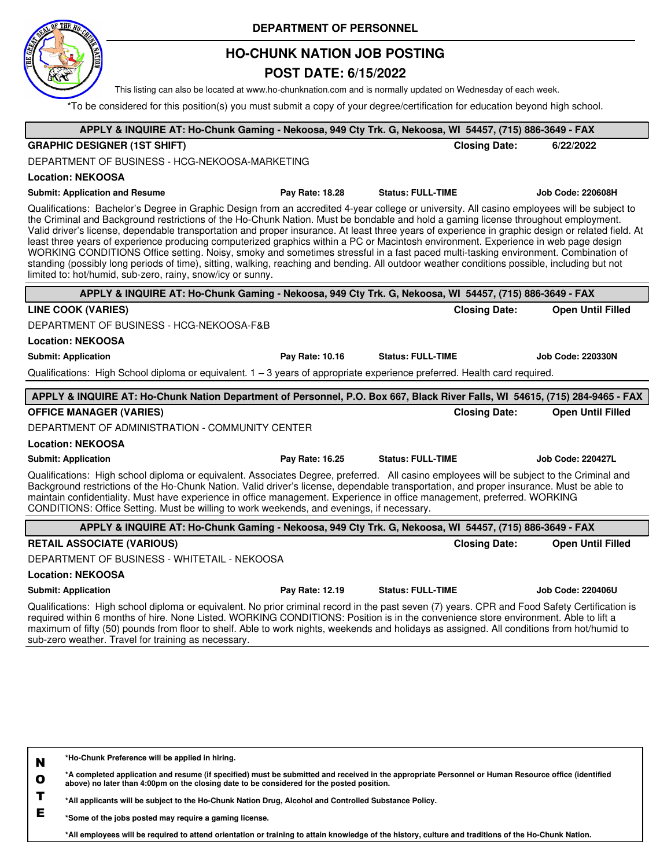

## **HO-CHUNK NATION JOB POSTING**

### **POST DATE: 6/15/2022**

This listing can also be located at www.ho-chunknation.com and is normally updated on Wednesday of each week.

\*To be considered for this position(s) you must submit a copy of your degree/certification for education beyond high school.

| APPLY & INQUIRE AT: Ho-Chunk Gaming - Nekoosa, 949 Cty Trk. G, Nekoosa, WI 54457, (715) 886-3649 - FAX                                                                                                                                                                                                                                                                                                                                                                                                                                                                                                                                                                                                                                                                                                                                                                                                                            |                 |                          |                      |                          |
|-----------------------------------------------------------------------------------------------------------------------------------------------------------------------------------------------------------------------------------------------------------------------------------------------------------------------------------------------------------------------------------------------------------------------------------------------------------------------------------------------------------------------------------------------------------------------------------------------------------------------------------------------------------------------------------------------------------------------------------------------------------------------------------------------------------------------------------------------------------------------------------------------------------------------------------|-----------------|--------------------------|----------------------|--------------------------|
| <b>GRAPHIC DESIGNER (1ST SHIFT)</b>                                                                                                                                                                                                                                                                                                                                                                                                                                                                                                                                                                                                                                                                                                                                                                                                                                                                                               |                 |                          | <b>Closing Date:</b> | 6/22/2022                |
| DEPARTMENT OF BUSINESS - HCG-NEKOOSA-MARKETING                                                                                                                                                                                                                                                                                                                                                                                                                                                                                                                                                                                                                                                                                                                                                                                                                                                                                    |                 |                          |                      |                          |
| <b>Location: NEKOOSA</b>                                                                                                                                                                                                                                                                                                                                                                                                                                                                                                                                                                                                                                                                                                                                                                                                                                                                                                          |                 |                          |                      |                          |
| <b>Submit: Application and Resume</b>                                                                                                                                                                                                                                                                                                                                                                                                                                                                                                                                                                                                                                                                                                                                                                                                                                                                                             | Pay Rate: 18.28 | <b>Status: FULL-TIME</b> |                      | <b>Job Code: 220608H</b> |
| Qualifications: Bachelor's Degree in Graphic Design from an accredited 4-year college or university. All casino employees will be subject to<br>the Criminal and Background restrictions of the Ho-Chunk Nation. Must be bondable and hold a gaming license throughout employment.<br>Valid driver's license, dependable transportation and proper insurance. At least three years of experience in graphic design or related field. At<br>least three years of experience producing computerized graphics within a PC or Macintosh environment. Experience in web page design<br>WORKING CONDITIONS Office setting. Noisy, smoky and sometimes stressful in a fast paced multi-tasking environment. Combination of<br>standing (possibly long periods of time), sitting, walking, reaching and bending. All outdoor weather conditions possible, including but not<br>limited to: hot/humid, sub-zero, rainy, snow/icy or sunny. |                 |                          |                      |                          |
| APPLY & INQUIRE AT: Ho-Chunk Gaming - Nekoosa, 949 Cty Trk. G, Nekoosa, WI 54457, (715) 886-3649 - FAX                                                                                                                                                                                                                                                                                                                                                                                                                                                                                                                                                                                                                                                                                                                                                                                                                            |                 |                          |                      |                          |
| <b>LINE COOK (VARIES)</b>                                                                                                                                                                                                                                                                                                                                                                                                                                                                                                                                                                                                                                                                                                                                                                                                                                                                                                         |                 |                          | <b>Closing Date:</b> | <b>Open Until Filled</b> |
| DEPARTMENT OF BUSINESS - HCG-NEKOOSA-F&B                                                                                                                                                                                                                                                                                                                                                                                                                                                                                                                                                                                                                                                                                                                                                                                                                                                                                          |                 |                          |                      |                          |
| <b>Location: NEKOOSA</b>                                                                                                                                                                                                                                                                                                                                                                                                                                                                                                                                                                                                                                                                                                                                                                                                                                                                                                          |                 |                          |                      |                          |
| <b>Submit: Application</b>                                                                                                                                                                                                                                                                                                                                                                                                                                                                                                                                                                                                                                                                                                                                                                                                                                                                                                        | Pay Rate: 10.16 | <b>Status: FULL-TIME</b> |                      | <b>Job Code: 220330N</b> |
| Qualifications: High School diploma or equivalent. 1 – 3 years of appropriate experience preferred. Health card required.                                                                                                                                                                                                                                                                                                                                                                                                                                                                                                                                                                                                                                                                                                                                                                                                         |                 |                          |                      |                          |
|                                                                                                                                                                                                                                                                                                                                                                                                                                                                                                                                                                                                                                                                                                                                                                                                                                                                                                                                   |                 |                          |                      |                          |
| APPLY & INQUIRE AT: Ho-Chunk Nation Department of Personnel, P.O. Box 667, Black River Falls, WI 54615, (715) 284-9465 - FAX                                                                                                                                                                                                                                                                                                                                                                                                                                                                                                                                                                                                                                                                                                                                                                                                      |                 |                          |                      |                          |
| <b>OFFICE MANAGER (VARIES)</b>                                                                                                                                                                                                                                                                                                                                                                                                                                                                                                                                                                                                                                                                                                                                                                                                                                                                                                    |                 |                          | <b>Closing Date:</b> | <b>Open Until Filled</b> |
| DEPARTMENT OF ADMINISTRATION - COMMUNITY CENTER                                                                                                                                                                                                                                                                                                                                                                                                                                                                                                                                                                                                                                                                                                                                                                                                                                                                                   |                 |                          |                      |                          |
| <b>Location: NEKOOSA</b>                                                                                                                                                                                                                                                                                                                                                                                                                                                                                                                                                                                                                                                                                                                                                                                                                                                                                                          |                 |                          |                      |                          |
| <b>Submit: Application</b>                                                                                                                                                                                                                                                                                                                                                                                                                                                                                                                                                                                                                                                                                                                                                                                                                                                                                                        | Pay Rate: 16.25 | <b>Status: FULL-TIME</b> |                      | <b>Job Code: 220427L</b> |
| Qualifications: High school diploma or equivalent. Associates Degree, preferred. All casino employees will be subject to the Criminal and<br>Background restrictions of the Ho-Chunk Nation. Valid driver's license, dependable transportation, and proper insurance. Must be able to<br>maintain confidentiality. Must have experience in office management. Experience in office management, preferred. WORKING<br>CONDITIONS: Office Setting. Must be willing to work weekends, and evenings, if necessary.                                                                                                                                                                                                                                                                                                                                                                                                                    |                 |                          |                      |                          |
| APPLY & INQUIRE AT: Ho-Chunk Gaming - Nekoosa, 949 Cty Trk. G, Nekoosa, WI 54457, (715) 886-3649 - FAX                                                                                                                                                                                                                                                                                                                                                                                                                                                                                                                                                                                                                                                                                                                                                                                                                            |                 |                          |                      |                          |
| <b>RETAIL ASSOCIATE (VARIOUS)</b>                                                                                                                                                                                                                                                                                                                                                                                                                                                                                                                                                                                                                                                                                                                                                                                                                                                                                                 |                 |                          | <b>Closing Date:</b> | <b>Open Until Filled</b> |
| DEPARTMENT OF BUSINESS - WHITETAIL - NEKOOSA                                                                                                                                                                                                                                                                                                                                                                                                                                                                                                                                                                                                                                                                                                                                                                                                                                                                                      |                 |                          |                      |                          |
| <b>Location: NEKOOSA</b>                                                                                                                                                                                                                                                                                                                                                                                                                                                                                                                                                                                                                                                                                                                                                                                                                                                                                                          |                 |                          |                      |                          |
| <b>Submit: Application</b>                                                                                                                                                                                                                                                                                                                                                                                                                                                                                                                                                                                                                                                                                                                                                                                                                                                                                                        | Pay Rate: 12.19 | <b>Status: FULL-TIME</b> |                      | <b>Job Code: 220406U</b> |
| Qualifications: High school diploma or equivalent. No prior criminal record in the past seven (7) years. CPR and Food Safety Certification is<br>required within 6 months of hire. None Listed. WORKING CONDITIONS: Position is in the convenience store environment. Able to lift a<br>maximum of fifty (50) pounds from floor to shelf. Able to work nights, weekends and holidays as assigned. All conditions from hot/humid to<br>sub-zero weather. Travel for training as necessary.                                                                                                                                                                                                                                                                                                                                                                                                                                         |                 |                          |                      |                          |
|                                                                                                                                                                                                                                                                                                                                                                                                                                                                                                                                                                                                                                                                                                                                                                                                                                                                                                                                   |                 |                          |                      |                          |

| N | *Ho-Chunk Preference will be applied in hiring. |
|---|-------------------------------------------------|
|---|-------------------------------------------------|

**O \*A completed application and resume (if specified) must be submitted and received in the appropriate Personnel or Human Resource office (identified above) no later than 4:00pm on the closing date to be considered for the posted position.**

**T \*All applicants will be subject to the Ho-Chunk Nation Drug, Alcohol and Controlled Substance Policy.**

**E \*Some of the jobs posted may require a gaming license.**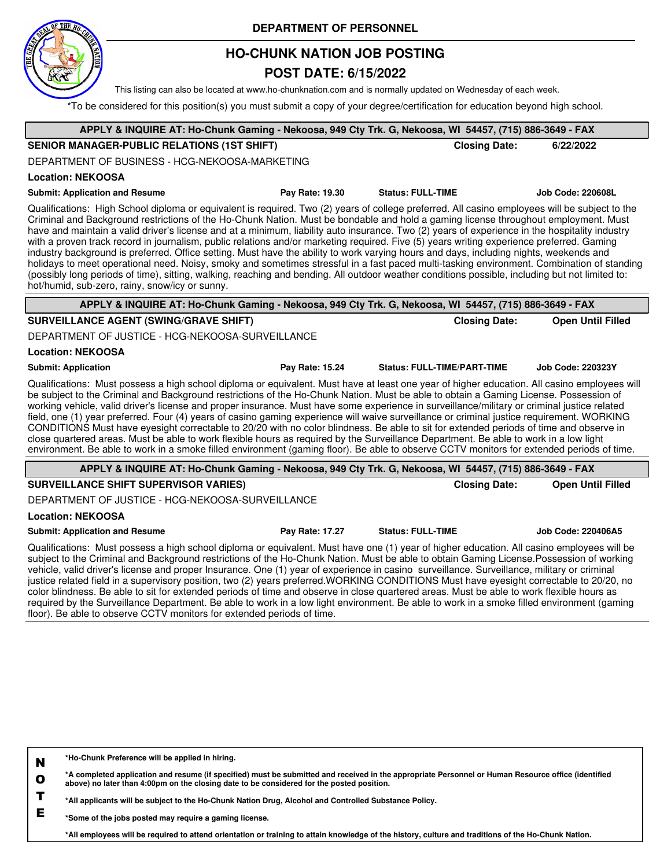

## **HO-CHUNK NATION JOB POSTING**

### **POST DATE: 6/15/2022**

This listing can also be located at www.ho-chunknation.com and is normally updated on Wednesday of each week.

\*To be considered for this position(s) you must submit a copy of your degree/certification for education beyond high school.

| APPLY & INQUIRE AT: Ho-Chunk Gaming - Nekoosa, 949 Cty Trk. G, Nekoosa, WI 54457, (715) 886-3649 - FAX                                                                                                                                                                                                                                                                                                                                                                                                                                                                                                                                                                                                                                                                                                                                                                                                                                                                                                                                                                            |                 |                                    |                      |                          |
|-----------------------------------------------------------------------------------------------------------------------------------------------------------------------------------------------------------------------------------------------------------------------------------------------------------------------------------------------------------------------------------------------------------------------------------------------------------------------------------------------------------------------------------------------------------------------------------------------------------------------------------------------------------------------------------------------------------------------------------------------------------------------------------------------------------------------------------------------------------------------------------------------------------------------------------------------------------------------------------------------------------------------------------------------------------------------------------|-----------------|------------------------------------|----------------------|--------------------------|
| <b>SENIOR MANAGER-PUBLIC RELATIONS (1ST SHIFT)</b>                                                                                                                                                                                                                                                                                                                                                                                                                                                                                                                                                                                                                                                                                                                                                                                                                                                                                                                                                                                                                                |                 |                                    | <b>Closing Date:</b> | 6/22/2022                |
| DEPARTMENT OF BUSINESS - HCG-NEKOOSA-MARKETING                                                                                                                                                                                                                                                                                                                                                                                                                                                                                                                                                                                                                                                                                                                                                                                                                                                                                                                                                                                                                                    |                 |                                    |                      |                          |
| <b>Location: NEKOOSA</b>                                                                                                                                                                                                                                                                                                                                                                                                                                                                                                                                                                                                                                                                                                                                                                                                                                                                                                                                                                                                                                                          |                 |                                    |                      |                          |
| <b>Submit: Application and Resume</b>                                                                                                                                                                                                                                                                                                                                                                                                                                                                                                                                                                                                                                                                                                                                                                                                                                                                                                                                                                                                                                             | Pay Rate: 19.30 | <b>Status: FULL-TIME</b>           |                      | <b>Job Code: 220608L</b> |
| Qualifications: High School diploma or equivalent is required. Two (2) years of college preferred. All casino employees will be subject to the<br>Criminal and Background restrictions of the Ho-Chunk Nation. Must be bondable and hold a gaming license throughout employment. Must<br>have and maintain a valid driver's license and at a minimum, liability auto insurance. Two (2) years of experience in the hospitality industry<br>with a proven track record in journalism, public relations and/or marketing required. Five (5) years writing experience preferred. Gaming<br>industry background is preferred. Office setting. Must have the ability to work varying hours and days, including nights, weekends and<br>holidays to meet operational need. Noisy, smoky and sometimes stressful in a fast paced multi-tasking environment. Combination of standing<br>(possibly long periods of time), sitting, walking, reaching and bending. All outdoor weather conditions possible, including but not limited to:<br>hot/humid, sub-zero, rainy, snow/icy or sunny. |                 |                                    |                      |                          |
| APPLY & INQUIRE AT: Ho-Chunk Gaming - Nekoosa, 949 Cty Trk. G, Nekoosa, WI 54457, (715) 886-3649 - FAX                                                                                                                                                                                                                                                                                                                                                                                                                                                                                                                                                                                                                                                                                                                                                                                                                                                                                                                                                                            |                 |                                    |                      |                          |
| <b>SURVEILLANCE AGENT (SWING/GRAVE SHIFT)</b>                                                                                                                                                                                                                                                                                                                                                                                                                                                                                                                                                                                                                                                                                                                                                                                                                                                                                                                                                                                                                                     |                 |                                    | <b>Closing Date:</b> | <b>Open Until Filled</b> |
| DEPARTMENT OF JUSTICE - HCG-NEKOOSA-SURVEILLANCE                                                                                                                                                                                                                                                                                                                                                                                                                                                                                                                                                                                                                                                                                                                                                                                                                                                                                                                                                                                                                                  |                 |                                    |                      |                          |
| <b>Location: NEKOOSA</b>                                                                                                                                                                                                                                                                                                                                                                                                                                                                                                                                                                                                                                                                                                                                                                                                                                                                                                                                                                                                                                                          |                 |                                    |                      |                          |
| <b>Submit: Application</b>                                                                                                                                                                                                                                                                                                                                                                                                                                                                                                                                                                                                                                                                                                                                                                                                                                                                                                                                                                                                                                                        | Pay Rate: 15.24 | <b>Status: FULL-TIME/PART-TIME</b> |                      | <b>Job Code: 220323Y</b> |
| Qualifications: Must possess a high school diploma or equivalent. Must have at least one year of higher education. All casino employees will<br>be subject to the Criminal and Background restrictions of the Ho-Chunk Nation. Must be able to obtain a Gaming License. Possession of<br>working vehicle, valid driver's license and proper insurance. Must have some experience in surveillance/military or criminal justice related<br>field, one (1) year preferred. Four (4) years of casino gaming experience will waive surveillance or criminal justice requirement. WORKING<br>CONDITIONS Must have eyesight correctable to 20/20 with no color blindness. Be able to sit for extended periods of time and observe in<br>close quartered areas. Must be able to work flexible hours as required by the Surveillance Department. Be able to work in a low light<br>environment. Be able to work in a smoke filled environment (gaming floor). Be able to observe CCTV monitors for extended periods of time.                                                               |                 |                                    |                      |                          |
| APPLY & INQUIRE AT: Ho-Chunk Gaming - Nekoosa, 949 Cty Trk. G, Nekoosa, WI 54457, (715) 886-3649 - FAX                                                                                                                                                                                                                                                                                                                                                                                                                                                                                                                                                                                                                                                                                                                                                                                                                                                                                                                                                                            |                 |                                    |                      |                          |
| <b>SURVEILLANCE SHIFT SUPERVISOR VARIES)</b>                                                                                                                                                                                                                                                                                                                                                                                                                                                                                                                                                                                                                                                                                                                                                                                                                                                                                                                                                                                                                                      |                 |                                    | <b>Closing Date:</b> | <b>Open Until Filled</b> |
| DEPARTMENT OF JUSTICE - HCG-NEKOOSA-SURVEILLANCE                                                                                                                                                                                                                                                                                                                                                                                                                                                                                                                                                                                                                                                                                                                                                                                                                                                                                                                                                                                                                                  |                 |                                    |                      |                          |
| <b>Location: NEKOOSA</b>                                                                                                                                                                                                                                                                                                                                                                                                                                                                                                                                                                                                                                                                                                                                                                                                                                                                                                                                                                                                                                                          |                 |                                    |                      |                          |
| <b>Submit: Application and Resume</b>                                                                                                                                                                                                                                                                                                                                                                                                                                                                                                                                                                                                                                                                                                                                                                                                                                                                                                                                                                                                                                             | Pay Rate: 17.27 | <b>Status: FULL-TIME</b>           |                      | Job Code: 220406A5       |
| Qualifications: Must possess a high school diploma or equivalent. Must have one (1) year of higher education. All casino employees will be<br>subject to the Criminal and Background restrictions of the Ho-Chunk Nation. Must be able to obtain Gaming License Possession of working<br>vehicle, valid driver's license and proper Insurance. One (1) year of experience in casino surveillance. Surveillance, military or criminal<br>justice related field in a supervisory position, two (2) years preferred.WORKING CONDITIONS Must have eyesight correctable to 20/20, no<br>color blindness. Be able to sit for extended periods of time and observe in close quartered areas. Must be able to work flexible hours as<br>required by the Surveillance Department. Be able to work in a low light environment. Be able to work in a smoke filled environment (gaming<br>floor). Be able to observe CCTV monitors for extended periods of time.                                                                                                                              |                 |                                    |                      |                          |
|                                                                                                                                                                                                                                                                                                                                                                                                                                                                                                                                                                                                                                                                                                                                                                                                                                                                                                                                                                                                                                                                                   |                 |                                    |                      |                          |

|   | *A completed application and resume (if specified) must be submitted and received in the appropriate Personnel or Human Resource office (identified<br>above) no later than 4:00pm on the closing date to be considered for the posted position. |
|---|--------------------------------------------------------------------------------------------------------------------------------------------------------------------------------------------------------------------------------------------------|
| - | *All applicants will be subject to the Ho-Chunk Nation Drug, Alcohol and Controlled Substance Policy.                                                                                                                                            |

**E \*Some of the jobs posted may require a gaming license.**

**\*Ho-Chunk Preference will be applied in hiring.**

**N**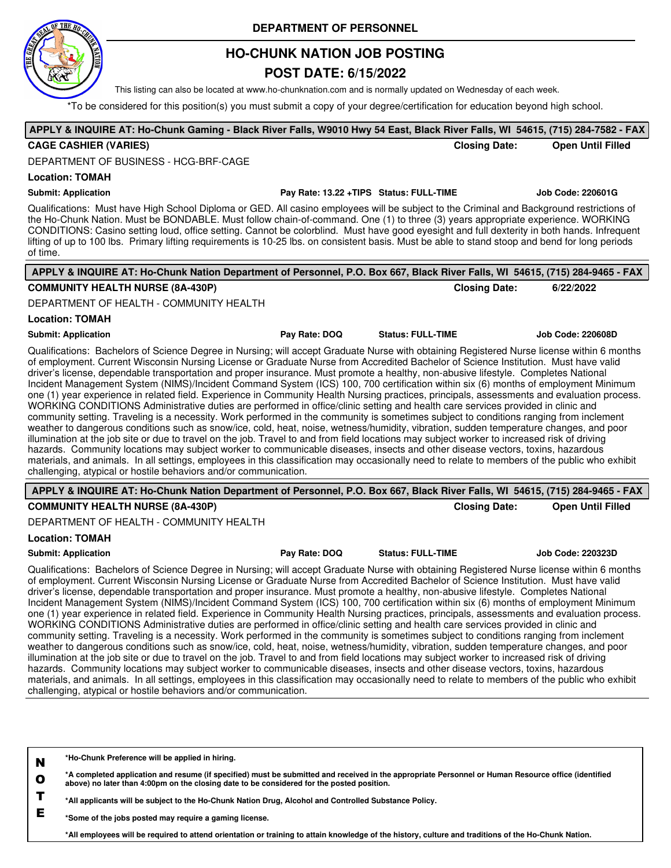

## **HO-CHUNK NATION JOB POSTING**

### **POST DATE: 6/15/2022**

This listing can also be located at www.ho-chunknation.com and is normally updated on Wednesday of each week.

\*To be considered for this position(s) you must submit a copy of your degree/certification for education beyond high school.

### **APPLY & INQUIRE AT: Ho-Chunk Gaming - Black River Falls, W9010 Hwy 54 East, Black River Falls, WI 54615, (715) 284-7582 - FAX CAGE CASHIER (VARIES) Closing Date: Open Until Filled**

DEPARTMENT OF BUSINESS - HCG-BRF-CAGE

#### **Location: TOMAH**

#### **Submit: Application Pay Rate: 13.22 +TIPS Status: FULL-TIME Job Code: 220601G**

Qualifications: Must have High School Diploma or GED. All casino employees will be subject to the Criminal and Background restrictions of the Ho-Chunk Nation. Must be BONDABLE. Must follow chain-of-command. One (1) to three (3) years appropriate experience. WORKING CONDITIONS: Casino setting loud, office setting. Cannot be colorblind. Must have good eyesight and full dexterity in both hands. Infrequent lifting of up to 100 lbs. Primary lifting requirements is 10-25 lbs. on consistent basis. Must be able to stand stoop and bend for long periods of time.

| APPLY & INQUIRE AT: Ho-Chunk Nation Department of Personnel, P.O. Box 667, Black River Falls, WI 54615, (715) 284-9465 - FAX                                                                                                                                                                                                                                                                                                                                                                                                                                                                                                                                                                                                                                                                                                                                                                                                                                                                                                                                                                                                                                                                                                                                                                                                                                                                                                                                                                                                                                                                                                                 |               |                          |                          |
|----------------------------------------------------------------------------------------------------------------------------------------------------------------------------------------------------------------------------------------------------------------------------------------------------------------------------------------------------------------------------------------------------------------------------------------------------------------------------------------------------------------------------------------------------------------------------------------------------------------------------------------------------------------------------------------------------------------------------------------------------------------------------------------------------------------------------------------------------------------------------------------------------------------------------------------------------------------------------------------------------------------------------------------------------------------------------------------------------------------------------------------------------------------------------------------------------------------------------------------------------------------------------------------------------------------------------------------------------------------------------------------------------------------------------------------------------------------------------------------------------------------------------------------------------------------------------------------------------------------------------------------------|---------------|--------------------------|--------------------------|
| <b>COMMUNITY HEALTH NURSE (8A-430P)</b>                                                                                                                                                                                                                                                                                                                                                                                                                                                                                                                                                                                                                                                                                                                                                                                                                                                                                                                                                                                                                                                                                                                                                                                                                                                                                                                                                                                                                                                                                                                                                                                                      |               | <b>Closing Date:</b>     | 6/22/2022                |
| DEPARTMENT OF HEALTH - COMMUNITY HEALTH                                                                                                                                                                                                                                                                                                                                                                                                                                                                                                                                                                                                                                                                                                                                                                                                                                                                                                                                                                                                                                                                                                                                                                                                                                                                                                                                                                                                                                                                                                                                                                                                      |               |                          |                          |
| <b>Location: TOMAH</b>                                                                                                                                                                                                                                                                                                                                                                                                                                                                                                                                                                                                                                                                                                                                                                                                                                                                                                                                                                                                                                                                                                                                                                                                                                                                                                                                                                                                                                                                                                                                                                                                                       |               |                          |                          |
| <b>Submit: Application</b>                                                                                                                                                                                                                                                                                                                                                                                                                                                                                                                                                                                                                                                                                                                                                                                                                                                                                                                                                                                                                                                                                                                                                                                                                                                                                                                                                                                                                                                                                                                                                                                                                   | Pay Rate: DOQ | <b>Status: FULL-TIME</b> | <b>Job Code: 220608D</b> |
| Qualifications: Bachelors of Science Degree in Nursing; will accept Graduate Nurse with obtaining Registered Nurse license within 6 months<br>of employment. Current Wisconsin Nursing License or Graduate Nurse from Accredited Bachelor of Science Institution. Must have valid<br>driver's license, dependable transportation and proper insurance. Must promote a healthy, non-abusive lifestyle. Completes National<br>Incident Management System (NIMS)/Incident Command System (ICS) 100, 700 certification within six (6) months of employment Minimum<br>one (1) year experience in related field. Experience in Community Health Nursing practices, principals, assessments and evaluation process.<br>WORKING CONDITIONS Administrative duties are performed in office/clinic setting and health care services provided in clinic and<br>community setting. Traveling is a necessity. Work performed in the community is sometimes subject to conditions ranging from inclement<br>weather to dangerous conditions such as snow/ice, cold, heat, noise, wetness/humidity, vibration, sudden temperature changes, and poor<br>illumination at the job site or due to travel on the job. Travel to and from field locations may subject worker to increased risk of driving<br>hazards. Community locations may subject worker to communicable diseases, insects and other disease vectors, toxins, hazardous<br>materials, and animals. In all settings, employees in this classification may occasionally need to relate to members of the public who exhibit<br>challenging, atypical or hostile behaviors and/or communication. |               |                          |                          |
| APPLY & INQUIRE AT: Ho-Chunk Nation Department of Personnel, P.O. Box 667, Black River Falls, WI 54615, (715) 284-9465 - FAX                                                                                                                                                                                                                                                                                                                                                                                                                                                                                                                                                                                                                                                                                                                                                                                                                                                                                                                                                                                                                                                                                                                                                                                                                                                                                                                                                                                                                                                                                                                 |               |                          |                          |
| <b>COMMUNITY HEALTH NURSE (8A-430P)</b>                                                                                                                                                                                                                                                                                                                                                                                                                                                                                                                                                                                                                                                                                                                                                                                                                                                                                                                                                                                                                                                                                                                                                                                                                                                                                                                                                                                                                                                                                                                                                                                                      |               | <b>Closing Date:</b>     | <b>Open Until Filled</b> |
| DEPARTMENT OF HEALTH - COMMUNITY HEALTH                                                                                                                                                                                                                                                                                                                                                                                                                                                                                                                                                                                                                                                                                                                                                                                                                                                                                                                                                                                                                                                                                                                                                                                                                                                                                                                                                                                                                                                                                                                                                                                                      |               |                          |                          |
| <b>Location: TOMAH</b>                                                                                                                                                                                                                                                                                                                                                                                                                                                                                                                                                                                                                                                                                                                                                                                                                                                                                                                                                                                                                                                                                                                                                                                                                                                                                                                                                                                                                                                                                                                                                                                                                       |               |                          |                          |
| <b>Submit: Application</b>                                                                                                                                                                                                                                                                                                                                                                                                                                                                                                                                                                                                                                                                                                                                                                                                                                                                                                                                                                                                                                                                                                                                                                                                                                                                                                                                                                                                                                                                                                                                                                                                                   | Pay Rate: DOQ | <b>Status: FULL-TIME</b> | Job Code: 220323D        |
| Qualifications: Bachelors of Science Degree in Nursing; will accept Graduate Nurse with obtaining Registered Nurse license within 6 months<br>of employment. Current Wisconsin Nursing License or Graduate Nurse from Accredited Bachelor of Science Institution. Must have valid<br>driver's license, dependable transportation and proper insurance. Must promote a healthy, non-abusive lifestyle. Completes National<br>Incident Management System (NIMS)/Incident Command System (ICS) 100, 700 certification within six (6) months of employment Minimum<br>one (1) year experience in related field. Experience in Community Health Nursing practices, principals, assessments and evaluation process.<br>WORKING CONDITIONS Administrative duties are performed in office/clinic setting and health care services provided in clinic and<br>community setting. Traveling is a necessity. Work performed in the community is sometimes subject to conditions ranging from inclement<br>weather to dangerous conditions such as snow/ice, cold, heat, noise, wetness/humidity, vibration, sudden temperature changes, and poor                                                                                                                                                                                                                                                                                                                                                                                                                                                                                                         |               |                          |                          |

materials, and animals. In all settings, employees in this classification may occasionally need to relate to members of the public who exhibit challenging, atypical or hostile behaviors and/or communication.

**N \*Ho-Chunk Preference will be applied in hiring.**

**O \*A completed application and resume (if specified) must be submitted and received in the appropriate Personnel or Human Resource office (identified above) no later than 4:00pm on the closing date to be considered for the posted position.**

illumination at the job site or due to travel on the job. Travel to and from field locations may subject worker to increased risk of driving hazards. Community locations may subject worker to communicable diseases, insects and other disease vectors, toxins, hazardous

**T \*All applicants will be subject to the Ho-Chunk Nation Drug, Alcohol and Controlled Substance Policy.**

**E \*Some of the jobs posted may require a gaming license.**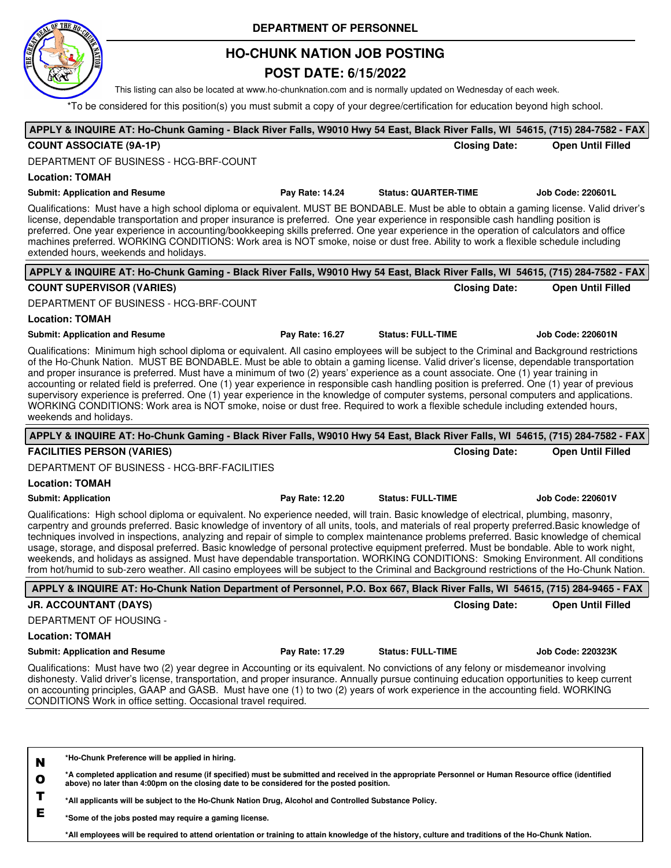

## **HO-CHUNK NATION JOB POSTING**

### **POST DATE: 6/15/2022**

This listing can also be located at www.ho-chunknation.com and is normally updated on Wednesday of each week.

\*To be considered for this position(s) you must submit a copy of your degree/certification for education beyond high school.

**APPLY & INQUIRE AT: Ho-Chunk Gaming - Black River Falls, W9010 Hwy 54 East, Black River Falls, WI 54615, (715) 284-7582 - FAX**

| <b>COUNT ASSOCIATE (9A-1P)</b>                                                                                                                                                                                                                                                                                                                                                                                                                                                                                                                                                                                                                                                                                                                                                                                                                                                     |                 | <b>Closing Date:</b>        | <b>Open Until Filled</b> |
|------------------------------------------------------------------------------------------------------------------------------------------------------------------------------------------------------------------------------------------------------------------------------------------------------------------------------------------------------------------------------------------------------------------------------------------------------------------------------------------------------------------------------------------------------------------------------------------------------------------------------------------------------------------------------------------------------------------------------------------------------------------------------------------------------------------------------------------------------------------------------------|-----------------|-----------------------------|--------------------------|
| DEPARTMENT OF BUSINESS - HCG-BRF-COUNT                                                                                                                                                                                                                                                                                                                                                                                                                                                                                                                                                                                                                                                                                                                                                                                                                                             |                 |                             |                          |
| <b>Location: TOMAH</b>                                                                                                                                                                                                                                                                                                                                                                                                                                                                                                                                                                                                                                                                                                                                                                                                                                                             |                 |                             |                          |
| <b>Submit: Application and Resume</b>                                                                                                                                                                                                                                                                                                                                                                                                                                                                                                                                                                                                                                                                                                                                                                                                                                              | Pay Rate: 14.24 | <b>Status: QUARTER-TIME</b> | <b>Job Code: 220601L</b> |
| Qualifications: Must have a high school diploma or equivalent. MUST BE BONDABLE. Must be able to obtain a gaming license. Valid driver's<br>license, dependable transportation and proper insurance is preferred. One year experience in responsible cash handling position is<br>preferred. One year experience in accounting/bookkeeping skills preferred. One year experience in the operation of calculators and office<br>machines preferred. WORKING CONDITIONS: Work area is NOT smoke, noise or dust free. Ability to work a flexible schedule including<br>extended hours, weekends and holidays.                                                                                                                                                                                                                                                                         |                 |                             |                          |
| APPLY & INQUIRE AT: Ho-Chunk Gaming - Black River Falls, W9010 Hwy 54 East, Black River Falls, WI 54615, (715) 284-7582 - FAX                                                                                                                                                                                                                                                                                                                                                                                                                                                                                                                                                                                                                                                                                                                                                      |                 |                             |                          |
| <b>COUNT SUPERVISOR (VARIES)</b>                                                                                                                                                                                                                                                                                                                                                                                                                                                                                                                                                                                                                                                                                                                                                                                                                                                   |                 | <b>Closing Date:</b>        | <b>Open Until Filled</b> |
| DEPARTMENT OF BUSINESS - HCG-BRF-COUNT                                                                                                                                                                                                                                                                                                                                                                                                                                                                                                                                                                                                                                                                                                                                                                                                                                             |                 |                             |                          |
| <b>Location: TOMAH</b>                                                                                                                                                                                                                                                                                                                                                                                                                                                                                                                                                                                                                                                                                                                                                                                                                                                             |                 |                             |                          |
| <b>Submit: Application and Resume</b>                                                                                                                                                                                                                                                                                                                                                                                                                                                                                                                                                                                                                                                                                                                                                                                                                                              | Pay Rate: 16.27 | <b>Status: FULL-TIME</b>    | <b>Job Code: 220601N</b> |
| Qualifications: Minimum high school diploma or equivalent. All casino employees will be subject to the Criminal and Background restrictions<br>of the Ho-Chunk Nation. MUST BE BONDABLE. Must be able to obtain a gaming license. Valid driver's license, dependable transportation<br>and proper insurance is preferred. Must have a minimum of two (2) years' experience as a count associate. One (1) year training in<br>accounting or related field is preferred. One (1) year experience in responsible cash handling position is preferred. One (1) year of previous<br>supervisory experience is preferred. One (1) year experience in the knowledge of computer systems, personal computers and applications.<br>WORKING CONDITIONS: Work area is NOT smoke, noise or dust free. Required to work a flexible schedule including extended hours,<br>weekends and holidays. |                 |                             |                          |
| APPLY & INQUIRE AT: Ho-Chunk Gaming - Black River Falls, W9010 Hwy 54 East, Black River Falls, WI 54615, (715) 284-7582 - FAX                                                                                                                                                                                                                                                                                                                                                                                                                                                                                                                                                                                                                                                                                                                                                      |                 |                             |                          |
| <b>FACILITIES PERSON (VARIES)</b>                                                                                                                                                                                                                                                                                                                                                                                                                                                                                                                                                                                                                                                                                                                                                                                                                                                  |                 | <b>Closing Date:</b>        | <b>Open Until Filled</b> |
| DEPARTMENT OF BUSINESS - HCG-BRF-FACILITIES                                                                                                                                                                                                                                                                                                                                                                                                                                                                                                                                                                                                                                                                                                                                                                                                                                        |                 |                             |                          |
| <b>Location: TOMAH</b>                                                                                                                                                                                                                                                                                                                                                                                                                                                                                                                                                                                                                                                                                                                                                                                                                                                             |                 |                             |                          |
| <b>Submit: Application</b>                                                                                                                                                                                                                                                                                                                                                                                                                                                                                                                                                                                                                                                                                                                                                                                                                                                         | Pay Rate: 12.20 | <b>Status: FULL-TIME</b>    | <b>Job Code: 220601V</b> |
| Qualifications: High school diploma or equivalent. No experience needed, will train. Basic knowledge of electrical, plumbing, masonry,<br>carpentry and grounds preferred. Basic knowledge of inventory of all units, tools, and materials of real property preferred. Basic knowledge of<br>techniques involved in inspections, analyzing and repair of simple to complex maintenance problems preferred. Basic knowledge of chemical<br>usage, storage, and disposal preferred. Basic knowledge of personal protective equipment preferred. Must be bondable. Able to work night,<br>weekends, and holidays as assigned. Must have dependable transportation. WORKING CONDITIONS: Smoking Environment. All conditions<br>from hot/humid to sub-zero weather. All casino employees will be subject to the Criminal and Background restrictions of the Ho-Chunk Nation.            |                 |                             |                          |
| APPLY & INQUIRE AT: Ho-Chunk Nation Department of Personnel, P.O. Box 667, Black River Falls, WI 54615, (715) 284-9465 - FAX                                                                                                                                                                                                                                                                                                                                                                                                                                                                                                                                                                                                                                                                                                                                                       |                 |                             |                          |
| <b>JR. ACCOUNTANT (DAYS)</b>                                                                                                                                                                                                                                                                                                                                                                                                                                                                                                                                                                                                                                                                                                                                                                                                                                                       |                 | <b>Closing Date:</b>        | <b>Open Until Filled</b> |
| DEPARTMENT OF HOUSING -                                                                                                                                                                                                                                                                                                                                                                                                                                                                                                                                                                                                                                                                                                                                                                                                                                                            |                 |                             |                          |
| <b>Location: TOMAH</b>                                                                                                                                                                                                                                                                                                                                                                                                                                                                                                                                                                                                                                                                                                                                                                                                                                                             |                 |                             |                          |
| <b>Submit: Application and Resume</b>                                                                                                                                                                                                                                                                                                                                                                                                                                                                                                                                                                                                                                                                                                                                                                                                                                              | Pay Rate: 17.29 | <b>Status: FULL-TIME</b>    | <b>Job Code: 220323K</b> |
| Qualifications: Must have two (2) year degree in Accounting or its equivalent. No convictions of any felony or misdemeanor involving<br>dishonesty. Valid driver's license, transportation, and proper insurance. Annually pursue continuing education opportunities to keep current<br>on accounting principles, GAAP and GASB. Must have one (1) to two (2) years of work experience in the accounting field. WORKING<br>CONDITIONS Work in office setting. Occasional travel required.                                                                                                                                                                                                                                                                                                                                                                                          |                 |                             |                          |
| *Ho-Chunk Preference will be applied in hiring.<br>N                                                                                                                                                                                                                                                                                                                                                                                                                                                                                                                                                                                                                                                                                                                                                                                                                               |                 |                             |                          |

| *A completed application and resume (if specified) must be submitted and received in the appropriate Personnel or Human Resource office (identified |
|-----------------------------------------------------------------------------------------------------------------------------------------------------|
| above) no later than 4:00pm on the closing date to be considered for the posted position.                                                           |

**T \*All applicants will be subject to the Ho-Chunk Nation Drug, Alcohol and Controlled Substance Policy.**

**E \*Some of the jobs posted may require a gaming license.**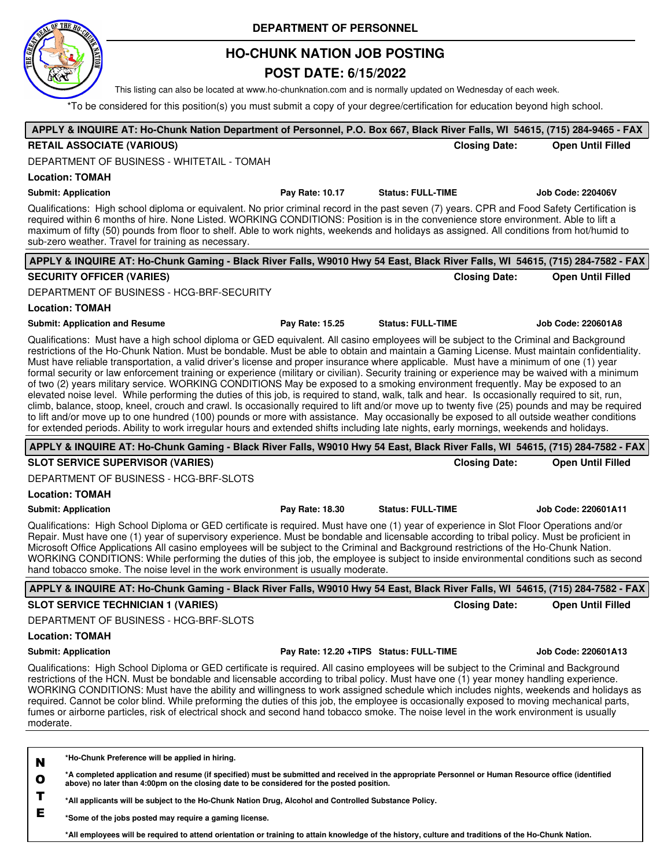

## **HO-CHUNK NATION JOB POSTING**

## **POST DATE: 6/15/2022**

This listing can also be located at www.ho-chunknation.com and is normally updated on Wednesday of each week.

\*To be considered for this position(s) you must submit a copy of your degree/certification for education beyond high school.

| APPLY & INQUIRE AT: Ho-Chunk Nation Department of Personnel, P.O. Box 667, Black River Falls, WI 54615, (715) 284-9465 - FAX                                                                                                                                                                                                                                                                                                                                                                                                                                                                                                                                                                                                                                                                                                                                                                                                                                                                                                                                                                                                                                                                                                                                                                                     |                                         |                          |                      |                            |
|------------------------------------------------------------------------------------------------------------------------------------------------------------------------------------------------------------------------------------------------------------------------------------------------------------------------------------------------------------------------------------------------------------------------------------------------------------------------------------------------------------------------------------------------------------------------------------------------------------------------------------------------------------------------------------------------------------------------------------------------------------------------------------------------------------------------------------------------------------------------------------------------------------------------------------------------------------------------------------------------------------------------------------------------------------------------------------------------------------------------------------------------------------------------------------------------------------------------------------------------------------------------------------------------------------------|-----------------------------------------|--------------------------|----------------------|----------------------------|
| <b>RETAIL ASSOCIATE (VARIOUS)</b>                                                                                                                                                                                                                                                                                                                                                                                                                                                                                                                                                                                                                                                                                                                                                                                                                                                                                                                                                                                                                                                                                                                                                                                                                                                                                |                                         |                          | <b>Closing Date:</b> | <b>Open Until Filled</b>   |
| DEPARTMENT OF BUSINESS - WHITETAIL - TOMAH                                                                                                                                                                                                                                                                                                                                                                                                                                                                                                                                                                                                                                                                                                                                                                                                                                                                                                                                                                                                                                                                                                                                                                                                                                                                       |                                         |                          |                      |                            |
| <b>Location: TOMAH</b>                                                                                                                                                                                                                                                                                                                                                                                                                                                                                                                                                                                                                                                                                                                                                                                                                                                                                                                                                                                                                                                                                                                                                                                                                                                                                           |                                         |                          |                      |                            |
| <b>Submit: Application</b>                                                                                                                                                                                                                                                                                                                                                                                                                                                                                                                                                                                                                                                                                                                                                                                                                                                                                                                                                                                                                                                                                                                                                                                                                                                                                       | Pay Rate: 10.17                         | <b>Status: FULL-TIME</b> |                      | Job Code: 220406V          |
| Qualifications: High school diploma or equivalent. No prior criminal record in the past seven (7) years. CPR and Food Safety Certification is<br>required within 6 months of hire. None Listed. WORKING CONDITIONS: Position is in the convenience store environment. Able to lift a<br>maximum of fifty (50) pounds from floor to shelf. Able to work nights, weekends and holidays as assigned. All conditions from hot/humid to<br>sub-zero weather. Travel for training as necessary.                                                                                                                                                                                                                                                                                                                                                                                                                                                                                                                                                                                                                                                                                                                                                                                                                        |                                         |                          |                      |                            |
| APPLY & INQUIRE AT: Ho-Chunk Gaming - Black River Falls, W9010 Hwy 54 East, Black River Falls, WI 54615, (715) 284-7582 - FAX                                                                                                                                                                                                                                                                                                                                                                                                                                                                                                                                                                                                                                                                                                                                                                                                                                                                                                                                                                                                                                                                                                                                                                                    |                                         |                          |                      |                            |
| <b>SECURITY OFFICER (VARIES)</b>                                                                                                                                                                                                                                                                                                                                                                                                                                                                                                                                                                                                                                                                                                                                                                                                                                                                                                                                                                                                                                                                                                                                                                                                                                                                                 |                                         |                          | <b>Closing Date:</b> | <b>Open Until Filled</b>   |
| DEPARTMENT OF BUSINESS - HCG-BRF-SECURITY                                                                                                                                                                                                                                                                                                                                                                                                                                                                                                                                                                                                                                                                                                                                                                                                                                                                                                                                                                                                                                                                                                                                                                                                                                                                        |                                         |                          |                      |                            |
| <b>Location: TOMAH</b>                                                                                                                                                                                                                                                                                                                                                                                                                                                                                                                                                                                                                                                                                                                                                                                                                                                                                                                                                                                                                                                                                                                                                                                                                                                                                           |                                         |                          |                      |                            |
| <b>Submit: Application and Resume</b>                                                                                                                                                                                                                                                                                                                                                                                                                                                                                                                                                                                                                                                                                                                                                                                                                                                                                                                                                                                                                                                                                                                                                                                                                                                                            | Pay Rate: 15.25                         | <b>Status: FULL-TIME</b> |                      | Job Code: 220601A8         |
| Qualifications: Must have a high school diploma or GED equivalent. All casino employees will be subject to the Criminal and Background<br>restrictions of the Ho-Chunk Nation. Must be bondable. Must be able to obtain and maintain a Gaming License. Must maintain confidentiality.<br>Must have reliable transportation, a valid driver's license and proper insurance where applicable. Must have a minimum of one (1) year<br>formal security or law enforcement training or experience (military or civilian). Security training or experience may be waived with a minimum<br>of two (2) years military service. WORKING CONDITIONS May be exposed to a smoking environment frequently. May be exposed to an<br>elevated noise level. While performing the duties of this job, is required to stand, walk, talk and hear. Is occasionally required to sit, run,<br>climb, balance, stoop, kneel, crouch and crawl. Is occasionally required to lift and/or move up to twenty five (25) pounds and may be required<br>to lift and/or move up to one hundred (100) pounds or more with assistance. May occasionally be exposed to all outside weather conditions<br>for extended periods. Ability to work irregular hours and extended shifts including late nights, early mornings, weekends and holidays. |                                         |                          |                      |                            |
| APPLY & INQUIRE AT: Ho-Chunk Gaming - Black River Falls, W9010 Hwy 54 East, Black River Falls, WI 54615, (715) 284-7582 - FAX                                                                                                                                                                                                                                                                                                                                                                                                                                                                                                                                                                                                                                                                                                                                                                                                                                                                                                                                                                                                                                                                                                                                                                                    |                                         |                          |                      |                            |
| <b>SLOT SERVICE SUPERVISOR (VARIES)</b>                                                                                                                                                                                                                                                                                                                                                                                                                                                                                                                                                                                                                                                                                                                                                                                                                                                                                                                                                                                                                                                                                                                                                                                                                                                                          |                                         |                          | <b>Closing Date:</b> | <b>Open Until Filled</b>   |
| DEPARTMENT OF BUSINESS - HCG-BRF-SLOTS                                                                                                                                                                                                                                                                                                                                                                                                                                                                                                                                                                                                                                                                                                                                                                                                                                                                                                                                                                                                                                                                                                                                                                                                                                                                           |                                         |                          |                      |                            |
| <b>Location: TOMAH</b>                                                                                                                                                                                                                                                                                                                                                                                                                                                                                                                                                                                                                                                                                                                                                                                                                                                                                                                                                                                                                                                                                                                                                                                                                                                                                           |                                         |                          |                      |                            |
| <b>Submit: Application</b>                                                                                                                                                                                                                                                                                                                                                                                                                                                                                                                                                                                                                                                                                                                                                                                                                                                                                                                                                                                                                                                                                                                                                                                                                                                                                       | Pay Rate: 18.30                         | <b>Status: FULL-TIME</b> |                      | Job Code: 220601A11        |
| Qualifications: High School Diploma or GED certificate is required. Must have one (1) year of experience in Slot Floor Operations and/or<br>Repair. Must have one (1) year of supervisory experience. Must be bondable and licensable according to tribal policy. Must be proficient in<br>Microsoft Office Applications All casino employees will be subject to the Criminal and Background restrictions of the Ho-Chunk Nation.<br>WORKING CONDITIONS: While performing the duties of this job, the employee is subject to inside environmental conditions such as second<br>hand tobacco smoke. The noise level in the work environment is usually moderate.                                                                                                                                                                                                                                                                                                                                                                                                                                                                                                                                                                                                                                                  |                                         |                          |                      |                            |
| APPLY & INQUIRE AT: Ho-Chunk Gaming - Black River Falls, W9010 Hwy 54 East, Black River Falls, WI 54615, (715) 284-7582 - FAX                                                                                                                                                                                                                                                                                                                                                                                                                                                                                                                                                                                                                                                                                                                                                                                                                                                                                                                                                                                                                                                                                                                                                                                    |                                         |                          |                      |                            |
| <b>SLOT SERVICE TECHNICIAN 1 (VARIES)</b>                                                                                                                                                                                                                                                                                                                                                                                                                                                                                                                                                                                                                                                                                                                                                                                                                                                                                                                                                                                                                                                                                                                                                                                                                                                                        |                                         |                          | <b>Closing Date:</b> | <b>Open Until Filled</b>   |
| DEPARTMENT OF BUSINESS - HCG-BRF-SLOTS                                                                                                                                                                                                                                                                                                                                                                                                                                                                                                                                                                                                                                                                                                                                                                                                                                                                                                                                                                                                                                                                                                                                                                                                                                                                           |                                         |                          |                      |                            |
| <b>Location: TOMAH</b>                                                                                                                                                                                                                                                                                                                                                                                                                                                                                                                                                                                                                                                                                                                                                                                                                                                                                                                                                                                                                                                                                                                                                                                                                                                                                           |                                         |                          |                      |                            |
| <b>Submit: Application</b>                                                                                                                                                                                                                                                                                                                                                                                                                                                                                                                                                                                                                                                                                                                                                                                                                                                                                                                                                                                                                                                                                                                                                                                                                                                                                       | Pay Rate: 12.20 +TIPS Status: FULL-TIME |                          |                      | <b>Job Code: 220601A13</b> |
| Qualifications: High School Diploma or GED certificate is required. All casino employees will be subject to the Criminal and Background<br>restrictions of the HCN. Must be bondable and licensable according to tribal policy. Must have one (1) year money handling experience.<br>WORKING CONDITIONS: Must have the ability and willingness to work assigned schedule which includes nights, weekends and holidays as<br>required. Cannot be color blind. While preforming the duties of this job, the employee is occasionally exposed to moving mechanical parts,<br>fumes or airborne particles, risk of electrical shock and second hand tobacco smoke. The noise level in the work environment is usually<br>moderate.                                                                                                                                                                                                                                                                                                                                                                                                                                                                                                                                                                                   |                                         |                          |                      |                            |
|                                                                                                                                                                                                                                                                                                                                                                                                                                                                                                                                                                                                                                                                                                                                                                                                                                                                                                                                                                                                                                                                                                                                                                                                                                                                                                                  |                                         |                          |                      |                            |
| *Ho-Chunk Preference will be applied in hiring.<br>N<br>*A completed application and resume (if specified) must be submitted and received in the appropriate Personnel or Human Resource office (identified<br>$\mathbf{o}$<br>above) no later than 4:00pm on the closing date to be considered for the posted position.<br>T<br>*All applicants will be subject to the Ho-Chunk Nation Drug, Alcohol and Controlled Substance Policy.<br>Е<br>*Some of the jobs nosted may require a gaming license                                                                                                                                                                                                                                                                                                                                                                                                                                                                                                                                                                                                                                                                                                                                                                                                             |                                         |                          |                      |                            |

**\*Some of the jobs posted may require a gaming license.**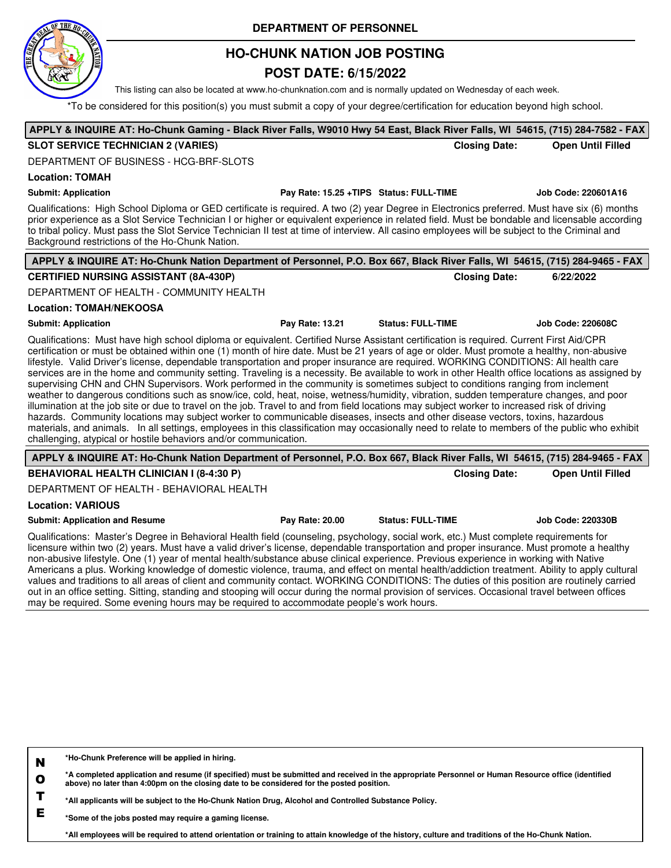

## **HO-CHUNK NATION JOB POSTING**

### **POST DATE: 6/15/2022**

This listing can also be located at www.ho-chunknation.com and is normally updated on Wednesday of each week.

\*To be considered for this position(s) you must submit a copy of your degree/certification for education beyond high school.

# **APPLY & INQUIRE AT: Ho-Chunk Gaming - Black River Falls, W9010 Hwy 54 East, Black River Falls, WI 54615, (715) 284-7582 - FAX**

#### **SLOT SERVICE TECHNICIAN 2 (VARIES) Closing Date: Open Until Filled**

DEPARTMENT OF BUSINESS - HCG-BRF-SLOTS

#### **Location: TOMAH**

#### **Submit: Application Pay Rate: 15.25 +TIPS Status: FULL-TIME Job Code: 220601A16**

Qualifications: High School Diploma or GED certificate is required. A two (2) year Degree in Electronics preferred. Must have six (6) months prior experience as a Slot Service Technician I or higher or equivalent experience in related field. Must be bondable and licensable according to tribal policy. Must pass the Slot Service Technician II test at time of interview. All casino employees will be subject to the Criminal and Background restrictions of the Ho-Chunk Nation.

| APPLY & INQUIRE AT: Ho-Chunk Nation Department of Personnel, P.O. Box 667, Black River Falls, WI 54615, (715) 284-9465 - FAX                                                                                                                                                                                                                                                                                                                                                                                                                                                                                                                                                                                                                                                                                                                                                                                                                                                                                                                                                                                                                                                                                                                                                                                                                                       |                 |                          |                      |                          |
|--------------------------------------------------------------------------------------------------------------------------------------------------------------------------------------------------------------------------------------------------------------------------------------------------------------------------------------------------------------------------------------------------------------------------------------------------------------------------------------------------------------------------------------------------------------------------------------------------------------------------------------------------------------------------------------------------------------------------------------------------------------------------------------------------------------------------------------------------------------------------------------------------------------------------------------------------------------------------------------------------------------------------------------------------------------------------------------------------------------------------------------------------------------------------------------------------------------------------------------------------------------------------------------------------------------------------------------------------------------------|-----------------|--------------------------|----------------------|--------------------------|
| <b>CERTIFIED NURSING ASSISTANT (8A-430P)</b>                                                                                                                                                                                                                                                                                                                                                                                                                                                                                                                                                                                                                                                                                                                                                                                                                                                                                                                                                                                                                                                                                                                                                                                                                                                                                                                       |                 |                          | <b>Closing Date:</b> | 6/22/2022                |
| DEPARTMENT OF HEALTH - COMMUNITY HEALTH                                                                                                                                                                                                                                                                                                                                                                                                                                                                                                                                                                                                                                                                                                                                                                                                                                                                                                                                                                                                                                                                                                                                                                                                                                                                                                                            |                 |                          |                      |                          |
| <b>Location: TOMAH/NEKOOSA</b>                                                                                                                                                                                                                                                                                                                                                                                                                                                                                                                                                                                                                                                                                                                                                                                                                                                                                                                                                                                                                                                                                                                                                                                                                                                                                                                                     |                 |                          |                      |                          |
| <b>Submit: Application</b>                                                                                                                                                                                                                                                                                                                                                                                                                                                                                                                                                                                                                                                                                                                                                                                                                                                                                                                                                                                                                                                                                                                                                                                                                                                                                                                                         | Pay Rate: 13.21 | <b>Status: FULL-TIME</b> |                      | <b>Job Code: 220608C</b> |
| Qualifications: Must have high school diploma or equivalent. Certified Nurse Assistant certification is required. Current First Aid/CPR<br>certification or must be obtained within one (1) month of hire date. Must be 21 years of age or older. Must promote a healthy, non-abusive<br>lifestyle. Valid Driver's license, dependable transportation and proper insurance are required. WORKING CONDITIONS: All health care<br>services are in the home and community setting. Traveling is a necessity. Be available to work in other Health office locations as assigned by<br>supervising CHN and CHN Supervisors. Work performed in the community is sometimes subject to conditions ranging from inclement<br>weather to dangerous conditions such as snow/ice, cold, heat, noise, wetness/humidity, vibration, sudden temperature changes, and poor<br>illumination at the job site or due to travel on the job. Travel to and from field locations may subject worker to increased risk of driving<br>hazards. Community locations may subject worker to communicable diseases, insects and other disease vectors, toxins, hazardous<br>materials, and animals. In all settings, employees in this classification may occasionally need to relate to members of the public who exhibit<br>challenging, atypical or hostile behaviors and/or communication. |                 |                          |                      |                          |
| APPLY & INQUIRE AT: Ho-Chunk Nation Department of Personnel, P.O. Box 667, Black River Falls, WI 54615, (715) 284-9465 - FAX                                                                                                                                                                                                                                                                                                                                                                                                                                                                                                                                                                                                                                                                                                                                                                                                                                                                                                                                                                                                                                                                                                                                                                                                                                       |                 |                          |                      |                          |
| <b>BEHAVIORAL HEALTH CLINICIAN I (8-4:30 P)</b>                                                                                                                                                                                                                                                                                                                                                                                                                                                                                                                                                                                                                                                                                                                                                                                                                                                                                                                                                                                                                                                                                                                                                                                                                                                                                                                    |                 |                          | <b>Closing Date:</b> | <b>Open Until Filled</b> |
| DEPARTMENT OF HEALTH - BEHAVIORAL HEALTH                                                                                                                                                                                                                                                                                                                                                                                                                                                                                                                                                                                                                                                                                                                                                                                                                                                                                                                                                                                                                                                                                                                                                                                                                                                                                                                           |                 |                          |                      |                          |
| <b>Location: VARIOUS</b>                                                                                                                                                                                                                                                                                                                                                                                                                                                                                                                                                                                                                                                                                                                                                                                                                                                                                                                                                                                                                                                                                                                                                                                                                                                                                                                                           |                 |                          |                      |                          |
| <b>Submit: Application and Resume</b>                                                                                                                                                                                                                                                                                                                                                                                                                                                                                                                                                                                                                                                                                                                                                                                                                                                                                                                                                                                                                                                                                                                                                                                                                                                                                                                              | Pay Rate: 20.00 | <b>Status: FULL-TIME</b> |                      | <b>Job Code: 220330B</b> |
| Qualifications: Master's Degree in Behavioral Health field (counseling, psychology, social work, etc.) Must complete requirements for<br>licensure within two (2) years. Must have a valid driver's license, dependable transportation and proper insurance. Must promote a healthy<br>non-abusive lifestyle. One (1) year of mental health/substance abuse clinical experience. Previous experience in working with Native<br>Americans a plus. Working knowledge of domestic violence, trauma, and effect on mental health/addiction treatment. Ability to apply cultural<br>values and traditions to all areas of client and community contact. WORKING CONDITIONS: The duties of this position are routinely carried<br><u>readers and the second second contract the second contract of the second second second second second second second</u>                                                                                                                                                                                                                                                                                                                                                                                                                                                                                                              |                 |                          |                      |                          |

out in an office setting. Sitting, standing and stooping will occur during the normal provision of services. Occasional travel between offices may be required. Some evening hours may be required to accommodate people's work hours.

| N            | *Ho-Chunk Preference will be applied in hiring.                                                                                                                                                                                                  |
|--------------|--------------------------------------------------------------------------------------------------------------------------------------------------------------------------------------------------------------------------------------------------|
| $\mathbf{o}$ | *A completed application and resume (if specified) must be submitted and received in the appropriate Personnel or Human Resource office (identified<br>above) no later than 4:00pm on the closing date to be considered for the posted position. |
|              | *All applicants will be subject to the Ho-Chunk Nation Drug, Alcohol and Controlled Substance Policy.                                                                                                                                            |
| E            | *Some of the jobs posted may require a gaming license.                                                                                                                                                                                           |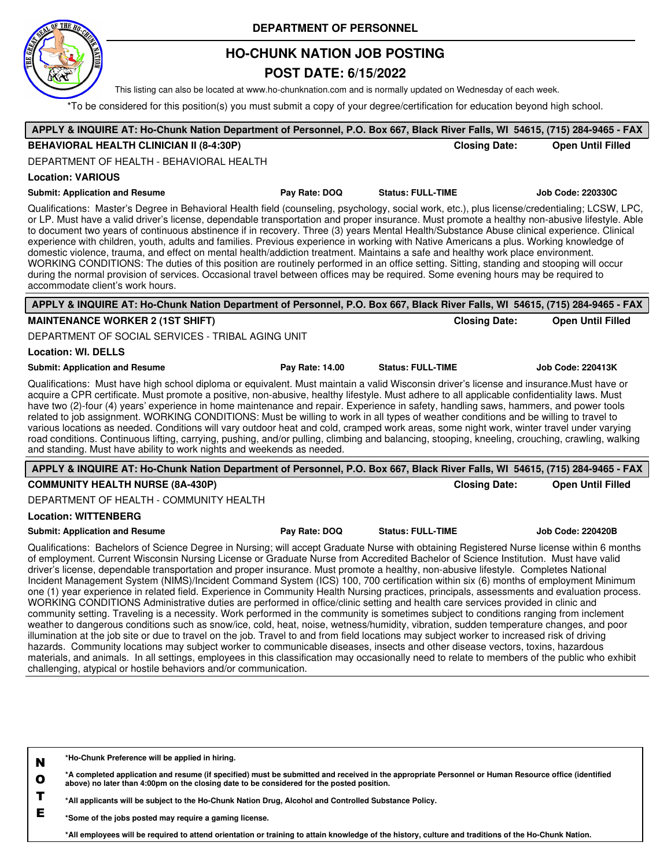

## **HO-CHUNK NATION JOB POSTING**

### **POST DATE: 6/15/2022**

This listing can also be located at www.ho-chunknation.com and is normally updated on Wednesday of each week.

\*To be considered for this position(s) you must submit a copy of your degree/certification for education beyond high school.

| APPLY & INQUIRE AT: Ho-Chunk Nation Department of Personnel, P.O. Box 667, Black River Falls, WI 54615, (715) 284-9465 - FAX                                                                                                                                                                                                                                                                                                                                                                                                                                                                                                                                                                                                                                                                                                                                                                                                                                                                                                                                                                                                                                                                                                                                                                                                                                                                                                                                                                                                                                                                                                                 |                 |                          |                      |                          |
|----------------------------------------------------------------------------------------------------------------------------------------------------------------------------------------------------------------------------------------------------------------------------------------------------------------------------------------------------------------------------------------------------------------------------------------------------------------------------------------------------------------------------------------------------------------------------------------------------------------------------------------------------------------------------------------------------------------------------------------------------------------------------------------------------------------------------------------------------------------------------------------------------------------------------------------------------------------------------------------------------------------------------------------------------------------------------------------------------------------------------------------------------------------------------------------------------------------------------------------------------------------------------------------------------------------------------------------------------------------------------------------------------------------------------------------------------------------------------------------------------------------------------------------------------------------------------------------------------------------------------------------------|-----------------|--------------------------|----------------------|--------------------------|
| <b>BEHAVIORAL HEALTH CLINICIAN II (8-4:30P)</b>                                                                                                                                                                                                                                                                                                                                                                                                                                                                                                                                                                                                                                                                                                                                                                                                                                                                                                                                                                                                                                                                                                                                                                                                                                                                                                                                                                                                                                                                                                                                                                                              |                 |                          | <b>Closing Date:</b> | <b>Open Until Filled</b> |
| DEPARTMENT OF HEALTH - BEHAVIORAL HEALTH                                                                                                                                                                                                                                                                                                                                                                                                                                                                                                                                                                                                                                                                                                                                                                                                                                                                                                                                                                                                                                                                                                                                                                                                                                                                                                                                                                                                                                                                                                                                                                                                     |                 |                          |                      |                          |
| <b>Location: VARIOUS</b>                                                                                                                                                                                                                                                                                                                                                                                                                                                                                                                                                                                                                                                                                                                                                                                                                                                                                                                                                                                                                                                                                                                                                                                                                                                                                                                                                                                                                                                                                                                                                                                                                     |                 |                          |                      |                          |
| <b>Submit: Application and Resume</b>                                                                                                                                                                                                                                                                                                                                                                                                                                                                                                                                                                                                                                                                                                                                                                                                                                                                                                                                                                                                                                                                                                                                                                                                                                                                                                                                                                                                                                                                                                                                                                                                        | Pay Rate: DOQ   | <b>Status: FULL-TIME</b> |                      | Job Code: 220330C        |
| Qualifications: Master's Degree in Behavioral Health field (counseling, psychology, social work, etc.), plus license/credentialing; LCSW, LPC,<br>or LP. Must have a valid driver's license, dependable transportation and proper insurance. Must promote a healthy non-abusive lifestyle. Able<br>to document two years of continuous abstinence if in recovery. Three (3) years Mental Health/Substance Abuse clinical experience. Clinical<br>experience with children, youth, adults and families. Previous experience in working with Native Americans a plus. Working knowledge of<br>domestic violence, trauma, and effect on mental health/addiction treatment. Maintains a safe and healthy work place environment.<br>WORKING CONDITIONS: The duties of this position are routinely performed in an office setting. Sitting, standing and stooping will occur<br>during the normal provision of services. Occasional travel between offices may be required. Some evening hours may be required to<br>accommodate client's work hours.                                                                                                                                                                                                                                                                                                                                                                                                                                                                                                                                                                                             |                 |                          |                      |                          |
| APPLY & INQUIRE AT: Ho-Chunk Nation Department of Personnel, P.O. Box 667, Black River Falls, WI 54615, (715) 284-9465 - FAX                                                                                                                                                                                                                                                                                                                                                                                                                                                                                                                                                                                                                                                                                                                                                                                                                                                                                                                                                                                                                                                                                                                                                                                                                                                                                                                                                                                                                                                                                                                 |                 |                          |                      |                          |
| <b>MAINTENANCE WORKER 2 (1ST SHIFT)</b>                                                                                                                                                                                                                                                                                                                                                                                                                                                                                                                                                                                                                                                                                                                                                                                                                                                                                                                                                                                                                                                                                                                                                                                                                                                                                                                                                                                                                                                                                                                                                                                                      |                 |                          | <b>Closing Date:</b> | <b>Open Until Filled</b> |
| DEPARTMENT OF SOCIAL SERVICES - TRIBAL AGING UNIT                                                                                                                                                                                                                                                                                                                                                                                                                                                                                                                                                                                                                                                                                                                                                                                                                                                                                                                                                                                                                                                                                                                                                                                                                                                                                                                                                                                                                                                                                                                                                                                            |                 |                          |                      |                          |
| <b>Location: WI. DELLS</b>                                                                                                                                                                                                                                                                                                                                                                                                                                                                                                                                                                                                                                                                                                                                                                                                                                                                                                                                                                                                                                                                                                                                                                                                                                                                                                                                                                                                                                                                                                                                                                                                                   |                 |                          |                      |                          |
| <b>Submit: Application and Resume</b>                                                                                                                                                                                                                                                                                                                                                                                                                                                                                                                                                                                                                                                                                                                                                                                                                                                                                                                                                                                                                                                                                                                                                                                                                                                                                                                                                                                                                                                                                                                                                                                                        | Pay Rate: 14.00 | <b>Status: FULL-TIME</b> |                      | Job Code: 220413K        |
| Qualifications: Must have high school diploma or equivalent. Must maintain a valid Wisconsin driver's license and insurance. Must have or<br>acquire a CPR certificate. Must promote a positive, non-abusive, healthy lifestyle. Must adhere to all applicable confidentiality laws. Must<br>have two (2)-four (4) years' experience in home maintenance and repair. Experience in safety, handling saws, hammers, and power tools<br>related to job assignment. WORKING CONDITIONS: Must be willing to work in all types of weather conditions and be willing to travel to<br>various locations as needed. Conditions will vary outdoor heat and cold, cramped work areas, some night work, winter travel under varying<br>road conditions. Continuous lifting, carrying, pushing, and/or pulling, climbing and balancing, stooping, kneeling, crouching, crawling, walking<br>and standing. Must have ability to work nights and weekends as needed.                                                                                                                                                                                                                                                                                                                                                                                                                                                                                                                                                                                                                                                                                       |                 |                          |                      |                          |
| APPLY & INQUIRE AT: Ho-Chunk Nation Department of Personnel, P.O. Box 667, Black River Falls, WI 54615, (715) 284-9465 - FAX                                                                                                                                                                                                                                                                                                                                                                                                                                                                                                                                                                                                                                                                                                                                                                                                                                                                                                                                                                                                                                                                                                                                                                                                                                                                                                                                                                                                                                                                                                                 |                 |                          |                      |                          |
| <b>COMMUNITY HEALTH NURSE (8A-430P)</b>                                                                                                                                                                                                                                                                                                                                                                                                                                                                                                                                                                                                                                                                                                                                                                                                                                                                                                                                                                                                                                                                                                                                                                                                                                                                                                                                                                                                                                                                                                                                                                                                      |                 |                          | <b>Closing Date:</b> | <b>Open Until Filled</b> |
| DEPARTMENT OF HEALTH - COMMUNITY HEALTH                                                                                                                                                                                                                                                                                                                                                                                                                                                                                                                                                                                                                                                                                                                                                                                                                                                                                                                                                                                                                                                                                                                                                                                                                                                                                                                                                                                                                                                                                                                                                                                                      |                 |                          |                      |                          |
| <b>Location: WITTENBERG</b>                                                                                                                                                                                                                                                                                                                                                                                                                                                                                                                                                                                                                                                                                                                                                                                                                                                                                                                                                                                                                                                                                                                                                                                                                                                                                                                                                                                                                                                                                                                                                                                                                  |                 |                          |                      |                          |
| <b>Submit: Application and Resume</b>                                                                                                                                                                                                                                                                                                                                                                                                                                                                                                                                                                                                                                                                                                                                                                                                                                                                                                                                                                                                                                                                                                                                                                                                                                                                                                                                                                                                                                                                                                                                                                                                        | Pay Rate: DOQ   | <b>Status: FULL-TIME</b> |                      | <b>Job Code: 220420B</b> |
| Qualifications: Bachelors of Science Degree in Nursing; will accept Graduate Nurse with obtaining Registered Nurse license within 6 months<br>of employment. Current Wisconsin Nursing License or Graduate Nurse from Accredited Bachelor of Science Institution. Must have valid<br>driver's license, dependable transportation and proper insurance. Must promote a healthy, non-abusive lifestyle. Completes National<br>Incident Management System (NIMS)/Incident Command System (ICS) 100, 700 certification within six (6) months of employment Minimum<br>one (1) year experience in related field. Experience in Community Health Nursing practices, principals, assessments and evaluation process.<br>WORKING CONDITIONS Administrative duties are performed in office/clinic setting and health care services provided in clinic and<br>community setting. Traveling is a necessity. Work performed in the community is sometimes subject to conditions ranging from inclement<br>weather to dangerous conditions such as snow/ice, cold, heat, noise, wetness/humidity, vibration, sudden temperature changes, and poor<br>illumination at the job site or due to travel on the job. Travel to and from field locations may subject worker to increased risk of driving<br>hazards. Community locations may subject worker to communicable diseases, insects and other disease vectors, toxins, hazardous<br>materials, and animals. In all settings, employees in this classification may occasionally need to relate to members of the public who exhibit<br>challenging, atypical or hostile behaviors and/or communication. |                 |                          |                      |                          |
|                                                                                                                                                                                                                                                                                                                                                                                                                                                                                                                                                                                                                                                                                                                                                                                                                                                                                                                                                                                                                                                                                                                                                                                                                                                                                                                                                                                                                                                                                                                                                                                                                                              |                 |                          |                      |                          |

**N \*Ho-Chunk Preference will be applied in hiring.**

**O \*A completed application and resume (if specified) must be submitted and received in the appropriate Personnel or Human Resource office (identified above) no later than 4:00pm on the closing date to be considered for the posted position.**

**T \*All applicants will be subject to the Ho-Chunk Nation Drug, Alcohol and Controlled Substance Policy.**

**E \*Some of the jobs posted may require a gaming license.**